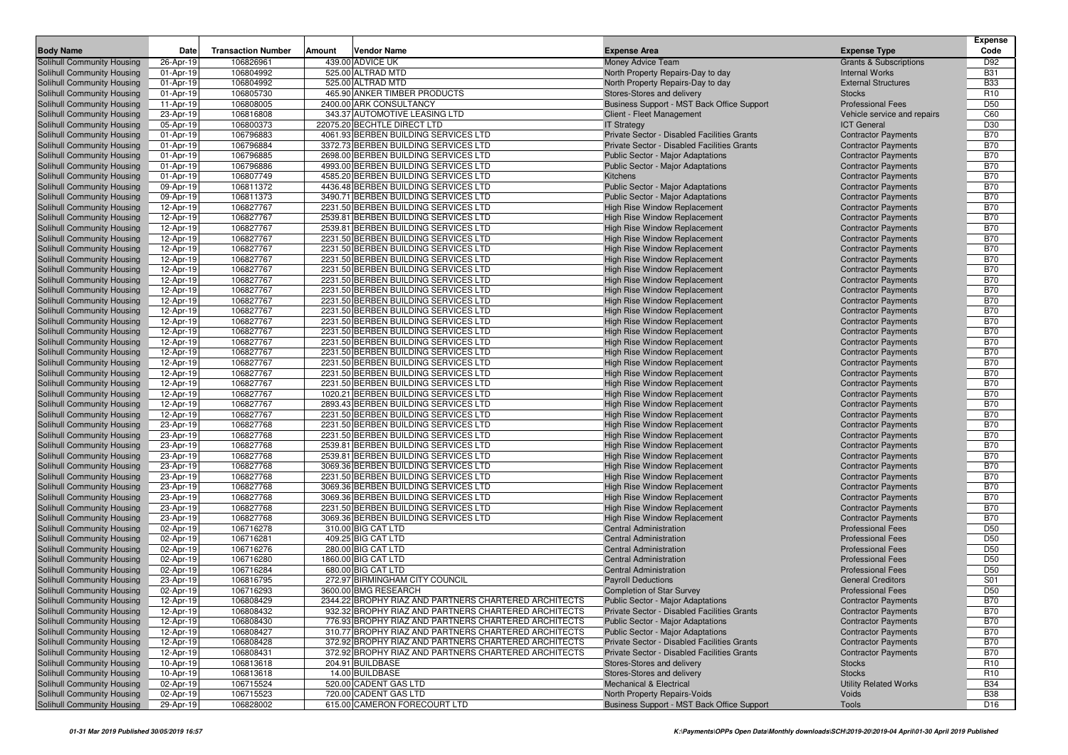|                                                          |                        |                           |                                                                              |                                                                     |                                                          | Expense                  |
|----------------------------------------------------------|------------------------|---------------------------|------------------------------------------------------------------------------|---------------------------------------------------------------------|----------------------------------------------------------|--------------------------|
| <b>Body Name</b>                                         | Date                   | <b>Transaction Number</b> | Vendor Name<br>Amount                                                        | <b>Expense Area</b>                                                 | <b>Expense Type</b>                                      | Code                     |
| <b>Solihull Community Housing</b>                        | 26-Apr-19              | 106826961                 | 439.00 ADVICE UK                                                             | Money Advice Team                                                   | <b>Grants &amp; Subscriptions</b>                        | D92                      |
| Solihull Community Housing                               | 01-Apr-19              | 106804992                 | 525.00 ALTRAD MTD                                                            | North Property Repairs-Day to day                                   | <b>Internal Works</b>                                    | <b>B31</b>               |
| Solihull Community Housing                               | 01-Apr-19              | 106804992                 | 525.00 ALTRAD MTD                                                            | North Property Repairs-Day to day                                   | <b>External Structures</b>                               | <b>B33</b>               |
| Solihull Community Housing                               | 01-Apr-19              | 106805730                 | 465.90 ANKER TIMBER PRODUCTS                                                 | Stores-Stores and delivery                                          | <b>Stocks</b>                                            | R <sub>10</sub>          |
| Solihull Community Housing                               | 11-Apr-19              | 106808005                 | 2400.00 ARK CONSULTANCY                                                      | Business Support - MST Back Office Support                          | <b>Professional Fees</b>                                 | D <sub>50</sub>          |
| Solihull Community Housing                               | 23-Apr-19              | 106816808                 | 343.37 AUTOMOTIVE LEASING LTD                                                | Client - Fleet Management                                           | Vehicle service and repairs                              | C60                      |
| Solihull Community Housing                               | 05-Apr-19              | 106800373                 | 22075.20 BECHTLE DIRECT LTD                                                  | <b>IT Strategy</b>                                                  | <b>ICT General</b>                                       | D30                      |
| Solihull Community Housing                               | 01-Apr-19              | 106796883                 | 4061.93 BERBEN BUILDING SERVICES LTD                                         | Private Sector - Disabled Facilities Grants                         | <b>Contractor Payments</b>                               | <b>B70</b>               |
| Solihull Community Housing                               | 01-Apr-19              | 106796884                 | 3372.73 BERBEN BUILDING SERVICES LTD                                         | Private Sector - Disabled Facilities Grants                         | <b>Contractor Payments</b>                               | <b>B70</b>               |
| Solihull Community Housing                               | 01-Apr-19              | 106796885                 | 2698.00 BERBEN BUILDING SERVICES LTD                                         | <b>Public Sector - Major Adaptations</b>                            | <b>Contractor Payments</b>                               | <b>B70</b>               |
| Solihull Community Housing                               | 01-Apr-19              | 106796886                 | 4993.00 BERBEN BUILDING SERVICES LTD                                         | Public Sector - Major Adaptations                                   | <b>Contractor Payments</b>                               | <b>B70</b>               |
| Solihull Community Housing                               | 01-Apr-19              | 106807749                 | 4585.20 BERBEN BUILDING SERVICES LTD                                         | Kitchens                                                            | <b>Contractor Payments</b>                               | <b>B70</b>               |
| Solihull Community Housing                               | 09-Apr-19              | 106811372                 | 4436.48 BERBEN BUILDING SERVICES LTD                                         | <b>Public Sector - Major Adaptations</b>                            | <b>Contractor Payments</b>                               | <b>B70</b>               |
| Solihull Community Housing                               | 09-Apr-19              | 106811373                 | 3490.71 BERBEN BUILDING SERVICES LTD                                         | <b>Public Sector - Major Adaptations</b>                            | <b>Contractor Payments</b>                               | <b>B70</b>               |
| Solihull Community Housing                               | 12-Apr-19              | 106827767                 | 2231.50 BERBEN BUILDING SERVICES LTD                                         | <b>High Rise Window Replacement</b>                                 | <b>Contractor Payments</b>                               | <b>B70</b>               |
| Solihull Community Housing                               | 12-Apr-19              | 106827767                 | 2539.81 BERBEN BUILDING SERVICES LTD                                         | High Rise Window Replacement                                        | <b>Contractor Payments</b>                               | <b>B70</b>               |
| Solihull Community Housing                               | 12-Apr-19              | 106827767                 | 2539.81 BERBEN BUILDING SERVICES LTD                                         | High Rise Window Replacement                                        | <b>Contractor Payments</b>                               | <b>B70</b>               |
| Solihull Community Housing                               | 12-Apr-19              | 106827767                 | 2231.50 BERBEN BUILDING SERVICES LTD                                         | High Rise Window Replacement                                        | <b>Contractor Payments</b>                               | <b>B70</b>               |
| Solihull Community Housing                               | 12-Apr-19              | 106827767                 | 2231.50 BERBEN BUILDING SERVICES LTD                                         | High Rise Window Replacement                                        | <b>Contractor Payments</b>                               | <b>B70</b>               |
| Solihull Community Housing                               | 12-Apr-19              | 106827767                 | 2231.50 BERBEN BUILDING SERVICES LTD                                         | <b>High Rise Window Replacement</b>                                 | <b>Contractor Payments</b>                               | <b>B70</b>               |
| Solihull Community Housing                               | 12-Apr-19              | 106827767                 | 2231.50 BERBEN BUILDING SERVICES LTD                                         | <b>High Rise Window Replacement</b>                                 | <b>Contractor Payments</b>                               | <b>B70</b>               |
| Solihull Community Housing                               | 12-Apr-19              | 106827767                 | 2231.50 BERBEN BUILDING SERVICES LTD                                         | High Rise Window Replacement                                        | <b>Contractor Payments</b>                               | <b>B70</b>               |
| Solihull Community Housing                               | 12-Apr-19              | 106827767                 | 2231.50 BERBEN BUILDING SERVICES LTD                                         | <b>High Rise Window Replacement</b>                                 | <b>Contractor Payments</b>                               | <b>B70</b>               |
| Solihull Community Housing                               | 12-Apr-19              | 106827767                 | 2231.50 BERBEN BUILDING SERVICES LTD                                         | High Rise Window Replacement                                        | <b>Contractor Payments</b>                               | <b>B70</b>               |
| Solihull Community Housing                               | 12-Apr-19              | 106827767                 | 2231.50 BERBEN BUILDING SERVICES LTD                                         | <b>High Rise Window Replacement</b>                                 | <b>Contractor Payments</b>                               | <b>B70</b>               |
| Solihull Community Housing                               | 12-Apr-19              | 106827767                 | 2231.50 BERBEN BUILDING SERVICES LTD                                         | <b>High Rise Window Replacement</b>                                 | <b>Contractor Payments</b>                               | <b>B70</b>               |
| Solihull Community Housing                               | 12-Apr-19              | 106827767                 | 2231.50 BERBEN BUILDING SERVICES LTD                                         | High Rise Window Replacement                                        | <b>Contractor Payments</b>                               | <b>B70</b>               |
| Solihull Community Housing                               | 12-Apr-19              | 106827767                 | 2231.50 BERBEN BUILDING SERVICES LTD                                         | <b>High Rise Window Replacement</b>                                 | <b>Contractor Payments</b>                               | <b>B70</b>               |
| Solihull Community Housing                               | 12-Apr-19              | 106827767                 | 2231.50 BERBEN BUILDING SERVICES LTD                                         | <b>High Rise Window Replacement</b>                                 | <b>Contractor Payments</b>                               | <b>B70</b>               |
| Solihull Community Housing                               | 12-Apr-19              | 106827767                 | 2231.50 BERBEN BUILDING SERVICES LTD                                         | <b>High Rise Window Replacement</b>                                 | <b>Contractor Payments</b>                               | <b>B70</b>               |
| Solihull Community Housing                               | 12-Apr-19              | 106827767                 | 2231.50 BERBEN BUILDING SERVICES LTD                                         | High Rise Window Replacement                                        | <b>Contractor Payments</b>                               | <b>B70</b>               |
| Solihull Community Housing                               | 12-Apr-19              | 106827767                 | 2231.50 BERBEN BUILDING SERVICES LTD                                         | <b>High Rise Window Replacement</b>                                 | <b>Contractor Payments</b>                               | <b>B70</b>               |
| Solihull Community Housing                               | 12-Apr-19              | 106827767                 | 1020.21 BERBEN BUILDING SERVICES LTD                                         | <b>High Rise Window Replacement</b>                                 | <b>Contractor Payments</b>                               | <b>B70</b>               |
| Solihull Community Housing                               | 12-Apr-19              | 106827767                 | 2893.43 BERBEN BUILDING SERVICES LTD                                         | High Rise Window Replacement                                        | <b>Contractor Payments</b>                               | <b>B70</b>               |
| Solihull Community Housing                               | 12-Apr-19              | 106827767                 | 2231.50 BERBEN BUILDING SERVICES LTD                                         | <b>High Rise Window Replacement</b>                                 | <b>Contractor Payments</b>                               | <b>B70</b><br><b>B70</b> |
| Solihull Community Housing                               | 23-Apr-19              | 106827768<br>106827768    | 2231.50 BERBEN BUILDING SERVICES LTD<br>2231.50 BERBEN BUILDING SERVICES LTD | <b>High Rise Window Replacement</b>                                 | <b>Contractor Payments</b>                               | <b>B70</b>               |
| Solihull Community Housing                               | 23-Apr-19              | 106827768                 | 2539.81 BERBEN BUILDING SERVICES LTD                                         | <b>High Rise Window Replacement</b><br>High Rise Window Replacement | <b>Contractor Payments</b>                               | <b>B70</b>               |
| Solihull Community Housing<br>Solihull Community Housing | 23-Apr-19              | 106827768                 | 2539.81 BERBEN BUILDING SERVICES LTD                                         | High Rise Window Replacement                                        | <b>Contractor Payments</b><br><b>Contractor Payments</b> | <b>B70</b>               |
| Solihull Community Housing                               | 23-Apr-19<br>23-Apr-19 | 106827768                 | 3069.36 BERBEN BUILDING SERVICES LTD                                         | High Rise Window Replacement                                        | <b>Contractor Payments</b>                               | <b>B70</b>               |
| Solihull Community Housing                               | 23-Apr-19              | 106827768                 | 2231.50 BERBEN BUILDING SERVICES LTD                                         | High Rise Window Replacement                                        | <b>Contractor Payments</b>                               | <b>B70</b>               |
| Solihull Community Housing                               | 23-Apr-19              | 106827768                 | 3069.36 BERBEN BUILDING SERVICES LTD                                         | High Rise Window Replacement                                        | <b>Contractor Payments</b>                               | <b>B70</b>               |
| Solihull Community Housing                               | 23-Apr-19              | 106827768                 | 3069.36 BERBEN BUILDING SERVICES LTD                                         | <b>High Rise Window Replacement</b>                                 | <b>Contractor Payments</b>                               | <b>B70</b>               |
| Solihull Community Housing                               | 23-Apr-19              | 106827768                 | 2231.50 BERBEN BUILDING SERVICES LTD                                         | <b>High Rise Window Replacement</b>                                 | <b>Contractor Payments</b>                               | <b>B70</b>               |
| Solihull Community Housing                               | 23-Apr-19              | 106827768                 | 3069.36 BERBEN BUILDING SERVICES LTD                                         | High Rise Window Replacement                                        | <b>Contractor Payments</b>                               | <b>B70</b>               |
| Solihull Community Housing                               | 02-Apr-19              | 106716278                 | 310.00 BIG CAT LTD                                                           | <b>Central Administration</b>                                       | <b>Professional Fees</b>                                 | D <sub>50</sub>          |
| Solihull Community Housing                               | 02-Apr-19              | 106716281                 | 409.25 BIG CAT LTD                                                           | <b>Central Administration</b>                                       | <b>Professional Fees</b>                                 | D <sub>50</sub>          |
| Solihull Community Housing                               | 02-Apr-19              | 106716276                 | 280.00 BIG CAT LTD                                                           | <b>Central Administration</b>                                       | <b>Professional Fees</b>                                 | D <sub>50</sub>          |
| Solihull Community Housing                               | 02-Apr-19              | 106716280                 | 1860.00 BIG CAT LTD                                                          | <b>Central Administration</b>                                       | <b>Professional Fees</b>                                 | D <sub>50</sub>          |
| Solihull Community Housing                               | 02-Apr-19              | 106716284                 | 680.00 BIG CAT LTD                                                           | <b>Central Administration</b>                                       | <b>Professional Fees</b>                                 | D <sub>50</sub>          |
| Solihull Community Housing                               | 23-Apr-19              | 106816795                 | 272.97 BIRMINGHAM CITY COUNCIL                                               | <b>Payroll Deductions</b>                                           | <b>General Creditors</b>                                 | S01                      |
| Solihull Community Housing                               | 02-Apr-19              | 106716293                 | 3600.00 BMG RESEARCH                                                         | <b>Completion of Star Survey</b>                                    | <b>Professional Fees</b>                                 | D <sub>50</sub>          |
| Solihull Community Housing                               | 12-Apr-19              | 106808429                 | 2344.22 BROPHY RIAZ AND PARTNERS CHARTERED ARCHITECTS                        | Public Sector - Major Adaptations                                   | <b>Contractor Payments</b>                               | <b>B70</b>               |
| Solihull Community Housing                               | 12-Apr-19              | 106808432                 | 932.32 BROPHY RIAZ AND PARTNERS CHARTERED ARCHITECTS                         | Private Sector - Disabled Facilities Grants                         | <b>Contractor Payments</b>                               | <b>B70</b>               |
| Solihull Community Housing                               | 12-Apr-19              | 106808430                 | 776.93 BROPHY RIAZ AND PARTNERS CHARTERED ARCHITECTS                         | Public Sector - Major Adaptations                                   | <b>Contractor Payments</b>                               | <b>B70</b>               |
| Solihull Community Housing                               | 12-Apr-19              | 106808427                 | 310.77 BROPHY RIAZ AND PARTNERS CHARTERED ARCHITECTS                         | <b>Public Sector - Major Adaptations</b>                            | <b>Contractor Payments</b>                               | <b>B70</b>               |
| Solihull Community Housing                               | 12-Apr-19              | 106808428                 | 372.92 BROPHY RIAZ AND PARTNERS CHARTERED ARCHITECTS                         | Private Sector - Disabled Facilities Grants                         | <b>Contractor Payments</b>                               | <b>B70</b>               |
| Solihull Community Housing                               | 12-Apr-19              | 106808431                 | 372.92 BROPHY RIAZ AND PARTNERS CHARTERED ARCHITECTS                         | Private Sector - Disabled Facilities Grants                         | <b>Contractor Payments</b>                               | <b>B70</b>               |
| Solihull Community Housing                               | 10-Apr-19              | 106813618                 | 204.91 BUILDBASE                                                             | Stores-Stores and delivery                                          | <b>Stocks</b>                                            | R <sub>10</sub>          |
| Solihull Community Housing                               | 10-Apr-19              | 106813618                 | 14.00 BUILDBASE                                                              | Stores-Stores and delivery                                          | <b>Stocks</b>                                            | R <sub>10</sub>          |
| Solihull Community Housing                               | 02-Apr-19              | 106715524                 | 520.00 CADENT GAS LTD                                                        | <b>Mechanical &amp; Electrical</b>                                  | <b>Utility Related Works</b>                             | <b>B34</b>               |
| Solihull Community Housing                               | 02-Apr-19              | 106715523                 | 720.00 CADENT GAS LTD                                                        | North Property Repairs-Voids                                        | Voids                                                    | <b>B38</b>               |
| Solihull Community Housing                               | 29-Apr-19              | 106828002                 | 615.00 CAMERON FORECOURT LTD                                                 | Business Support - MST Back Office Support                          | Tools                                                    | D <sub>16</sub>          |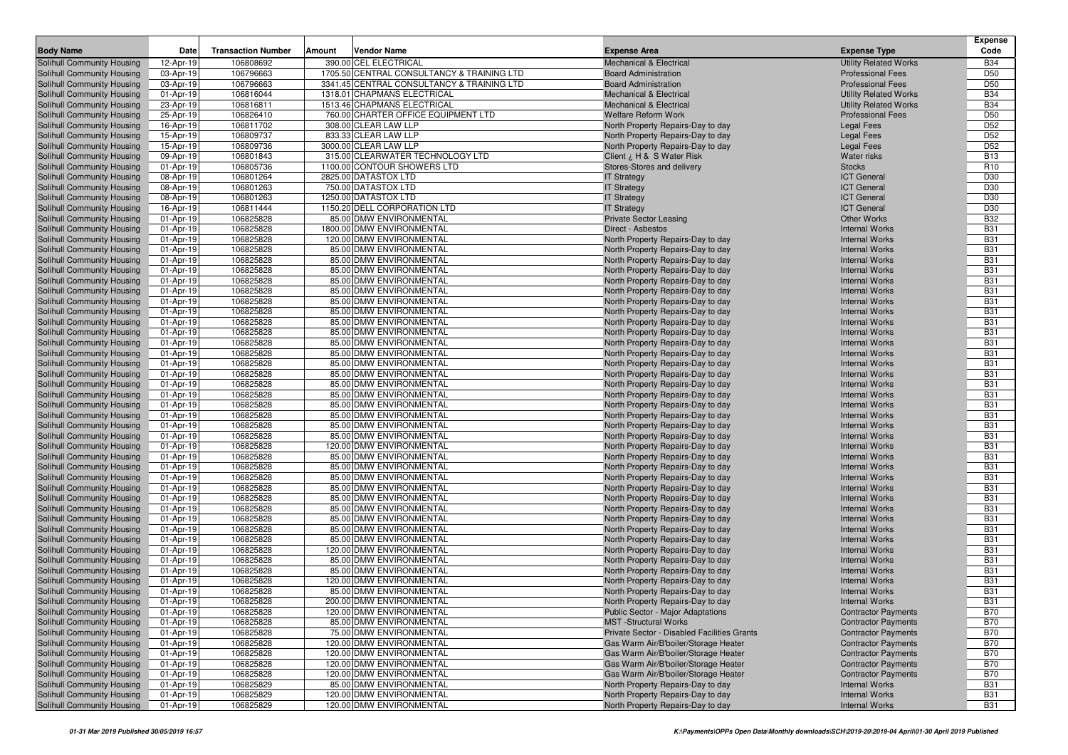|                                                          |                        |                           |        |                                                         |                                                                        |                                                | <b>Expense</b>           |
|----------------------------------------------------------|------------------------|---------------------------|--------|---------------------------------------------------------|------------------------------------------------------------------------|------------------------------------------------|--------------------------|
| <b>Body Name</b>                                         | Date                   | <b>Transaction Number</b> | Amount | <b>Vendor Name</b>                                      | <b>Expense Area</b>                                                    | <b>Expense Type</b>                            | Code                     |
| Solihull Community Housing                               | 12-Apr-19              | 106808692                 |        | 390.00 CEL ELECTRICAL                                   | <b>Mechanical &amp; Electrical</b>                                     | <b>Utility Related Works</b>                   | <b>B34</b>               |
| Solihull Community Housing                               | 03-Apr-19              | 106796663                 |        | 1705.50 CENTRAL CONSULTANCY & TRAINING LTD              | <b>Board Administration</b>                                            | <b>Professional Fees</b>                       | D <sub>50</sub>          |
| Solihull Community Housing                               | 03-Apr-19              | 106796663                 |        | 3341.45 CENTRAL CONSULTANCY & TRAINING LTD              | <b>Board Administration</b>                                            | <b>Professional Fees</b>                       | D <sub>50</sub>          |
| Solihull Community Housing                               | 01-Apr-19              | 106816044                 |        | 1318.01 CHAPMANS ELECTRICAL                             | <b>Mechanical &amp; Electrical</b>                                     | <b>Utility Related Works</b>                   | <b>B34</b>               |
| Solihull Community Housing                               | 23-Apr-19              | 106816811                 |        | 1513.46 CHAPMANS ELECTRICAL                             | <b>Mechanical &amp; Electrical</b>                                     | <b>Utility Related Works</b>                   | <b>B34</b>               |
| Solihull Community Housing                               | 25-Apr-19              | 106826410                 |        | 760.00 CHARTER OFFICE EQUIPMENT LTD                     | <b>Welfare Reform Work</b>                                             | <b>Professional Fees</b>                       | D <sub>50</sub>          |
| Solihull Community Housing                               | 16-Apr-19              | 106811702                 |        | 308.00 CLEAR LAW LLP                                    | North Property Repairs-Day to day                                      | <b>Legal Fees</b>                              | D <sub>52</sub>          |
| Solihull Community Housing                               | 15-Apr-19              | 106809737                 |        | 833.33 CLEAR LAW LLP                                    | North Property Repairs-Day to day                                      | <b>Legal Fees</b>                              | D <sub>52</sub>          |
| Solihull Community Housing                               | 15-Apr-19              | 106809736                 |        | 3000.00 CLEAR LAW LLP                                   | North Property Repairs-Day to day                                      | <b>Legal Fees</b>                              | D <sub>52</sub>          |
| Solihull Community Housing                               | 09-Apr-19              | 106801843                 |        | 315.00 CLEARWATER TECHNOLOGY LTD                        | Client ¿ H & S Water Risk                                              | <b>Water risks</b>                             | <b>B13</b>               |
| Solihull Community Housing                               | 01-Apr-19              | 106805736                 |        | 1100.00 CONTOUR SHOWERS LTD                             | Stores-Stores and delivery                                             | <b>Stocks</b>                                  | R <sub>10</sub>          |
| Solihull Community Housing                               | 08-Apr-19              | 106801264                 |        | 2825.00 DATASTOX LTD                                    | <b>IT Strategy</b>                                                     | <b>ICT</b> General                             | D30                      |
| Solihull Community Housing                               | 08-Apr-19              | 106801263                 |        | 750.00 DATASTOX LTD<br>1250.00 DATASTOX LTD             | <b>IT Strategy</b>                                                     | <b>ICT General</b>                             | D30                      |
| Solihull Community Housing                               | 08-Apr-19              | 106801263                 |        |                                                         | <b>IT Strategy</b>                                                     | <b>ICT General</b>                             | D30                      |
| Solihull Community Housing                               | 16-Apr-19<br>01-Apr-19 | 106811444<br>106825828    |        | 1150.20 DELL CORPORATION LTD<br>85.00 DMW ENVIRONMENTAL | <b>IT Strategy</b>                                                     | <b>ICT</b> General<br><b>Other Works</b>       | D30<br><b>B32</b>        |
| Solihull Community Housing<br>Solihull Community Housing | 01-Apr-19              | 106825828                 |        | 1800.00 DMW ENVIRONMENTAL                               | <b>Private Sector Leasing</b><br>Direct - Asbestos                     | <b>Internal Works</b>                          | <b>B31</b>               |
| Solihull Community Housing                               | 01-Apr-19              | 106825828                 |        | 120.00 DMW ENVIRONMENTAL                                | North Property Repairs-Day to day                                      | <b>Internal Works</b>                          | <b>B31</b>               |
| Solihull Community Housing                               | 01-Apr-19              | 106825828                 |        | 85.00 DMW ENVIRONMENTAL                                 | North Property Repairs-Day to day                                      | <b>Internal Works</b>                          | <b>B31</b>               |
| Solihull Community Housing                               | 01-Apr-19              | 106825828                 |        | 85.00 DMW ENVIRONMENTAL                                 | North Property Repairs-Day to day                                      | <b>Internal Works</b>                          | <b>B31</b>               |
| Solihull Community Housing                               | 01-Apr-19              | 106825828                 |        | 85.00 DMW ENVIRONMENTAL                                 | North Property Repairs-Day to day                                      | <b>Internal Works</b>                          | <b>B31</b>               |
| Solihull Community Housing                               | 01-Apr-19              | 106825828                 |        | 85.00 DMW ENVIRONMENTAL                                 | North Property Repairs-Day to day                                      | <b>Internal Works</b>                          | <b>B31</b>               |
| Solihull Community Housing                               | 01-Apr-19              | 106825828                 |        | 85.00 DMW ENVIRONMENTAL                                 | North Property Repairs-Day to day                                      | <b>Internal Works</b>                          | <b>B31</b>               |
| Solihull Community Housing                               | 01-Apr-19              | 106825828                 |        | 85.00 DMW ENVIRONMENTAL                                 | North Property Repairs-Day to day                                      | <b>Internal Works</b>                          | <b>B31</b>               |
| Solihull Community Housing                               | 01-Apr-19              | 106825828                 |        | 85.00 DMW ENVIRONMENTAL                                 | North Property Repairs-Day to day                                      | <b>Internal Works</b>                          | <b>B31</b>               |
| Solihull Community Housing                               | 01-Apr-19              | 106825828                 |        | 85.00 DMW ENVIRONMENTAL                                 | North Property Repairs-Day to day                                      | <b>Internal Works</b>                          | <b>B31</b>               |
| Solihull Community Housing                               | 01-Apr-19              | 106825828                 |        | 85.00 DMW ENVIRONMENTAL                                 | North Property Repairs-Day to day                                      | <b>Internal Works</b>                          | <b>B31</b>               |
| Solihull Community Housing                               | 01-Apr-19              | 106825828                 |        | 85.00 DMW ENVIRONMENTAL                                 | North Property Repairs-Day to day                                      | <b>Internal Works</b>                          | <b>B31</b>               |
| Solihull Community Housing                               | 01-Apr-19              | 106825828                 |        | 85.00 DMW ENVIRONMENTAL                                 | North Property Repairs-Day to day                                      | <b>Internal Works</b>                          | <b>B31</b>               |
| Solihull Community Housing                               | 01-Apr-19              | 106825828                 |        | 85.00 DMW ENVIRONMENTAL                                 | North Property Repairs-Day to day                                      | <b>Internal Works</b>                          | <b>B31</b>               |
| Solihull Community Housing                               | 01-Apr-19              | 106825828                 |        | 85.00 DMW ENVIRONMENTAL                                 | North Property Repairs-Day to day                                      | <b>Internal Works</b>                          | <b>B31</b>               |
| Solihull Community Housing                               | 01-Apr-19              | 106825828                 |        | 85.00 DMW ENVIRONMENTAL                                 | North Property Repairs-Day to day                                      | <b>Internal Works</b>                          | <b>B31</b>               |
| Solihull Community Housing                               | 01-Apr-19              | 106825828                 |        | 85.00 DMW ENVIRONMENTAL                                 | North Property Repairs-Day to day                                      | <b>Internal Works</b>                          | <b>B31</b>               |
| Solihull Community Housing                               | 01-Apr-19              | 106825828                 |        | 85.00 DMW ENVIRONMENTAL                                 | North Property Repairs-Day to day                                      | <b>Internal Works</b>                          | <b>B31</b>               |
| Solihull Community Housing                               | 01-Apr-19              | 106825828                 |        | 85.00 DMW ENVIRONMENTAL                                 | North Property Repairs-Day to day                                      | <b>Internal Works</b>                          | <b>B31</b>               |
| Solihull Community Housing                               | 01-Apr-19              | 106825828                 |        | 85.00 DMW ENVIRONMENTAL                                 | North Property Repairs-Day to day                                      | <b>Internal Works</b>                          | <b>B31</b>               |
| Solihull Community Housing                               | 01-Apr-19              | 106825828                 |        | 85.00 DMW ENVIRONMENTAL                                 | North Property Repairs-Day to day                                      | <b>Internal Works</b>                          | <b>B31</b>               |
| Solihull Community Housing                               | 01-Apr-19              | 106825828                 |        | 120.00 DMW ENVIRONMENTAL                                | North Property Repairs-Day to day                                      | <b>Internal Works</b>                          | <b>B31</b>               |
| Solihull Community Housing                               | 01-Apr-19              | 106825828                 |        | 85.00 DMW ENVIRONMENTAL                                 | North Property Repairs-Day to day                                      | <b>Internal Works</b>                          | <b>B31</b>               |
| Solihull Community Housing                               | 01-Apr-19              | 106825828<br>106825828    |        | 85.00 DMW ENVIRONMENTAL<br>85.00 DMW ENVIRONMENTAL      | North Property Repairs-Day to day                                      | <b>Internal Works</b><br><b>Internal Works</b> | <b>B31</b><br><b>B31</b> |
| Solihull Community Housing                               | 01-Apr-19              | 106825828                 |        | 85.00 DMW ENVIRONMENTAL                                 | North Property Repairs-Day to day                                      | <b>Internal Works</b>                          | <b>B31</b>               |
| Solihull Community Housing<br>Solihull Community Housing | 01-Apr-19<br>01-Apr-19 | 106825828                 |        | 85.00 DMW ENVIRONMENTAL                                 | North Property Repairs-Day to day<br>North Property Repairs-Day to day | <b>Internal Works</b>                          | <b>B31</b>               |
| Solihull Community Housing                               | 01-Apr-19              | 106825828                 |        | 85.00 DMW ENVIRONMENTAL                                 | North Property Repairs-Day to day                                      | <b>Internal Works</b>                          | <b>B31</b>               |
| Solihull Community Housing                               | 01-Apr-19              | 106825828                 |        | 85.00 DMW ENVIRONMENTAL                                 | North Property Repairs-Day to day                                      | <b>Internal Works</b>                          | <b>B31</b>               |
| Solihull Community Housing                               | 01-Apr-19              | 106825828                 |        | 85.00 DMW ENVIRONMENTAL                                 | North Property Repairs-Day to day                                      | <b>Internal Works</b>                          | <b>B31</b>               |
| Solihull Community Housing                               | 01-Apr-19              | 106825828                 |        | 85.00 DMW ENVIRONMENTAL                                 | North Property Repairs-Day to day                                      | <b>Internal Works</b>                          | <b>B31</b>               |
| Solihull Community Housing                               | 01-Apr-19              | 106825828                 |        | 120.00 DMW ENVIRONMENTAL                                | North Property Repairs-Day to day                                      | <b>Internal Works</b>                          | <b>B31</b>               |
| Solihull Community Housing                               | 01-Apr-19              | 106825828                 |        | 85.00 DMW ENVIRONMENTAL                                 | North Property Repairs-Day to day                                      | <b>Internal Works</b>                          | <b>B31</b>               |
| <b>Solihull Community Housing</b>                        | 01-Apr-19              | 106825828                 |        | 85.00 DMW ENVIRONMENTAL                                 | North Property Repairs-Day to day                                      | <b>Internal Works</b>                          | <b>B31</b>               |
| Solihull Community Housing                               | 01-Apr-19              | 106825828                 |        | 120.00 DMW ENVIRONMENTAL                                | North Property Repairs-Day to day                                      | <b>Internal Works</b>                          | <b>B31</b>               |
| Solihull Community Housing                               | 01-Apr-19              | 106825828                 |        | 85.00 DMW ENVIRONMENTAL                                 | North Property Repairs-Day to day                                      | <b>Internal Works</b>                          | <b>B31</b>               |
| Solihull Community Housing                               | 01-Apr-19              | 106825828                 |        | 200.00 DMW ENVIRONMENTAL                                | North Property Repairs-Day to day                                      | <b>Internal Works</b>                          | <b>B31</b>               |
| Solihull Community Housing                               | 01-Apr-19              | 106825828                 |        | 120.00 DMW ENVIRONMENTAL                                | Public Sector - Major Adaptations                                      | <b>Contractor Payments</b>                     | <b>B70</b>               |
| Solihull Community Housing                               | 01-Apr-19              | 106825828                 |        | 85.00 DMW ENVIRONMENTAL                                 | <b>MST</b> -Structural Works                                           | <b>Contractor Payments</b>                     | <b>B70</b>               |
| Solihull Community Housing                               | 01-Apr-19              | 106825828                 |        | 75.00 DMW ENVIRONMENTAL                                 | Private Sector - Disabled Facilities Grants                            | <b>Contractor Payments</b>                     | <b>B70</b>               |
| Solihull Community Housing                               | 01-Apr-19              | 106825828                 |        | 120.00 DMW ENVIRONMENTAL                                | Gas Warm Air/B'boiler/Storage Heater                                   | <b>Contractor Payments</b>                     | <b>B70</b>               |
| Solihull Community Housing                               | 01-Apr-19              | 106825828                 |        | 120.00 DMW ENVIRONMENTAL                                | Gas Warm Air/B'boiler/Storage Heater                                   | <b>Contractor Payments</b>                     | <b>B70</b>               |
| Solihull Community Housing                               | 01-Apr-19              | 106825828                 |        | 120.00 DMW ENVIRONMENTAL                                | Gas Warm Air/B'boiler/Storage Heater                                   | <b>Contractor Payments</b>                     | <b>B70</b>               |
| Solihull Community Housing                               | 01-Apr-19              | 106825828                 |        | 120.00 DMW ENVIRONMENTAL                                | Gas Warm Air/B'boiler/Storage Heater                                   | <b>Contractor Payments</b>                     | <b>B70</b>               |
| Solihull Community Housing                               | 01-Apr-19              | 106825829                 |        | 85.00 DMW ENVIRONMENTAL                                 | North Property Repairs-Day to day                                      | <b>Internal Works</b>                          | <b>B31</b>               |
| Solihull Community Housing                               | 01-Apr-19              | 106825829                 |        | 120.00 DMW ENVIRONMENTAL                                | North Property Repairs-Day to day                                      | <b>Internal Works</b>                          | <b>B31</b>               |
| Solihull Community Housing                               | 01-Apr-19              | 106825829                 |        | 120.00 DMW ENVIRONMENTAL                                | North Property Repairs-Day to day                                      | <b>Internal Works</b>                          | <b>B31</b>               |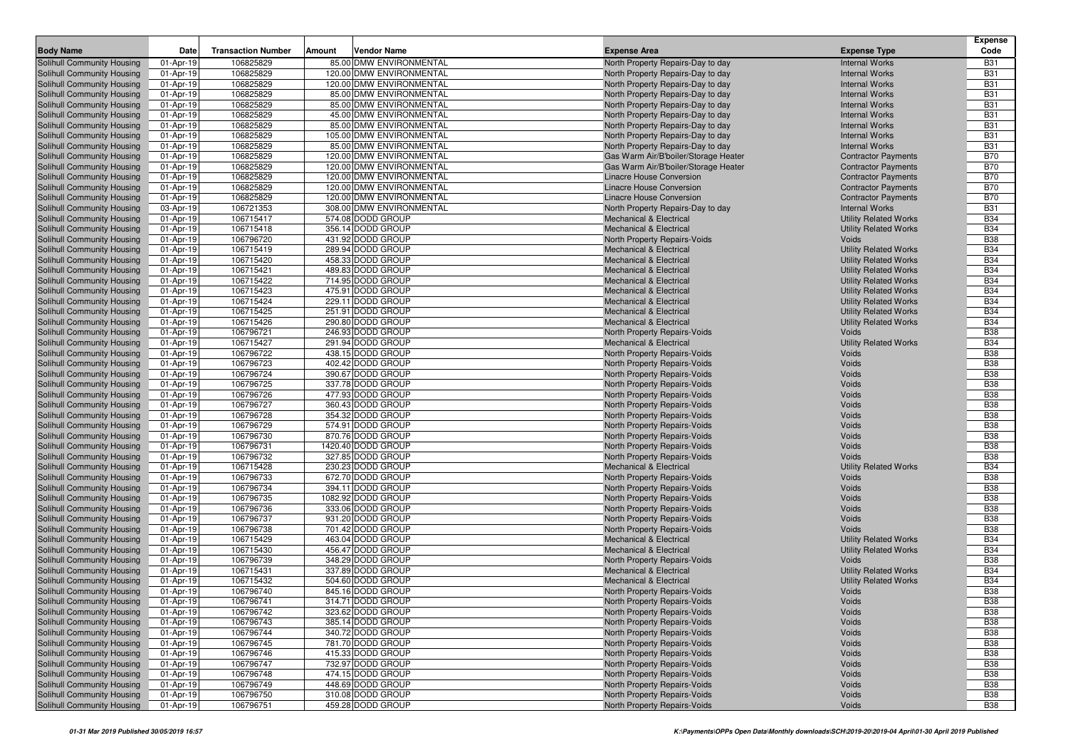|                                                          |                        |                           |                                                    |                                                                        |                                                | <b>Expense</b>           |
|----------------------------------------------------------|------------------------|---------------------------|----------------------------------------------------|------------------------------------------------------------------------|------------------------------------------------|--------------------------|
| <b>Body Name</b>                                         | Date                   | <b>Transaction Number</b> | Amount<br>Vendor Name                              | <b>Expense Area</b>                                                    | <b>Expense Type</b>                            | Code                     |
| Solihull Community Housing                               | 01-Apr-19              | 106825829                 | 85.00 DMW ENVIRONMENTAL                            | North Property Repairs-Day to day                                      | <b>Internal Works</b>                          | <b>B31</b>               |
| Solihull Community Housing                               | 01-Apr-19              | 106825829                 | 120.00 DMW ENVIRONMENTAL                           | North Property Repairs-Day to day                                      | <b>Internal Works</b>                          | <b>B31</b>               |
| Solihull Community Housing                               | 01-Apr-19              | 106825829                 | 120.00 DMW ENVIRONMENTAL                           | North Property Repairs-Day to day                                      | <b>Internal Works</b>                          | <b>B31</b>               |
| Solihull Community Housing                               | 01-Apr-19              | 106825829<br>106825829    | 85.00 DMW ENVIRONMENTAL                            | North Property Repairs-Day to day                                      | <b>Internal Works</b>                          | <b>B31</b>               |
| Solihull Community Housing                               | 01-Apr-19              | 106825829                 | 85.00 DMW ENVIRONMENTAL<br>45.00 DMW ENVIRONMENTAL | North Property Repairs-Day to day                                      | <b>Internal Works</b><br><b>Internal Works</b> | <b>B31</b><br><b>B31</b> |
| Solihull Community Housing<br>Solihull Community Housing | 01-Apr-19<br>01-Apr-19 | 106825829                 | 85.00 DMW ENVIRONMENTAL                            | North Property Repairs-Day to day                                      | <b>Internal Works</b>                          | <b>B31</b>               |
| Solihull Community Housing                               | 01-Apr-19              | 106825829                 | 105.00 DMW ENVIRONMENTAL                           | North Property Repairs-Day to day<br>North Property Repairs-Day to day | <b>Internal Works</b>                          | <b>B31</b>               |
| Solihull Community Housing                               | 01-Apr-19              | 106825829                 | 85.00 DMW ENVIRONMENTAL                            | North Property Repairs-Day to day                                      | <b>Internal Works</b>                          | <b>B31</b>               |
| Solihull Community Housing                               | 01-Apr-19              | 106825829                 | 120.00 DMW ENVIRONMENTAL                           | Gas Warm Air/B'boiler/Storage Heater                                   | <b>Contractor Payments</b>                     | <b>B70</b>               |
| Solihull Community Housing                               | 01-Apr-19              | 106825829                 | 120.00 DMW ENVIRONMENTAL                           | Gas Warm Air/B'boiler/Storage Heater                                   | <b>Contractor Payments</b>                     | <b>B70</b>               |
| Solihull Community Housing                               | 01-Apr-19              | 106825829                 | 120.00 DMW ENVIRONMENTAL                           | Linacre House Conversion                                               | <b>Contractor Payments</b>                     | <b>B70</b>               |
| Solihull Community Housing                               | 01-Apr-19              | 106825829                 | 120.00 DMW ENVIRONMENTAL                           | Linacre House Conversion                                               | <b>Contractor Payments</b>                     | <b>B70</b>               |
| Solihull Community Housing                               | 01-Apr-19              | 106825829                 | 120.00 DMW ENVIRONMENTAL                           | Linacre House Conversion                                               | <b>Contractor Payments</b>                     | <b>B70</b>               |
| Solihull Community Housing                               | 03-Apr-19              | 106721353                 | 308.00 DMW ENVIRONMENTAL                           | North Property Repairs-Day to day                                      | <b>Internal Works</b>                          | <b>B31</b>               |
| Solihull Community Housing                               | 01-Apr-19              | 106715417                 | 574.08 DODD GROUP                                  | <b>Mechanical &amp; Electrical</b>                                     | <b>Utility Related Works</b>                   | <b>B34</b>               |
| Solihull Community Housing                               | 01-Apr-19              | 106715418                 | 356.14 DODD GROUP                                  | <b>Mechanical &amp; Electrical</b>                                     | <b>Utility Related Works</b>                   | <b>B34</b>               |
| Solihull Community Housing                               | 01-Apr-19              | 106796720                 | 431.92 DODD GROUP                                  | North Property Repairs-Voids                                           | Voids                                          | <b>B38</b>               |
| Solihull Community Housing                               | 01-Apr-19              | 106715419                 | 289.94 DODD GROUP                                  | <b>Mechanical &amp; Electrical</b>                                     | <b>Utility Related Works</b>                   | <b>B34</b>               |
| Solihull Community Housing                               | 01-Apr-19              | 106715420                 | 458.33 DODD GROUP                                  | <b>Mechanical &amp; Electrical</b>                                     | <b>Utility Related Works</b>                   | <b>B34</b>               |
| Solihull Community Housing                               | 01-Apr-19              | 106715421                 | 489.83 DODD GROUP                                  | <b>Mechanical &amp; Electrical</b>                                     | <b>Utility Related Works</b>                   | <b>B34</b>               |
| Solihull Community Housing                               | 01-Apr-19              | 106715422                 | 714.95 DODD GROUP                                  | <b>Mechanical &amp; Electrical</b>                                     | <b>Utility Related Works</b>                   | <b>B34</b>               |
| Solihull Community Housing                               | 01-Apr-19              | 106715423                 | 475.91 DODD GROUP                                  | <b>Mechanical &amp; Electrical</b>                                     | <b>Utility Related Works</b>                   | <b>B34</b>               |
| Solihull Community Housing                               | 01-Apr-19              | 106715424                 | 229.11 DODD GROUP                                  | <b>Mechanical &amp; Electrical</b>                                     | <b>Utility Related Works</b>                   | <b>B34</b>               |
| Solihull Community Housing                               | 01-Apr-19              | 106715425                 | 251.91 DODD GROUP                                  | <b>Mechanical &amp; Electrical</b>                                     | <b>Utility Related Works</b>                   | <b>B34</b>               |
| Solihull Community Housing                               | 01-Apr-19              | 106715426                 | 290.80 DODD GROUP                                  | <b>Mechanical &amp; Electrical</b>                                     | <b>Utility Related Works</b>                   | <b>B34</b>               |
| Solihull Community Housing                               | 01-Apr-19              | 106796721                 | 246.93 DODD GROUP                                  | North Property Repairs-Voids                                           | Voids                                          | <b>B38</b>               |
| Solihull Community Housing                               | 01-Apr-19              | 106715427                 | 291.94 DODD GROUP                                  | <b>Mechanical &amp; Electrical</b>                                     | <b>Utility Related Works</b>                   | <b>B34</b>               |
| Solihull Community Housing                               | 01-Apr-19              | 106796722                 | 438.15 DODD GROUP                                  | North Property Repairs-Voids                                           | Voids                                          | <b>B38</b>               |
| Solihull Community Housing                               | 01-Apr-19              | 106796723                 | 402.42 DODD GROUP                                  | North Property Repairs-Voids                                           | Voids                                          | <b>B38</b>               |
| Solihull Community Housing                               | 01-Apr-19              | 106796724                 | 390.67 DODD GROUP                                  | North Property Repairs-Voids                                           | Voids                                          | <b>B38</b>               |
| Solihull Community Housing                               | 01-Apr-19              | 106796725                 | 337.78 DODD GROUP                                  | North Property Repairs-Voids                                           | Voids                                          | <b>B38</b>               |
| Solihull Community Housing                               | 01-Apr-19              | 106796726                 | 477.93 DODD GROUP                                  | North Property Repairs-Voids                                           | Voids                                          | <b>B38</b><br><b>B38</b> |
| Solihull Community Housing                               | 01-Apr-19              | 106796727<br>106796728    | 360.43 DODD GROUP<br>354.32 DODD GROUP             | North Property Repairs-Voids                                           | Voids<br>Voids                                 | <b>B38</b>               |
| Solihull Community Housing<br>Solihull Community Housing | 01-Apr-19<br>01-Apr-19 | 106796729                 | 574.91 DODD GROUP                                  | North Property Repairs-Voids<br>North Property Repairs-Voids           | Voids                                          | <b>B38</b>               |
| Solihull Community Housing                               | 01-Apr-19              | 106796730                 | 870.76 DODD GROUP                                  | North Property Repairs-Voids                                           | Voids                                          | <b>B38</b>               |
| Solihull Community Housing                               | 01-Apr-19              | 106796731                 | 1420.40 DODD GROUP                                 | North Property Repairs-Voids                                           | Voids                                          | <b>B38</b>               |
| Solihull Community Housing                               | 01-Apr-19              | 106796732                 | 327.85 DODD GROUP                                  | North Property Repairs-Voids                                           | Voids                                          | <b>B38</b>               |
| Solihull Community Housing                               | 01-Apr-19              | 106715428                 | 230.23 DODD GROUP                                  | <b>Mechanical &amp; Electrical</b>                                     | <b>Utility Related Works</b>                   | <b>B34</b>               |
| Solihull Community Housing                               | 01-Apr-19              | 106796733                 | 672.70 DODD GROUP                                  | North Property Repairs-Voids                                           | Voids                                          | <b>B38</b>               |
| Solihull Community Housing                               | 01-Apr-19              | 106796734                 | 394.11 DODD GROUP                                  | North Property Repairs-Voids                                           | Voids                                          | <b>B38</b>               |
| Solihull Community Housing                               | 01-Apr-19              | 106796735                 | 1082.92 DODD GROUP                                 | North Property Repairs-Voids                                           | Voids                                          | <b>B38</b>               |
| Solihull Community Housing                               | 01-Apr-19              | 106796736                 | 333.06 DODD GROUP                                  | North Property Repairs-Voids                                           | Voids                                          | <b>B38</b>               |
| Solihull Community Housing                               | 01-Apr-19              | 106796737                 | 931.20 DODD GROUP                                  | North Property Repairs-Voids                                           | Voids                                          | <b>B38</b>               |
| Solihull Community Housing                               | 01-Apr-19              | 106796738                 | 701.42 DODD GROUP                                  | North Property Repairs-Voids                                           | Voids                                          | <b>B38</b>               |
| Solihull Community Housing                               | 01-Apr-19              | 106715429                 | 463.04 DODD GROUP                                  | <b>Mechanical &amp; Electrical</b>                                     | <b>Utility Related Works</b>                   | <b>B34</b>               |
| Solihull Community Housing                               | 01-Apr-19              | 106715430                 | 456.47 DODD GROUP                                  | <b>Mechanical &amp; Electrical</b>                                     | <b>Utility Related Works</b>                   | <b>B34</b>               |
| Solihull Community Housing                               | 01-Apr-19              | 106796739                 | 348.29 DODD GROUP                                  | North Property Repairs-Voids                                           | Voids                                          | <b>B38</b>               |
| Solihull Community Housing                               | 01-Apr-19              | 106715431                 | 337.89 DODD GROUP                                  | <b>Mechanical &amp; Electrical</b>                                     | <b>Utility Related Works</b>                   | <b>B34</b>               |
| Solihull Community Housing                               | 01-Apr-19              | 106715432                 | 504.60 DODD GROUP                                  | <b>Mechanical &amp; Electrical</b>                                     | <b>Utility Related Works</b>                   | <b>B34</b>               |
| Solihull Community Housing                               | 01-Apr-19              | 106796740                 | 845.16 DODD GROUP                                  | North Property Repairs-Voids                                           | Voids                                          | <b>B38</b>               |
| Solihull Community Housing                               | 01-Apr-19              | 106796741                 | 314.71 DODD GROUP                                  | North Property Repairs-Voids                                           | Voids                                          | <b>B38</b>               |
| Solihull Community Housing                               | 01-Apr-19              | 106796742                 | 323.62 DODD GROUP                                  | North Property Repairs-Voids                                           | Voids                                          | <b>B38</b>               |
| Solihull Community Housing                               | 01-Apr-19              | 106796743                 | 385.14 DODD GROUP                                  | North Property Repairs-Voids                                           | Voids                                          | <b>B38</b>               |
| Solihull Community Housing                               | 01-Apr-19              | 106796744                 | 340.72 DODD GROUP                                  | North Property Repairs-Voids                                           | Voids                                          | <b>B38</b>               |
| Solihull Community Housing                               | 01-Apr-19              | 106796745                 | 781.70 DODD GROUP                                  | North Property Repairs-Voids                                           | Voids                                          | <b>B38</b>               |
| Solihull Community Housing                               | 01-Apr-19              | 106796746                 | 415.33 DODD GROUP                                  | North Property Repairs-Voids                                           | Voids                                          | <b>B38</b>               |
| Solihull Community Housing                               | 01-Apr-19              | 106796747                 | 732.97 DODD GROUP                                  | North Property Repairs-Voids                                           | Voids                                          | <b>B38</b>               |
| Solihull Community Housing                               | 01-Apr-19              | 106796748                 | 474.15 DODD GROUP                                  | North Property Repairs-Voids                                           | Voids                                          | <b>B38</b>               |
| Solihull Community Housing                               | 01-Apr-19              | 106796749                 | 448.69 DODD GROUP                                  | North Property Repairs-Voids                                           | Voids                                          | <b>B38</b>               |
| Solihull Community Housing                               | 01-Apr-19              | 106796750                 | 310.08 DODD GROUP                                  | North Property Repairs-Voids                                           | Voids                                          | <b>B38</b>               |
| Solihull Community Housing                               | 01-Apr-19              | 106796751                 | 459.28 DODD GROUP                                  | North Property Repairs-Voids                                           | Voids                                          | <b>B38</b>               |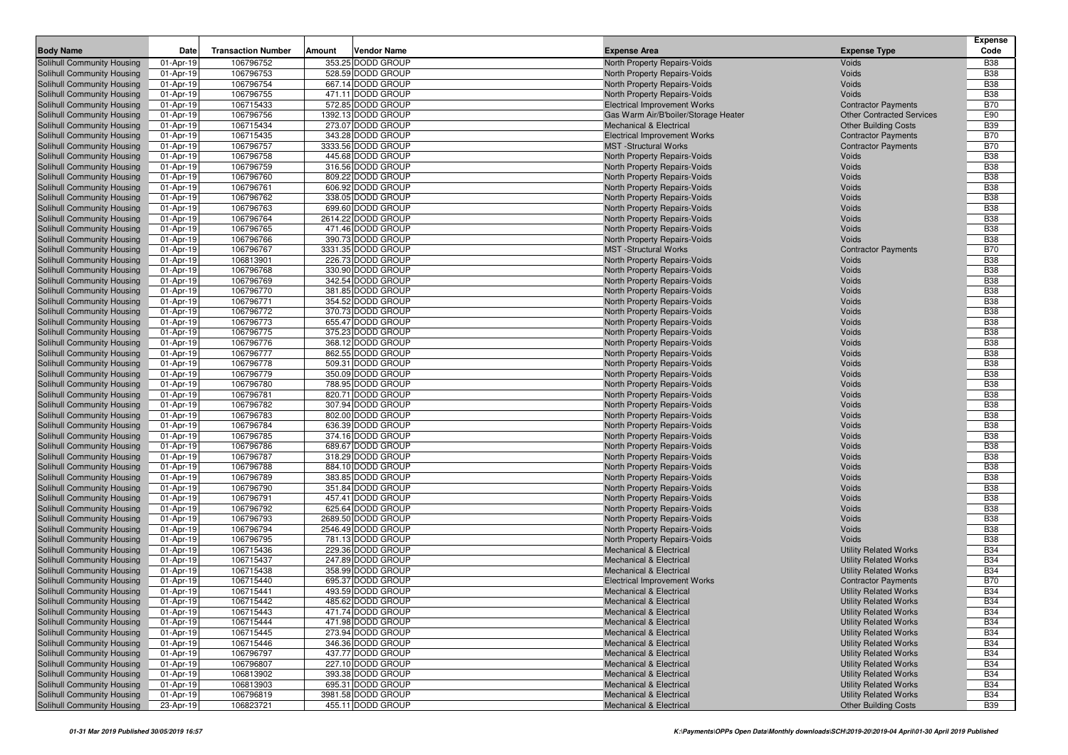| <b>Body Name</b>                                         | <b>Date</b> | <b>Transaction Number</b> | Amount | Vendor Name                             | <b>Expense Area</b>                  | <b>Expense Type</b>                                          | <b>Expense</b><br>Code   |
|----------------------------------------------------------|-------------|---------------------------|--------|-----------------------------------------|--------------------------------------|--------------------------------------------------------------|--------------------------|
| Solihull Community Housing                               | 01-Apr-19   | 106796752                 |        | 353.25 DODD GROUP                       | North Property Repairs-Voids         | Voids                                                        | <b>B38</b>               |
| Solihull Community Housing                               | 01-Apr-19   | 106796753                 |        | 528.59 DODD GROUP                       | North Property Repairs-Voids         | Voids                                                        | <b>B38</b>               |
| Solihull Community Housing                               | 01-Apr-19   | 106796754                 |        | 667.14 DODD GROUP                       | North Property Repairs-Voids         | Voids                                                        | <b>B38</b>               |
| Solihull Community Housing                               | 01-Apr-19   | 106796755                 |        | 471.11 DODD GROUP                       | North Property Repairs-Voids         | Voids                                                        | <b>B38</b>               |
| Solihull Community Housing                               | 01-Apr-19   | 106715433                 |        | 572.85 DODD GROUP                       | <b>Electrical Improvement Works</b>  | <b>Contractor Payments</b>                                   | <b>B70</b>               |
| Solihull Community Housing                               | 01-Apr-19   | 106796756                 |        | 1392.13 DODD GROUP                      | Gas Warm Air/B'boiler/Storage Heater | <b>Other Contracted Services</b>                             | E90                      |
| Solihull Community Housing                               | 01-Apr-19   | 106715434                 |        | 273.07 DODD GROUP                       | <b>Mechanical &amp; Electrical</b>   | <b>Other Building Costs</b>                                  | <b>B39</b>               |
| Solihull Community Housing                               | 01-Apr-19   | 106715435                 |        | 343.28 DODD GROUP                       | <b>Electrical Improvement Works</b>  | <b>Contractor Payments</b>                                   | <b>B70</b>               |
| Solihull Community Housing                               | 01-Apr-19   | 106796757                 |        | 3333.56 DODD GROUP                      | <b>MST</b> -Structural Works         | <b>Contractor Payments</b>                                   | <b>B70</b>               |
| Solihull Community Housing                               | 01-Apr-19   | 106796758                 |        | 445.68 DODD GROUP                       | North Property Repairs-Voids         | Voids                                                        | <b>B38</b>               |
| Solihull Community Housing                               | 01-Apr-19   | 106796759                 |        | 316.56 DODD GROUP                       | North Property Repairs-Voids         | Voids                                                        | <b>B38</b>               |
| Solihull Community Housing                               | 01-Apr-19   | 106796760                 |        | 809.22 DODD GROUP                       | North Property Repairs-Voids         | Voids                                                        | <b>B38</b>               |
| Solihull Community Housing                               | 01-Apr-19   | 106796761                 |        | 606.92 DODD GROUP                       | North Property Repairs-Voids         | Voids                                                        | <b>B38</b>               |
| Solihull Community Housing                               | 01-Apr-19   | 106796762                 |        | 338.05 DODD GROUP                       | North Property Repairs-Voids         | Voids                                                        | <b>B38</b>               |
| Solihull Community Housing                               | 01-Apr-19   | 106796763                 |        | 699.60 DODD GROUP                       | North Property Repairs-Voids         | Voids                                                        | <b>B38</b>               |
| Solihull Community Housing                               | 01-Apr-19   | 106796764                 |        | 2614.22 DODD GROUP                      | North Property Repairs-Voids         | Voids                                                        | <b>B38</b>               |
| Solihull Community Housing                               | 01-Apr-19   | 106796765                 |        | 471.46 DODD GROUP                       | North Property Repairs-Voids         | Voids                                                        | <b>B38</b>               |
| Solihull Community Housing                               | 01-Apr-19   | 106796766                 |        | 390.73 DODD GROUP                       | North Property Repairs-Voids         | Voids                                                        | <b>B38</b>               |
| Solihull Community Housing                               | 01-Apr-19   | 106796767                 |        | 3331.35 DODD GROUP                      | <b>MST</b> -Structural Works         | <b>Contractor Payments</b>                                   | <b>B70</b>               |
| Solihull Community Housing                               | 01-Apr-19   | 106813901                 |        | 226.73 DODD GROUP                       | North Property Repairs-Voids         | Voids                                                        | <b>B38</b>               |
| Solihull Community Housing                               | 01-Apr-19   | 106796768                 |        | 330.90 DODD GROUP                       | North Property Repairs-Voids         | Voids                                                        | <b>B38</b>               |
| Solihull Community Housing                               | 01-Apr-19   | 106796769                 |        | 342.54 DODD GROUP                       | North Property Repairs-Voids         | Voids                                                        | <b>B38</b>               |
| Solihull Community Housing                               | 01-Apr-19   | 106796770                 |        | 381.85 DODD GROUP                       | North Property Repairs-Voids         | Voids                                                        | <b>B38</b>               |
| Solihull Community Housing                               | 01-Apr-19   | 106796771                 |        | 354.52 DODD GROUP                       | North Property Repairs-Voids         | Voids                                                        | <b>B38</b>               |
| Solihull Community Housing                               | 01-Apr-19   | 106796772                 |        | 370.73 DODD GROUP                       | North Property Repairs-Voids         | Voids                                                        | <b>B38</b>               |
| Solihull Community Housing                               | 01-Apr-19   | 106796773                 |        | 655.47 DODD GROUP                       | North Property Repairs-Voids         | Voids                                                        | <b>B38</b>               |
| Solihull Community Housing                               | 01-Apr-19   | 106796775                 |        | 375.23 DODD GROUP                       | North Property Repairs-Voids         | Voids                                                        | <b>B38</b>               |
| Solihull Community Housing                               | 01-Apr-19   | 106796776                 |        | 368.12 DODD GROUP                       | North Property Repairs-Voids         | Voids                                                        | <b>B38</b>               |
| Solihull Community Housing                               | 01-Apr-19   | 106796777                 |        | 862.55 DODD GROUP                       | North Property Repairs-Voids         | Voids                                                        | <b>B38</b>               |
| Solihull Community Housing                               | 01-Apr-19   | 106796778                 |        | 509.31 DODD GROUP                       | North Property Repairs-Voids         | Voids                                                        | <b>B38</b>               |
| Solihull Community Housing                               | 01-Apr-19   | 106796779                 |        | 350.09 DODD GROUP                       | North Property Repairs-Voids         | Voids                                                        | <b>B38</b>               |
| Solihull Community Housing                               | 01-Apr-19   | 106796780                 |        | 788.95 DODD GROUP                       | North Property Repairs-Voids         | Voids                                                        | <b>B38</b>               |
| Solihull Community Housing                               | 01-Apr-19   | 106796781                 |        | 820.71 DODD GROUP                       | North Property Repairs-Voids         | Voids                                                        | <b>B38</b>               |
| Solihull Community Housing                               | 01-Apr-19   | 106796782                 |        | 307.94 DODD GROUP                       | North Property Repairs-Voids         | Voids                                                        | <b>B38</b>               |
| Solihull Community Housing                               | 01-Apr-19   | 106796783                 |        | 802.00 DODD GROUP                       | North Property Repairs-Voids         | Voids                                                        | <b>B38</b>               |
| Solihull Community Housing                               | 01-Apr-19   | 106796784                 |        | 636.39 DODD GROUP                       | North Property Repairs-Voids         | Voids                                                        | <b>B38</b>               |
| Solihull Community Housing                               | 01-Apr-19   | 106796785                 |        | 374.16 DODD GROUP                       | North Property Repairs-Voids         | Voids                                                        | <b>B38</b>               |
| Solihull Community Housing                               | 01-Apr-19   | 106796786                 |        | 689.67 DODD GROUP                       | North Property Repairs-Voids         | Voids                                                        | <b>B38</b>               |
| <b>Solihull Community Housing</b>                        | 01-Apr-19   | 106796787                 |        | 318.29 DODD GROUP                       | North Property Repairs-Voids         | Voids                                                        | <b>B38</b>               |
| Solihull Community Housing                               | 01-Apr-19   | 106796788                 |        | 884.10 DODD GROUP                       | North Property Repairs-Voids         | Voids                                                        | <b>B38</b>               |
| Solihull Community Housing                               | 01-Apr-19   | 106796789                 |        | 383.85 DODD GROUP                       | North Property Repairs-Voids         | Voids                                                        | <b>B38</b>               |
| Solihull Community Housing                               | 01-Apr-19   | 106796790                 |        | 351.84 DODD GROUP                       | North Property Repairs-Voids         | Voids                                                        | <b>B38</b>               |
| Solihull Community Housing                               | 01-Apr-19   | 106796791                 |        | 457.41 DODD GROUP                       | North Property Repairs-Voids         | Voids                                                        | <b>B38</b>               |
| Solihull Community Housing                               | 01-Apr-19   | 106796792                 |        | 625.64 DODD GROUP                       | North Property Repairs-Voids         | Voids                                                        | <b>B38</b>               |
| Solihull Community Housing                               | 01-Apr-19   | 106796793                 |        | 2689.50 DODD GROUP                      | North Property Repairs-Voids         | Voids                                                        | <b>B38</b>               |
| Solihull Community Housing                               | 01-Apr-19   | 106796794                 |        | 2546.49 DODD GROUP                      | North Property Repairs-Voids         | Voids                                                        | <b>B38</b>               |
| Solihull Community Housing                               | 01-Apr-19   | 106796795                 |        | 781.13 DODD GROUP                       | North Property Repairs-Voids         | Voids                                                        | <b>B38</b>               |
| Solihull Community Housing                               | 01-Apr-19   | 106715436                 |        | 229.36 DODD GROUP                       | <b>Mechanical &amp; Electrical</b>   | <b>Utility Related Works</b>                                 | <b>B34</b>               |
| Solihull Community Housing                               | 01-Apr-19   | 106715437                 |        | 247.89 DODD GROUP                       | Mechanical & Electrical              | <b>Utility Related Works</b>                                 | <b>B34</b>               |
| Solihull Community Housing                               | 01-Apr-19   | 106715438                 |        | 358.99 DODD GROUP                       | <b>Mechanical &amp; Electrical</b>   | <b>Utility Related Works</b>                                 | <b>B34</b>               |
| Solihull Community Housing                               | 01-Apr-19   | 106715440                 |        | 695.37 DODD GROUP                       | <b>Electrical Improvement Works</b>  | <b>Contractor Payments</b>                                   | <b>B70</b>               |
| Solihull Community Housing                               | 01-Apr-19   | 106715441                 |        | 493.59 DODD GROUP                       | <b>Mechanical &amp; Electrical</b>   | <b>Utility Related Works</b>                                 | <b>B34</b>               |
| Solihull Community Housing                               | 01-Apr-19   | 106715442                 |        | 485.62 DODD GROUP                       | <b>Mechanical &amp; Electrical</b>   | <b>Utility Related Works</b>                                 | <b>B34</b>               |
| Solihull Community Housing                               | 01-Apr-19   | 106715443                 |        | 471.74 DODD GROUP                       | Mechanical & Electrical              | <b>Utility Related Works</b>                                 | <b>B34</b>               |
| Solihull Community Housing                               | 01-Apr-19   | 106715444                 |        | 471.98 DODD GROUP                       | Mechanical & Electrical              | <b>Utility Related Works</b>                                 | <b>B34</b>               |
| Solihull Community Housing                               | 01-Apr-19   | 106715445                 |        | 273.94 DODD GROUP                       | Mechanical & Electrical              | <b>Utility Related Works</b>                                 | <b>B34</b>               |
| Solihull Community Housing                               | 01-Apr-19   | 106715446                 |        | 346.36 DODD GROUP                       | <b>Mechanical &amp; Electrical</b>   | <b>Utility Related Works</b>                                 | <b>B34</b>               |
| Solihull Community Housing                               | 01-Apr-19   | 106796797                 |        | 437.77 DODD GROUP                       | Mechanical & Electrical              | <b>Utility Related Works</b>                                 | <b>B34</b>               |
| Solihull Community Housing                               | 01-Apr-19   | 106796807                 |        | 227.10 DODD GROUP                       | Mechanical & Electrical              | <b>Utility Related Works</b>                                 | <b>B34</b>               |
| Solihull Community Housing<br>Solihull Community Housing | 01-Apr-19   | 106813902                 |        | 393.38 DODD GROUP                       | Mechanical & Electrical              | <b>Utility Related Works</b><br><b>Utility Related Works</b> | <b>B34</b>               |
| Solihull Community Housing                               | 01-Apr-19   | 106813903<br>106796819    |        | 695.31 DODD GROUP<br>3981.58 DODD GROUP | Mechanical & Electrical              | <b>Utility Related Works</b>                                 | <b>B34</b><br><b>B34</b> |
| Solihull Community Housing                               | 01-Apr-19   |                           |        |                                         | Mechanical & Electrical              |                                                              |                          |
|                                                          | 23-Apr-19   | 106823721                 |        | 455.11 DODD GROUP                       | Mechanical & Electrical              | <b>Other Building Costs</b>                                  | <b>B39</b>               |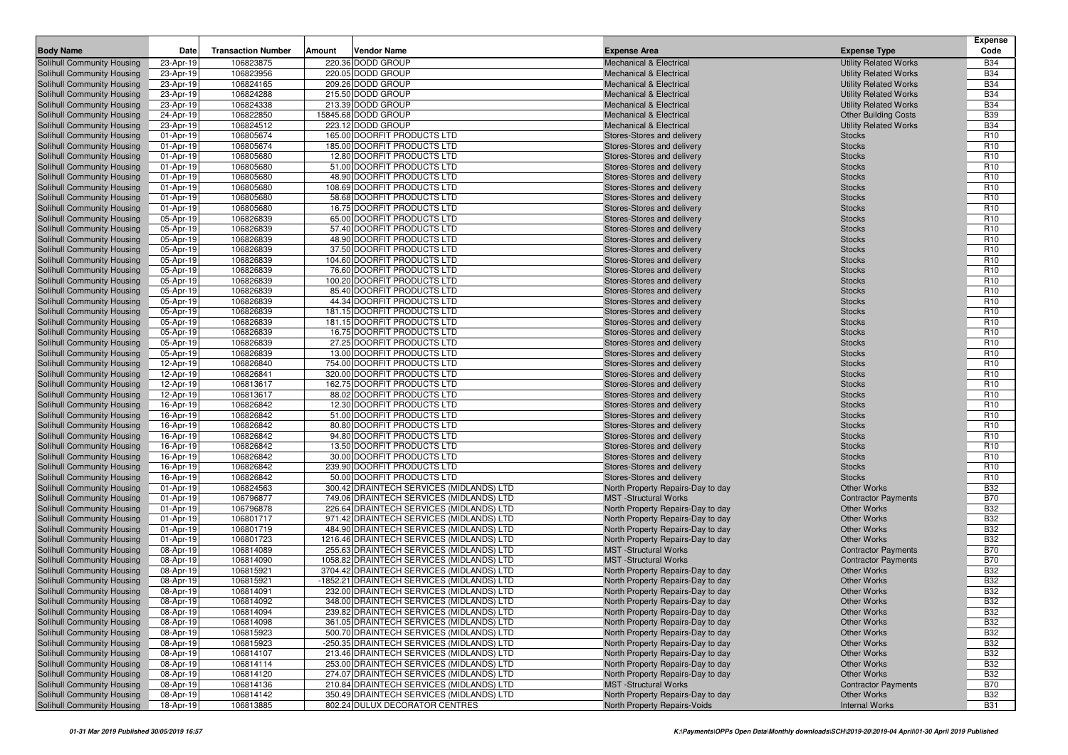|                                                          |                        |                           |               |                                                                                      |                                                                        |                                          | <b>Expense</b>                     |
|----------------------------------------------------------|------------------------|---------------------------|---------------|--------------------------------------------------------------------------------------|------------------------------------------------------------------------|------------------------------------------|------------------------------------|
| <b>Body Name</b>                                         | Date                   | <b>Transaction Number</b> | <b>Amount</b> | <b>Vendor Name</b>                                                                   | <b>Expense Area</b>                                                    | <b>Expense Type</b>                      | Code                               |
| Solihull Community Housing                               | 23-Apr-19              | 106823875                 |               | 220.36 DODD GROUP                                                                    | <b>Mechanical &amp; Electrical</b>                                     | <b>Utility Related Works</b>             | <b>B34</b>                         |
| Solihull Community Housing                               | 23-Apr-19              | 106823956                 |               | 220.05 DODD GROUP                                                                    | <b>Mechanical &amp; Electrical</b>                                     | <b>Utility Related Works</b>             | <b>B34</b>                         |
| Solihull Community Housing                               | 23-Apr-19              | 106824165                 |               | 209.26 DODD GROUP                                                                    | <b>Mechanical &amp; Electrical</b>                                     | <b>Utility Related Works</b>             | <b>B34</b>                         |
| Solihull Community Housing                               | 23-Apr-19              | 106824288                 |               | 215.50 DODD GROUP                                                                    | <b>Mechanical &amp; Electrical</b>                                     | <b>Utility Related Works</b>             | <b>B34</b>                         |
| Solihull Community Housing                               | 23-Apr-19              | 106824338                 |               | 213.39 DODD GROUP                                                                    | <b>Mechanical &amp; Electrical</b>                                     | <b>Utility Related Works</b>             | <b>B34</b>                         |
| Solihull Community Housing                               | 24-Apr-19              | 106822850                 |               | 15845.68 DODD GROUP                                                                  | <b>Mechanical &amp; Electrical</b>                                     | <b>Other Building Costs</b>              | <b>B39</b>                         |
| Solihull Community Housing                               | 23-Apr-19              | 106824512                 |               | 223.12 DODD GROUP                                                                    | <b>Mechanical &amp; Electrical</b>                                     | <b>Utility Related Works</b>             | <b>B34</b>                         |
| Solihull Community Housing                               | 01-Apr-19              | 106805674                 |               | 165.00 DOORFIT PRODUCTS LTD                                                          | Stores-Stores and delivery                                             | <b>Stocks</b>                            | R <sub>10</sub>                    |
| Solihull Community Housing                               | 01-Apr-19              | 106805674                 |               | 185.00 DOORFIT PRODUCTS LTD                                                          | Stores-Stores and delivery                                             | <b>Stocks</b>                            | R <sub>10</sub>                    |
| Solihull Community Housing                               | 01-Apr-19              | 106805680                 |               | 12.80 DOORFIT PRODUCTS LTD                                                           | Stores-Stores and delivery                                             | <b>Stocks</b>                            | R <sub>10</sub>                    |
| Solihull Community Housing                               | 01-Apr-19              | 106805680                 |               | 51.00 DOORFIT PRODUCTS LTD                                                           | Stores-Stores and delivery                                             | <b>Stocks</b>                            | R <sub>10</sub>                    |
| Solihull Community Housing                               | 01-Apr-19              | 106805680                 |               | 48.90 DOORFIT PRODUCTS LTD                                                           | Stores-Stores and delivery                                             | <b>Stocks</b>                            | R <sub>10</sub>                    |
| Solihull Community Housing                               | 01-Apr-19              | 106805680                 |               | 108.69 DOORFIT PRODUCTS LTD                                                          | Stores-Stores and delivery                                             | <b>Stocks</b>                            | R <sub>10</sub>                    |
| Solihull Community Housing                               | 01-Apr-19              | 106805680                 |               | 58.68 DOORFIT PRODUCTS LTD                                                           | Stores-Stores and delivery                                             | <b>Stocks</b>                            | R <sub>10</sub>                    |
| Solihull Community Housing                               | 01-Apr-19              | 106805680                 |               | 16.75 DOORFIT PRODUCTS LTD                                                           | Stores-Stores and delivery                                             | <b>Stocks</b>                            | R <sub>10</sub>                    |
| Solihull Community Housing                               | 05-Apr-19              | 106826839                 |               | 65.00 DOORFIT PRODUCTS LTD                                                           | Stores-Stores and delivery                                             | <b>Stocks</b>                            | R <sub>10</sub>                    |
| Solihull Community Housing                               | 05-Apr-19              | 106826839                 |               | 57.40 DOORFIT PRODUCTS LTD                                                           | Stores-Stores and delivery                                             | <b>Stocks</b>                            | R <sub>10</sub>                    |
| Solihull Community Housing                               | 05-Apr-19              | 106826839                 |               | 48.90 DOORFIT PRODUCTS LTD                                                           | Stores-Stores and delivery                                             | <b>Stocks</b>                            | R <sub>10</sub>                    |
| Solihull Community Housing                               | 05-Apr-19              | 106826839                 |               | 37.50 DOORFIT PRODUCTS LTD                                                           | Stores-Stores and delivery                                             | <b>Stocks</b>                            | R <sub>10</sub>                    |
| Solihull Community Housing                               | 05-Apr-19              | 106826839                 |               | 104.60 DOORFIT PRODUCTS LTD                                                          | Stores-Stores and delivery                                             | <b>Stocks</b>                            | R <sub>10</sub>                    |
| Solihull Community Housing                               | 05-Apr-19              | 106826839                 |               | 76.60 DOORFIT PRODUCTS LTD                                                           | Stores-Stores and delivery                                             | <b>Stocks</b>                            | R <sub>10</sub>                    |
| Solihull Community Housing                               | 05-Apr-19              | 106826839                 |               | 100.20 DOORFIT PRODUCTS LTD                                                          | Stores-Stores and delivery                                             | <b>Stocks</b>                            | R <sub>10</sub>                    |
| Solihull Community Housing                               | 05-Apr-19              | 106826839                 |               | 85.40 DOORFIT PRODUCTS LTD                                                           | Stores-Stores and delivery                                             | <b>Stocks</b>                            | R <sub>10</sub>                    |
| Solihull Community Housing                               | 05-Apr-19              | 106826839                 |               | 44.34 DOORFIT PRODUCTS LTD                                                           | Stores-Stores and delivery                                             | <b>Stocks</b>                            | R <sub>10</sub>                    |
| Solihull Community Housing                               | 05-Apr-19              | 106826839                 |               | 181.15 DOORFIT PRODUCTS LTD                                                          | Stores-Stores and delivery                                             | <b>Stocks</b>                            | R <sub>10</sub>                    |
| Solihull Community Housing                               | 05-Apr-19              | 106826839                 |               | 181.15 DOORFIT PRODUCTS LTD                                                          | Stores-Stores and delivery                                             | <b>Stocks</b>                            | R <sub>10</sub>                    |
| Solihull Community Housing                               | 05-Apr-19              | 106826839<br>106826839    |               | 16.75 DOORFIT PRODUCTS LTD<br>27.25 DOORFIT PRODUCTS LTD                             | Stores-Stores and delivery                                             | <b>Stocks</b><br><b>Stocks</b>           | R <sub>10</sub><br>R <sub>10</sub> |
| Solihull Community Housing<br>Solihull Community Housing | 05-Apr-19<br>05-Apr-19 | 106826839                 |               | 13.00 DOORFIT PRODUCTS LTD                                                           | Stores-Stores and delivery<br>Stores-Stores and delivery               | <b>Stocks</b>                            | R <sub>10</sub>                    |
| Solihull Community Housing                               | 12-Apr-19              | 106826840                 |               | 754.00 DOORFIT PRODUCTS LTD                                                          | Stores-Stores and delivery                                             | <b>Stocks</b>                            | R <sub>10</sub>                    |
| Solihull Community Housing                               | 12-Apr-19              | 106826841                 |               | 320.00 DOORFIT PRODUCTS LTD                                                          | Stores-Stores and delivery                                             | <b>Stocks</b>                            | R <sub>10</sub>                    |
| Solihull Community Housing                               | 12-Apr-19              | 106813617                 |               | 162.75 DOORFIT PRODUCTS LTD                                                          | Stores-Stores and delivery                                             | <b>Stocks</b>                            | R <sub>10</sub>                    |
| Solihull Community Housing                               | 12-Apr-19              | 106813617                 |               | 88.02 DOORFIT PRODUCTS LTD                                                           | Stores-Stores and delivery                                             | <b>Stocks</b>                            | R <sub>10</sub>                    |
| Solihull Community Housing                               | 16-Apr-19              | 106826842                 |               | 12.30 DOORFIT PRODUCTS LTD                                                           | Stores-Stores and delivery                                             | <b>Stocks</b>                            | R <sub>10</sub>                    |
| Solihull Community Housing                               | 16-Apr-19              | 106826842                 |               | 51.00 DOORFIT PRODUCTS LTD                                                           | Stores-Stores and delivery                                             | <b>Stocks</b>                            | R <sub>10</sub>                    |
| Solihull Community Housing                               | 16-Apr-19              | 106826842                 |               | 80.80 DOORFIT PRODUCTS LTD                                                           | Stores-Stores and delivery                                             | <b>Stocks</b>                            | R <sub>10</sub>                    |
| Solihull Community Housing                               | 16-Apr-19              | 106826842                 |               | 94.80 DOORFIT PRODUCTS LTD                                                           | Stores-Stores and delivery                                             | <b>Stocks</b>                            | R <sub>10</sub>                    |
| Solihull Community Housing                               | 16-Apr-19              | 106826842                 |               | 13.50 DOORFIT PRODUCTS LTD                                                           | Stores-Stores and delivery                                             | <b>Stocks</b>                            | R <sub>10</sub>                    |
| Solihull Community Housing                               | 16-Apr-19              | 106826842                 |               | 30.00 DOORFIT PRODUCTS LTD                                                           | Stores-Stores and delivery                                             | <b>Stocks</b>                            | R <sub>10</sub>                    |
| Solihull Community Housing                               | 16-Apr-19              | 106826842                 |               | 239.90 DOORFIT PRODUCTS LTD                                                          | Stores-Stores and delivery                                             | <b>Stocks</b>                            | R <sub>10</sub>                    |
| Solihull Community Housing                               | 16-Apr-19              | 106826842                 |               | 50.00 DOORFIT PRODUCTS LTD                                                           | Stores-Stores and delivery                                             | <b>Stocks</b>                            | R <sub>10</sub>                    |
| Solihull Community Housing                               | 01-Apr-19              | 106824563                 |               | 300.42 DRAINTECH SERVICES (MIDLANDS) LTD                                             | North Property Repairs-Day to day                                      | <b>Other Works</b>                       | <b>B32</b>                         |
| Solihull Community Housing                               | 01-Apr-19              | 106796877                 |               | 749.06 DRAINTECH SERVICES (MIDLANDS) LTD                                             | <b>MST</b> -Structural Works                                           | <b>Contractor Payments</b>               | <b>B70</b>                         |
| Solihull Community Housing                               | 01-Apr-19              | 106796878                 |               | 226.64 DRAINTECH SERVICES (MIDLANDS) LTD                                             | North Property Repairs-Day to day                                      | Other Works                              | <b>B32</b>                         |
| Solihull Community Housing                               | 01-Apr-19              | 106801717                 |               | 971.42 DRAINTECH SERVICES (MIDLANDS) LTD                                             | North Property Repairs-Day to day                                      | <b>Other Works</b>                       | <b>B32</b>                         |
| Solihull Community Housing                               | 01-Apr-19              | 106801719                 |               | 484.90 DRAINTECH SERVICES (MIDLANDS) LTD                                             | North Property Repairs-Day to day                                      | <b>Other Works</b>                       | <b>B32</b>                         |
| Solihull Community Housing                               | 01-Apr-19              | 106801723                 |               | 1216.46 DRAINTECH SERVICES (MIDLANDS) LTD                                            | North Property Repairs-Day to day                                      | <b>Other Works</b>                       | <b>B32</b>                         |
| Solihull Community Housing                               | 08-Apr-19              | 106814089                 |               | 255.63 DRAINTECH SERVICES (MIDLANDS) LTD                                             | <b>MST</b> -Structural Works                                           | <b>Contractor Payments</b>               | <b>B70</b>                         |
| Solihull Community Housing                               | 08-Apr-19              | 106814090                 |               | 1058.82 DRAINTECH SERVICES (MIDLANDS) LTD                                            | <b>MST</b> -Structural Works                                           | <b>Contractor Payments</b>               | <b>B70</b>                         |
| Solihull Community Housing                               | 08-Apr-19              | 106815921                 |               | 3704.42 DRAINTECH SERVICES (MIDLANDS) LTD                                            | North Property Repairs-Day to day                                      | Other Works                              | <b>B32</b>                         |
| Solihull Community Housing                               | 08-Apr-19              | 106815921                 |               | -1852.21 DRAINTECH SERVICES (MIDLANDS) LTD                                           | North Property Repairs-Day to day                                      | <b>Other Works</b>                       | <b>B32</b>                         |
| Solihull Community Housing                               | 08-Apr-19              | 106814091                 |               | 232.00 DRAINTECH SERVICES (MIDLANDS) LTD                                             | North Property Repairs-Day to day                                      | <b>Other Works</b>                       | <b>B32</b>                         |
| Solihull Community Housing                               | 08-Apr-19              | 106814092                 |               | 348.00 DRAINTECH SERVICES (MIDLANDS) LTD                                             | North Property Repairs-Day to day                                      | <b>Other Works</b>                       | B32                                |
| Solihull Community Housing                               | 08-Apr-19              | 106814094                 |               | 239.82 DRAINTECH SERVICES (MIDLANDS) LTD                                             | North Property Repairs-Day to day                                      | Other Works                              | <b>B32</b>                         |
| Solihull Community Housing<br>Solihull Community Housing | 08-Apr-19<br>08-Apr-19 | 106814098<br>106815923    |               | 361.05 DRAINTECH SERVICES (MIDLANDS) LTD<br>500.70 DRAINTECH SERVICES (MIDLANDS) LTD | North Property Repairs-Day to day                                      | <b>Other Works</b><br><b>Other Works</b> | <b>B32</b><br><b>B32</b>           |
| Solihull Community Housing                               | 08-Apr-19              | 106815923                 |               | -250.35 DRAINTECH SERVICES (MIDLANDS) LTD                                            | North Property Repairs-Day to day<br>North Property Repairs-Day to day | Other Works                              | <b>B32</b>                         |
| Solihull Community Housing                               | 08-Apr-19              | 106814107                 |               | 213.46 DRAINTECH SERVICES (MIDLANDS) LTD                                             | North Property Repairs-Day to day                                      | Other Works                              | <b>B32</b>                         |
| Solihull Community Housing                               | 08-Apr-19              | 106814114                 |               | 253.00 DRAINTECH SERVICES (MIDLANDS) LTD                                             | North Property Repairs-Day to day                                      | Other Works                              | <b>B32</b>                         |
| Solihull Community Housing                               | 08-Apr-19              | 106814120                 |               | 274.07 DRAINTECH SERVICES (MIDLANDS) LTD                                             | North Property Repairs-Day to day                                      | <b>Other Works</b>                       | <b>B32</b>                         |
| Solihull Community Housing                               | 08-Apr-19              | 106814136                 |               | 210.84 DRAINTECH SERVICES (MIDLANDS) LTD                                             | <b>MST</b> -Structural Works                                           | <b>Contractor Payments</b>               | <b>B70</b>                         |
| Solihull Community Housing                               | 08-Apr-19              | 106814142                 |               | 350.49 DRAINTECH SERVICES (MIDLANDS) LTD                                             | North Property Repairs-Day to day                                      | <b>Other Works</b>                       | <b>B32</b>                         |
| Solihull Community Housing                               | 18-Apr-19              | 106813885                 |               | 802.24 DULUX DECORATOR CENTRES                                                       | North Property Repairs-Voids                                           | <b>Internal Works</b>                    | <b>B31</b>                         |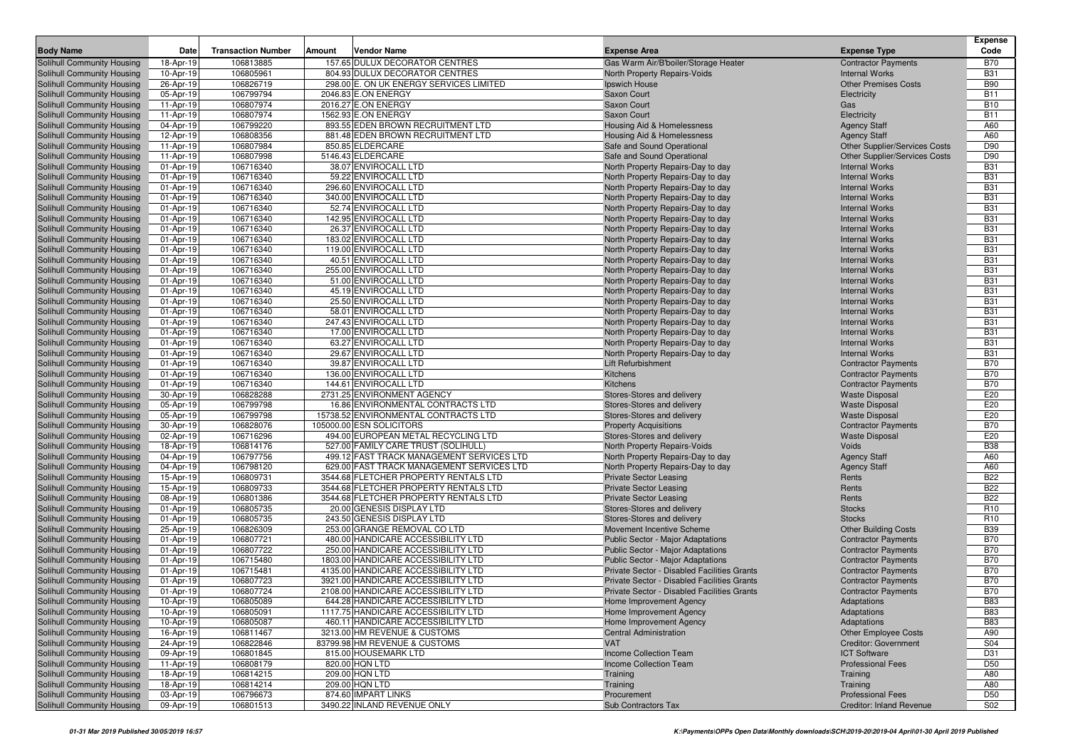| <b>Body Name</b>                                         | Date                   | <b>Transaction Number</b> | Amount | Vendor Name                                                               | <b>Expense Area</b>                                                    | <b>Expense Type</b>                            | Expense<br>Code          |
|----------------------------------------------------------|------------------------|---------------------------|--------|---------------------------------------------------------------------------|------------------------------------------------------------------------|------------------------------------------------|--------------------------|
| Solihull Community Housing                               | 18-Apr-19              | 106813885                 |        | 157.65 DULUX DECORATOR CENTRES                                            | Gas Warm Air/B'boiler/Storage Heater                                   | <b>Contractor Payments</b>                     | <b>B70</b>               |
| Solihull Community Housing                               | 10-Apr-19              | 106805961                 |        | 804.93 DULUX DECORATOR CENTRES                                            | North Property Repairs-Voids                                           | <b>Internal Works</b>                          | <b>B31</b>               |
| Solihull Community Housing                               | 26-Apr-19              | 106826719                 |        | 298.00 E. ON UK ENERGY SERVICES LIMITED                                   | Ipswich House                                                          | <b>Other Premises Costs</b>                    | <b>B90</b>               |
| Solihull Community Housing                               | 05-Apr-19              | 106799794                 |        | 2046.83 E.ON ENERGY                                                       | Saxon Court                                                            | Electricity                                    | <b>B11</b>               |
| Solihull Community Housing                               | 11-Apr-19              | 106807974                 |        | 2016.27 E.ON ENERGY                                                       | Saxon Court                                                            | Gas                                            | <b>B10</b>               |
| Solihull Community Housing                               | 11-Apr-19              | 106807974                 |        | 1562.93 E.ON ENERGY                                                       | Saxon Court                                                            | Electricity                                    | <b>B11</b>               |
| Solihull Community Housing                               | 04-Apr-19              | 106799220                 |        | 893.55 EDEN BROWN RECRUITMENT LTD                                         | Housing Aid & Homelessness                                             | <b>Agency Staff</b>                            | A60                      |
| Solihull Community Housing                               | 12-Apr-19              | 106808356                 |        | 881.48 EDEN BROWN RECRUITMENT LTD                                         | Housing Aid & Homelessness                                             | <b>Agency Staff</b>                            | A60                      |
| Solihull Community Housing                               | 11-Apr-19              | 106807984                 |        | 850.85 ELDERCARE                                                          | Safe and Sound Operational                                             | Other Supplier/Services Costs                  | D90                      |
| Solihull Community Housing                               | 11-Apr-19              | 106807998                 |        | 5146.43 ELDERCARE                                                         | Safe and Sound Operational                                             | <b>Other Supplier/Services Costs</b>           | D90                      |
| Solihull Community Housing                               | 01-Apr-19              | 106716340                 |        | 38.07 ENVIROCALL LTD                                                      | North Property Repairs-Day to day                                      | <b>Internal Works</b>                          | <b>B31</b>               |
| Solihull Community Housing                               | 01-Apr-19              | 106716340                 |        | 59.22 ENVIROCALL LTD                                                      | North Property Repairs-Day to day                                      | <b>Internal Works</b>                          | <b>B31</b>               |
| Solihull Community Housing                               | 01-Apr-19              | 106716340                 |        | 296.60 ENVIROCALL LTD                                                     | North Property Repairs-Day to day                                      | <b>Internal Works</b>                          | <b>B31</b>               |
| Solihull Community Housing                               | 01-Apr-19              | 106716340                 |        | 340.00 ENVIROCALL LTD                                                     | North Property Repairs-Day to day                                      | <b>Internal Works</b>                          | <b>B31</b>               |
| Solihull Community Housing                               | 01-Apr-19              | 106716340                 |        | 52.74 ENVIROCALL LTD                                                      | North Property Repairs-Day to day                                      | <b>Internal Works</b>                          | <b>B31</b>               |
| Solihull Community Housing                               | 01-Apr-19              | 106716340                 |        | 142.95 ENVIROCALL LTD                                                     | North Property Repairs-Day to day                                      | <b>Internal Works</b>                          | <b>B31</b>               |
| Solihull Community Housing                               | 01-Apr-19              | 106716340                 |        | 26.37 ENVIROCALL LTD                                                      | North Property Repairs-Day to day                                      | <b>Internal Works</b>                          | <b>B31</b>               |
| Solihull Community Housing                               | 01-Apr-19              | 106716340                 |        | 183.02 ENVIROCALL LTD                                                     | North Property Repairs-Day to day                                      | <b>Internal Works</b>                          | <b>B31</b>               |
| Solihull Community Housing                               | 01-Apr-19              | 106716340                 |        | 119.00 ENVIROCALL LTD                                                     | North Property Repairs-Day to day                                      | <b>Internal Works</b>                          | <b>B31</b>               |
| Solihull Community Housing                               | 01-Apr-19              | 106716340                 |        | 40.51 ENVIROCALL LTD                                                      | North Property Repairs-Day to day                                      | <b>Internal Works</b>                          | <b>B31</b><br><b>B31</b> |
| Solihull Community Housing<br>Solihull Community Housing | 01-Apr-19<br>01-Apr-19 | 106716340<br>106716340    |        | 255.00 ENVIROCALL LTD<br>51.00 ENVIROCALL LTD                             | North Property Repairs-Day to day<br>North Property Repairs-Day to day | <b>Internal Works</b><br><b>Internal Works</b> | <b>B31</b>               |
| Solihull Community Housing                               | 01-Apr-19              | 106716340                 |        | 45.19 ENVIROCALL LTD                                                      | North Property Repairs-Day to day                                      | <b>Internal Works</b>                          | <b>B31</b>               |
| Solihull Community Housing                               | 01-Apr-19              | 106716340                 |        | 25.50 ENVIROCALL LTD                                                      | North Property Repairs-Day to day                                      | <b>Internal Works</b>                          | <b>B31</b>               |
| Solihull Community Housing                               | 01-Apr-19              | 106716340                 |        | 58.01 ENVIROCALL LTD                                                      | North Property Repairs-Day to day                                      | <b>Internal Works</b>                          | <b>B31</b>               |
| Solihull Community Housing                               | 01-Apr-19              | 106716340                 |        | 247.43 ENVIROCALL LTD                                                     | North Property Repairs-Day to day                                      | <b>Internal Works</b>                          | <b>B31</b>               |
| Solihull Community Housing                               | 01-Apr-19              | 106716340                 |        | 17.00 ENVIROCALL LTD                                                      | North Property Repairs-Day to day                                      | <b>Internal Works</b>                          | <b>B31</b>               |
| Solihull Community Housing                               | 01-Apr-19              | 106716340                 |        | 63.27 ENVIROCALL LTD                                                      | North Property Repairs-Day to day                                      | <b>Internal Works</b>                          | <b>B31</b>               |
| Solihull Community Housing                               | 01-Apr-19              | 106716340                 |        | 29.67 ENVIROCALL LTD                                                      | North Property Repairs-Day to day                                      | <b>Internal Works</b>                          | <b>B31</b>               |
| Solihull Community Housing                               | 01-Apr-19              | 106716340                 |        | 39.87 ENVIROCALL LTD                                                      | Lift Refurbishment                                                     | <b>Contractor Payments</b>                     | <b>B70</b>               |
| Solihull Community Housing                               | 01-Apr-19              | 106716340                 |        | 136.00 ENVIROCALL LTD                                                     | Kitchens                                                               | <b>Contractor Payments</b>                     | <b>B70</b>               |
| Solihull Community Housing                               | 01-Apr-19              | 106716340                 |        | 144.61 ENVIROCALL LTD                                                     | Kitchens                                                               | <b>Contractor Payments</b>                     | <b>B70</b>               |
| Solihull Community Housing                               | 30-Apr-19              | 106828288                 |        | 2731.25 ENVIRONMENT AGENCY                                                | Stores-Stores and delivery                                             | <b>Waste Disposal</b>                          | E20                      |
| Solihull Community Housing                               | 05-Apr-19              | 106799798                 |        | 16.86 ENVIRONMENTAL CONTRACTS LTD                                         | Stores-Stores and delivery                                             | <b>Waste Disposal</b>                          | E20                      |
| Solihull Community Housing                               | 05-Apr-19              | 106799798                 |        | 15738.52 ENVIRONMENTAL CONTRACTS LTD                                      | Stores-Stores and delivery                                             | <b>Waste Disposal</b>                          | E20                      |
| Solihull Community Housing                               | 30-Apr-19              | 106828076                 |        | 105000.00 ESN SOLICITORS                                                  | <b>Property Acquisitions</b>                                           | <b>Contractor Payments</b>                     | <b>B70</b>               |
| Solihull Community Housing                               | 02-Apr-19              | 106716296                 |        | 494.00 EUROPEAN METAL RECYCLING LTD                                       | Stores-Stores and delivery                                             | <b>Waste Disposal</b>                          | E20                      |
| Solihull Community Housing                               | 18-Apr-19              | 106814176                 |        | 527.00 FAMILY CARE TRUST (SOLIHULL)                                       | North Property Repairs-Voids                                           | Voids                                          | <b>B38</b>               |
| Solihull Community Housing                               | 04-Apr-19              | 106797756                 |        | 499.12 FAST TRACK MANAGEMENT SERVICES LTD                                 | North Property Repairs-Day to day                                      | <b>Agency Staff</b>                            | A60                      |
| Solihull Community Housing                               | 04-Apr-19              | 106798120                 |        | 629.00 FAST TRACK MANAGEMENT SERVICES LTD                                 | North Property Repairs-Day to day                                      | <b>Agency Staff</b>                            | A60                      |
| Solihull Community Housing                               | 15-Apr-19              | 106809731                 |        | 3544.68 FLETCHER PROPERTY RENTALS LTD                                     | <b>Private Sector Leasing</b>                                          | Rents                                          | <b>B22</b>               |
| Solihull Community Housing                               | 15-Apr-19              | 106809733                 |        | 3544.68 FLETCHER PROPERTY RENTALS LTD                                     | <b>Private Sector Leasing</b>                                          | Rents                                          | <b>B22</b>               |
| Solihull Community Housing                               | 08-Apr-19              | 106801386                 |        | 3544.68 FLETCHER PROPERTY RENTALS LTD                                     | <b>Private Sector Leasing</b>                                          | Rents                                          | <b>B22</b>               |
| Solihull Community Housing                               | 01-Apr-19              | 106805735                 |        | 20.00 GENESIS DISPLAY LTD                                                 | Stores-Stores and delivery                                             | <b>Stocks</b>                                  | R <sub>10</sub>          |
| Solihull Community Housing                               | 01-Apr-19              | 106805735                 |        | 243.50 GENESIS DISPLAY LTD                                                | Stores-Stores and delivery                                             | <b>Stocks</b>                                  | R <sub>10</sub>          |
| Solihull Community Housing                               | 25-Apr-19              | 106826309                 |        | 253.00 GRANGE REMOVAL CO LTD                                              | Movement Incentive Scheme                                              | <b>Other Building Costs</b>                    | <b>B39</b>               |
| Solihull Community Housing                               | 01-Apr-19              | 106807721                 |        | 480.00 HANDICARE ACCESSIBILITY LTD                                        | Public Sector - Major Adaptations                                      | <b>Contractor Payments</b>                     | <b>B70</b>               |
| Solihull Community Housing                               | 01-Apr-19              | 106807722                 |        | 250.00 HANDICARE ACCESSIBILITY LTD                                        | Public Sector - Major Adaptations                                      | <b>Contractor Payments</b>                     | <b>B70</b>               |
| Solihull Community Housing                               | 01-Apr-19              | 106715480                 |        | 1803.00 HANDICARE ACCESSIBILITY LTD                                       | <b>Public Sector - Major Adaptations</b>                               | <b>Contractor Payments</b>                     | <b>B70</b>               |
| Solihull Community Housing                               | 01-Apr-19              | 106715481                 |        | 4135.00 HANDICARE ACCESSIBILITY LTD                                       | Private Sector - Disabled Facilities Grants                            | <b>Contractor Payments</b>                     | <b>B70</b>               |
| Solihull Community Housing                               | 01-Apr-19              | 106807723                 |        | 3921.00 HANDICARE ACCESSIBILITY LTD                                       | Private Sector - Disabled Facilities Grants                            | <b>Contractor Payments</b>                     | <b>B70</b>               |
| Solihull Community Housing                               | 01-Apr-19              | 106807724                 |        | 2108.00 HANDICARE ACCESSIBILITY LTD<br>644.28 HANDICARE ACCESSIBILITY LTD | Private Sector - Disabled Facilities Grants                            | <b>Contractor Payments</b>                     | <b>B70</b>               |
| Solihull Community Housing                               | 10-Apr-19              | 106805089                 |        |                                                                           | Home Improvement Agency                                                | Adaptations                                    | <b>B83</b>               |
| Solihull Community Housing<br>Solihull Community Housing | 10-Apr-19              | 106805091<br>106805087    |        | 1117.75 HANDICARE ACCESSIBILITY LTD                                       | Home Improvement Agency<br>Home Improvement Agency                     | Adaptations                                    | <b>B83</b>               |
| Solihull Community Housing                               | 10-Apr-19<br>16-Apr-19 | 106811467                 |        | 460.11 HANDICARE ACCESSIBILITY LTD<br>3213.00 HM REVENUE & CUSTOMS        | <b>Central Administration</b>                                          | Adaptations<br><b>Other Employee Costs</b>     | <b>B83</b><br>A90        |
| Solihull Community Housing                               | 24-Apr-19              | 106822846                 |        | 83799.98 HM REVENUE & CUSTOMS                                             | <b>VAT</b>                                                             | <b>Creditor: Government</b>                    | <b>S04</b>               |
| Solihull Community Housing                               | 09-Apr-19              | 106801845                 |        | 815.00 HOUSEMARK LTD                                                      | Income Collection Team                                                 | <b>ICT Software</b>                            | D31                      |
| Solihull Community Housing                               | 11-Apr-19              | 106808179                 |        | 820.00 HQN LTD                                                            | Income Collection Team                                                 | <b>Professional Fees</b>                       | D <sub>50</sub>          |
| Solihull Community Housing                               | 18-Apr-19              | 106814215                 |        | 209.00 HQN LTD                                                            | Training                                                               | Training                                       | A80                      |
| Solihull Community Housing                               | 18-Apr-19              | 106814214                 |        | 209.00 HQN LTD                                                            | Training                                                               | Training                                       | A80                      |
| Solihull Community Housing                               | 03-Apr-19              | 106796673                 |        | 874.60 IMPART LINKS                                                       | Procurement                                                            | <b>Professional Fees</b>                       | D <sub>50</sub>          |
| Solihull Community Housing                               | 09-Apr-19              | 106801513                 |        | 3490.22 INLAND REVENUE ONLY                                               | Sub Contractors Tax                                                    | Creditor: Inland Revenue                       | S02                      |
|                                                          |                        |                           |        |                                                                           |                                                                        |                                                |                          |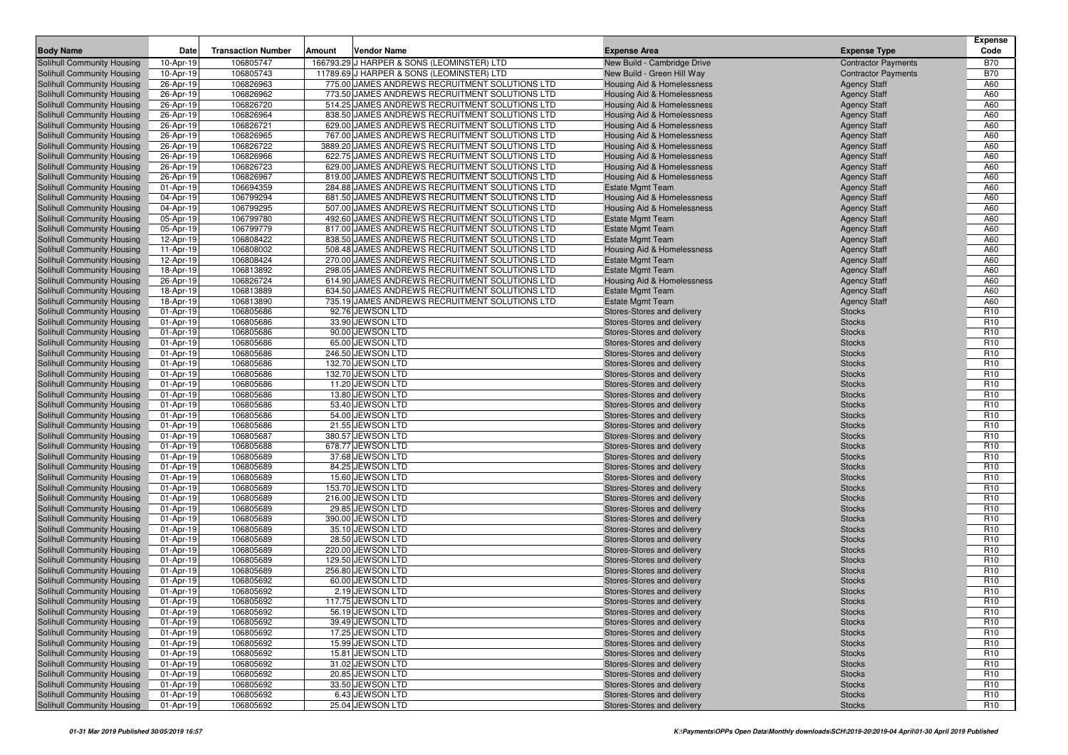| <b>Body Name</b>                                         | Date                   | <b>Transaction Number</b> | Amount | <b>Vendor Name</b>                                                                               | <b>Expense Area</b>                                      | <b>Expense Type</b>                        | <b>Expense</b><br>Code             |
|----------------------------------------------------------|------------------------|---------------------------|--------|--------------------------------------------------------------------------------------------------|----------------------------------------------------------|--------------------------------------------|------------------------------------|
| Solihull Community Housing                               | 10-Apr-19              | 106805747                 |        | 166793.29 J HARPER & SONS (LEOMINSTER) LTD                                                       | New Build - Cambridge Drive                              | <b>Contractor Payments</b>                 | <b>B70</b>                         |
| Solihull Community Housing                               | 10-Apr-19              | 106805743                 |        | 11789.69 J HARPER & SONS (LEOMINSTER) LTD                                                        | New Build - Green Hill Way                               | <b>Contractor Payments</b>                 | <b>B70</b>                         |
| Solihull Community Housing                               | 26-Apr-19              | 106826963                 |        | 775.00 JAMES ANDREWS RECRUITMENT SOLUTIONS LTD                                                   | Housing Aid & Homelessness                               | <b>Agency Staff</b>                        | A60                                |
| Solihull Community Housing                               | 26-Apr-19              | 106826962                 |        | 773.50 JAMES ANDREWS RECRUITMENT SOLUTIONS LTD                                                   | Housing Aid & Homelessness                               | <b>Agency Staff</b>                        | A60                                |
| Solihull Community Housing                               | 26-Apr-19              | 106826720                 |        | 514.25 JAMES ANDREWS RECRUITMENT SOLUTIONS LTD                                                   | Housing Aid & Homelessness                               | <b>Agency Staff</b>                        | A60                                |
| Solihull Community Housing                               | 26-Apr-19              | 106826964                 |        | 838.50 JAMES ANDREWS RECRUITMENT SOLUTIONS LTD                                                   | Housing Aid & Homelessness                               | <b>Agency Staff</b>                        | A60                                |
| Solihull Community Housing                               | 26-Apr-19              | 106826721                 |        | 629.00 JAMES ANDREWS RECRUITMENT SOLUTIONS LTD                                                   | Housing Aid & Homelessness                               | <b>Agency Staff</b>                        | A60                                |
| Solihull Community Housing                               | 26-Apr-19              | 106826965                 |        | 767.00 JAMES ANDREWS RECRUITMENT SOLUTIONS LTD                                                   | Housing Aid & Homelessness                               | <b>Agency Staff</b>                        | A60                                |
| Solihull Community Housing                               | 26-Apr-19              | 106826722                 |        | 3889.20 JAMES ANDREWS RECRUITMENT SOLUTIONS LTD                                                  | Housing Aid & Homelessness                               | <b>Agency Staff</b>                        | A60                                |
| Solihull Community Housing                               | 26-Apr-19              | 106826966                 |        | 622.75 JAMES ANDREWS RECRUITMENT SOLUTIONS LTD                                                   | Housing Aid & Homelessness                               | <b>Agency Staff</b>                        | A60                                |
| Solihull Community Housing                               | 26-Apr-19              | 106826723                 |        | 629.00 JAMES ANDREWS RECRUITMENT SOLUTIONS LTD                                                   | Housing Aid & Homelessness                               | <b>Agency Staff</b>                        | A60                                |
| Solihull Community Housing                               | 26-Apr-19              | 106826967                 |        | 819.00 JAMES ANDREWS RECRUITMENT SOLUTIONS LTD                                                   | Housing Aid & Homelessness                               | <b>Agency Staff</b>                        | A60                                |
| Solihull Community Housing                               | 01-Apr-19              | 106694359                 |        | 284.88 JAMES ANDREWS RECRUITMENT SOLUTIONS LTD                                                   | <b>Estate Mgmt Team</b>                                  | <b>Agency Staff</b>                        | A60                                |
| Solihull Community Housing                               | 04-Apr-19              | 106799294                 |        | 681.50 JAMES ANDREWS RECRUITMENT SOLUTIONS LTD                                                   | <b>Housing Aid &amp; Homelessness</b>                    | <b>Agency Staff</b>                        | A60                                |
| Solihull Community Housing<br>Solihull Community Housing | 04-Apr-19<br>05-Apr-19 | 106799295<br>106799780    |        | 507.00 JAMES ANDREWS RECRUITMENT SOLUTIONS LTD<br>492.60 JAMES ANDREWS RECRUITMENT SOLUTIONS LTD | Housing Aid & Homelessness<br><b>Estate Mgmt Team</b>    | <b>Agency Staff</b><br><b>Agency Staff</b> | A60<br>A60                         |
| Solihull Community Housing                               | 05-Apr-19              | 106799779                 |        | 817.00 JAMES ANDREWS RECRUITMENT SOLUTIONS LTD                                                   | <b>Estate Mgmt Team</b>                                  | <b>Agency Staff</b>                        | A60                                |
| Solihull Community Housing                               | 12-Apr-19              | 106808422                 |        | 838.50 JAMES ANDREWS RECRUITMENT SOLUTIONS LTD                                                   | <b>Estate Mgmt Team</b>                                  | <b>Agency Staff</b>                        | A60                                |
| Solihull Community Housing                               | 11-Apr-19              | 106808002                 |        | 508.48 JAMES ANDREWS RECRUITMENT SOLUTIONS LTD                                                   | Housing Aid & Homelessness                               | <b>Agency Staff</b>                        | A60                                |
| Solihull Community Housing                               | 12-Apr-19              | 106808424                 |        | 270.00 JAMES ANDREWS RECRUITMENT SOLUTIONS LTD                                                   | <b>Estate Mgmt Team</b>                                  | <b>Agency Staff</b>                        | A60                                |
| Solihull Community Housing                               | 18-Apr-19              | 106813892                 |        | 298.05 JAMES ANDREWS RECRUITMENT SOLUTIONS LTD                                                   | <b>Estate Mgmt Team</b>                                  | <b>Agency Staff</b>                        | A60                                |
| Solihull Community Housing                               | 26-Apr-19              | 106826724                 |        | 614.90 JAMES ANDREWS RECRUITMENT SOLUTIONS LTD                                                   | Housing Aid & Homelessness                               | <b>Agency Staff</b>                        | A60                                |
| Solihull Community Housing                               | 18-Apr-19              | 106813889                 |        | 634.50 JAMES ANDREWS RECRUITMENT SOLUTIONS LTD                                                   | <b>Estate Mgmt Team</b>                                  | <b>Agency Staff</b>                        | A60                                |
| Solihull Community Housing                               | 18-Apr-19              | 106813890                 |        | 735.19 JAMES ANDREWS RECRUITMENT SOLUTIONS LTD                                                   | <b>Estate Mgmt Team</b>                                  | <b>Agency Staff</b>                        | A60                                |
| Solihull Community Housing                               | 01-Apr-19              | 106805686                 |        | 92.76 JEWSON LTD                                                                                 | Stores-Stores and delivery                               | <b>Stocks</b>                              | R <sub>10</sub>                    |
| Solihull Community Housing                               | 01-Apr-19              | 106805686                 |        | 33.90 JEWSON LTD                                                                                 | Stores-Stores and delivery                               | <b>Stocks</b>                              | R <sub>10</sub>                    |
| Solihull Community Housing                               | 01-Apr-19              | 106805686                 |        | 90.00 JEWSON LTD                                                                                 | Stores-Stores and delivery                               | <b>Stocks</b>                              | R <sub>10</sub>                    |
| Solihull Community Housing                               | 01-Apr-19              | 106805686                 |        | 65.00 JEWSON LTD                                                                                 | Stores-Stores and delivery                               | <b>Stocks</b>                              | R <sub>10</sub>                    |
| Solihull Community Housing                               | 01-Apr-19              | 106805686                 |        | 246.50 JEWSON LTD                                                                                | Stores-Stores and delivery                               | <b>Stocks</b>                              | R <sub>10</sub>                    |
| Solihull Community Housing                               | 01-Apr-19              | 106805686                 |        | 132.70 JEWSON LTD                                                                                | Stores-Stores and delivery                               | <b>Stocks</b>                              | R <sub>10</sub>                    |
| Solihull Community Housing<br>Solihull Community Housing | 01-Apr-19<br>01-Apr-19 | 106805686<br>106805686    |        | 132.70 JEWSON LTD<br>11.20 JEWSON LTD                                                            | Stores-Stores and delivery<br>Stores-Stores and delivery | <b>Stocks</b><br><b>Stocks</b>             | R <sub>10</sub><br>R <sub>10</sub> |
| Solihull Community Housing                               | 01-Apr-19              | 106805686                 |        | 13.80 JEWSON LTD                                                                                 | Stores-Stores and delivery                               | <b>Stocks</b>                              | R <sub>10</sub>                    |
| Solihull Community Housing                               | 01-Apr-19              | 106805686                 |        | 53.40 JEWSON LTD                                                                                 | Stores-Stores and delivery                               | <b>Stocks</b>                              | R <sub>10</sub>                    |
| Solihull Community Housing                               | 01-Apr-19              | 106805686                 |        | 54.00 JEWSON LTD                                                                                 | Stores-Stores and delivery                               | <b>Stocks</b>                              | R <sub>10</sub>                    |
| Solihull Community Housing                               | 01-Apr-19              | 106805686                 |        | 21.55 JEWSON LTD                                                                                 | Stores-Stores and delivery                               | <b>Stocks</b>                              | R <sub>10</sub>                    |
| Solihull Community Housing                               | 01-Apr-19              | 106805687                 |        | 380.57 JEWSON LTD                                                                                | Stores-Stores and delivery                               | <b>Stocks</b>                              | R <sub>10</sub>                    |
| Solihull Community Housing                               | 01-Apr-19              | 106805688                 |        | 678.77 JEWSON LTD                                                                                | Stores-Stores and delivery                               | <b>Stocks</b>                              | R <sub>10</sub>                    |
| Solihull Community Housing                               | 01-Apr-19              | 106805689                 |        | 37.68 JEWSON LTD                                                                                 | Stores-Stores and delivery                               | <b>Stocks</b>                              | R <sub>10</sub>                    |
| Solihull Community Housing                               | 01-Apr-19              | 106805689                 |        | 84.25 JEWSON LTD                                                                                 | Stores-Stores and delivery                               | <b>Stocks</b>                              | R <sub>10</sub>                    |
| Solihull Community Housing                               | 01-Apr-19              | 106805689                 |        | 15.60 JEWSON LTD                                                                                 | Stores-Stores and delivery                               | <b>Stocks</b>                              | R <sub>10</sub>                    |
| Solihull Community Housing                               | 01-Apr-19              | 106805689                 |        | 153.70 JEWSON LTD                                                                                | Stores-Stores and delivery                               | <b>Stocks</b>                              | R <sub>10</sub>                    |
| Solihull Community Housing                               | 01-Apr-19              | 106805689                 |        | 216.00 JEWSON LTD                                                                                | Stores-Stores and delivery                               | <b>Stocks</b>                              | R <sub>10</sub>                    |
| Solihull Community Housing                               | 01-Apr-19              | 106805689                 |        | 29.85 JEWSON LTD                                                                                 | Stores-Stores and delivery                               | <b>Stocks</b>                              | R <sub>10</sub>                    |
| Solihull Community Housing                               | 01-Apr-19              | 106805689<br>106805689    |        | 390.00 JEWSON LTD                                                                                | Stores-Stores and delivery                               | <b>Stocks</b>                              | R <sub>10</sub><br>R <sub>10</sub> |
| Solihull Community Housing<br>Solihull Community Housing | 01-Apr-19<br>01-Apr-19 | 106805689                 |        | 35.10 JEWSON LTD<br>28.50 JEWSON LTD                                                             | Stores-Stores and delivery<br>Stores-Stores and delivery | <b>Stocks</b><br><b>Stocks</b>             | R <sub>10</sub>                    |
| Solihull Community Housing                               | 01-Apr-19              | 106805689                 |        | 220.00 JEWSON LTD                                                                                | Stores-Stores and delivery                               | <b>Stocks</b>                              | R <sub>10</sub>                    |
| Solihull Community Housing                               | 01-Apr-19              | 106805689                 |        | 129.50 JEWSON LTD                                                                                | Stores-Stores and delivery                               | <b>Stocks</b>                              | R <sub>10</sub>                    |
| <b>Solihull Community Housing</b>                        | 01-Apr-19              | 106805689                 |        | 256.80 JEWSON LTD                                                                                | Stores-Stores and delivery                               | <b>Stocks</b>                              | R <sub>10</sub>                    |
| Solihull Community Housing                               | 01-Apr-19              | 106805692                 |        | 60.00 JEWSON LTD                                                                                 | Stores-Stores and delivery                               | <b>Stocks</b>                              | R <sub>10</sub>                    |
| Solihull Community Housing                               | 01-Apr-19              | 106805692                 |        | 2.19 JEWSON LTD                                                                                  | Stores-Stores and delivery                               | <b>Stocks</b>                              | R <sub>10</sub>                    |
| Solihull Community Housing                               | 01-Apr-19              | 106805692                 |        | 117.75 JEWSON LTD                                                                                | Stores-Stores and delivery                               | <b>Stocks</b>                              | R <sub>10</sub>                    |
| Solihull Community Housing                               | 01-Apr-19              | 106805692                 |        | 56.19 JEWSON LTD                                                                                 | Stores-Stores and delivery                               | <b>Stocks</b>                              | R <sub>10</sub>                    |
| Solihull Community Housing                               | 01-Apr-19              | 106805692                 |        | 39.49 JEWSON LTD                                                                                 | Stores-Stores and delivery                               | <b>Stocks</b>                              | R <sub>10</sub>                    |
| Solihull Community Housing                               | 01-Apr-19              | 106805692                 |        | 17.25 JEWSON LTD                                                                                 | Stores-Stores and delivery                               | <b>Stocks</b>                              | R <sub>10</sub>                    |
| Solihull Community Housing                               | 01-Apr-19              | 106805692                 |        | 15.99 JEWSON LTD                                                                                 | Stores-Stores and delivery                               | <b>Stocks</b>                              | R <sub>10</sub>                    |
| Solihull Community Housing                               | 01-Apr-19              | 106805692                 |        | 15.81 JEWSON LTD                                                                                 | Stores-Stores and delivery                               | <b>Stocks</b>                              | R <sub>10</sub>                    |
| Solihull Community Housing                               | 01-Apr-19              | 106805692                 |        | 31.02 JEWSON LTD                                                                                 | Stores-Stores and delivery                               | <b>Stocks</b>                              | R <sub>10</sub>                    |
| Solihull Community Housing                               | 01-Apr-19              | 106805692                 |        | 20.85 JEWSON LTD                                                                                 | Stores-Stores and delivery                               | <b>Stocks</b>                              | R <sub>10</sub>                    |
| Solihull Community Housing                               | 01-Apr-19              | 106805692                 |        | 33.50 JEWSON LTD                                                                                 | Stores-Stores and delivery                               | <b>Stocks</b>                              | R <sub>10</sub>                    |
| Solihull Community Housing                               | 01-Apr-19              | 106805692                 |        | 6.43 JEWSON LTD                                                                                  | Stores-Stores and delivery<br>Stores-Stores and delivery | <b>Stocks</b>                              | R <sub>10</sub>                    |
| Solihull Community Housing                               | 01-Apr-19              | 106805692                 |        | 25.04 JEWSON LTD                                                                                 |                                                          | <b>Stocks</b>                              | R <sub>10</sub>                    |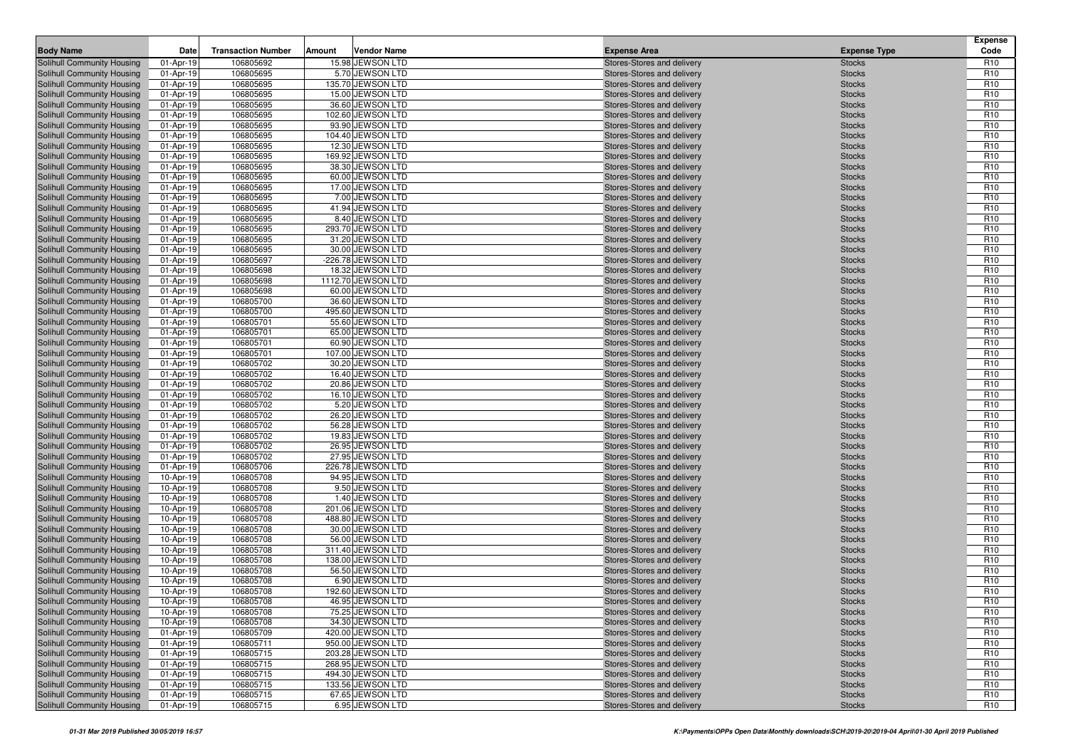| <b>Body Name</b>                                                | Date                   | <b>Transaction Number</b> | Amount | <b>Vendor Name</b>                  | <b>Expense Area</b>                                      | <b>Expense Type</b>            | <b>Expense</b><br>Code             |
|-----------------------------------------------------------------|------------------------|---------------------------|--------|-------------------------------------|----------------------------------------------------------|--------------------------------|------------------------------------|
| Solihull Community Housing                                      | 01-Apr-19              | 106805692                 |        | 15.98 JEWSON LTD                    | Stores-Stores and delivery                               | <b>Stocks</b>                  | R <sub>10</sub>                    |
| Solihull Community Housing                                      | 01-Apr-19              | 106805695                 |        | 5.70 JEWSON LTD                     | Stores-Stores and delivery                               | <b>Stocks</b>                  | R <sub>10</sub>                    |
| Solihull Community Housing                                      | 01-Apr-19              | 106805695                 |        | 135.70 JEWSON LTD                   | Stores-Stores and delivery                               | <b>Stocks</b>                  | R <sub>10</sub>                    |
| Solihull Community Housing                                      | 01-Apr-19              | 106805695                 |        | 15.00 JEWSON LTD                    | Stores-Stores and delivery                               | <b>Stocks</b>                  | R <sub>10</sub>                    |
| Solihull Community Housing                                      | 01-Apr-19              | 106805695                 |        | 36.60 JEWSON LTD                    | Stores-Stores and delivery                               | <b>Stocks</b>                  | R <sub>10</sub>                    |
| Solihull Community Housing                                      | 01-Apr-19              | 106805695                 |        | 102.60 JEWSON LTD                   | Stores-Stores and delivery                               | <b>Stocks</b>                  | R <sub>10</sub>                    |
| Solihull Community Housing                                      | 01-Apr-19              | 106805695                 |        | 93.90 JEWSON LTD                    | Stores-Stores and delivery                               | <b>Stocks</b>                  | R <sub>10</sub>                    |
| Solihull Community Housing                                      | 01-Apr-19              | 106805695                 |        | 104.40 JEWSON LTD                   | Stores-Stores and delivery                               | <b>Stocks</b>                  | R <sub>10</sub>                    |
| Solihull Community Housing                                      | 01-Apr-19              | 106805695                 |        | 12.30 JEWSON LTD                    | Stores-Stores and delivery                               | <b>Stocks</b>                  | R <sub>10</sub>                    |
| <b>Solihull Community Housing</b>                               | 01-Apr-19              | 106805695                 |        | 169.92 JEWSON LTD                   | Stores-Stores and delivery                               | <b>Stocks</b>                  | R <sub>10</sub>                    |
| Solihull Community Housing                                      | 01-Apr-19              | 106805695                 |        | 38.30 JEWSON LTD                    | Stores-Stores and delivery                               | <b>Stocks</b>                  | R <sub>10</sub>                    |
| Solihull Community Housing                                      | 01-Apr-19              | 106805695                 |        | 60.00 JEWSON LTD                    | Stores-Stores and delivery                               | <b>Stocks</b>                  | R <sub>10</sub>                    |
| Solihull Community Housing                                      | 01-Apr-19              | 106805695                 |        | 17.00 JEWSON LTD                    | Stores-Stores and delivery                               | <b>Stocks</b>                  | R <sub>10</sub>                    |
| Solihull Community Housing                                      | 01-Apr-19              | 106805695                 |        | 7.00 JEWSON LTD                     | Stores-Stores and delivery                               | <b>Stocks</b>                  | R <sub>10</sub>                    |
| Solihull Community Housing                                      | 01-Apr-19              | 106805695                 |        | 41.94 JEWSON LTD                    | Stores-Stores and delivery                               | <b>Stocks</b>                  | R <sub>10</sub>                    |
| Solihull Community Housing                                      | 01-Apr-19              | 106805695                 |        | 8.40 JEWSON LTD                     | Stores-Stores and delivery                               | <b>Stocks</b>                  | R <sub>10</sub>                    |
| Solihull Community Housing                                      | 01-Apr-19              | 106805695                 |        | 293.70 JEWSON LTD                   | Stores-Stores and delivery                               | <b>Stocks</b>                  | R <sub>10</sub>                    |
| Solihull Community Housing                                      | 01-Apr-19              | 106805695                 |        | 31.20 JEWSON LTD                    | Stores-Stores and delivery                               | <b>Stocks</b>                  | R <sub>10</sub>                    |
| Solihull Community Housing                                      | 01-Apr-19              | 106805695                 |        | 30.00 JEWSON LTD                    | Stores-Stores and delivery                               | <b>Stocks</b>                  | R <sub>10</sub>                    |
| Solihull Community Housing                                      | 01-Apr-19              | 106805697                 |        | -226.78 JEWSON LTD                  | Stores-Stores and delivery                               | <b>Stocks</b>                  | R <sub>10</sub>                    |
| Solihull Community Housing                                      | 01-Apr-19              | 106805698                 |        | 18.32 JEWSON LTD                    | Stores-Stores and delivery                               | <b>Stocks</b>                  | R <sub>10</sub>                    |
| Solihull Community Housing                                      | 01-Apr-19              | 106805698                 |        | 1112.70 JEWSON LTD                  | Stores-Stores and delivery                               | <b>Stocks</b>                  | R <sub>10</sub>                    |
| Solihull Community Housing                                      | 01-Apr-19              | 106805698                 |        | 60.00 JEWSON LTD                    | Stores-Stores and delivery                               | <b>Stocks</b>                  | R <sub>10</sub>                    |
| Solihull Community Housing                                      | 01-Apr-19              | 106805700                 |        | 36.60 JEWSON LTD                    | Stores-Stores and delivery                               | <b>Stocks</b>                  | R <sub>10</sub>                    |
| Solihull Community Housing                                      | 01-Apr-19              | 106805700                 |        | 495.60 JEWSON LTD                   | Stores-Stores and delivery                               | <b>Stocks</b>                  | R <sub>10</sub>                    |
| Solihull Community Housing                                      | 01-Apr-19              | 106805701                 |        | 55.60 JEWSON LTD                    | Stores-Stores and delivery                               | <b>Stocks</b>                  | R <sub>10</sub>                    |
| Solihull Community Housing                                      | 01-Apr-19              | 106805701                 |        | 65.00 JEWSON LTD                    | Stores-Stores and delivery                               | <b>Stocks</b>                  | R <sub>10</sub>                    |
| Solihull Community Housing                                      | 01-Apr-19              | 106805701                 |        | 60.90 JEWSON LTD                    | Stores-Stores and delivery                               | <b>Stocks</b>                  | R <sub>10</sub>                    |
| Solihull Community Housing                                      | 01-Apr-19              | 106805701                 |        | 107.00 JEWSON LTD                   | Stores-Stores and delivery                               | <b>Stocks</b>                  | R <sub>10</sub>                    |
| Solihull Community Housing                                      | 01-Apr-19              | 106805702                 |        | 30.20 JEWSON LTD                    | Stores-Stores and delivery                               | <b>Stocks</b>                  | R <sub>10</sub>                    |
| Solihull Community Housing                                      | 01-Apr-19              | 106805702                 |        | 16.40 JEWSON LTD                    | Stores-Stores and delivery                               | <b>Stocks</b>                  | R <sub>10</sub>                    |
| Solihull Community Housing                                      | 01-Apr-19              | 106805702                 |        | 20.86 JEWSON LTD                    | Stores-Stores and delivery                               | <b>Stocks</b>                  | R <sub>10</sub>                    |
| Solihull Community Housing                                      | 01-Apr-19              | 106805702<br>106805702    |        | 16.10 JEWSON LTD<br>5.20 JEWSON LTD | Stores-Stores and delivery                               | <b>Stocks</b>                  | R <sub>10</sub><br>R <sub>10</sub> |
| Solihull Community Housing<br><b>Solihull Community Housing</b> | 01-Apr-19<br>01-Apr-19 | 106805702                 |        | 26.20 JEWSON LTD                    | Stores-Stores and delivery<br>Stores-Stores and delivery | <b>Stocks</b><br><b>Stocks</b> | R <sub>10</sub>                    |
| Solihull Community Housing                                      | 01-Apr-19              | 106805702                 |        | 56.28 JEWSON LTD                    | Stores-Stores and delivery                               | <b>Stocks</b>                  | R <sub>10</sub>                    |
| Solihull Community Housing                                      | 01-Apr-19              | 106805702                 |        | 19.83 JEWSON LTD                    | Stores-Stores and delivery                               | <b>Stocks</b>                  | R <sub>10</sub>                    |
| Solihull Community Housing                                      | 01-Apr-19              | 106805702                 |        | 26.95 JEWSON LTD                    | Stores-Stores and delivery                               | <b>Stocks</b>                  | R <sub>10</sub>                    |
| <b>Solihull Community Housing</b>                               | 01-Apr-19              | 106805702                 |        | 27.95 JEWSON LTD                    | Stores-Stores and delivery                               | <b>Stocks</b>                  | R <sub>10</sub>                    |
| Solihull Community Housing                                      | 01-Apr-19              | 106805706                 |        | 226.78 JEWSON LTD                   | Stores-Stores and delivery                               | <b>Stocks</b>                  | R <sub>10</sub>                    |
| Solihull Community Housing                                      | 10-Apr-19              | 106805708                 |        | 94.95 JEWSON LTD                    | Stores-Stores and delivery                               | <b>Stocks</b>                  | R <sub>10</sub>                    |
| Solihull Community Housing                                      | 10-Apr-19              | 106805708                 |        | 9.50 JEWSON LTD                     | Stores-Stores and delivery                               | <b>Stocks</b>                  | R <sub>10</sub>                    |
| Solihull Community Housing                                      | 10-Apr-19              | 106805708                 |        | 1.40 JEWSON LTD                     | Stores-Stores and delivery                               | <b>Stocks</b>                  | R <sub>10</sub>                    |
| Solihull Community Housing                                      | 10-Apr-19              | 106805708                 |        | 201.06 JEWSON LTD                   | Stores-Stores and delivery                               | <b>Stocks</b>                  | R <sub>10</sub>                    |
| Solihull Community Housing                                      | 10-Apr-19              | 106805708                 |        | 488.80 JEWSON LTD                   | Stores-Stores and delivery                               | <b>Stocks</b>                  | R <sub>10</sub>                    |
| Solihull Community Housing                                      | 10-Apr-19              | 106805708                 |        | 30.00 JEWSON LTD                    | Stores-Stores and delivery                               | <b>Stocks</b>                  | R <sub>10</sub>                    |
| Solihull Community Housing                                      | 10-Apr-19              | 106805708                 |        | 56.00 JEWSON LTD                    | Stores-Stores and delivery                               | <b>Stocks</b>                  | R <sub>10</sub>                    |
| Solihull Community Housing                                      | 10-Apr-19              | 106805708                 |        | 311.40 JEWSON LTD                   | Stores-Stores and delivery                               | <b>Stocks</b>                  | R <sub>10</sub>                    |
| Solihull Community Housing                                      | 10-Apr-19              | 106805708                 |        | 138.00 JEWSON LTD                   | Stores-Stores and delivery                               | <b>Stocks</b>                  | R <sub>10</sub>                    |
| Solihull Community Housing                                      | 10-Apr-19              | 106805708                 |        | 56.50 JEWSON LTD                    | Stores-Stores and delivery                               | <b>Stocks</b>                  | R <sub>10</sub>                    |
| Solihull Community Housing                                      | 10-Apr-19              | 106805708                 |        | 6.90 JEWSON LTD                     | Stores-Stores and delivery                               | <b>Stocks</b>                  | R <sub>10</sub>                    |
| Solihull Community Housing                                      | 10-Apr-19              | 106805708                 |        | 192.60 JEWSON LTD                   | Stores-Stores and delivery                               | <b>Stocks</b>                  | R <sub>10</sub>                    |
| Solihull Community Housing                                      | 10-Apr-19              | 106805708                 |        | 46.95 JEWSON LTD                    | Stores-Stores and delivery                               | <b>Stocks</b>                  | R <sub>10</sub>                    |
| Solihull Community Housing                                      | 10-Apr-19              | 106805708                 |        | 75.25 JEWSON LTD                    | Stores-Stores and delivery                               | <b>Stocks</b>                  | R <sub>10</sub>                    |
| Solihull Community Housing                                      | 10-Apr-19              | 106805708                 |        | 34.30 JEWSON LTD                    | Stores-Stores and delivery                               | <b>Stocks</b>                  | R <sub>10</sub>                    |
| Solihull Community Housing                                      | 01-Apr-19              | 106805709                 |        | 420.00 JEWSON LTD                   | Stores-Stores and delivery                               | <b>Stocks</b>                  | R <sub>10</sub>                    |
| Solihull Community Housing                                      | 01-Apr-19              | 106805711                 |        | 950.00 JEWSON LTD                   | Stores-Stores and delivery                               | <b>Stocks</b>                  | R <sub>10</sub>                    |
| Solihull Community Housing                                      | 01-Apr-19              | 106805715                 |        | 203.28 JEWSON LTD                   | Stores-Stores and delivery                               | <b>Stocks</b>                  | R <sub>10</sub>                    |
| Solihull Community Housing                                      | 01-Apr-19              | 106805715                 |        | 268.95 JEWSON LTD                   | Stores-Stores and delivery                               | <b>Stocks</b>                  | R <sub>10</sub>                    |
| <b>Solihull Community Housing</b>                               | 01-Apr-19              | 106805715                 |        | 494.30 JEWSON LTD                   | Stores-Stores and delivery                               | <b>Stocks</b>                  | R <sub>10</sub>                    |
| Solihull Community Housing                                      | 01-Apr-19              | 106805715                 |        | 133.56 JEWSON LTD                   | Stores-Stores and delivery                               | <b>Stocks</b>                  | R <sub>10</sub>                    |
| Solihull Community Housing                                      | 01-Apr-19              | 106805715                 |        | 67.65 JEWSON LTD                    | Stores-Stores and delivery                               | <b>Stocks</b>                  | R <sub>10</sub>                    |
| Solihull Community Housing                                      | 01-Apr-19              | 106805715                 |        | 6.95 JEWSON LTD                     | Stores-Stores and delivery                               | <b>Stocks</b>                  | R <sub>10</sub>                    |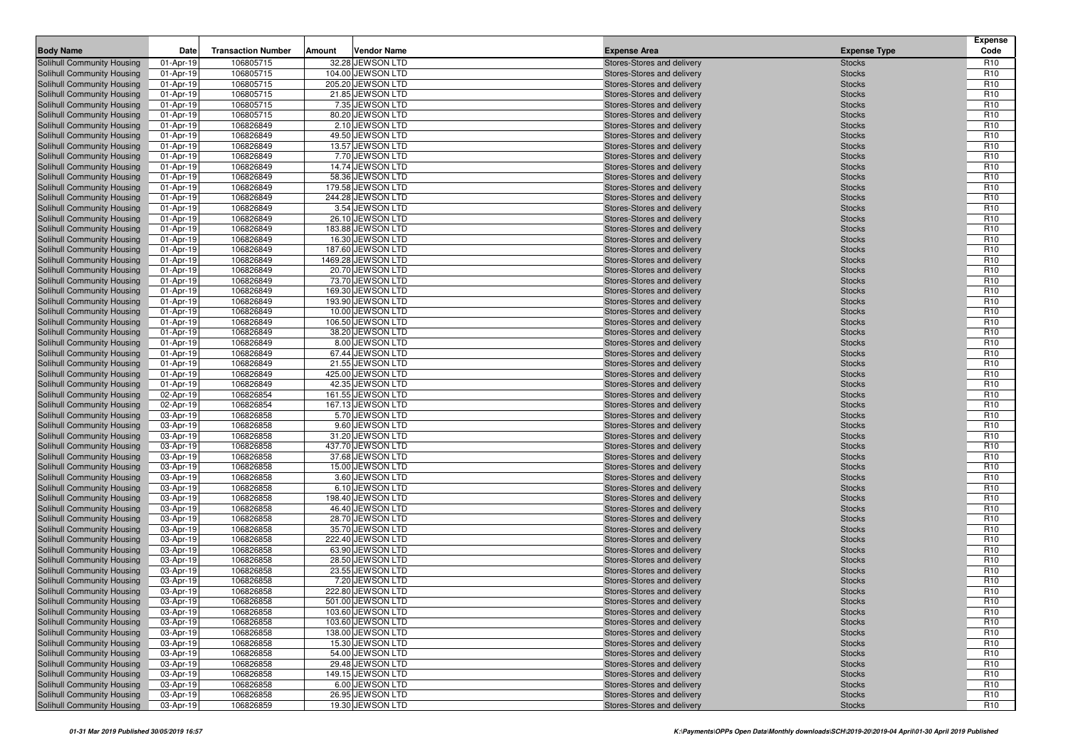| <b>Body Name</b>                                         | Date                   | <b>Transaction Number</b> | Amount | <b>Vendor Name</b>                  | <b>Expense Area</b>                                      | <b>Expense Type</b>            | <b>Expense</b><br>Code             |
|----------------------------------------------------------|------------------------|---------------------------|--------|-------------------------------------|----------------------------------------------------------|--------------------------------|------------------------------------|
| Solihull Community Housing                               | 01-Apr-19              | 106805715                 |        | 32.28 JEWSON LTD                    | Stores-Stores and delivery                               | <b>Stocks</b>                  | R <sub>10</sub>                    |
| Solihull Community Housing                               | 01-Apr-19              | 106805715                 |        | 104.00 JEWSON LTD                   | Stores-Stores and delivery                               | <b>Stocks</b>                  | R <sub>10</sub>                    |
| Solihull Community Housing                               | 01-Apr-19              | 106805715                 |        | 205.20 JEWSON LTD                   | Stores-Stores and delivery                               | <b>Stocks</b>                  | R <sub>10</sub>                    |
| Solihull Community Housing                               | 01-Apr-19              | 106805715                 |        | 21.85 JEWSON LTD                    | Stores-Stores and delivery                               | <b>Stocks</b>                  | R <sub>10</sub>                    |
| Solihull Community Housing                               | 01-Apr-19              | 106805715                 |        | 7.35 JEWSON LTD                     | Stores-Stores and delivery                               | <b>Stocks</b>                  | R <sub>10</sub>                    |
| Solihull Community Housing                               | 01-Apr-19              | 106805715                 |        | 80.20 JEWSON LTD                    | Stores-Stores and delivery                               | <b>Stocks</b>                  | R <sub>10</sub>                    |
| Solihull Community Housing                               | 01-Apr-19              | 106826849                 |        | 2.10 JEWSON LTD                     | Stores-Stores and delivery                               | <b>Stocks</b>                  | R <sub>10</sub>                    |
| Solihull Community Housing                               | 01-Apr-19              | 106826849                 |        | 49.50 JEWSON LTD                    | Stores-Stores and delivery                               | <b>Stocks</b>                  | R <sub>10</sub>                    |
| Solihull Community Housing                               | 01-Apr-19              | 106826849                 |        | 13.57 JEWSON LTD                    | Stores-Stores and delivery                               | <b>Stocks</b>                  | R <sub>10</sub>                    |
| <b>Solihull Community Housing</b>                        | 01-Apr-19              | 106826849                 |        | 7.70 JEWSON LTD                     | Stores-Stores and delivery                               | <b>Stocks</b>                  | R <sub>10</sub>                    |
| Solihull Community Housing                               | 01-Apr-19              | 106826849                 |        | 14.74 JEWSON LTD                    | Stores-Stores and delivery                               | <b>Stocks</b>                  | R <sub>10</sub>                    |
| Solihull Community Housing                               | 01-Apr-19              | 106826849                 |        | 58.36 JEWSON LTD                    | Stores-Stores and delivery                               | <b>Stocks</b>                  | R <sub>10</sub>                    |
| Solihull Community Housing                               | 01-Apr-19              | 106826849                 |        | 179.58 JEWSON LTD                   | Stores-Stores and delivery                               | <b>Stocks</b>                  | R <sub>10</sub>                    |
| Solihull Community Housing                               | 01-Apr-19              | 106826849                 |        | 244.28 JEWSON LTD                   | Stores-Stores and delivery                               | <b>Stocks</b>                  | R <sub>10</sub>                    |
| Solihull Community Housing                               | 01-Apr-19              | 106826849                 |        | 3.54 JEWSON LTD                     | Stores-Stores and delivery                               | <b>Stocks</b>                  | R <sub>10</sub>                    |
| Solihull Community Housing                               | 01-Apr-19              | 106826849                 |        | 26.10 JEWSON LTD                    | Stores-Stores and delivery                               | <b>Stocks</b>                  | R <sub>10</sub>                    |
| Solihull Community Housing                               | 01-Apr-19              | 106826849                 |        | 183.88 JEWSON LTD                   | Stores-Stores and delivery                               | <b>Stocks</b>                  | R <sub>10</sub>                    |
| Solihull Community Housing                               | 01-Apr-19              | 106826849                 |        | 16.30 JEWSON LTD                    | Stores-Stores and delivery                               | <b>Stocks</b>                  | R <sub>10</sub>                    |
| Solihull Community Housing                               | 01-Apr-19              | 106826849                 |        | 187.60 JEWSON LTD                   | Stores-Stores and delivery                               | <b>Stocks</b>                  | R <sub>10</sub>                    |
| Solihull Community Housing                               | 01-Apr-19              | 106826849                 |        | 1469.28 JEWSON LTD                  | Stores-Stores and delivery                               | <b>Stocks</b>                  | R <sub>10</sub>                    |
| Solihull Community Housing                               | 01-Apr-19              | 106826849                 |        | 20.70 JEWSON LTD                    | Stores-Stores and delivery                               | <b>Stocks</b>                  | R <sub>10</sub>                    |
| Solihull Community Housing                               | 01-Apr-19              | 106826849                 |        | 73.70 JEWSON LTD                    | Stores-Stores and delivery                               | <b>Stocks</b>                  | R <sub>10</sub>                    |
| Solihull Community Housing                               | 01-Apr-19              | 106826849                 |        | 169.30 JEWSON LTD                   | Stores-Stores and delivery                               | <b>Stocks</b>                  | R <sub>10</sub>                    |
| Solihull Community Housing                               | 01-Apr-19              | 106826849                 |        | 193.90 JEWSON LTD                   | Stores-Stores and delivery                               | <b>Stocks</b>                  | R <sub>10</sub>                    |
| Solihull Community Housing                               | 01-Apr-19              | 106826849                 |        | 10.00 JEWSON LTD                    | Stores-Stores and delivery                               | <b>Stocks</b>                  | R <sub>10</sub>                    |
| Solihull Community Housing                               | 01-Apr-19              | 106826849                 |        | 106.50 JEWSON LTD                   | Stores-Stores and delivery                               | <b>Stocks</b>                  | R <sub>10</sub>                    |
| Solihull Community Housing<br>Solihull Community Housing | 01-Apr-19              | 106826849                 |        | 38.20 JEWSON LTD                    | Stores-Stores and delivery<br>Stores-Stores and delivery | <b>Stocks</b>                  | R <sub>10</sub>                    |
|                                                          | 01-Apr-19              | 106826849<br>106826849    |        | 8.00 JEWSON LTD<br>67.44 JEWSON LTD |                                                          | <b>Stocks</b>                  | R <sub>10</sub><br>R <sub>10</sub> |
| Solihull Community Housing<br>Solihull Community Housing | 01-Apr-19<br>01-Apr-19 | 106826849                 |        | 21.55 JEWSON LTD                    | Stores-Stores and delivery<br>Stores-Stores and delivery | <b>Stocks</b><br><b>Stocks</b> | R <sub>10</sub>                    |
| Solihull Community Housing                               | 01-Apr-19              | 106826849                 |        | 425.00 JEWSON LTD                   | Stores-Stores and delivery                               | <b>Stocks</b>                  | R <sub>10</sub>                    |
| Solihull Community Housing                               | 01-Apr-19              | 106826849                 |        | 42.35 JEWSON LTD                    | Stores-Stores and delivery                               | <b>Stocks</b>                  | R <sub>10</sub>                    |
| Solihull Community Housing                               | 02-Apr-19              | 106826854                 |        | 161.55 JEWSON LTD                   | Stores-Stores and delivery                               | <b>Stocks</b>                  | R <sub>10</sub>                    |
| Solihull Community Housing                               | 02-Apr-19              | 106826854                 |        | 167.13 JEWSON LTD                   | Stores-Stores and delivery                               | <b>Stocks</b>                  | R <sub>10</sub>                    |
| <b>Solihull Community Housing</b>                        | 03-Apr-19              | 106826858                 |        | 5.70 JEWSON LTD                     | Stores-Stores and delivery                               | <b>Stocks</b>                  | R <sub>10</sub>                    |
| Solihull Community Housing                               | 03-Apr-19              | 106826858                 |        | 9.60 JEWSON LTD                     | Stores-Stores and delivery                               | <b>Stocks</b>                  | R <sub>10</sub>                    |
| Solihull Community Housing                               | 03-Apr-19              | 106826858                 |        | 31.20 JEWSON LTD                    | Stores-Stores and delivery                               | <b>Stocks</b>                  | R <sub>10</sub>                    |
| Solihull Community Housing                               | 03-Apr-19              | 106826858                 |        | 437.70 JEWSON LTD                   | Stores-Stores and delivery                               | <b>Stocks</b>                  | R <sub>10</sub>                    |
| <b>Solihull Community Housing</b>                        | 03-Apr-19              | 106826858                 |        | 37.68 JEWSON LTD                    | Stores-Stores and delivery                               | <b>Stocks</b>                  | R <sub>10</sub>                    |
| Solihull Community Housing                               | 03-Apr-19              | 106826858                 |        | 15.00 JEWSON LTD                    | Stores-Stores and delivery                               | <b>Stocks</b>                  | R <sub>10</sub>                    |
| Solihull Community Housing                               | 03-Apr-19              | 106826858                 |        | 3.60 JEWSON LTD                     | Stores-Stores and delivery                               | <b>Stocks</b>                  | R <sub>10</sub>                    |
| Solihull Community Housing                               | 03-Apr-19              | 106826858                 |        | 6.10 JEWSON LTD                     | Stores-Stores and delivery                               | <b>Stocks</b>                  | R <sub>10</sub>                    |
| Solihull Community Housing                               | 03-Apr-19              | 106826858                 |        | 198.40 JEWSON LTD                   | Stores-Stores and delivery                               | <b>Stocks</b>                  | R <sub>10</sub>                    |
| Solihull Community Housing                               | 03-Apr-19              | 106826858                 |        | 46.40 JEWSON LTD                    | Stores-Stores and delivery                               | <b>Stocks</b>                  | R <sub>10</sub>                    |
| Solihull Community Housing                               | 03-Apr-19              | 106826858                 |        | 28.70 JEWSON LTD                    | Stores-Stores and delivery                               | <b>Stocks</b>                  | R <sub>10</sub>                    |
| Solihull Community Housing                               | 03-Apr-19              | 106826858                 |        | 35.70 JEWSON LTD                    | Stores-Stores and delivery                               | <b>Stocks</b>                  | R <sub>10</sub>                    |
| Solihull Community Housing                               | 03-Apr-19              | 106826858                 |        | 222.40 JEWSON LTD                   | Stores-Stores and delivery                               | <b>Stocks</b>                  | R <sub>10</sub>                    |
| Solihull Community Housing                               | 03-Apr-19              | 106826858                 |        | 63.90 JEWSON LTD                    | Stores-Stores and delivery                               | <b>Stocks</b>                  | R <sub>10</sub>                    |
| Solihull Community Housing                               | 03-Apr-19              | 106826858                 |        | 28.50 JEWSON LTD                    | Stores-Stores and delivery                               | <b>Stocks</b>                  | R <sub>10</sub>                    |
| Solihull Community Housing                               | 03-Apr-19              | 106826858                 |        | 23.55 JEWSON LTD                    | Stores-Stores and delivery                               | <b>Stocks</b>                  | R <sub>10</sub>                    |
| Solihull Community Housing                               | 03-Apr-19              | 106826858                 |        | 7.20 JEWSON LTD                     | Stores-Stores and delivery                               | <b>Stocks</b>                  | R <sub>10</sub>                    |
| Solihull Community Housing                               | 03-Apr-19              | 106826858                 |        | 222.80 JEWSON LTD                   | Stores-Stores and delivery                               | <b>Stocks</b>                  | R <sub>10</sub>                    |
| Solihull Community Housing                               | 03-Apr-19              | 106826858                 |        | 501.00 JEWSON LTD                   | Stores-Stores and delivery                               | <b>Stocks</b>                  | R <sub>10</sub>                    |
| Solihull Community Housing                               | 03-Apr-19              | 106826858                 |        | 103.60 JEWSON LTD                   | Stores-Stores and delivery                               | <b>Stocks</b>                  | R <sub>10</sub>                    |
| Solihull Community Housing                               | 03-Apr-19              | 106826858                 |        | 103.60 JEWSON LTD                   | Stores-Stores and delivery                               | <b>Stocks</b>                  | R <sub>10</sub>                    |
| Solihull Community Housing                               | 03-Apr-19              | 106826858                 |        | 138.00 JEWSON LTD                   | Stores-Stores and delivery                               | <b>Stocks</b>                  | R <sub>10</sub>                    |
| Solihull Community Housing                               | 03-Apr-19              | 106826858                 |        | 15.30 JEWSON LTD                    | Stores-Stores and delivery                               | <b>Stocks</b>                  | R <sub>10</sub>                    |
| Solihull Community Housing                               | 03-Apr-19              | 106826858                 |        | 54.00 JEWSON LTD                    | Stores-Stores and delivery                               | <b>Stocks</b>                  | R <sub>10</sub>                    |
| Solihull Community Housing<br>Solihull Community Housing | 03-Apr-19              | 106826858                 |        | 29.48 JEWSON LTD                    | Stores-Stores and delivery                               | <b>Stocks</b>                  | R <sub>10</sub>                    |
|                                                          | 03-Apr-19              | 106826858                 |        | 149.15 JEWSON LTD                   | Stores-Stores and delivery                               | <b>Stocks</b>                  | R <sub>10</sub>                    |
| Solihull Community Housing<br>Solihull Community Housing | 03-Apr-19              | 106826858                 |        | 6.00 JEWSON LTD<br>26.95 JEWSON LTD | Stores-Stores and delivery<br>Stores-Stores and delivery | <b>Stocks</b>                  | R <sub>10</sub><br>R <sub>10</sub> |
|                                                          | 03-Apr-19              | 106826858                 |        | 19.30 JEWSON LTD                    |                                                          | <b>Stocks</b>                  |                                    |
| Solihull Community Housing                               | 03-Apr-19              | 106826859                 |        |                                     | Stores-Stores and delivery                               | <b>Stocks</b>                  | R <sub>10</sub>                    |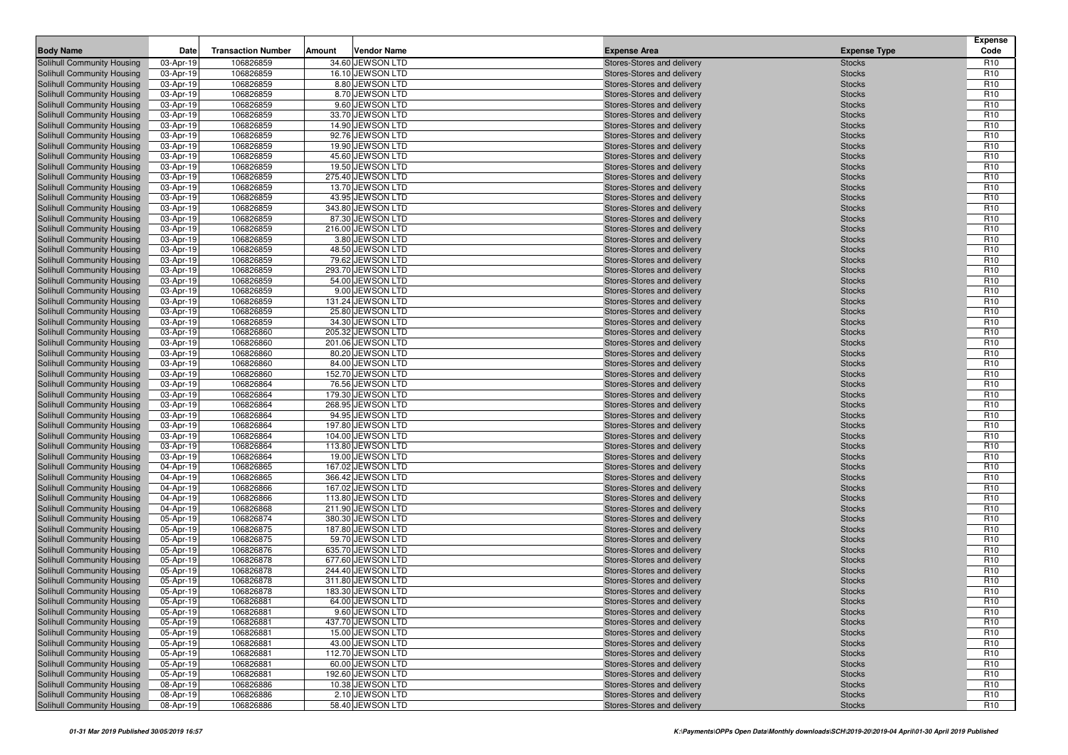| <b>Body Name</b>                                         | Date                   | <b>Transaction Number</b> | Amount | <b>Vendor Name</b>                    | <b>Expense Area</b>                                      | <b>Expense Type</b>            | <b>Expense</b><br>Code             |
|----------------------------------------------------------|------------------------|---------------------------|--------|---------------------------------------|----------------------------------------------------------|--------------------------------|------------------------------------|
| Solihull Community Housing                               | 03-Apr-19              | 106826859                 |        | 34.60 JEWSON LTD                      | Stores-Stores and delivery                               | <b>Stocks</b>                  | R <sub>10</sub>                    |
| Solihull Community Housing                               | 03-Apr-19              | 106826859                 |        | 16.10 JEWSON LTD                      | Stores-Stores and delivery                               | <b>Stocks</b>                  | R <sub>10</sub>                    |
| Solihull Community Housing                               | 03-Apr-19              | 106826859                 |        | 8.80 JEWSON LTD                       | Stores-Stores and delivery                               | <b>Stocks</b>                  | R <sub>10</sub>                    |
| Solihull Community Housing                               | 03-Apr-19              | 106826859                 |        | 8.70 JEWSON LTD                       | Stores-Stores and delivery                               | <b>Stocks</b>                  | R <sub>10</sub>                    |
| Solihull Community Housing                               | 03-Apr-19              | 106826859                 |        | 9.60 JEWSON LTD                       | Stores-Stores and delivery                               | <b>Stocks</b>                  | R <sub>10</sub>                    |
| Solihull Community Housing                               | 03-Apr-19              | 106826859                 |        | 33.70 JEWSON LTD                      | Stores-Stores and delivery                               | <b>Stocks</b>                  | R <sub>10</sub>                    |
| Solihull Community Housing                               | 03-Apr-19              | 106826859                 |        | 14.90 JEWSON LTD                      | Stores-Stores and delivery                               | <b>Stocks</b>                  | R <sub>10</sub>                    |
| Solihull Community Housing                               | 03-Apr-19              | 106826859                 |        | 92.76 JEWSON LTD                      | Stores-Stores and delivery                               | <b>Stocks</b>                  | R <sub>10</sub>                    |
| Solihull Community Housing                               | 03-Apr-19              | 106826859                 |        | 19.90 JEWSON LTD                      | Stores-Stores and delivery                               | <b>Stocks</b>                  | R <sub>10</sub>                    |
| <b>Solihull Community Housing</b>                        | 03-Apr-19              | 106826859                 |        | 45.60 JEWSON LTD                      | Stores-Stores and delivery                               | <b>Stocks</b>                  | R <sub>10</sub>                    |
| Solihull Community Housing                               | 03-Apr-19              | 106826859                 |        | 19.50 JEWSON LTD                      | Stores-Stores and delivery                               | <b>Stocks</b>                  | R <sub>10</sub>                    |
| Solihull Community Housing                               | 03-Apr-19              | 106826859                 |        | 275.40 JEWSON LTD                     | Stores-Stores and delivery                               | <b>Stocks</b>                  | R <sub>10</sub>                    |
| Solihull Community Housing                               | 03-Apr-19              | 106826859                 |        | 13.70 JEWSON LTD                      | Stores-Stores and delivery                               | <b>Stocks</b>                  | R <sub>10</sub>                    |
| Solihull Community Housing                               | 03-Apr-19              | 106826859                 |        | 43.95 JEWSON LTD                      | Stores-Stores and delivery                               | <b>Stocks</b>                  | R <sub>10</sub>                    |
| Solihull Community Housing                               | 03-Apr-19              | 106826859                 |        | 343.80 JEWSON LTD                     | Stores-Stores and delivery                               | <b>Stocks</b>                  | R <sub>10</sub>                    |
| Solihull Community Housing                               | 03-Apr-19              | 106826859                 |        | 87.30 JEWSON LTD                      | Stores-Stores and delivery                               | <b>Stocks</b>                  | R <sub>10</sub>                    |
| Solihull Community Housing                               | 03-Apr-19              | 106826859                 |        | 216.00 JEWSON LTD                     | Stores-Stores and delivery                               | <b>Stocks</b>                  | R <sub>10</sub>                    |
| Solihull Community Housing                               | 03-Apr-19              | 106826859                 |        | 3.80 JEWSON LTD                       | Stores-Stores and delivery                               | <b>Stocks</b>                  | R <sub>10</sub>                    |
| Solihull Community Housing                               | 03-Apr-19              | 106826859                 |        | 48.50 JEWSON LTD                      | Stores-Stores and delivery                               | <b>Stocks</b>                  | R <sub>10</sub>                    |
| Solihull Community Housing                               | 03-Apr-19              | 106826859                 |        | 79.62 JEWSON LTD                      | Stores-Stores and delivery                               | <b>Stocks</b>                  | R <sub>10</sub>                    |
| Solihull Community Housing                               | 03-Apr-19              | 106826859                 |        | 293.70 JEWSON LTD                     | Stores-Stores and delivery                               | <b>Stocks</b>                  | R <sub>10</sub>                    |
| Solihull Community Housing                               | 03-Apr-19              | 106826859                 |        | 54.00 JEWSON LTD                      | Stores-Stores and delivery                               | <b>Stocks</b>                  | R <sub>10</sub>                    |
| Solihull Community Housing                               | 03-Apr-19              | 106826859                 |        | 9.00 JEWSON LTD                       | Stores-Stores and delivery                               | <b>Stocks</b>                  | R <sub>10</sub>                    |
| Solihull Community Housing                               | 03-Apr-19              | 106826859                 |        | 131.24 JEWSON LTD                     | Stores-Stores and delivery                               | <b>Stocks</b>                  | R <sub>10</sub>                    |
| Solihull Community Housing                               | 03-Apr-19              | 106826859                 |        | 25.80 JEWSON LTD                      | Stores-Stores and delivery                               | <b>Stocks</b>                  | R <sub>10</sub>                    |
| Solihull Community Housing                               | 03-Apr-19              | 106826859                 |        | 34.30 JEWSON LTD                      | Stores-Stores and delivery                               | <b>Stocks</b>                  | R <sub>10</sub>                    |
| Solihull Community Housing                               | 03-Apr-19<br>03-Apr-19 | 106826860                 |        | 205.32 JEWSON LTD                     | Stores-Stores and delivery<br>Stores-Stores and delivery | <b>Stocks</b>                  | R <sub>10</sub>                    |
| Solihull Community Housing                               | 03-Apr-19              | 106826860<br>106826860    |        | 201.06 JEWSON LTD<br>80.20 JEWSON LTD |                                                          | <b>Stocks</b>                  | R <sub>10</sub><br>R <sub>10</sub> |
| Solihull Community Housing<br>Solihull Community Housing | 03-Apr-19              | 106826860                 |        | 84.00 JEWSON LTD                      | Stores-Stores and delivery<br>Stores-Stores and delivery | <b>Stocks</b><br><b>Stocks</b> | R <sub>10</sub>                    |
| Solihull Community Housing                               | 03-Apr-19              | 106826860                 |        | 152.70 JEWSON LTD                     | Stores-Stores and delivery                               | <b>Stocks</b>                  | R <sub>10</sub>                    |
| Solihull Community Housing                               | 03-Apr-19              | 106826864                 |        | 76.56 JEWSON LTD                      | Stores-Stores and delivery                               | <b>Stocks</b>                  | R <sub>10</sub>                    |
| Solihull Community Housing                               | 03-Apr-19              | 106826864                 |        | 179.30 JEWSON LTD                     | Stores-Stores and delivery                               | <b>Stocks</b>                  | R <sub>10</sub>                    |
| Solihull Community Housing                               | 03-Apr-19              | 106826864                 |        | 268.95 JEWSON LTD                     | Stores-Stores and delivery                               | <b>Stocks</b>                  | R <sub>10</sub>                    |
| <b>Solihull Community Housing</b>                        | 03-Apr-19              | 106826864                 |        | 94.95 JEWSON LTD                      | Stores-Stores and delivery                               | <b>Stocks</b>                  | R <sub>10</sub>                    |
| Solihull Community Housing                               | 03-Apr-19              | 106826864                 |        | 197.80 JEWSON LTD                     | Stores-Stores and delivery                               | <b>Stocks</b>                  | R <sub>10</sub>                    |
| Solihull Community Housing                               | 03-Apr-19              | 106826864                 |        | 104.00 JEWSON LTD                     | Stores-Stores and delivery                               | <b>Stocks</b>                  | R <sub>10</sub>                    |
| Solihull Community Housing                               | 03-Apr-19              | 106826864                 |        | 113.80 JEWSON LTD                     | Stores-Stores and delivery                               | <b>Stocks</b>                  | R <sub>10</sub>                    |
| <b>Solihull Community Housing</b>                        | 03-Apr-19              | 106826864                 |        | 19.00 JEWSON LTD                      | Stores-Stores and delivery                               | <b>Stocks</b>                  | R <sub>10</sub>                    |
| Solihull Community Housing                               | 04-Apr-19              | 106826865                 |        | 167.02 JEWSON LTD                     | Stores-Stores and delivery                               | <b>Stocks</b>                  | R <sub>10</sub>                    |
| Solihull Community Housing                               | 04-Apr-19              | 106826865                 |        | 366.42 JEWSON LTD                     | Stores-Stores and delivery                               | <b>Stocks</b>                  | R <sub>10</sub>                    |
| Solihull Community Housing                               | 04-Apr-19              | 106826866                 |        | 167.02 JEWSON LTD                     | Stores-Stores and delivery                               | <b>Stocks</b>                  | R <sub>10</sub>                    |
| Solihull Community Housing                               | 04-Apr-19              | 106826866                 |        | 113.80 JEWSON LTD                     | Stores-Stores and delivery                               | <b>Stocks</b>                  | R <sub>10</sub>                    |
| Solihull Community Housing                               | 04-Apr-19              | 106826868                 |        | 211.90 JEWSON LTD                     | Stores-Stores and delivery                               | <b>Stocks</b>                  | R <sub>10</sub>                    |
| Solihull Community Housing                               | 05-Apr-19              | 106826874                 |        | 380.30 JEWSON LTD                     | Stores-Stores and delivery                               | <b>Stocks</b>                  | R <sub>10</sub>                    |
| Solihull Community Housing                               | 05-Apr-19              | 106826875                 |        | 187.80 JEWSON LTD                     | Stores-Stores and delivery                               | <b>Stocks</b>                  | R <sub>10</sub>                    |
| Solihull Community Housing                               | 05-Apr-19              | 106826875                 |        | 59.70 JEWSON LTD                      | Stores-Stores and delivery                               | <b>Stocks</b>                  | R <sub>10</sub>                    |
| Solihull Community Housing                               | 05-Apr-19              | 106826876                 |        | 635.70 JEWSON LTD                     | Stores-Stores and delivery                               | <b>Stocks</b>                  | R <sub>10</sub>                    |
| Solihull Community Housing                               | 05-Apr-19              | 106826878                 |        | 677.60 JEWSON LTD                     | Stores-Stores and delivery                               | <b>Stocks</b>                  | R <sub>10</sub>                    |
| Solihull Community Housing                               | 05-Apr-19              | 106826878                 |        | 244.40 JEWSON LTD                     | Stores-Stores and delivery                               | <b>Stocks</b>                  | R <sub>10</sub>                    |
| Solihull Community Housing                               | 05-Apr-19              | 106826878                 |        | 311.80 JEWSON LTD                     | Stores-Stores and delivery                               | <b>Stocks</b>                  | R <sub>10</sub>                    |
| Solihull Community Housing                               | 05-Apr-19              | 106826878                 |        | 183.30 JEWSON LTD                     | Stores-Stores and delivery                               | <b>Stocks</b>                  | R <sub>10</sub>                    |
| Solihull Community Housing                               | 05-Apr-19              | 106826881                 |        | 64.00 JEWSON LTD                      | Stores-Stores and delivery                               | <b>Stocks</b>                  | R <sub>10</sub>                    |
| Solihull Community Housing                               | 05-Apr-19              | 106826881                 |        | 9.60 JEWSON LTD                       | Stores-Stores and delivery                               | <b>Stocks</b>                  | R <sub>10</sub>                    |
| Solihull Community Housing                               | 05-Apr-19              | 106826881                 |        | 437.70 JEWSON LTD                     | Stores-Stores and delivery                               | <b>Stocks</b>                  | R <sub>10</sub>                    |
| Solihull Community Housing                               | 05-Apr-19              | 106826881                 |        | 15.00 JEWSON LTD                      | Stores-Stores and delivery                               | <b>Stocks</b>                  | R <sub>10</sub>                    |
| Solihull Community Housing                               | 05-Apr-19              | 106826881                 |        | 43.00 JEWSON LTD                      | Stores-Stores and delivery                               | <b>Stocks</b>                  | R <sub>10</sub>                    |
| Solihull Community Housing                               | 05-Apr-19              | 106826881                 |        | 112.70 JEWSON LTD                     | Stores-Stores and delivery                               | <b>Stocks</b>                  | R <sub>10</sub>                    |
| Solihull Community Housing                               | 05-Apr-19              | 106826881                 |        | 60.00 JEWSON LTD                      | Stores-Stores and delivery                               | <b>Stocks</b>                  | R <sub>10</sub>                    |
| Solihull Community Housing                               | 05-Apr-19              | 106826881                 |        | 192.60 JEWSON LTD                     | Stores-Stores and delivery                               | <b>Stocks</b>                  | R <sub>10</sub>                    |
| Solihull Community Housing                               | 08-Apr-19              | 106826886                 |        | 10.38 JEWSON LTD                      | Stores-Stores and delivery                               | <b>Stocks</b>                  | R <sub>10</sub>                    |
| Solihull Community Housing                               | 08-Apr-19              | 106826886                 |        | 2.10 JEWSON LTD                       | Stores-Stores and delivery                               | <b>Stocks</b>                  | R <sub>10</sub>                    |
| Solihull Community Housing                               | 08-Apr-19              | 106826886                 |        | 58.40 JEWSON LTD                      | Stores-Stores and delivery                               | <b>Stocks</b>                  | R <sub>10</sub>                    |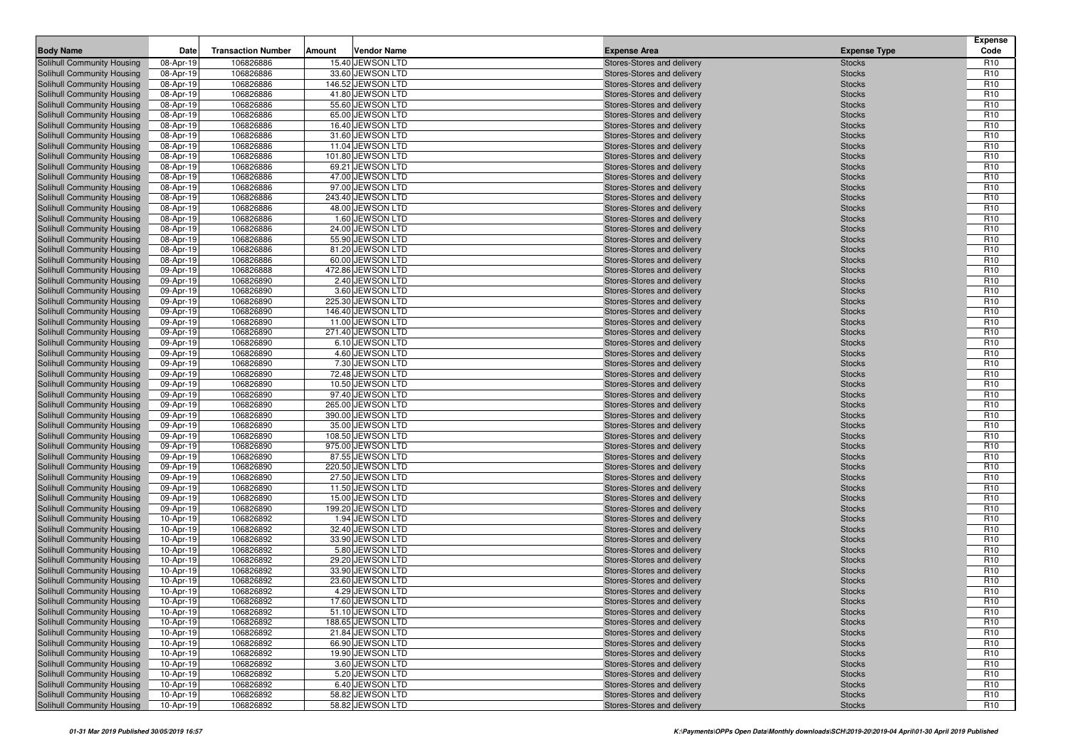| <b>Body Name</b>                                         | Date                   | <b>Transaction Number</b> | Amount | <b>Vendor Name</b>                    | <b>Expense Area</b>                                      | <b>Expense Type</b>            | <b>Expense</b><br>Code             |
|----------------------------------------------------------|------------------------|---------------------------|--------|---------------------------------------|----------------------------------------------------------|--------------------------------|------------------------------------|
| Solihull Community Housing                               | 08-Apr-19              | 106826886                 |        | 15.40 JEWSON LTD                      | Stores-Stores and delivery                               | <b>Stocks</b>                  | R <sub>10</sub>                    |
| Solihull Community Housing                               | 08-Apr-19              | 106826886                 |        | 33.60 JEWSON LTD                      | Stores-Stores and delivery                               | <b>Stocks</b>                  | R <sub>10</sub>                    |
| Solihull Community Housing                               | 08-Apr-19              | 106826886                 |        | 146.52 JEWSON LTD                     | Stores-Stores and delivery                               | <b>Stocks</b>                  | R <sub>10</sub>                    |
| Solihull Community Housing                               | 08-Apr-19              | 106826886                 |        | 41.80 JEWSON LTD                      | Stores-Stores and delivery                               | <b>Stocks</b>                  | R <sub>10</sub>                    |
| Solihull Community Housing                               | 08-Apr-19              | 106826886                 |        | 55.60 JEWSON LTD                      | Stores-Stores and delivery                               | <b>Stocks</b>                  | R <sub>10</sub>                    |
| Solihull Community Housing                               | 08-Apr-19              | 106826886                 |        | 65.00 JEWSON LTD                      | Stores-Stores and delivery                               | <b>Stocks</b>                  | R <sub>10</sub>                    |
| Solihull Community Housing                               | 08-Apr-19              | 106826886                 |        | 16.40 JEWSON LTD                      | Stores-Stores and delivery                               | <b>Stocks</b>                  | R <sub>10</sub>                    |
| Solihull Community Housing                               | 08-Apr-19              | 106826886                 |        | 31.60 JEWSON LTD                      | Stores-Stores and delivery                               | <b>Stocks</b>                  | R <sub>10</sub>                    |
| Solihull Community Housing                               | 08-Apr-19              | 106826886                 |        | 11.04 JEWSON LTD                      | Stores-Stores and delivery                               | <b>Stocks</b>                  | R <sub>10</sub>                    |
| Solihull Community Housing                               | 08-Apr-19              | 106826886                 |        | 101.80 JEWSON LTD                     | Stores-Stores and delivery                               | <b>Stocks</b>                  | R <sub>10</sub>                    |
| Solihull Community Housing                               | 08-Apr-19              | 106826886                 |        | 69.21 JEWSON LTD                      | Stores-Stores and delivery                               | <b>Stocks</b>                  | R <sub>10</sub>                    |
| Solihull Community Housing                               | 08-Apr-19              | 106826886                 |        | 47.00 JEWSON LTD                      | Stores-Stores and delivery                               | <b>Stocks</b>                  | R <sub>10</sub>                    |
| Solihull Community Housing                               | 08-Apr-19              | 106826886                 |        | 97.00 JEWSON LTD                      | Stores-Stores and delivery                               | <b>Stocks</b>                  | R <sub>10</sub>                    |
| Solihull Community Housing                               | 08-Apr-19              | 106826886                 |        | 243.40 JEWSON LTD                     | Stores-Stores and delivery                               | <b>Stocks</b>                  | R <sub>10</sub>                    |
| Solihull Community Housing                               | 08-Apr-19              | 106826886                 |        | 48.00 JEWSON LTD                      | Stores-Stores and delivery                               | <b>Stocks</b>                  | R <sub>10</sub>                    |
| Solihull Community Housing                               | 08-Apr-19              | 106826886                 |        | 1.60 JEWSON LTD                       | Stores-Stores and delivery                               | <b>Stocks</b>                  | R <sub>10</sub>                    |
| Solihull Community Housing                               | 08-Apr-19              | 106826886                 |        | 24.00 JEWSON LTD                      | Stores-Stores and delivery                               | <b>Stocks</b>                  | R <sub>10</sub>                    |
| Solihull Community Housing                               | 08-Apr-19              | 106826886                 |        | 55.90 JEWSON LTD                      | Stores-Stores and delivery                               | <b>Stocks</b>                  | R <sub>10</sub>                    |
| Solihull Community Housing                               | 08-Apr-19              | 106826886                 |        | 81.20 JEWSON LTD                      | Stores-Stores and delivery                               | <b>Stocks</b>                  | R <sub>10</sub>                    |
| Solihull Community Housing                               | 08-Apr-19              | 106826886                 |        | 60.00 JEWSON LTD                      | Stores-Stores and delivery                               | <b>Stocks</b>                  | R <sub>10</sub>                    |
| Solihull Community Housing                               | 09-Apr-19              | 106826888                 |        | 472.86 JEWSON LTD                     | Stores-Stores and delivery                               | <b>Stocks</b>                  | R <sub>10</sub>                    |
| Solihull Community Housing                               | 09-Apr-19              | 106826890                 |        | 2.40 JEWSON LTD                       | Stores-Stores and delivery                               | <b>Stocks</b>                  | R <sub>10</sub>                    |
| Solihull Community Housing                               | 09-Apr-19              | 106826890                 |        | 3.60 JEWSON LTD                       | Stores-Stores and delivery                               | <b>Stocks</b>                  | R <sub>10</sub>                    |
| Solihull Community Housing                               | 09-Apr-19              | 106826890                 |        | 225.30 JEWSON LTD                     | Stores-Stores and delivery                               | <b>Stocks</b>                  | R <sub>10</sub>                    |
| Solihull Community Housing                               | 09-Apr-19              | 106826890                 |        | 146.40 JEWSON LTD                     | Stores-Stores and delivery                               | <b>Stocks</b>                  | R <sub>10</sub>                    |
| Solihull Community Housing                               | 09-Apr-19              | 106826890                 |        | 11.00 JEWSON LTD                      | Stores-Stores and delivery                               | <b>Stocks</b>                  | R <sub>10</sub>                    |
| Solihull Community Housing                               | 09-Apr-19              | 106826890                 |        | 271.40 JEWSON LTD                     | Stores-Stores and delivery                               | <b>Stocks</b>                  | R <sub>10</sub>                    |
| Solihull Community Housing                               | 09-Apr-19              | 106826890                 |        | 6.10 JEWSON LTD                       | Stores-Stores and delivery                               | <b>Stocks</b>                  | R <sub>10</sub>                    |
| Solihull Community Housing                               | 09-Apr-19              | 106826890                 |        | 4.60 JEWSON LTD                       | Stores-Stores and delivery                               | <b>Stocks</b>                  | R <sub>10</sub>                    |
| Solihull Community Housing                               | 09-Apr-19              | 106826890                 |        | 7.30 JEWSON LTD                       | Stores-Stores and delivery                               | <b>Stocks</b>                  | R <sub>10</sub>                    |
| Solihull Community Housing                               | 09-Apr-19              | 106826890                 |        | 72.48 JEWSON LTD                      | Stores-Stores and delivery                               | <b>Stocks</b>                  | R <sub>10</sub>                    |
| Solihull Community Housing                               | 09-Apr-19              | 106826890                 |        | 10.50 JEWSON LTD                      | Stores-Stores and delivery                               | <b>Stocks</b>                  | R <sub>10</sub>                    |
| Solihull Community Housing                               | 09-Apr-19              | 106826890                 |        | 97.40 JEWSON LTD                      | Stores-Stores and delivery                               | <b>Stocks</b>                  | R <sub>10</sub>                    |
| Solihull Community Housing                               | 09-Apr-19              | 106826890                 |        | 265.00 JEWSON LTD                     | Stores-Stores and delivery                               | <b>Stocks</b>                  | R <sub>10</sub>                    |
| Solihull Community Housing                               | 09-Apr-19              | 106826890                 |        | 390.00 JEWSON LTD                     | Stores-Stores and delivery                               | <b>Stocks</b>                  | R <sub>10</sub>                    |
| Solihull Community Housing                               | 09-Apr-19              | 106826890                 |        | 35.00 JEWSON LTD                      | Stores-Stores and delivery                               | <b>Stocks</b>                  | R <sub>10</sub>                    |
| Solihull Community Housing                               | 09-Apr-19              | 106826890                 |        | 108.50 JEWSON LTD                     | Stores-Stores and delivery                               | <b>Stocks</b>                  | R <sub>10</sub>                    |
| Solihull Community Housing                               | 09-Apr-19              | 106826890                 |        | 975.00 JEWSON LTD                     | Stores-Stores and delivery                               | <b>Stocks</b>                  | R <sub>10</sub><br>R <sub>10</sub> |
| Solihull Community Housing                               | 09-Apr-19              | 106826890<br>106826890    |        | 87.55 JEWSON LTD<br>220.50 JEWSON LTD | Stores-Stores and delivery                               | <b>Stocks</b>                  | R <sub>10</sub>                    |
| Solihull Community Housing<br>Solihull Community Housing | 09-Apr-19<br>09-Apr-19 | 106826890                 |        | 27.50 JEWSON LTD                      | Stores-Stores and delivery<br>Stores-Stores and delivery | <b>Stocks</b><br><b>Stocks</b> | R <sub>10</sub>                    |
| Solihull Community Housing                               | 09-Apr-19              | 106826890                 |        | 11.50 JEWSON LTD                      | Stores-Stores and delivery                               | <b>Stocks</b>                  | R <sub>10</sub>                    |
| Solihull Community Housing                               | 09-Apr-19              | 106826890                 |        | 15.00 JEWSON LTD                      | Stores-Stores and delivery                               | <b>Stocks</b>                  | R <sub>10</sub>                    |
| Solihull Community Housing                               | 09-Apr-19              | 106826890                 |        | 199.20 JEWSON LTD                     | Stores-Stores and delivery                               | <b>Stocks</b>                  | R <sub>10</sub>                    |
| Solihull Community Housing                               | 10-Apr-19              | 106826892                 |        | 1.94 JEWSON LTD                       | Stores-Stores and delivery                               | <b>Stocks</b>                  | R <sub>10</sub>                    |
| Solihull Community Housing                               | 10-Apr-19              | 106826892                 |        | 32.40 JEWSON LTD                      | Stores-Stores and delivery                               | <b>Stocks</b>                  | R <sub>10</sub>                    |
| Solihull Community Housing                               | 10-Apr-19              | 106826892                 |        | 33.90 JEWSON LTD                      | Stores-Stores and delivery                               | <b>Stocks</b>                  | R <sub>10</sub>                    |
| Solihull Community Housing                               | 10-Apr-19              | 106826892                 |        | 5.80 JEWSON LTD                       | Stores-Stores and delivery                               | <b>Stocks</b>                  | R <sub>10</sub>                    |
| Solihull Community Housing                               | 10-Apr-19              | 106826892                 |        | 29.20 JEWSON LTD                      | Stores-Stores and delivery                               | <b>Stocks</b>                  | R <sub>10</sub>                    |
| Solihull Community Housing                               | 10-Apr-19              | 106826892                 |        | 33.90 JEWSON LTD                      | Stores-Stores and delivery                               | <b>Stocks</b>                  | R <sub>10</sub>                    |
| Solihull Community Housing                               | 10-Apr-19              | 106826892                 |        | 23.60 JEWSON LTD                      | Stores-Stores and delivery                               | <b>Stocks</b>                  | R <sub>10</sub>                    |
| <b>Solihull Community Housing</b>                        | 10-Apr-19              | 106826892                 |        | 4.29 JEWSON LTD                       | Stores-Stores and delivery                               | <b>Stocks</b>                  | R <sub>10</sub>                    |
| Solihull Community Housing                               | 10-Apr-19              | 106826892                 |        | 17.60 JEWSON LTD                      | Stores-Stores and delivery                               | <b>Stocks</b>                  | R <sub>10</sub>                    |
| Solihull Community Housing                               | 10-Apr-19              | 106826892                 |        | 51.10 JEWSON LTD                      | Stores-Stores and delivery                               | <b>Stocks</b>                  | R <sub>10</sub>                    |
| Solihull Community Housing                               | 10-Apr-19              | 106826892                 |        | 188.65 JEWSON LTD                     | Stores-Stores and delivery                               | <b>Stocks</b>                  | R <sub>10</sub>                    |
| Solihull Community Housing                               | 10-Apr-19              | 106826892                 |        | 21.84 JEWSON LTD                      | Stores-Stores and delivery                               | <b>Stocks</b>                  | R <sub>10</sub>                    |
| Solihull Community Housing                               | 10-Apr-19              | 106826892                 |        | 66.90 JEWSON LTD                      | Stores-Stores and delivery                               | <b>Stocks</b>                  | R <sub>10</sub>                    |
| Solihull Community Housing                               | 10-Apr-19              | 106826892                 |        | 19.90 JEWSON LTD                      | Stores-Stores and delivery                               | <b>Stocks</b>                  | R <sub>10</sub>                    |
| Solihull Community Housing                               | 10-Apr-19              | 106826892                 |        | 3.60 JEWSON LTD                       | Stores-Stores and delivery                               | <b>Stocks</b>                  | R <sub>10</sub>                    |
| Solihull Community Housing                               | 10-Apr-19              | 106826892                 |        | 5.20 JEWSON LTD                       | Stores-Stores and delivery                               | <b>Stocks</b>                  | R <sub>10</sub>                    |
| Solihull Community Housing                               | 10-Apr-19              | 106826892                 |        | 6.40 JEWSON LTD                       | Stores-Stores and delivery                               | <b>Stocks</b>                  | R <sub>10</sub>                    |
| Solihull Community Housing                               | 10-Apr-19              | 106826892                 |        | 58.82 JEWSON LTD                      | Stores-Stores and delivery                               | <b>Stocks</b>                  | R <sub>10</sub>                    |
| Solihull Community Housing                               | 10-Apr-19              | 106826892                 |        | 58.82 JEWSON LTD                      | Stores-Stores and delivery                               | <b>Stocks</b>                  | R <sub>10</sub>                    |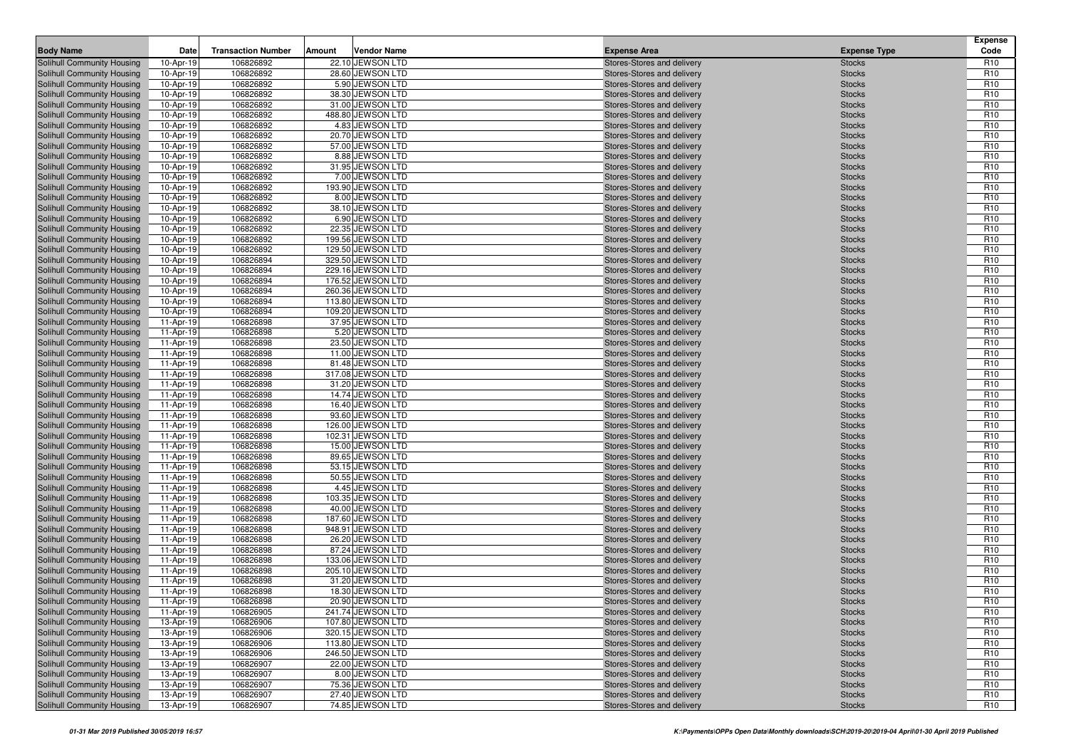| <b>Body Name</b>                                         | Date                   | <b>Transaction Number</b> | Amount | <b>Vendor Name</b>                     | <b>Expense Area</b>                                      | <b>Expense Type</b>            | <b>Expense</b><br>Code             |
|----------------------------------------------------------|------------------------|---------------------------|--------|----------------------------------------|----------------------------------------------------------|--------------------------------|------------------------------------|
| Solihull Community Housing                               | 10-Apr-19              | 106826892                 |        | 22.10 JEWSON LTD                       | Stores-Stores and delivery                               | <b>Stocks</b>                  | R <sub>10</sub>                    |
| Solihull Community Housing                               | 10-Apr-19              | 106826892                 |        | 28.60 JEWSON LTD                       | Stores-Stores and delivery                               | <b>Stocks</b>                  | R <sub>10</sub>                    |
| Solihull Community Housing                               | 10-Apr-19              | 106826892                 |        | 5.90 JEWSON LTD                        | Stores-Stores and delivery                               | <b>Stocks</b>                  | R <sub>10</sub>                    |
| Solihull Community Housing                               | 10-Apr-19              | 106826892                 |        | 38.30 JEWSON LTD                       | Stores-Stores and delivery                               | <b>Stocks</b>                  | R <sub>10</sub>                    |
| Solihull Community Housing                               | 10-Apr-19              | 106826892                 |        | 31.00 JEWSON LTD                       | Stores-Stores and delivery                               | <b>Stocks</b>                  | R <sub>10</sub>                    |
| Solihull Community Housing                               | 10-Apr-19              | 106826892                 |        | 488.80 JEWSON LTD                      | Stores-Stores and delivery                               | <b>Stocks</b>                  | R <sub>10</sub>                    |
| Solihull Community Housing                               | 10-Apr-19              | 106826892                 |        | 4.83 JEWSON LTD                        | Stores-Stores and delivery                               | <b>Stocks</b>                  | R <sub>10</sub>                    |
| Solihull Community Housing                               | 10-Apr-19              | 106826892                 |        | 20.70 JEWSON LTD                       | Stores-Stores and delivery                               | <b>Stocks</b>                  | R <sub>10</sub>                    |
| Solihull Community Housing                               | 10-Apr-19              | 106826892                 |        | 57.00 JEWSON LTD                       | Stores-Stores and delivery                               | <b>Stocks</b>                  | R <sub>10</sub>                    |
| Solihull Community Housing                               | 10-Apr-19              | 106826892                 |        | 8.88 JEWSON LTD                        | Stores-Stores and delivery                               | <b>Stocks</b>                  | R <sub>10</sub>                    |
| Solihull Community Housing                               | 10-Apr-19              | 106826892                 |        | 31.95 JEWSON LTD                       | Stores-Stores and delivery                               | <b>Stocks</b>                  | R <sub>10</sub>                    |
| Solihull Community Housing                               | 10-Apr-19              | 106826892                 |        | 7.00 JEWSON LTD                        | Stores-Stores and delivery                               | <b>Stocks</b>                  | R <sub>10</sub>                    |
| Solihull Community Housing                               | 10-Apr-19              | 106826892                 |        | 193.90 JEWSON LTD                      | Stores-Stores and delivery                               | <b>Stocks</b>                  | R <sub>10</sub>                    |
| Solihull Community Housing                               | 10-Apr-19              | 106826892                 |        | 8.00 JEWSON LTD                        | Stores-Stores and delivery                               | <b>Stocks</b>                  | R <sub>10</sub>                    |
| Solihull Community Housing                               | 10-Apr-19              | 106826892                 |        | 38.10 JEWSON LTD                       | Stores-Stores and delivery                               | <b>Stocks</b>                  | R <sub>10</sub>                    |
| Solihull Community Housing                               | 10-Apr-19              | 106826892                 |        | 6.90 JEWSON LTD                        | Stores-Stores and delivery                               | <b>Stocks</b>                  | R <sub>10</sub>                    |
| Solihull Community Housing                               | 10-Apr-19              | 106826892                 |        | 22.35 JEWSON LTD                       | Stores-Stores and delivery                               | <b>Stocks</b>                  | R <sub>10</sub><br>R <sub>10</sub> |
| Solihull Community Housing                               | 10-Apr-19              | 106826892                 |        | 199.56 JEWSON LTD                      | Stores-Stores and delivery                               | <b>Stocks</b>                  | R <sub>10</sub>                    |
| Solihull Community Housing<br>Solihull Community Housing | 10-Apr-19<br>10-Apr-19 | 106826892<br>106826894    |        | 129.50 JEWSON LTD<br>329.50 JEWSON LTD | Stores-Stores and delivery<br>Stores-Stores and delivery | <b>Stocks</b><br><b>Stocks</b> | R <sub>10</sub>                    |
| Solihull Community Housing                               | 10-Apr-19              | 106826894                 |        | 229.16 JEWSON LTD                      | Stores-Stores and delivery                               | <b>Stocks</b>                  | R <sub>10</sub>                    |
| Solihull Community Housing                               | 10-Apr-19              | 106826894                 |        | 176.52 JEWSON LTD                      | Stores-Stores and delivery                               | <b>Stocks</b>                  | R <sub>10</sub>                    |
| Solihull Community Housing                               | 10-Apr-19              | 106826894                 |        | 260.36 JEWSON LTD                      | Stores-Stores and delivery                               | <b>Stocks</b>                  | R <sub>10</sub>                    |
| Solihull Community Housing                               | 10-Apr-19              | 106826894                 |        | 113.80 JEWSON LTD                      | Stores-Stores and delivery                               | <b>Stocks</b>                  | R <sub>10</sub>                    |
| Solihull Community Housing                               | 10-Apr-19              | 106826894                 |        | 109.20 JEWSON LTD                      | Stores-Stores and delivery                               | <b>Stocks</b>                  | R <sub>10</sub>                    |
| Solihull Community Housing                               | 11-Apr-19              | 106826898                 |        | 37.95 JEWSON LTD                       | Stores-Stores and delivery                               | <b>Stocks</b>                  | R <sub>10</sub>                    |
| Solihull Community Housing                               | 11-Apr-19              | 106826898                 |        | 5.20 JEWSON LTD                        | Stores-Stores and delivery                               | <b>Stocks</b>                  | R <sub>10</sub>                    |
| Solihull Community Housing                               | 11-Apr-19              | 106826898                 |        | 23.50 JEWSON LTD                       | Stores-Stores and delivery                               | <b>Stocks</b>                  | R <sub>10</sub>                    |
| Solihull Community Housing                               | 11-Apr-19              | 106826898                 |        | 11.00 JEWSON LTD                       | Stores-Stores and delivery                               | <b>Stocks</b>                  | R <sub>10</sub>                    |
| Solihull Community Housing                               | 11-Apr-19              | 106826898                 |        | 81.48 JEWSON LTD                       | Stores-Stores and delivery                               | <b>Stocks</b>                  | R <sub>10</sub>                    |
| Solihull Community Housing                               | 11-Apr-19              | 106826898                 |        | 317.08 JEWSON LTD                      | Stores-Stores and delivery                               | <b>Stocks</b>                  | R <sub>10</sub>                    |
| Solihull Community Housing                               | 11-Apr-19              | 106826898                 |        | 31.20 JEWSON LTD                       | Stores-Stores and delivery                               | <b>Stocks</b>                  | R <sub>10</sub>                    |
| Solihull Community Housing                               | 11-Apr-19              | 106826898                 |        | 14.74 JEWSON LTD                       | Stores-Stores and delivery                               | <b>Stocks</b>                  | R <sub>10</sub>                    |
| Solihull Community Housing                               | 11-Apr-19              | 106826898                 |        | 16.40 JEWSON LTD                       | Stores-Stores and delivery                               | <b>Stocks</b>                  | R <sub>10</sub>                    |
| Solihull Community Housing                               | 11-Apr-19              | 106826898                 |        | 93.60 JEWSON LTD                       | Stores-Stores and delivery                               | <b>Stocks</b>                  | R <sub>10</sub>                    |
| Solihull Community Housing                               | 11-Apr-19              | 106826898                 |        | 126.00 JEWSON LTD                      | Stores-Stores and delivery                               | <b>Stocks</b>                  | R <sub>10</sub>                    |
| Solihull Community Housing                               | 11-Apr-19              | 106826898                 |        | 102.31 JEWSON LTD                      | Stores-Stores and delivery                               | <b>Stocks</b>                  | R <sub>10</sub>                    |
| Solihull Community Housing                               | 11-Apr-19              | 106826898                 |        | 15.00 JEWSON LTD                       | Stores-Stores and delivery                               | <b>Stocks</b>                  | R <sub>10</sub>                    |
| Solihull Community Housing                               | 11-Apr-19              | 106826898                 |        | 89.65 JEWSON LTD                       | Stores-Stores and delivery                               | <b>Stocks</b>                  | R <sub>10</sub>                    |
| Solihull Community Housing                               | 11-Apr-19              | 106826898                 |        | 53.15 JEWSON LTD                       | Stores-Stores and delivery                               | <b>Stocks</b>                  | R <sub>10</sub>                    |
| Solihull Community Housing                               | 11-Apr-19              | 106826898                 |        | 50.55 JEWSON LTD                       | Stores-Stores and delivery                               | <b>Stocks</b>                  | R <sub>10</sub>                    |
| Solihull Community Housing                               | 11-Apr-19              | 106826898                 |        | 4.45 JEWSON LTD                        | Stores-Stores and delivery                               | <b>Stocks</b>                  | R <sub>10</sub><br>R <sub>10</sub> |
| Solihull Community Housing                               | 11-Apr-19              | 106826898                 |        | 103.35 JEWSON LTD<br>40.00 JEWSON LTD  | Stores-Stores and delivery                               | <b>Stocks</b>                  | R <sub>10</sub>                    |
| Solihull Community Housing<br>Solihull Community Housing | 11-Apr-19<br>11-Apr-19 | 106826898<br>106826898    |        | 187.60 JEWSON LTD                      | Stores-Stores and delivery<br>Stores-Stores and delivery | <b>Stocks</b><br><b>Stocks</b> | R <sub>10</sub>                    |
| Solihull Community Housing                               | 11-Apr-19              | 106826898                 |        | 948.91 JEWSON LTD                      | Stores-Stores and delivery                               | <b>Stocks</b>                  | R <sub>10</sub>                    |
| Solihull Community Housing                               | 11-Apr-19              | 106826898                 |        | 26.20 JEWSON LTD                       | Stores-Stores and delivery                               | <b>Stocks</b>                  | R <sub>10</sub>                    |
| Solihull Community Housing                               | 11-Apr-19              | 106826898                 |        | 87.24 JEWSON LTD                       | Stores-Stores and delivery                               | <b>Stocks</b>                  | R <sub>10</sub>                    |
| Solihull Community Housing                               | 11-Apr-19              | 106826898                 |        | 133.06 JEWSON LTD                      | Stores-Stores and delivery                               | <b>Stocks</b>                  | R <sub>10</sub>                    |
| Solihull Community Housing                               | 11-Apr-19              | 106826898                 |        | 205.10 JEWSON LTD                      | Stores-Stores and delivery                               | <b>Stocks</b>                  | R <sub>10</sub>                    |
| Solihull Community Housing                               | 11-Apr-19              | 106826898                 |        | 31.20 JEWSON LTD                       | Stores-Stores and delivery                               | <b>Stocks</b>                  | R <sub>10</sub>                    |
| <b>Solihull Community Housing</b>                        | 11-Apr-19              | 106826898                 |        | 18.30 JEWSON LTD                       | Stores-Stores and delivery                               | <b>Stocks</b>                  | R <sub>10</sub>                    |
| Solihull Community Housing                               | 11-Apr-19              | 106826898                 |        | 20.90 JEWSON LTD                       | Stores-Stores and delivery                               | <b>Stocks</b>                  | R <sub>10</sub>                    |
| Solihull Community Housing                               | 11-Apr-19              | 106826905                 |        | 241.74 JEWSON LTD                      | Stores-Stores and delivery                               | <b>Stocks</b>                  | R <sub>10</sub>                    |
| Solihull Community Housing                               | 13-Apr-19              | 106826906                 |        | 107.80 JEWSON LTD                      | Stores-Stores and delivery                               | <b>Stocks</b>                  | R <sub>10</sub>                    |
| Solihull Community Housing                               | 13-Apr-19              | 106826906                 |        | 320.15 JEWSON LTD                      | Stores-Stores and delivery                               | <b>Stocks</b>                  | R <sub>10</sub>                    |
| Solihull Community Housing                               | 13-Apr-19              | 106826906                 |        | 113.80 JEWSON LTD                      | Stores-Stores and delivery                               | <b>Stocks</b>                  | R <sub>10</sub>                    |
| Solihull Community Housing                               | 13-Apr-19              | 106826906                 |        | 246.50 JEWSON LTD                      | Stores-Stores and delivery                               | <b>Stocks</b>                  | R <sub>10</sub>                    |
| Solihull Community Housing                               | 13-Apr-19              | 106826907                 |        | 22.00 JEWSON LTD                       | Stores-Stores and delivery                               | <b>Stocks</b>                  | R <sub>10</sub>                    |
| Solihull Community Housing                               | 13-Apr-19              | 106826907                 |        | 8.00 JEWSON LTD                        | Stores-Stores and delivery                               | <b>Stocks</b>                  | R <sub>10</sub>                    |
| Solihull Community Housing                               | 13-Apr-19              | 106826907                 |        | 75.36 JEWSON LTD                       | Stores-Stores and delivery                               | <b>Stocks</b>                  | R <sub>10</sub>                    |
| Solihull Community Housing                               | 13-Apr-19              | 106826907                 |        | 27.40 JEWSON LTD                       | Stores-Stores and delivery                               | <b>Stocks</b>                  | R <sub>10</sub>                    |
| Solihull Community Housing                               | 13-Apr-19              | 106826907                 |        | 74.85 JEWSON LTD                       | Stores-Stores and delivery                               | <b>Stocks</b>                  | R <sub>10</sub>                    |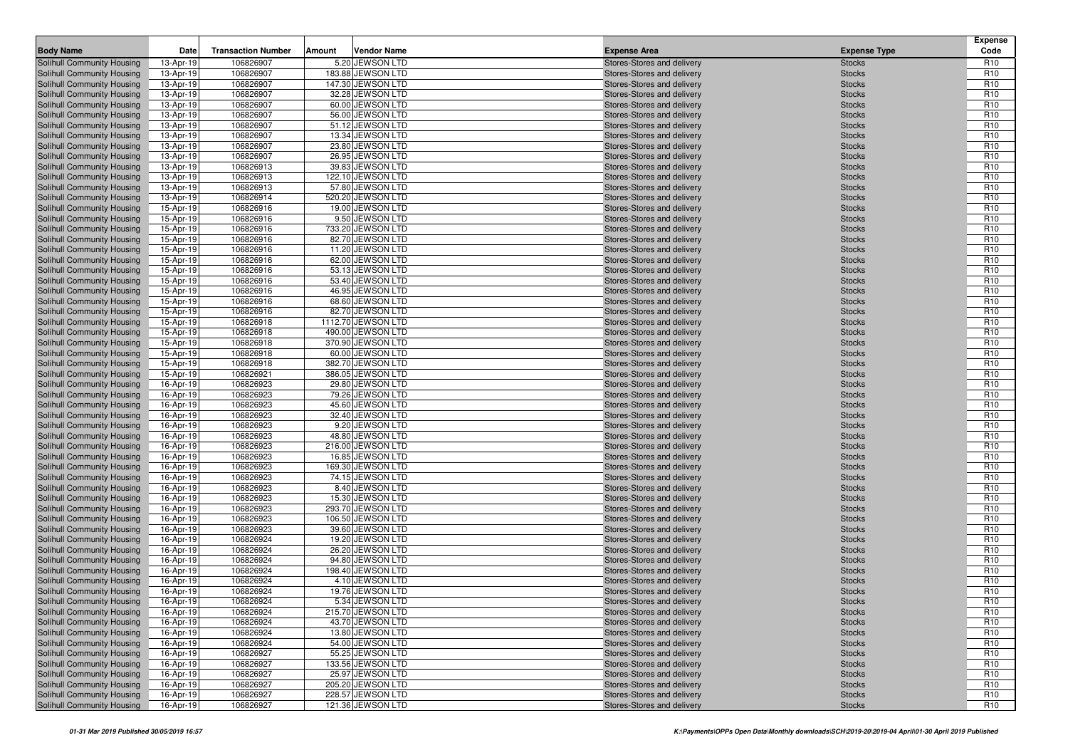| <b>Body Name</b>                                         | Date                   | <b>Transaction Number</b> | Amount | <b>Vendor Name</b>                   | <b>Expense Area</b>                                      | <b>Expense Type</b>            | <b>Expense</b><br>Code             |
|----------------------------------------------------------|------------------------|---------------------------|--------|--------------------------------------|----------------------------------------------------------|--------------------------------|------------------------------------|
| Solihull Community Housing                               | 13-Apr-19              | 106826907                 |        | 5.20 JEWSON LTD                      | Stores-Stores and delivery                               | <b>Stocks</b>                  | R <sub>10</sub>                    |
| Solihull Community Housing                               | 13-Apr-19              | 106826907                 |        | 183.88 JEWSON LTD                    | Stores-Stores and delivery                               | <b>Stocks</b>                  | R <sub>10</sub>                    |
| Solihull Community Housing                               | 13-Apr-19              | 106826907                 |        | 147.30 JEWSON LTD                    | Stores-Stores and delivery                               | <b>Stocks</b>                  | R <sub>10</sub>                    |
| Solihull Community Housing                               | 13-Apr-19              | 106826907                 |        | 32.28 JEWSON LTD                     | Stores-Stores and delivery                               | <b>Stocks</b>                  | R <sub>10</sub>                    |
| Solihull Community Housing                               | 13-Apr-19              | 106826907                 |        | 60.00 JEWSON LTD                     | Stores-Stores and delivery                               | <b>Stocks</b>                  | R <sub>10</sub>                    |
| Solihull Community Housing                               | 13-Apr-19              | 106826907                 |        | 56.00 JEWSON LTD                     | Stores-Stores and delivery                               | <b>Stocks</b>                  | R <sub>10</sub>                    |
| Solihull Community Housing                               | 13-Apr-19              | 106826907                 |        | 51.12 JEWSON LTD                     | Stores-Stores and delivery                               | <b>Stocks</b>                  | R <sub>10</sub>                    |
| Solihull Community Housing                               | 13-Apr-19              | 106826907                 |        | 13.34 JEWSON LTD                     | Stores-Stores and delivery                               | <b>Stocks</b>                  | R <sub>10</sub>                    |
| Solihull Community Housing                               | 13-Apr-19              | 106826907                 |        | 23.80 JEWSON LTD                     | Stores-Stores and delivery                               | <b>Stocks</b>                  | R <sub>10</sub>                    |
| Solihull Community Housing                               | 13-Apr-19              | 106826907                 |        | 26.95 JEWSON LTD                     | Stores-Stores and delivery                               | <b>Stocks</b>                  | R <sub>10</sub>                    |
| Solihull Community Housing                               | 13-Apr-19              | 106826913                 |        | 39.83 JEWSON LTD                     | Stores-Stores and delivery                               | <b>Stocks</b>                  | R <sub>10</sub>                    |
| Solihull Community Housing                               | 13-Apr-19              | 106826913                 |        | 122.10 JEWSON LTD                    | Stores-Stores and delivery                               | <b>Stocks</b>                  | R <sub>10</sub>                    |
| Solihull Community Housing                               | 13-Apr-19              | 106826913                 |        | 57.80 JEWSON LTD                     | Stores-Stores and delivery                               | <b>Stocks</b>                  | R <sub>10</sub>                    |
| Solihull Community Housing                               | 13-Apr-19              | 106826914                 |        | 520.20 JEWSON LTD                    | Stores-Stores and delivery                               | <b>Stocks</b>                  | R <sub>10</sub>                    |
| Solihull Community Housing                               | 15-Apr-19              | 106826916                 |        | 19.00 JEWSON LTD                     | Stores-Stores and delivery                               | <b>Stocks</b>                  | R <sub>10</sub>                    |
| Solihull Community Housing                               | 15-Apr-19              | 106826916                 |        | 9.50 JEWSON LTD                      | Stores-Stores and delivery                               | <b>Stocks</b>                  | R <sub>10</sub>                    |
| Solihull Community Housing                               | 15-Apr-19              | 106826916                 |        | 733.20 JEWSON LTD                    | Stores-Stores and delivery                               | <b>Stocks</b>                  | R <sub>10</sub>                    |
| Solihull Community Housing                               | 15-Apr-19              | 106826916                 |        | 82.70 JEWSON LTD                     | Stores-Stores and delivery                               | <b>Stocks</b>                  | R <sub>10</sub>                    |
| Solihull Community Housing                               | 15-Apr-19              | 106826916                 |        | 11.20 JEWSON LTD                     | Stores-Stores and delivery                               | <b>Stocks</b>                  | R <sub>10</sub>                    |
| Solihull Community Housing                               | 15-Apr-19              | 106826916                 |        | 62.00 JEWSON LTD                     | Stores-Stores and delivery                               | <b>Stocks</b>                  | R <sub>10</sub>                    |
| Solihull Community Housing                               | 15-Apr-19              | 106826916                 |        | 53.13 JEWSON LTD                     | Stores-Stores and delivery                               | <b>Stocks</b>                  | R <sub>10</sub>                    |
| Solihull Community Housing                               | 15-Apr-19              | 106826916                 |        | 53.40 JEWSON LTD                     | Stores-Stores and delivery                               | <b>Stocks</b>                  | R <sub>10</sub>                    |
| Solihull Community Housing                               | 15-Apr-19              | 106826916                 |        | 46.95 JEWSON LTD                     | Stores-Stores and delivery                               | <b>Stocks</b>                  | R <sub>10</sub>                    |
| Solihull Community Housing                               | 15-Apr-19              | 106826916                 |        | 68.60 JEWSON LTD                     | Stores-Stores and delivery                               | <b>Stocks</b>                  | R <sub>10</sub>                    |
| Solihull Community Housing                               | 15-Apr-19              | 106826916                 |        | 82.70 JEWSON LTD                     | Stores-Stores and delivery                               | <b>Stocks</b>                  | R <sub>10</sub>                    |
| Solihull Community Housing                               | 15-Apr-19              | 106826918                 |        | 1112.70 JEWSON LTD                   | Stores-Stores and delivery                               | <b>Stocks</b>                  | R <sub>10</sub>                    |
| Solihull Community Housing                               | 15-Apr-19              | 106826918                 |        | 490.00 JEWSON LTD                    | Stores-Stores and delivery                               | <b>Stocks</b>                  | R <sub>10</sub>                    |
| Solihull Community Housing                               | 15-Apr-19              | 106826918                 |        | 370.90 JEWSON LTD                    | Stores-Stores and delivery                               | <b>Stocks</b>                  | R <sub>10</sub>                    |
| Solihull Community Housing                               | 15-Apr-19              | 106826918                 |        | 60.00 JEWSON LTD                     | Stores-Stores and delivery                               | <b>Stocks</b>                  | R <sub>10</sub>                    |
| Solihull Community Housing                               | 15-Apr-19              | 106826918                 |        | 382.70 JEWSON LTD                    | Stores-Stores and delivery                               | <b>Stocks</b>                  | R <sub>10</sub>                    |
| Solihull Community Housing                               | 15-Apr-19              | 106826921                 |        | 386.05 JEWSON LTD                    | Stores-Stores and delivery                               | <b>Stocks</b>                  | R <sub>10</sub>                    |
| Solihull Community Housing                               | 16-Apr-19              | 106826923                 |        | 29.80 JEWSON LTD                     | Stores-Stores and delivery                               | <b>Stocks</b>                  | R <sub>10</sub>                    |
| Solihull Community Housing                               | 16-Apr-19              | 106826923<br>106826923    |        | 79.26 JEWSON LTD<br>45.60 JEWSON LTD | Stores-Stores and delivery                               | <b>Stocks</b>                  | R <sub>10</sub><br>R <sub>10</sub> |
| Solihull Community Housing<br>Solihull Community Housing | 16-Apr-19<br>16-Apr-19 | 106826923                 |        | 32.40 JEWSON LTD                     | Stores-Stores and delivery<br>Stores-Stores and delivery | <b>Stocks</b><br><b>Stocks</b> | R <sub>10</sub>                    |
| Solihull Community Housing                               | 16-Apr-19              | 106826923                 |        | 9.20 JEWSON LTD                      | Stores-Stores and delivery                               | <b>Stocks</b>                  | R <sub>10</sub>                    |
| Solihull Community Housing                               | 16-Apr-19              | 106826923                 |        | 48.80 JEWSON LTD                     | Stores-Stores and delivery                               | <b>Stocks</b>                  | R <sub>10</sub>                    |
| Solihull Community Housing                               | 16-Apr-19              | 106826923                 |        | 216.00 JEWSON LTD                    | Stores-Stores and delivery                               | <b>Stocks</b>                  | R <sub>10</sub>                    |
| Solihull Community Housing                               | 16-Apr-19              | 106826923                 |        | 16.85 JEWSON LTD                     | Stores-Stores and delivery                               | <b>Stocks</b>                  | R <sub>10</sub>                    |
| Solihull Community Housing                               | 16-Apr-19              | 106826923                 |        | 169.30 JEWSON LTD                    | Stores-Stores and delivery                               | <b>Stocks</b>                  | R <sub>10</sub>                    |
| Solihull Community Housing                               | 16-Apr-19              | 106826923                 |        | 74.15 JEWSON LTD                     | Stores-Stores and delivery                               | <b>Stocks</b>                  | R <sub>10</sub>                    |
| Solihull Community Housing                               | 16-Apr-19              | 106826923                 |        | 8.40 JEWSON LTD                      | Stores-Stores and delivery                               | <b>Stocks</b>                  | R <sub>10</sub>                    |
| Solihull Community Housing                               | 16-Apr-19              | 106826923                 |        | 15.30 JEWSON LTD                     | Stores-Stores and delivery                               | <b>Stocks</b>                  | R <sub>10</sub>                    |
| Solihull Community Housing                               | 16-Apr-19              | 106826923                 |        | 293.70 JEWSON LTD                    | Stores-Stores and delivery                               | <b>Stocks</b>                  | R <sub>10</sub>                    |
| Solihull Community Housing                               | 16-Apr-19              | 106826923                 |        | 106.50 JEWSON LTD                    | Stores-Stores and delivery                               | <b>Stocks</b>                  | R <sub>10</sub>                    |
| Solihull Community Housing                               | 16-Apr-19              | 106826923                 |        | 39.60 JEWSON LTD                     | Stores-Stores and delivery                               | <b>Stocks</b>                  | R <sub>10</sub>                    |
| Solihull Community Housing                               | 16-Apr-19              | 106826924                 |        | 19.20 JEWSON LTD                     | Stores-Stores and delivery                               | <b>Stocks</b>                  | R <sub>10</sub>                    |
| Solihull Community Housing                               | 16-Apr-19              | 106826924                 |        | 26.20 JEWSON LTD                     | Stores-Stores and delivery                               | <b>Stocks</b>                  | R <sub>10</sub>                    |
| Solihull Community Housing                               | 16-Apr-19              | 106826924                 |        | 94.80 JEWSON LTD                     | Stores-Stores and delivery                               | <b>Stocks</b>                  | R <sub>10</sub>                    |
| Solihull Community Housing                               | 16-Apr-19              | 106826924                 |        | 198.40 JEWSON LTD                    | Stores-Stores and delivery                               | <b>Stocks</b>                  | R <sub>10</sub>                    |
| Solihull Community Housing                               | 16-Apr-19              | 106826924                 |        | 4.10 JEWSON LTD                      | Stores-Stores and delivery                               | <b>Stocks</b>                  | R <sub>10</sub>                    |
| <b>Solihull Community Housing</b>                        | 16-Apr-19              | 106826924                 |        | 19.76 JEWSON LTD                     | Stores-Stores and delivery                               | <b>Stocks</b>                  | R <sub>10</sub>                    |
| Solihull Community Housing                               | 16-Apr-19              | 106826924                 |        | 5.34 JEWSON LTD                      | Stores-Stores and delivery                               | <b>Stocks</b>                  | R <sub>10</sub>                    |
| Solihull Community Housing                               | 16-Apr-19              | 106826924                 |        | 215.70 JEWSON LTD                    | Stores-Stores and delivery                               | <b>Stocks</b>                  | R <sub>10</sub>                    |
| Solihull Community Housing                               | 16-Apr-19              | 106826924                 |        | 43.70 JEWSON LTD                     | Stores-Stores and delivery                               | <b>Stocks</b>                  | R <sub>10</sub>                    |
| Solihull Community Housing                               | 16-Apr-19              | 106826924                 |        | 13.80 JEWSON LTD                     | Stores-Stores and delivery                               | <b>Stocks</b>                  | R <sub>10</sub>                    |
| Solihull Community Housing                               | 16-Apr-19              | 106826924                 |        | 54.00 JEWSON LTD                     | Stores-Stores and delivery                               | <b>Stocks</b>                  | R <sub>10</sub>                    |
| Solihull Community Housing                               | 16-Apr-19              | 106826927                 |        | 55.25 JEWSON LTD                     | Stores-Stores and delivery                               | <b>Stocks</b>                  | R <sub>10</sub>                    |
| Solihull Community Housing                               | 16-Apr-19              | 106826927                 |        | 133.56 JEWSON LTD                    | Stores-Stores and delivery                               | <b>Stocks</b>                  | R <sub>10</sub>                    |
| Solihull Community Housing                               | 16-Apr-19              | 106826927                 |        | 25.97 JEWSON LTD                     | Stores-Stores and delivery                               | <b>Stocks</b>                  | R <sub>10</sub>                    |
| Solihull Community Housing                               | 16-Apr-19              | 106826927                 |        | 205.20 JEWSON LTD                    | Stores-Stores and delivery                               | <b>Stocks</b>                  | R <sub>10</sub>                    |
| Solihull Community Housing                               | 16-Apr-19              | 106826927                 |        | 228.57 JEWSON LTD                    | Stores-Stores and delivery                               | <b>Stocks</b>                  | R <sub>10</sub>                    |
| Solihull Community Housing                               | 16-Apr-19              | 106826927                 |        | 121.36 JEWSON LTD                    | Stores-Stores and delivery                               | <b>Stocks</b>                  | R <sub>10</sub>                    |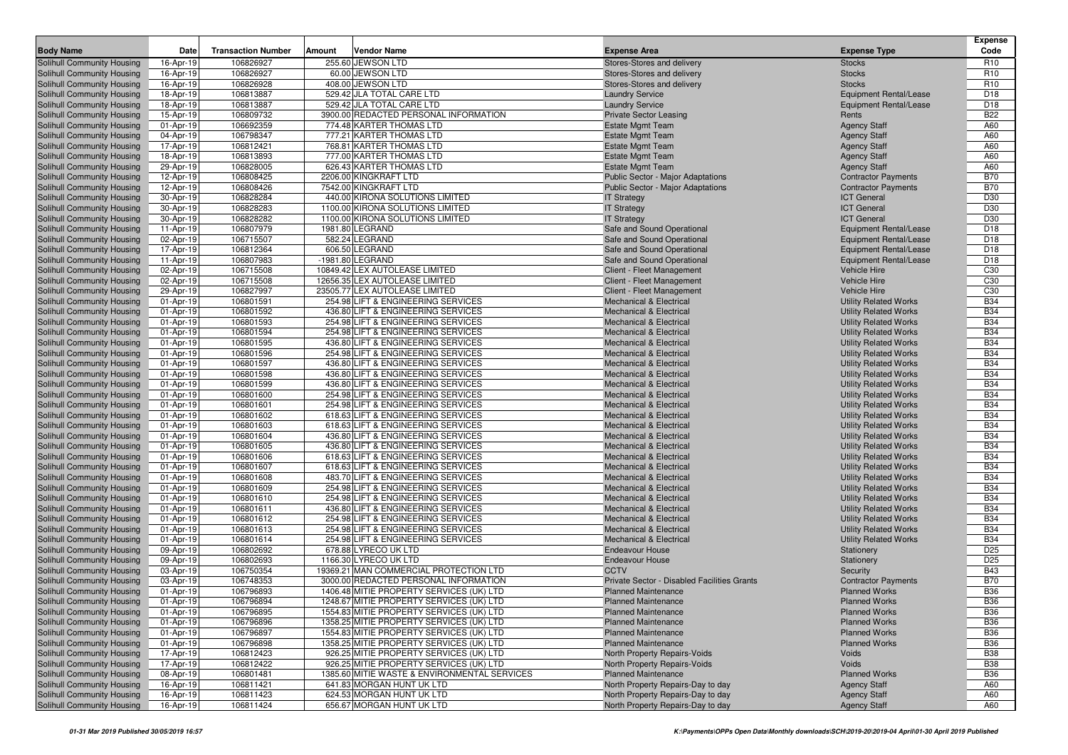| <b>Body Name</b><br><b>Transaction Number</b><br><b>Amount</b><br>Vendor Name<br>Code<br>Date<br><b>Expense Area</b><br><b>Expense Type</b><br>106826927<br>255.60 JEWSON LTD<br>Solihull Community Housing<br>16-Apr-19<br>Stores-Stores and delivery<br><b>Stocks</b><br>R <sub>10</sub><br>106826927<br>60.00 JEWSON LTD<br>R <sub>10</sub><br>16-Apr-19<br>Stores-Stores and delivery<br><b>Stocks</b><br>106826928<br>408.00 JEWSON LTD<br><b>Stocks</b><br>R <sub>10</sub><br>16-Apr-19<br>Stores-Stores and delivery<br>106813887<br>529.42 JLA TOTAL CARE LTD<br><b>Equipment Rental/Lease</b><br>D <sub>18</sub><br>18-Apr-19<br><b>Laundry Service</b><br>106813887<br>529.42 JLA TOTAL CARE LTD<br>D <sub>18</sub><br>18-Apr-19<br><b>Laundry Service</b><br><b>Equipment Rental/Lease</b><br>106809732<br>3900.00 REDACTED PERSONAL INFORMATION<br><b>B22</b><br>Solihull Community Housing<br>15-Apr-19<br><b>Private Sector Leasing</b><br>Rents<br>106692359<br>774.48 KARTER THOMAS LTD<br><b>Estate Mgmt Team</b><br>A60<br>01-Apr-19<br><b>Agency Staff</b><br>777.21 KARTER THOMAS LTD<br>106798347<br>A60<br>Solihull Community Housing<br>04-Apr-19<br><b>Estate Mgmt Team</b><br><b>Agency Staff</b><br>768.81 KARTER THOMAS LTD<br>Solihull Community Housing<br>17-Apr-19<br>106812421<br><b>Estate Mgmt Team</b><br><b>Agency Staff</b><br>A60<br>106813893<br>777.00 KARTER THOMAS LTD<br>A60<br>Solihull Community Housing<br>18-Apr-19<br><b>Estate Mgmt Team</b><br><b>Agency Staff</b><br>106828005<br>626.43 KARTER THOMAS LTD<br>A60<br>Solihull Community Housing<br>29-Apr-19<br><b>Estate Mgmt Team</b><br><b>Agency Staff</b><br>106808425<br>2206.00 KINGKRAFT LTD<br><b>B70</b><br>Solihull Community Housing<br>12-Apr-19<br><b>Public Sector - Major Adaptations</b><br><b>Contractor Payments</b><br>7542.00 KINGKRAFT LTD<br><b>B70</b><br>Solihull Community Housing<br>12-Apr-19<br>106808426<br>Public Sector - Major Adaptations<br><b>Contractor Payments</b><br>106828284<br>440.00 KIRONA SOLUTIONS LIMITED<br><b>ICT General</b><br>D30<br>Solihull Community Housing<br>30-Apr-19<br><b>IT Strategy</b><br>106828283<br>1100.00 KIRONA SOLUTIONS LIMITED<br><b>ICT General</b><br>D30<br>Solihull Community Housing<br>30-Apr-19<br><b>IT Strategy</b><br>106828282<br>1100.00 KIRONA SOLUTIONS LIMITED<br><b>ICT General</b><br>D30<br>Solihull Community Housing<br>30-Apr-19<br><b>IT Strategy</b><br>1981.80 LEGRAND<br>D <sub>18</sub><br>Solihull Community Housing<br>11-Apr-19<br>106807979<br>Safe and Sound Operational<br><b>Equipment Rental/Lease</b><br>106715507<br>582.24 LEGRAND<br>Safe and Sound Operational<br>D <sub>18</sub><br>Solihull Community Housing<br>02-Apr-19<br><b>Equipment Rental/Lease</b><br>606.50 LEGRAND<br>106812364<br>D <sub>18</sub><br>Solihull Community Housing<br>17-Apr-19<br>Safe and Sound Operational<br><b>Equipment Rental/Lease</b><br>106807983<br>-1981.80 LEGRAND<br>D <sub>18</sub><br>Solihull Community Housing<br>11-Apr-19<br>Safe and Sound Operational<br><b>Equipment Rental/Lease</b><br>Solihull Community Housing<br>106715508<br>10849.42 LEX AUTOLEASE LIMITED<br>Vehicle Hire<br>C <sub>30</sub><br>02-Apr-19<br>Client - Fleet Management<br>12656.35 LEX AUTOLEASE LIMITED<br>C <sub>30</sub><br>Solihull Community Housing<br>02-Apr-19<br>106715508<br>Client - Fleet Management<br><b>Vehicle Hire</b><br>106827997<br>23505.77 LEX AUTOLEASE LIMITED<br><b>Vehicle Hire</b><br>C <sub>30</sub><br>Solihull Community Housing<br>29-Apr-19<br>Client - Fleet Management<br><b>B34</b><br>254.98 LIFT & ENGINEERING SERVICES<br>Solihull Community Housing<br>01-Apr-19<br>106801591<br><b>Mechanical &amp; Electrical</b><br><b>Utility Related Works</b><br><b>Solihull Community Housing</b><br>106801592<br>436.80 LIFT & ENGINEERING SERVICES<br><b>Mechanical &amp; Electrical</b><br><b>B34</b><br>01-Apr-19<br><b>Utility Related Works</b><br>106801593<br><b>B34</b><br>Solihull Community Housing<br>01-Apr-19<br>254.98 LIFT & ENGINEERING SERVICES<br><b>Mechanical &amp; Electrical</b><br><b>Utility Related Works</b><br>106801594<br>254.98 LIFT & ENGINEERING SERVICES<br><b>B34</b><br>Solihull Community Housing<br>01-Apr-19<br><b>Mechanical &amp; Electrical</b><br><b>Utility Related Works</b><br>106801595<br>436.80 LIFT & ENGINEERING SERVICES<br><b>B34</b><br>Solihull Community Housing<br>01-Apr-19<br><b>Mechanical &amp; Electrical</b><br><b>Utility Related Works</b><br>106801596<br>254.98 LIFT & ENGINEERING SERVICES<br><b>B34</b><br>Solihull Community Housing<br>01-Apr-19<br><b>Mechanical &amp; Electrical</b><br><b>Utility Related Works</b><br>106801597<br>436.80 LIFT & ENGINEERING SERVICES<br><b>B34</b><br>Solihull Community Housing<br>01-Apr-19<br><b>Mechanical &amp; Electrical</b><br><b>Utility Related Works</b><br>106801598<br>436.80 LIFT & ENGINEERING SERVICES<br><b>B34</b><br>Solihull Community Housing<br>01-Apr-19<br>Mechanical & Electrical<br><b>Utility Related Works</b><br>106801599<br>436.80 LIFT & ENGINEERING SERVICES<br><b>B34</b><br>Solihull Community Housing<br>01-Apr-19<br><b>Mechanical &amp; Electrical</b><br><b>Utility Related Works</b><br>254.98 LIFT & ENGINEERING SERVICES<br><b>B34</b><br>Solihull Community Housing<br>01-Apr-19<br>106801600<br><b>Mechanical &amp; Electrical</b><br><b>Utility Related Works</b><br>254.98 LIFT & ENGINEERING SERVICES<br><b>B34</b><br>Solihull Community Housing<br>01-Apr-19<br>106801601<br><b>Mechanical &amp; Electrical</b><br><b>Utility Related Works</b><br>618.63 LIFT & ENGINEERING SERVICES<br><b>B34</b><br>Solihull Community Housing<br>01-Apr-19<br>106801602<br><b>Mechanical &amp; Electrical</b><br><b>Utility Related Works</b><br>106801603<br>618.63 LIFT & ENGINEERING SERVICES<br><b>B34</b><br>Solihull Community Housing<br>01-Apr-19<br><b>Mechanical &amp; Electrical</b><br><b>Utility Related Works</b><br>106801604<br>436.80 LIFT & ENGINEERING SERVICES<br><b>B34</b><br>Solihull Community Housing<br>01-Apr-19<br><b>Mechanical &amp; Electrical</b><br><b>Utility Related Works</b><br>Solihull Community Housing<br>106801605<br>436.80 LIFT & ENGINEERING SERVICES<br><b>Utility Related Works</b><br><b>B34</b><br>01-Apr-19<br><b>Mechanical &amp; Electrical</b><br><b>B34</b><br>Solihull Community Housing<br>01-Apr-19<br>106801606<br>618.63 LIFT & ENGINEERING SERVICES<br><b>Mechanical &amp; Electrical</b><br><b>Utility Related Works</b><br><b>B34</b><br>Solihull Community Housing<br>01-Apr-19<br>106801607<br>618.63 LIFT & ENGINEERING SERVICES<br>Mechanical & Electrical<br><b>Utility Related Works</b><br>106801608<br>483.70 LIFT & ENGINEERING SERVICES<br><b>Utility Related Works</b><br><b>B34</b><br>Solihull Community Housing<br>01-Apr-19<br><b>Mechanical &amp; Electrical</b><br>254.98 LIFT & ENGINEERING SERVICES<br><b>B34</b><br>Solihull Community Housing<br>01-Apr-19<br>106801609<br><b>Mechanical &amp; Electrical</b><br><b>Utility Related Works</b><br><b>B34</b><br>Solihull Community Housing<br>01-Apr-19<br>106801610<br>254.98 LIFT & ENGINEERING SERVICES<br><b>Mechanical &amp; Electrical</b><br><b>Utility Related Works</b><br>106801611<br>436.80 LIFT & ENGINEERING SERVICES<br><b>B34</b><br>Solihull Community Housing<br>01-Apr-19<br><b>Mechanical &amp; Electrical</b><br><b>Utility Related Works</b><br>106801612<br>254.98 LIFT & ENGINEERING SERVICES<br><b>Utility Related Works</b><br><b>B34</b><br>Solihull Community Housing<br>01-Apr-19<br><b>Mechanical &amp; Electrical</b><br>Solihull Community Housing<br>254.98 LIFT & ENGINEERING SERVICES<br><b>B34</b><br>01-Apr-19<br>106801613<br><b>Mechanical &amp; Electrical</b><br><b>Utility Related Works</b><br>254.98 LIFT & ENGINEERING SERVICES<br><b>B34</b><br>Solihull Community Housing<br>01-Apr-19<br>106801614<br><b>Mechanical &amp; Electrical</b><br><b>Utility Related Works</b><br>106802692<br>678.88 LYRECO UK LTD<br>D <sub>25</sub><br>Solihull Community Housing<br>09-Apr-19<br><b>Endeavour House</b><br>Stationery<br>D <sub>25</sub><br>106802693<br>1166.30 LYRECO UK LTD<br>Solihull Community Housing<br>09-Apr-19<br><b>Endeavour House</b><br>Stationery<br>Solihull Community Housing<br>106750354<br>19369.21 MAN COMMERCIAL PROTECTION LTD<br><b>CCTV</b><br><b>B43</b><br>03-Apr-19<br>Security<br>106748353<br>3000.00 REDACTED PERSONAL INFORMATION<br><b>B70</b><br><b>Solihull Community Housing</b><br>03-Apr-19<br>Private Sector - Disabled Facilities Grants<br><b>Contractor Payments</b><br>Solihull Community Housing<br>106796893<br>1406.48 MITIE PROPERTY SERVICES (UK) LTD<br><b>B36</b><br>01-Apr-19<br><b>Planned Maintenance</b><br><b>Planned Works</b><br>1248.67 MITIE PROPERTY SERVICES (UK) LTD<br><b>B36</b><br>Solihull Community Housing<br>01-Apr-19<br>106796894<br><b>Planned Maintenance</b><br><b>Planned Works</b><br><b>B36</b><br><b>Solihull Community Housing</b><br>01-Apr-19<br>106796895<br>1554.83 MITIE PROPERTY SERVICES (UK) LTD<br><b>Planned Maintenance</b><br><b>Planned Works</b><br>Solihull Community Housing<br>01-Apr-19<br>106796896<br>1358.25 MITIE PROPERTY SERVICES (UK) LTD<br><b>Planned Maintenance</b><br><b>Planned Works</b><br><b>B36</b><br>Solihull Community Housing<br>106796897<br><b>Planned Maintenance</b><br><b>B36</b><br>01-Apr-19<br>1554.83 MITIE PROPERTY SERVICES (UK) LTD<br><b>Planned Works</b><br>Solihull Community Housing<br>106796898<br>1358.25 MITIE PROPERTY SERVICES (UK) LTD<br><b>Planned Maintenance</b><br><b>Planned Works</b><br><b>B36</b><br>01-Apr-19<br>106812423<br>926.25 MITIE PROPERTY SERVICES (UK) LTD<br>North Property Repairs-Voids<br><b>B38</b><br>17-Apr-19<br>Voids<br>17-Apr-19<br>106812422<br>926.25 MITIE PROPERTY SERVICES (UK) LTD<br>North Property Repairs-Voids<br><b>B38</b><br>Voids<br>1385.60 MITIE WASTE & ENVIRONMENTAL SERVICES<br><b>Planned Maintenance</b><br><b>Planned Works</b><br><b>B36</b><br>08-Apr-19<br>106801481<br>16-Apr-19<br>106811421<br>641.83 MORGAN HUNT UK LTD<br>North Property Repairs-Day to day<br><b>Agency Staff</b><br>A60<br>624.53 MORGAN HUNT UK LTD<br>16-Apr-19<br>106811423<br>North Property Repairs-Day to day<br><b>Agency Staff</b><br>A60<br>656.67 MORGAN HUNT UK LTD<br>16-Apr-19<br>106811424<br>North Property Repairs-Day to day<br><b>Agency Staff</b><br>A60 |                            |  |  | <b>Expense</b> |
|--------------------------------------------------------------------------------------------------------------------------------------------------------------------------------------------------------------------------------------------------------------------------------------------------------------------------------------------------------------------------------------------------------------------------------------------------------------------------------------------------------------------------------------------------------------------------------------------------------------------------------------------------------------------------------------------------------------------------------------------------------------------------------------------------------------------------------------------------------------------------------------------------------------------------------------------------------------------------------------------------------------------------------------------------------------------------------------------------------------------------------------------------------------------------------------------------------------------------------------------------------------------------------------------------------------------------------------------------------------------------------------------------------------------------------------------------------------------------------------------------------------------------------------------------------------------------------------------------------------------------------------------------------------------------------------------------------------------------------------------------------------------------------------------------------------------------------------------------------------------------------------------------------------------------------------------------------------------------------------------------------------------------------------------------------------------------------------------------------------------------------------------------------------------------------------------------------------------------------------------------------------------------------------------------------------------------------------------------------------------------------------------------------------------------------------------------------------------------------------------------------------------------------------------------------------------------------------------------------------------------------------------------------------------------------------------------------------------------------------------------------------------------------------------------------------------------------------------------------------------------------------------------------------------------------------------------------------------------------------------------------------------------------------------------------------------------------------------------------------------------------------------------------------------------------------------------------------------------------------------------------------------------------------------------------------------------------------------------------------------------------------------------------------------------------------------------------------------------------------------------------------------------------------------------------------------------------------------------------------------------------------------------------------------------------------------------------------------------------------------------------------------------------------------------------------------------------------------------------------------------------------------------------------------------------------------------------------------------------------------------------------------------------------------------------------------------------------------------------------------------------------------------------------------------------------------------------------------------------------------------------------------------------------------------------------------------------------------------------------------------------------------------------------------------------------------------------------------------------------------------------------------------------------------------------------------------------------------------------------------------------------------------------------------------------------------------------------------------------------------------------------------------------------------------------------------------------------------------------------------------------------------------------------------------------------------------------------------------------------------------------------------------------------------------------------------------------------------------------------------------------------------------------------------------------------------------------------------------------------------------------------------------------------------------------------------------------------------------------------------------------------------------------------------------------------------------------------------------------------------------------------------------------------------------------------------------------------------------------------------------------------------------------------------------------------------------------------------------------------------------------------------------------------------------------------------------------------------------------------------------------------------------------------------------------------------------------------------------------------------------------------------------------------------------------------------------------------------------------------------------------------------------------------------------------------------------------------------------------------------------------------------------------------------------------------------------------------------------------------------------------------------------------------------------------------------------------------------------------------------------------------------------------------------------------------------------------------------------------------------------------------------------------------------------------------------------------------------------------------------------------------------------------------------------------------------------------------------------------------------------------------------------------------------------------------------------------------------------------------------------------------------------------------------------------------------------------------------------------------------------------------------------------------------------------------------------------------------------------------------------------------------------------------------------------------------------------------------------------------------------------------------------------------------------------------------------------------------------------------------------------------------------------------------------------------------------------------------------------------------------------------------------------------------------------------------------------------------------------------------------------------------------------------------------------------------------------------------------------------------------------------------------------------------------------------------------------------------------------------------------------------------------------------------------------------------------------------------------------------------------------------------------------------------------------------------------------------------------------------------------------------------------------------------------------------------------------------------------------------------------------------------------------------------------------------------------------------------------------------------------------------------------------------------------------------------------------------------------------------------------------------------------------------------------------------------------------------------------------------------------------------------------------------------------------------------------------------------------------------------------------------------------------------------------------------------------------------------------------------------------------------------------------------------------------------------------------------------------------------------------------------------------------------------------------------------------------------------------------------------------------------------------------------------------------------------------------------------------------------------------------------------------------------------------------------------------------------------------------------------------------------------------------------------------------------------------------------------------------------------------------------------------------------------------------------------------------------------------------------------------------------------------------------------------------------------------------------------------------------------------------------------------------------------------------------------------------------------------------------------------------------------------------------------------------------------------------------------------------------------------------------------------------------------------------------------------------------------------------------------------------------------------------------------------------------------------------------------------------------------------------------------------------------------------------------------------------------------------------------------------------------------------|----------------------------|--|--|----------------|
|                                                                                                                                                                                                                                                                                                                                                                                                                                                                                                                                                                                                                                                                                                                                                                                                                                                                                                                                                                                                                                                                                                                                                                                                                                                                                                                                                                                                                                                                                                                                                                                                                                                                                                                                                                                                                                                                                                                                                                                                                                                                                                                                                                                                                                                                                                                                                                                                                                                                                                                                                                                                                                                                                                                                                                                                                                                                                                                                                                                                                                                                                                                                                                                                                                                                                                                                                                                                                                                                                                                                                                                                                                                                                                                                                                                                                                                                                                                                                                                                                                                                                                                                                                                                                                                                                                                                                                                                                                                                                                                                                                                                                                                                                                                                                                                                                                                                                                                                                                                                                                                                                                                                                                                                                                                                                                                                                                                                                                                                                                                                                                                                                                                                                                                                                                                                                                                                                                                                                                                                                                                                                                                                                                                                                                                                                                                                                                                                                                                                                                                                                                                                                                                                                                                                                                                                                                                                                                                                                                                                                                                                                                                                                                                                                                                                                                                                                                                                                                                                                                                                                                                                                                                                                                                                                                                                                                                                                                                                                                                                                                                                                                                                                                                                                                                                                                                                                                                                                                                                                                                                                                                                                                                                                                                                                                                                                                                                                                                                                                                                                                                                                                                                                                                                                                                                                                                                                                                                                                                                                                                                                                                                                                                                                                                                                                                                                                                                                                                                                                                                                                                                                                                                                                                                                                                                                                                                                                                                                                                                                                                          |                            |  |  |                |
|                                                                                                                                                                                                                                                                                                                                                                                                                                                                                                                                                                                                                                                                                                                                                                                                                                                                                                                                                                                                                                                                                                                                                                                                                                                                                                                                                                                                                                                                                                                                                                                                                                                                                                                                                                                                                                                                                                                                                                                                                                                                                                                                                                                                                                                                                                                                                                                                                                                                                                                                                                                                                                                                                                                                                                                                                                                                                                                                                                                                                                                                                                                                                                                                                                                                                                                                                                                                                                                                                                                                                                                                                                                                                                                                                                                                                                                                                                                                                                                                                                                                                                                                                                                                                                                                                                                                                                                                                                                                                                                                                                                                                                                                                                                                                                                                                                                                                                                                                                                                                                                                                                                                                                                                                                                                                                                                                                                                                                                                                                                                                                                                                                                                                                                                                                                                                                                                                                                                                                                                                                                                                                                                                                                                                                                                                                                                                                                                                                                                                                                                                                                                                                                                                                                                                                                                                                                                                                                                                                                                                                                                                                                                                                                                                                                                                                                                                                                                                                                                                                                                                                                                                                                                                                                                                                                                                                                                                                                                                                                                                                                                                                                                                                                                                                                                                                                                                                                                                                                                                                                                                                                                                                                                                                                                                                                                                                                                                                                                                                                                                                                                                                                                                                                                                                                                                                                                                                                                                                                                                                                                                                                                                                                                                                                                                                                                                                                                                                                                                                                                                                                                                                                                                                                                                                                                                                                                                                                                                                                                                                                          |                            |  |  |                |
|                                                                                                                                                                                                                                                                                                                                                                                                                                                                                                                                                                                                                                                                                                                                                                                                                                                                                                                                                                                                                                                                                                                                                                                                                                                                                                                                                                                                                                                                                                                                                                                                                                                                                                                                                                                                                                                                                                                                                                                                                                                                                                                                                                                                                                                                                                                                                                                                                                                                                                                                                                                                                                                                                                                                                                                                                                                                                                                                                                                                                                                                                                                                                                                                                                                                                                                                                                                                                                                                                                                                                                                                                                                                                                                                                                                                                                                                                                                                                                                                                                                                                                                                                                                                                                                                                                                                                                                                                                                                                                                                                                                                                                                                                                                                                                                                                                                                                                                                                                                                                                                                                                                                                                                                                                                                                                                                                                                                                                                                                                                                                                                                                                                                                                                                                                                                                                                                                                                                                                                                                                                                                                                                                                                                                                                                                                                                                                                                                                                                                                                                                                                                                                                                                                                                                                                                                                                                                                                                                                                                                                                                                                                                                                                                                                                                                                                                                                                                                                                                                                                                                                                                                                                                                                                                                                                                                                                                                                                                                                                                                                                                                                                                                                                                                                                                                                                                                                                                                                                                                                                                                                                                                                                                                                                                                                                                                                                                                                                                                                                                                                                                                                                                                                                                                                                                                                                                                                                                                                                                                                                                                                                                                                                                                                                                                                                                                                                                                                                                                                                                                                                                                                                                                                                                                                                                                                                                                                                                                                                                                                                          | Solihull Community Housing |  |  |                |
|                                                                                                                                                                                                                                                                                                                                                                                                                                                                                                                                                                                                                                                                                                                                                                                                                                                                                                                                                                                                                                                                                                                                                                                                                                                                                                                                                                                                                                                                                                                                                                                                                                                                                                                                                                                                                                                                                                                                                                                                                                                                                                                                                                                                                                                                                                                                                                                                                                                                                                                                                                                                                                                                                                                                                                                                                                                                                                                                                                                                                                                                                                                                                                                                                                                                                                                                                                                                                                                                                                                                                                                                                                                                                                                                                                                                                                                                                                                                                                                                                                                                                                                                                                                                                                                                                                                                                                                                                                                                                                                                                                                                                                                                                                                                                                                                                                                                                                                                                                                                                                                                                                                                                                                                                                                                                                                                                                                                                                                                                                                                                                                                                                                                                                                                                                                                                                                                                                                                                                                                                                                                                                                                                                                                                                                                                                                                                                                                                                                                                                                                                                                                                                                                                                                                                                                                                                                                                                                                                                                                                                                                                                                                                                                                                                                                                                                                                                                                                                                                                                                                                                                                                                                                                                                                                                                                                                                                                                                                                                                                                                                                                                                                                                                                                                                                                                                                                                                                                                                                                                                                                                                                                                                                                                                                                                                                                                                                                                                                                                                                                                                                                                                                                                                                                                                                                                                                                                                                                                                                                                                                                                                                                                                                                                                                                                                                                                                                                                                                                                                                                                                                                                                                                                                                                                                                                                                                                                                                                                                                                                                          | Solihull Community Housing |  |  |                |
|                                                                                                                                                                                                                                                                                                                                                                                                                                                                                                                                                                                                                                                                                                                                                                                                                                                                                                                                                                                                                                                                                                                                                                                                                                                                                                                                                                                                                                                                                                                                                                                                                                                                                                                                                                                                                                                                                                                                                                                                                                                                                                                                                                                                                                                                                                                                                                                                                                                                                                                                                                                                                                                                                                                                                                                                                                                                                                                                                                                                                                                                                                                                                                                                                                                                                                                                                                                                                                                                                                                                                                                                                                                                                                                                                                                                                                                                                                                                                                                                                                                                                                                                                                                                                                                                                                                                                                                                                                                                                                                                                                                                                                                                                                                                                                                                                                                                                                                                                                                                                                                                                                                                                                                                                                                                                                                                                                                                                                                                                                                                                                                                                                                                                                                                                                                                                                                                                                                                                                                                                                                                                                                                                                                                                                                                                                                                                                                                                                                                                                                                                                                                                                                                                                                                                                                                                                                                                                                                                                                                                                                                                                                                                                                                                                                                                                                                                                                                                                                                                                                                                                                                                                                                                                                                                                                                                                                                                                                                                                                                                                                                                                                                                                                                                                                                                                                                                                                                                                                                                                                                                                                                                                                                                                                                                                                                                                                                                                                                                                                                                                                                                                                                                                                                                                                                                                                                                                                                                                                                                                                                                                                                                                                                                                                                                                                                                                                                                                                                                                                                                                                                                                                                                                                                                                                                                                                                                                                                                                                                                                                          | Solihull Community Housing |  |  |                |
|                                                                                                                                                                                                                                                                                                                                                                                                                                                                                                                                                                                                                                                                                                                                                                                                                                                                                                                                                                                                                                                                                                                                                                                                                                                                                                                                                                                                                                                                                                                                                                                                                                                                                                                                                                                                                                                                                                                                                                                                                                                                                                                                                                                                                                                                                                                                                                                                                                                                                                                                                                                                                                                                                                                                                                                                                                                                                                                                                                                                                                                                                                                                                                                                                                                                                                                                                                                                                                                                                                                                                                                                                                                                                                                                                                                                                                                                                                                                                                                                                                                                                                                                                                                                                                                                                                                                                                                                                                                                                                                                                                                                                                                                                                                                                                                                                                                                                                                                                                                                                                                                                                                                                                                                                                                                                                                                                                                                                                                                                                                                                                                                                                                                                                                                                                                                                                                                                                                                                                                                                                                                                                                                                                                                                                                                                                                                                                                                                                                                                                                                                                                                                                                                                                                                                                                                                                                                                                                                                                                                                                                                                                                                                                                                                                                                                                                                                                                                                                                                                                                                                                                                                                                                                                                                                                                                                                                                                                                                                                                                                                                                                                                                                                                                                                                                                                                                                                                                                                                                                                                                                                                                                                                                                                                                                                                                                                                                                                                                                                                                                                                                                                                                                                                                                                                                                                                                                                                                                                                                                                                                                                                                                                                                                                                                                                                                                                                                                                                                                                                                                                                                                                                                                                                                                                                                                                                                                                                                                                                                                                                          | Solihull Community Housing |  |  |                |
|                                                                                                                                                                                                                                                                                                                                                                                                                                                                                                                                                                                                                                                                                                                                                                                                                                                                                                                                                                                                                                                                                                                                                                                                                                                                                                                                                                                                                                                                                                                                                                                                                                                                                                                                                                                                                                                                                                                                                                                                                                                                                                                                                                                                                                                                                                                                                                                                                                                                                                                                                                                                                                                                                                                                                                                                                                                                                                                                                                                                                                                                                                                                                                                                                                                                                                                                                                                                                                                                                                                                                                                                                                                                                                                                                                                                                                                                                                                                                                                                                                                                                                                                                                                                                                                                                                                                                                                                                                                                                                                                                                                                                                                                                                                                                                                                                                                                                                                                                                                                                                                                                                                                                                                                                                                                                                                                                                                                                                                                                                                                                                                                                                                                                                                                                                                                                                                                                                                                                                                                                                                                                                                                                                                                                                                                                                                                                                                                                                                                                                                                                                                                                                                                                                                                                                                                                                                                                                                                                                                                                                                                                                                                                                                                                                                                                                                                                                                                                                                                                                                                                                                                                                                                                                                                                                                                                                                                                                                                                                                                                                                                                                                                                                                                                                                                                                                                                                                                                                                                                                                                                                                                                                                                                                                                                                                                                                                                                                                                                                                                                                                                                                                                                                                                                                                                                                                                                                                                                                                                                                                                                                                                                                                                                                                                                                                                                                                                                                                                                                                                                                                                                                                                                                                                                                                                                                                                                                                                                                                                                                                          |                            |  |  |                |
|                                                                                                                                                                                                                                                                                                                                                                                                                                                                                                                                                                                                                                                                                                                                                                                                                                                                                                                                                                                                                                                                                                                                                                                                                                                                                                                                                                                                                                                                                                                                                                                                                                                                                                                                                                                                                                                                                                                                                                                                                                                                                                                                                                                                                                                                                                                                                                                                                                                                                                                                                                                                                                                                                                                                                                                                                                                                                                                                                                                                                                                                                                                                                                                                                                                                                                                                                                                                                                                                                                                                                                                                                                                                                                                                                                                                                                                                                                                                                                                                                                                                                                                                                                                                                                                                                                                                                                                                                                                                                                                                                                                                                                                                                                                                                                                                                                                                                                                                                                                                                                                                                                                                                                                                                                                                                                                                                                                                                                                                                                                                                                                                                                                                                                                                                                                                                                                                                                                                                                                                                                                                                                                                                                                                                                                                                                                                                                                                                                                                                                                                                                                                                                                                                                                                                                                                                                                                                                                                                                                                                                                                                                                                                                                                                                                                                                                                                                                                                                                                                                                                                                                                                                                                                                                                                                                                                                                                                                                                                                                                                                                                                                                                                                                                                                                                                                                                                                                                                                                                                                                                                                                                                                                                                                                                                                                                                                                                                                                                                                                                                                                                                                                                                                                                                                                                                                                                                                                                                                                                                                                                                                                                                                                                                                                                                                                                                                                                                                                                                                                                                                                                                                                                                                                                                                                                                                                                                                                                                                                                                                                          | Solihull Community Housing |  |  |                |
|                                                                                                                                                                                                                                                                                                                                                                                                                                                                                                                                                                                                                                                                                                                                                                                                                                                                                                                                                                                                                                                                                                                                                                                                                                                                                                                                                                                                                                                                                                                                                                                                                                                                                                                                                                                                                                                                                                                                                                                                                                                                                                                                                                                                                                                                                                                                                                                                                                                                                                                                                                                                                                                                                                                                                                                                                                                                                                                                                                                                                                                                                                                                                                                                                                                                                                                                                                                                                                                                                                                                                                                                                                                                                                                                                                                                                                                                                                                                                                                                                                                                                                                                                                                                                                                                                                                                                                                                                                                                                                                                                                                                                                                                                                                                                                                                                                                                                                                                                                                                                                                                                                                                                                                                                                                                                                                                                                                                                                                                                                                                                                                                                                                                                                                                                                                                                                                                                                                                                                                                                                                                                                                                                                                                                                                                                                                                                                                                                                                                                                                                                                                                                                                                                                                                                                                                                                                                                                                                                                                                                                                                                                                                                                                                                                                                                                                                                                                                                                                                                                                                                                                                                                                                                                                                                                                                                                                                                                                                                                                                                                                                                                                                                                                                                                                                                                                                                                                                                                                                                                                                                                                                                                                                                                                                                                                                                                                                                                                                                                                                                                                                                                                                                                                                                                                                                                                                                                                                                                                                                                                                                                                                                                                                                                                                                                                                                                                                                                                                                                                                                                                                                                                                                                                                                                                                                                                                                                                                                                                                                                                          |                            |  |  |                |
|                                                                                                                                                                                                                                                                                                                                                                                                                                                                                                                                                                                                                                                                                                                                                                                                                                                                                                                                                                                                                                                                                                                                                                                                                                                                                                                                                                                                                                                                                                                                                                                                                                                                                                                                                                                                                                                                                                                                                                                                                                                                                                                                                                                                                                                                                                                                                                                                                                                                                                                                                                                                                                                                                                                                                                                                                                                                                                                                                                                                                                                                                                                                                                                                                                                                                                                                                                                                                                                                                                                                                                                                                                                                                                                                                                                                                                                                                                                                                                                                                                                                                                                                                                                                                                                                                                                                                                                                                                                                                                                                                                                                                                                                                                                                                                                                                                                                                                                                                                                                                                                                                                                                                                                                                                                                                                                                                                                                                                                                                                                                                                                                                                                                                                                                                                                                                                                                                                                                                                                                                                                                                                                                                                                                                                                                                                                                                                                                                                                                                                                                                                                                                                                                                                                                                                                                                                                                                                                                                                                                                                                                                                                                                                                                                                                                                                                                                                                                                                                                                                                                                                                                                                                                                                                                                                                                                                                                                                                                                                                                                                                                                                                                                                                                                                                                                                                                                                                                                                                                                                                                                                                                                                                                                                                                                                                                                                                                                                                                                                                                                                                                                                                                                                                                                                                                                                                                                                                                                                                                                                                                                                                                                                                                                                                                                                                                                                                                                                                                                                                                                                                                                                                                                                                                                                                                                                                                                                                                                                                                                                                          |                            |  |  |                |
|                                                                                                                                                                                                                                                                                                                                                                                                                                                                                                                                                                                                                                                                                                                                                                                                                                                                                                                                                                                                                                                                                                                                                                                                                                                                                                                                                                                                                                                                                                                                                                                                                                                                                                                                                                                                                                                                                                                                                                                                                                                                                                                                                                                                                                                                                                                                                                                                                                                                                                                                                                                                                                                                                                                                                                                                                                                                                                                                                                                                                                                                                                                                                                                                                                                                                                                                                                                                                                                                                                                                                                                                                                                                                                                                                                                                                                                                                                                                                                                                                                                                                                                                                                                                                                                                                                                                                                                                                                                                                                                                                                                                                                                                                                                                                                                                                                                                                                                                                                                                                                                                                                                                                                                                                                                                                                                                                                                                                                                                                                                                                                                                                                                                                                                                                                                                                                                                                                                                                                                                                                                                                                                                                                                                                                                                                                                                                                                                                                                                                                                                                                                                                                                                                                                                                                                                                                                                                                                                                                                                                                                                                                                                                                                                                                                                                                                                                                                                                                                                                                                                                                                                                                                                                                                                                                                                                                                                                                                                                                                                                                                                                                                                                                                                                                                                                                                                                                                                                                                                                                                                                                                                                                                                                                                                                                                                                                                                                                                                                                                                                                                                                                                                                                                                                                                                                                                                                                                                                                                                                                                                                                                                                                                                                                                                                                                                                                                                                                                                                                                                                                                                                                                                                                                                                                                                                                                                                                                                                                                                                                                          |                            |  |  |                |
|                                                                                                                                                                                                                                                                                                                                                                                                                                                                                                                                                                                                                                                                                                                                                                                                                                                                                                                                                                                                                                                                                                                                                                                                                                                                                                                                                                                                                                                                                                                                                                                                                                                                                                                                                                                                                                                                                                                                                                                                                                                                                                                                                                                                                                                                                                                                                                                                                                                                                                                                                                                                                                                                                                                                                                                                                                                                                                                                                                                                                                                                                                                                                                                                                                                                                                                                                                                                                                                                                                                                                                                                                                                                                                                                                                                                                                                                                                                                                                                                                                                                                                                                                                                                                                                                                                                                                                                                                                                                                                                                                                                                                                                                                                                                                                                                                                                                                                                                                                                                                                                                                                                                                                                                                                                                                                                                                                                                                                                                                                                                                                                                                                                                                                                                                                                                                                                                                                                                                                                                                                                                                                                                                                                                                                                                                                                                                                                                                                                                                                                                                                                                                                                                                                                                                                                                                                                                                                                                                                                                                                                                                                                                                                                                                                                                                                                                                                                                                                                                                                                                                                                                                                                                                                                                                                                                                                                                                                                                                                                                                                                                                                                                                                                                                                                                                                                                                                                                                                                                                                                                                                                                                                                                                                                                                                                                                                                                                                                                                                                                                                                                                                                                                                                                                                                                                                                                                                                                                                                                                                                                                                                                                                                                                                                                                                                                                                                                                                                                                                                                                                                                                                                                                                                                                                                                                                                                                                                                                                                                                                                          |                            |  |  |                |
|                                                                                                                                                                                                                                                                                                                                                                                                                                                                                                                                                                                                                                                                                                                                                                                                                                                                                                                                                                                                                                                                                                                                                                                                                                                                                                                                                                                                                                                                                                                                                                                                                                                                                                                                                                                                                                                                                                                                                                                                                                                                                                                                                                                                                                                                                                                                                                                                                                                                                                                                                                                                                                                                                                                                                                                                                                                                                                                                                                                                                                                                                                                                                                                                                                                                                                                                                                                                                                                                                                                                                                                                                                                                                                                                                                                                                                                                                                                                                                                                                                                                                                                                                                                                                                                                                                                                                                                                                                                                                                                                                                                                                                                                                                                                                                                                                                                                                                                                                                                                                                                                                                                                                                                                                                                                                                                                                                                                                                                                                                                                                                                                                                                                                                                                                                                                                                                                                                                                                                                                                                                                                                                                                                                                                                                                                                                                                                                                                                                                                                                                                                                                                                                                                                                                                                                                                                                                                                                                                                                                                                                                                                                                                                                                                                                                                                                                                                                                                                                                                                                                                                                                                                                                                                                                                                                                                                                                                                                                                                                                                                                                                                                                                                                                                                                                                                                                                                                                                                                                                                                                                                                                                                                                                                                                                                                                                                                                                                                                                                                                                                                                                                                                                                                                                                                                                                                                                                                                                                                                                                                                                                                                                                                                                                                                                                                                                                                                                                                                                                                                                                                                                                                                                                                                                                                                                                                                                                                                                                                                                                                          |                            |  |  |                |
|                                                                                                                                                                                                                                                                                                                                                                                                                                                                                                                                                                                                                                                                                                                                                                                                                                                                                                                                                                                                                                                                                                                                                                                                                                                                                                                                                                                                                                                                                                                                                                                                                                                                                                                                                                                                                                                                                                                                                                                                                                                                                                                                                                                                                                                                                                                                                                                                                                                                                                                                                                                                                                                                                                                                                                                                                                                                                                                                                                                                                                                                                                                                                                                                                                                                                                                                                                                                                                                                                                                                                                                                                                                                                                                                                                                                                                                                                                                                                                                                                                                                                                                                                                                                                                                                                                                                                                                                                                                                                                                                                                                                                                                                                                                                                                                                                                                                                                                                                                                                                                                                                                                                                                                                                                                                                                                                                                                                                                                                                                                                                                                                                                                                                                                                                                                                                                                                                                                                                                                                                                                                                                                                                                                                                                                                                                                                                                                                                                                                                                                                                                                                                                                                                                                                                                                                                                                                                                                                                                                                                                                                                                                                                                                                                                                                                                                                                                                                                                                                                                                                                                                                                                                                                                                                                                                                                                                                                                                                                                                                                                                                                                                                                                                                                                                                                                                                                                                                                                                                                                                                                                                                                                                                                                                                                                                                                                                                                                                                                                                                                                                                                                                                                                                                                                                                                                                                                                                                                                                                                                                                                                                                                                                                                                                                                                                                                                                                                                                                                                                                                                                                                                                                                                                                                                                                                                                                                                                                                                                                                                                          |                            |  |  |                |
|                                                                                                                                                                                                                                                                                                                                                                                                                                                                                                                                                                                                                                                                                                                                                                                                                                                                                                                                                                                                                                                                                                                                                                                                                                                                                                                                                                                                                                                                                                                                                                                                                                                                                                                                                                                                                                                                                                                                                                                                                                                                                                                                                                                                                                                                                                                                                                                                                                                                                                                                                                                                                                                                                                                                                                                                                                                                                                                                                                                                                                                                                                                                                                                                                                                                                                                                                                                                                                                                                                                                                                                                                                                                                                                                                                                                                                                                                                                                                                                                                                                                                                                                                                                                                                                                                                                                                                                                                                                                                                                                                                                                                                                                                                                                                                                                                                                                                                                                                                                                                                                                                                                                                                                                                                                                                                                                                                                                                                                                                                                                                                                                                                                                                                                                                                                                                                                                                                                                                                                                                                                                                                                                                                                                                                                                                                                                                                                                                                                                                                                                                                                                                                                                                                                                                                                                                                                                                                                                                                                                                                                                                                                                                                                                                                                                                                                                                                                                                                                                                                                                                                                                                                                                                                                                                                                                                                                                                                                                                                                                                                                                                                                                                                                                                                                                                                                                                                                                                                                                                                                                                                                                                                                                                                                                                                                                                                                                                                                                                                                                                                                                                                                                                                                                                                                                                                                                                                                                                                                                                                                                                                                                                                                                                                                                                                                                                                                                                                                                                                                                                                                                                                                                                                                                                                                                                                                                                                                                                                                                                                                          |                            |  |  |                |
|                                                                                                                                                                                                                                                                                                                                                                                                                                                                                                                                                                                                                                                                                                                                                                                                                                                                                                                                                                                                                                                                                                                                                                                                                                                                                                                                                                                                                                                                                                                                                                                                                                                                                                                                                                                                                                                                                                                                                                                                                                                                                                                                                                                                                                                                                                                                                                                                                                                                                                                                                                                                                                                                                                                                                                                                                                                                                                                                                                                                                                                                                                                                                                                                                                                                                                                                                                                                                                                                                                                                                                                                                                                                                                                                                                                                                                                                                                                                                                                                                                                                                                                                                                                                                                                                                                                                                                                                                                                                                                                                                                                                                                                                                                                                                                                                                                                                                                                                                                                                                                                                                                                                                                                                                                                                                                                                                                                                                                                                                                                                                                                                                                                                                                                                                                                                                                                                                                                                                                                                                                                                                                                                                                                                                                                                                                                                                                                                                                                                                                                                                                                                                                                                                                                                                                                                                                                                                                                                                                                                                                                                                                                                                                                                                                                                                                                                                                                                                                                                                                                                                                                                                                                                                                                                                                                                                                                                                                                                                                                                                                                                                                                                                                                                                                                                                                                                                                                                                                                                                                                                                                                                                                                                                                                                                                                                                                                                                                                                                                                                                                                                                                                                                                                                                                                                                                                                                                                                                                                                                                                                                                                                                                                                                                                                                                                                                                                                                                                                                                                                                                                                                                                                                                                                                                                                                                                                                                                                                                                                                                                          |                            |  |  |                |
|                                                                                                                                                                                                                                                                                                                                                                                                                                                                                                                                                                                                                                                                                                                                                                                                                                                                                                                                                                                                                                                                                                                                                                                                                                                                                                                                                                                                                                                                                                                                                                                                                                                                                                                                                                                                                                                                                                                                                                                                                                                                                                                                                                                                                                                                                                                                                                                                                                                                                                                                                                                                                                                                                                                                                                                                                                                                                                                                                                                                                                                                                                                                                                                                                                                                                                                                                                                                                                                                                                                                                                                                                                                                                                                                                                                                                                                                                                                                                                                                                                                                                                                                                                                                                                                                                                                                                                                                                                                                                                                                                                                                                                                                                                                                                                                                                                                                                                                                                                                                                                                                                                                                                                                                                                                                                                                                                                                                                                                                                                                                                                                                                                                                                                                                                                                                                                                                                                                                                                                                                                                                                                                                                                                                                                                                                                                                                                                                                                                                                                                                                                                                                                                                                                                                                                                                                                                                                                                                                                                                                                                                                                                                                                                                                                                                                                                                                                                                                                                                                                                                                                                                                                                                                                                                                                                                                                                                                                                                                                                                                                                                                                                                                                                                                                                                                                                                                                                                                                                                                                                                                                                                                                                                                                                                                                                                                                                                                                                                                                                                                                                                                                                                                                                                                                                                                                                                                                                                                                                                                                                                                                                                                                                                                                                                                                                                                                                                                                                                                                                                                                                                                                                                                                                                                                                                                                                                                                                                                                                                                                                          |                            |  |  |                |
|                                                                                                                                                                                                                                                                                                                                                                                                                                                                                                                                                                                                                                                                                                                                                                                                                                                                                                                                                                                                                                                                                                                                                                                                                                                                                                                                                                                                                                                                                                                                                                                                                                                                                                                                                                                                                                                                                                                                                                                                                                                                                                                                                                                                                                                                                                                                                                                                                                                                                                                                                                                                                                                                                                                                                                                                                                                                                                                                                                                                                                                                                                                                                                                                                                                                                                                                                                                                                                                                                                                                                                                                                                                                                                                                                                                                                                                                                                                                                                                                                                                                                                                                                                                                                                                                                                                                                                                                                                                                                                                                                                                                                                                                                                                                                                                                                                                                                                                                                                                                                                                                                                                                                                                                                                                                                                                                                                                                                                                                                                                                                                                                                                                                                                                                                                                                                                                                                                                                                                                                                                                                                                                                                                                                                                                                                                                                                                                                                                                                                                                                                                                                                                                                                                                                                                                                                                                                                                                                                                                                                                                                                                                                                                                                                                                                                                                                                                                                                                                                                                                                                                                                                                                                                                                                                                                                                                                                                                                                                                                                                                                                                                                                                                                                                                                                                                                                                                                                                                                                                                                                                                                                                                                                                                                                                                                                                                                                                                                                                                                                                                                                                                                                                                                                                                                                                                                                                                                                                                                                                                                                                                                                                                                                                                                                                                                                                                                                                                                                                                                                                                                                                                                                                                                                                                                                                                                                                                                                                                                                                                                          |                            |  |  |                |
|                                                                                                                                                                                                                                                                                                                                                                                                                                                                                                                                                                                                                                                                                                                                                                                                                                                                                                                                                                                                                                                                                                                                                                                                                                                                                                                                                                                                                                                                                                                                                                                                                                                                                                                                                                                                                                                                                                                                                                                                                                                                                                                                                                                                                                                                                                                                                                                                                                                                                                                                                                                                                                                                                                                                                                                                                                                                                                                                                                                                                                                                                                                                                                                                                                                                                                                                                                                                                                                                                                                                                                                                                                                                                                                                                                                                                                                                                                                                                                                                                                                                                                                                                                                                                                                                                                                                                                                                                                                                                                                                                                                                                                                                                                                                                                                                                                                                                                                                                                                                                                                                                                                                                                                                                                                                                                                                                                                                                                                                                                                                                                                                                                                                                                                                                                                                                                                                                                                                                                                                                                                                                                                                                                                                                                                                                                                                                                                                                                                                                                                                                                                                                                                                                                                                                                                                                                                                                                                                                                                                                                                                                                                                                                                                                                                                                                                                                                                                                                                                                                                                                                                                                                                                                                                                                                                                                                                                                                                                                                                                                                                                                                                                                                                                                                                                                                                                                                                                                                                                                                                                                                                                                                                                                                                                                                                                                                                                                                                                                                                                                                                                                                                                                                                                                                                                                                                                                                                                                                                                                                                                                                                                                                                                                                                                                                                                                                                                                                                                                                                                                                                                                                                                                                                                                                                                                                                                                                                                                                                                                                                          |                            |  |  |                |
|                                                                                                                                                                                                                                                                                                                                                                                                                                                                                                                                                                                                                                                                                                                                                                                                                                                                                                                                                                                                                                                                                                                                                                                                                                                                                                                                                                                                                                                                                                                                                                                                                                                                                                                                                                                                                                                                                                                                                                                                                                                                                                                                                                                                                                                                                                                                                                                                                                                                                                                                                                                                                                                                                                                                                                                                                                                                                                                                                                                                                                                                                                                                                                                                                                                                                                                                                                                                                                                                                                                                                                                                                                                                                                                                                                                                                                                                                                                                                                                                                                                                                                                                                                                                                                                                                                                                                                                                                                                                                                                                                                                                                                                                                                                                                                                                                                                                                                                                                                                                                                                                                                                                                                                                                                                                                                                                                                                                                                                                                                                                                                                                                                                                                                                                                                                                                                                                                                                                                                                                                                                                                                                                                                                                                                                                                                                                                                                                                                                                                                                                                                                                                                                                                                                                                                                                                                                                                                                                                                                                                                                                                                                                                                                                                                                                                                                                                                                                                                                                                                                                                                                                                                                                                                                                                                                                                                                                                                                                                                                                                                                                                                                                                                                                                                                                                                                                                                                                                                                                                                                                                                                                                                                                                                                                                                                                                                                                                                                                                                                                                                                                                                                                                                                                                                                                                                                                                                                                                                                                                                                                                                                                                                                                                                                                                                                                                                                                                                                                                                                                                                                                                                                                                                                                                                                                                                                                                                                                                                                                                                                          |                            |  |  |                |
|                                                                                                                                                                                                                                                                                                                                                                                                                                                                                                                                                                                                                                                                                                                                                                                                                                                                                                                                                                                                                                                                                                                                                                                                                                                                                                                                                                                                                                                                                                                                                                                                                                                                                                                                                                                                                                                                                                                                                                                                                                                                                                                                                                                                                                                                                                                                                                                                                                                                                                                                                                                                                                                                                                                                                                                                                                                                                                                                                                                                                                                                                                                                                                                                                                                                                                                                                                                                                                                                                                                                                                                                                                                                                                                                                                                                                                                                                                                                                                                                                                                                                                                                                                                                                                                                                                                                                                                                                                                                                                                                                                                                                                                                                                                                                                                                                                                                                                                                                                                                                                                                                                                                                                                                                                                                                                                                                                                                                                                                                                                                                                                                                                                                                                                                                                                                                                                                                                                                                                                                                                                                                                                                                                                                                                                                                                                                                                                                                                                                                                                                                                                                                                                                                                                                                                                                                                                                                                                                                                                                                                                                                                                                                                                                                                                                                                                                                                                                                                                                                                                                                                                                                                                                                                                                                                                                                                                                                                                                                                                                                                                                                                                                                                                                                                                                                                                                                                                                                                                                                                                                                                                                                                                                                                                                                                                                                                                                                                                                                                                                                                                                                                                                                                                                                                                                                                                                                                                                                                                                                                                                                                                                                                                                                                                                                                                                                                                                                                                                                                                                                                                                                                                                                                                                                                                                                                                                                                                                                                                                                                                          |                            |  |  |                |
|                                                                                                                                                                                                                                                                                                                                                                                                                                                                                                                                                                                                                                                                                                                                                                                                                                                                                                                                                                                                                                                                                                                                                                                                                                                                                                                                                                                                                                                                                                                                                                                                                                                                                                                                                                                                                                                                                                                                                                                                                                                                                                                                                                                                                                                                                                                                                                                                                                                                                                                                                                                                                                                                                                                                                                                                                                                                                                                                                                                                                                                                                                                                                                                                                                                                                                                                                                                                                                                                                                                                                                                                                                                                                                                                                                                                                                                                                                                                                                                                                                                                                                                                                                                                                                                                                                                                                                                                                                                                                                                                                                                                                                                                                                                                                                                                                                                                                                                                                                                                                                                                                                                                                                                                                                                                                                                                                                                                                                                                                                                                                                                                                                                                                                                                                                                                                                                                                                                                                                                                                                                                                                                                                                                                                                                                                                                                                                                                                                                                                                                                                                                                                                                                                                                                                                                                                                                                                                                                                                                                                                                                                                                                                                                                                                                                                                                                                                                                                                                                                                                                                                                                                                                                                                                                                                                                                                                                                                                                                                                                                                                                                                                                                                                                                                                                                                                                                                                                                                                                                                                                                                                                                                                                                                                                                                                                                                                                                                                                                                                                                                                                                                                                                                                                                                                                                                                                                                                                                                                                                                                                                                                                                                                                                                                                                                                                                                                                                                                                                                                                                                                                                                                                                                                                                                                                                                                                                                                                                                                                                                                          |                            |  |  |                |
|                                                                                                                                                                                                                                                                                                                                                                                                                                                                                                                                                                                                                                                                                                                                                                                                                                                                                                                                                                                                                                                                                                                                                                                                                                                                                                                                                                                                                                                                                                                                                                                                                                                                                                                                                                                                                                                                                                                                                                                                                                                                                                                                                                                                                                                                                                                                                                                                                                                                                                                                                                                                                                                                                                                                                                                                                                                                                                                                                                                                                                                                                                                                                                                                                                                                                                                                                                                                                                                                                                                                                                                                                                                                                                                                                                                                                                                                                                                                                                                                                                                                                                                                                                                                                                                                                                                                                                                                                                                                                                                                                                                                                                                                                                                                                                                                                                                                                                                                                                                                                                                                                                                                                                                                                                                                                                                                                                                                                                                                                                                                                                                                                                                                                                                                                                                                                                                                                                                                                                                                                                                                                                                                                                                                                                                                                                                                                                                                                                                                                                                                                                                                                                                                                                                                                                                                                                                                                                                                                                                                                                                                                                                                                                                                                                                                                                                                                                                                                                                                                                                                                                                                                                                                                                                                                                                                                                                                                                                                                                                                                                                                                                                                                                                                                                                                                                                                                                                                                                                                                                                                                                                                                                                                                                                                                                                                                                                                                                                                                                                                                                                                                                                                                                                                                                                                                                                                                                                                                                                                                                                                                                                                                                                                                                                                                                                                                                                                                                                                                                                                                                                                                                                                                                                                                                                                                                                                                                                                                                                                                                                          |                            |  |  |                |
|                                                                                                                                                                                                                                                                                                                                                                                                                                                                                                                                                                                                                                                                                                                                                                                                                                                                                                                                                                                                                                                                                                                                                                                                                                                                                                                                                                                                                                                                                                                                                                                                                                                                                                                                                                                                                                                                                                                                                                                                                                                                                                                                                                                                                                                                                                                                                                                                                                                                                                                                                                                                                                                                                                                                                                                                                                                                                                                                                                                                                                                                                                                                                                                                                                                                                                                                                                                                                                                                                                                                                                                                                                                                                                                                                                                                                                                                                                                                                                                                                                                                                                                                                                                                                                                                                                                                                                                                                                                                                                                                                                                                                                                                                                                                                                                                                                                                                                                                                                                                                                                                                                                                                                                                                                                                                                                                                                                                                                                                                                                                                                                                                                                                                                                                                                                                                                                                                                                                                                                                                                                                                                                                                                                                                                                                                                                                                                                                                                                                                                                                                                                                                                                                                                                                                                                                                                                                                                                                                                                                                                                                                                                                                                                                                                                                                                                                                                                                                                                                                                                                                                                                                                                                                                                                                                                                                                                                                                                                                                                                                                                                                                                                                                                                                                                                                                                                                                                                                                                                                                                                                                                                                                                                                                                                                                                                                                                                                                                                                                                                                                                                                                                                                                                                                                                                                                                                                                                                                                                                                                                                                                                                                                                                                                                                                                                                                                                                                                                                                                                                                                                                                                                                                                                                                                                                                                                                                                                                                                                                                                                          |                            |  |  |                |
|                                                                                                                                                                                                                                                                                                                                                                                                                                                                                                                                                                                                                                                                                                                                                                                                                                                                                                                                                                                                                                                                                                                                                                                                                                                                                                                                                                                                                                                                                                                                                                                                                                                                                                                                                                                                                                                                                                                                                                                                                                                                                                                                                                                                                                                                                                                                                                                                                                                                                                                                                                                                                                                                                                                                                                                                                                                                                                                                                                                                                                                                                                                                                                                                                                                                                                                                                                                                                                                                                                                                                                                                                                                                                                                                                                                                                                                                                                                                                                                                                                                                                                                                                                                                                                                                                                                                                                                                                                                                                                                                                                                                                                                                                                                                                                                                                                                                                                                                                                                                                                                                                                                                                                                                                                                                                                                                                                                                                                                                                                                                                                                                                                                                                                                                                                                                                                                                                                                                                                                                                                                                                                                                                                                                                                                                                                                                                                                                                                                                                                                                                                                                                                                                                                                                                                                                                                                                                                                                                                                                                                                                                                                                                                                                                                                                                                                                                                                                                                                                                                                                                                                                                                                                                                                                                                                                                                                                                                                                                                                                                                                                                                                                                                                                                                                                                                                                                                                                                                                                                                                                                                                                                                                                                                                                                                                                                                                                                                                                                                                                                                                                                                                                                                                                                                                                                                                                                                                                                                                                                                                                                                                                                                                                                                                                                                                                                                                                                                                                                                                                                                                                                                                                                                                                                                                                                                                                                                                                                                                                                                                          |                            |  |  |                |
|                                                                                                                                                                                                                                                                                                                                                                                                                                                                                                                                                                                                                                                                                                                                                                                                                                                                                                                                                                                                                                                                                                                                                                                                                                                                                                                                                                                                                                                                                                                                                                                                                                                                                                                                                                                                                                                                                                                                                                                                                                                                                                                                                                                                                                                                                                                                                                                                                                                                                                                                                                                                                                                                                                                                                                                                                                                                                                                                                                                                                                                                                                                                                                                                                                                                                                                                                                                                                                                                                                                                                                                                                                                                                                                                                                                                                                                                                                                                                                                                                                                                                                                                                                                                                                                                                                                                                                                                                                                                                                                                                                                                                                                                                                                                                                                                                                                                                                                                                                                                                                                                                                                                                                                                                                                                                                                                                                                                                                                                                                                                                                                                                                                                                                                                                                                                                                                                                                                                                                                                                                                                                                                                                                                                                                                                                                                                                                                                                                                                                                                                                                                                                                                                                                                                                                                                                                                                                                                                                                                                                                                                                                                                                                                                                                                                                                                                                                                                                                                                                                                                                                                                                                                                                                                                                                                                                                                                                                                                                                                                                                                                                                                                                                                                                                                                                                                                                                                                                                                                                                                                                                                                                                                                                                                                                                                                                                                                                                                                                                                                                                                                                                                                                                                                                                                                                                                                                                                                                                                                                                                                                                                                                                                                                                                                                                                                                                                                                                                                                                                                                                                                                                                                                                                                                                                                                                                                                                                                                                                                                                                          |                            |  |  |                |
|                                                                                                                                                                                                                                                                                                                                                                                                                                                                                                                                                                                                                                                                                                                                                                                                                                                                                                                                                                                                                                                                                                                                                                                                                                                                                                                                                                                                                                                                                                                                                                                                                                                                                                                                                                                                                                                                                                                                                                                                                                                                                                                                                                                                                                                                                                                                                                                                                                                                                                                                                                                                                                                                                                                                                                                                                                                                                                                                                                                                                                                                                                                                                                                                                                                                                                                                                                                                                                                                                                                                                                                                                                                                                                                                                                                                                                                                                                                                                                                                                                                                                                                                                                                                                                                                                                                                                                                                                                                                                                                                                                                                                                                                                                                                                                                                                                                                                                                                                                                                                                                                                                                                                                                                                                                                                                                                                                                                                                                                                                                                                                                                                                                                                                                                                                                                                                                                                                                                                                                                                                                                                                                                                                                                                                                                                                                                                                                                                                                                                                                                                                                                                                                                                                                                                                                                                                                                                                                                                                                                                                                                                                                                                                                                                                                                                                                                                                                                                                                                                                                                                                                                                                                                                                                                                                                                                                                                                                                                                                                                                                                                                                                                                                                                                                                                                                                                                                                                                                                                                                                                                                                                                                                                                                                                                                                                                                                                                                                                                                                                                                                                                                                                                                                                                                                                                                                                                                                                                                                                                                                                                                                                                                                                                                                                                                                                                                                                                                                                                                                                                                                                                                                                                                                                                                                                                                                                                                                                                                                                                                                          |                            |  |  |                |
|                                                                                                                                                                                                                                                                                                                                                                                                                                                                                                                                                                                                                                                                                                                                                                                                                                                                                                                                                                                                                                                                                                                                                                                                                                                                                                                                                                                                                                                                                                                                                                                                                                                                                                                                                                                                                                                                                                                                                                                                                                                                                                                                                                                                                                                                                                                                                                                                                                                                                                                                                                                                                                                                                                                                                                                                                                                                                                                                                                                                                                                                                                                                                                                                                                                                                                                                                                                                                                                                                                                                                                                                                                                                                                                                                                                                                                                                                                                                                                                                                                                                                                                                                                                                                                                                                                                                                                                                                                                                                                                                                                                                                                                                                                                                                                                                                                                                                                                                                                                                                                                                                                                                                                                                                                                                                                                                                                                                                                                                                                                                                                                                                                                                                                                                                                                                                                                                                                                                                                                                                                                                                                                                                                                                                                                                                                                                                                                                                                                                                                                                                                                                                                                                                                                                                                                                                                                                                                                                                                                                                                                                                                                                                                                                                                                                                                                                                                                                                                                                                                                                                                                                                                                                                                                                                                                                                                                                                                                                                                                                                                                                                                                                                                                                                                                                                                                                                                                                                                                                                                                                                                                                                                                                                                                                                                                                                                                                                                                                                                                                                                                                                                                                                                                                                                                                                                                                                                                                                                                                                                                                                                                                                                                                                                                                                                                                                                                                                                                                                                                                                                                                                                                                                                                                                                                                                                                                                                                                                                                                                                                          |                            |  |  |                |
|                                                                                                                                                                                                                                                                                                                                                                                                                                                                                                                                                                                                                                                                                                                                                                                                                                                                                                                                                                                                                                                                                                                                                                                                                                                                                                                                                                                                                                                                                                                                                                                                                                                                                                                                                                                                                                                                                                                                                                                                                                                                                                                                                                                                                                                                                                                                                                                                                                                                                                                                                                                                                                                                                                                                                                                                                                                                                                                                                                                                                                                                                                                                                                                                                                                                                                                                                                                                                                                                                                                                                                                                                                                                                                                                                                                                                                                                                                                                                                                                                                                                                                                                                                                                                                                                                                                                                                                                                                                                                                                                                                                                                                                                                                                                                                                                                                                                                                                                                                                                                                                                                                                                                                                                                                                                                                                                                                                                                                                                                                                                                                                                                                                                                                                                                                                                                                                                                                                                                                                                                                                                                                                                                                                                                                                                                                                                                                                                                                                                                                                                                                                                                                                                                                                                                                                                                                                                                                                                                                                                                                                                                                                                                                                                                                                                                                                                                                                                                                                                                                                                                                                                                                                                                                                                                                                                                                                                                                                                                                                                                                                                                                                                                                                                                                                                                                                                                                                                                                                                                                                                                                                                                                                                                                                                                                                                                                                                                                                                                                                                                                                                                                                                                                                                                                                                                                                                                                                                                                                                                                                                                                                                                                                                                                                                                                                                                                                                                                                                                                                                                                                                                                                                                                                                                                                                                                                                                                                                                                                                                                                          |                            |  |  |                |
|                                                                                                                                                                                                                                                                                                                                                                                                                                                                                                                                                                                                                                                                                                                                                                                                                                                                                                                                                                                                                                                                                                                                                                                                                                                                                                                                                                                                                                                                                                                                                                                                                                                                                                                                                                                                                                                                                                                                                                                                                                                                                                                                                                                                                                                                                                                                                                                                                                                                                                                                                                                                                                                                                                                                                                                                                                                                                                                                                                                                                                                                                                                                                                                                                                                                                                                                                                                                                                                                                                                                                                                                                                                                                                                                                                                                                                                                                                                                                                                                                                                                                                                                                                                                                                                                                                                                                                                                                                                                                                                                                                                                                                                                                                                                                                                                                                                                                                                                                                                                                                                                                                                                                                                                                                                                                                                                                                                                                                                                                                                                                                                                                                                                                                                                                                                                                                                                                                                                                                                                                                                                                                                                                                                                                                                                                                                                                                                                                                                                                                                                                                                                                                                                                                                                                                                                                                                                                                                                                                                                                                                                                                                                                                                                                                                                                                                                                                                                                                                                                                                                                                                                                                                                                                                                                                                                                                                                                                                                                                                                                                                                                                                                                                                                                                                                                                                                                                                                                                                                                                                                                                                                                                                                                                                                                                                                                                                                                                                                                                                                                                                                                                                                                                                                                                                                                                                                                                                                                                                                                                                                                                                                                                                                                                                                                                                                                                                                                                                                                                                                                                                                                                                                                                                                                                                                                                                                                                                                                                                                                                                          |                            |  |  |                |
|                                                                                                                                                                                                                                                                                                                                                                                                                                                                                                                                                                                                                                                                                                                                                                                                                                                                                                                                                                                                                                                                                                                                                                                                                                                                                                                                                                                                                                                                                                                                                                                                                                                                                                                                                                                                                                                                                                                                                                                                                                                                                                                                                                                                                                                                                                                                                                                                                                                                                                                                                                                                                                                                                                                                                                                                                                                                                                                                                                                                                                                                                                                                                                                                                                                                                                                                                                                                                                                                                                                                                                                                                                                                                                                                                                                                                                                                                                                                                                                                                                                                                                                                                                                                                                                                                                                                                                                                                                                                                                                                                                                                                                                                                                                                                                                                                                                                                                                                                                                                                                                                                                                                                                                                                                                                                                                                                                                                                                                                                                                                                                                                                                                                                                                                                                                                                                                                                                                                                                                                                                                                                                                                                                                                                                                                                                                                                                                                                                                                                                                                                                                                                                                                                                                                                                                                                                                                                                                                                                                                                                                                                                                                                                                                                                                                                                                                                                                                                                                                                                                                                                                                                                                                                                                                                                                                                                                                                                                                                                                                                                                                                                                                                                                                                                                                                                                                                                                                                                                                                                                                                                                                                                                                                                                                                                                                                                                                                                                                                                                                                                                                                                                                                                                                                                                                                                                                                                                                                                                                                                                                                                                                                                                                                                                                                                                                                                                                                                                                                                                                                                                                                                                                                                                                                                                                                                                                                                                                                                                                                                                          |                            |  |  |                |
|                                                                                                                                                                                                                                                                                                                                                                                                                                                                                                                                                                                                                                                                                                                                                                                                                                                                                                                                                                                                                                                                                                                                                                                                                                                                                                                                                                                                                                                                                                                                                                                                                                                                                                                                                                                                                                                                                                                                                                                                                                                                                                                                                                                                                                                                                                                                                                                                                                                                                                                                                                                                                                                                                                                                                                                                                                                                                                                                                                                                                                                                                                                                                                                                                                                                                                                                                                                                                                                                                                                                                                                                                                                                                                                                                                                                                                                                                                                                                                                                                                                                                                                                                                                                                                                                                                                                                                                                                                                                                                                                                                                                                                                                                                                                                                                                                                                                                                                                                                                                                                                                                                                                                                                                                                                                                                                                                                                                                                                                                                                                                                                                                                                                                                                                                                                                                                                                                                                                                                                                                                                                                                                                                                                                                                                                                                                                                                                                                                                                                                                                                                                                                                                                                                                                                                                                                                                                                                                                                                                                                                                                                                                                                                                                                                                                                                                                                                                                                                                                                                                                                                                                                                                                                                                                                                                                                                                                                                                                                                                                                                                                                                                                                                                                                                                                                                                                                                                                                                                                                                                                                                                                                                                                                                                                                                                                                                                                                                                                                                                                                                                                                                                                                                                                                                                                                                                                                                                                                                                                                                                                                                                                                                                                                                                                                                                                                                                                                                                                                                                                                                                                                                                                                                                                                                                                                                                                                                                                                                                                                                                          |                            |  |  |                |
|                                                                                                                                                                                                                                                                                                                                                                                                                                                                                                                                                                                                                                                                                                                                                                                                                                                                                                                                                                                                                                                                                                                                                                                                                                                                                                                                                                                                                                                                                                                                                                                                                                                                                                                                                                                                                                                                                                                                                                                                                                                                                                                                                                                                                                                                                                                                                                                                                                                                                                                                                                                                                                                                                                                                                                                                                                                                                                                                                                                                                                                                                                                                                                                                                                                                                                                                                                                                                                                                                                                                                                                                                                                                                                                                                                                                                                                                                                                                                                                                                                                                                                                                                                                                                                                                                                                                                                                                                                                                                                                                                                                                                                                                                                                                                                                                                                                                                                                                                                                                                                                                                                                                                                                                                                                                                                                                                                                                                                                                                                                                                                                                                                                                                                                                                                                                                                                                                                                                                                                                                                                                                                                                                                                                                                                                                                                                                                                                                                                                                                                                                                                                                                                                                                                                                                                                                                                                                                                                                                                                                                                                                                                                                                                                                                                                                                                                                                                                                                                                                                                                                                                                                                                                                                                                                                                                                                                                                                                                                                                                                                                                                                                                                                                                                                                                                                                                                                                                                                                                                                                                                                                                                                                                                                                                                                                                                                                                                                                                                                                                                                                                                                                                                                                                                                                                                                                                                                                                                                                                                                                                                                                                                                                                                                                                                                                                                                                                                                                                                                                                                                                                                                                                                                                                                                                                                                                                                                                                                                                                                                                          |                            |  |  |                |
|                                                                                                                                                                                                                                                                                                                                                                                                                                                                                                                                                                                                                                                                                                                                                                                                                                                                                                                                                                                                                                                                                                                                                                                                                                                                                                                                                                                                                                                                                                                                                                                                                                                                                                                                                                                                                                                                                                                                                                                                                                                                                                                                                                                                                                                                                                                                                                                                                                                                                                                                                                                                                                                                                                                                                                                                                                                                                                                                                                                                                                                                                                                                                                                                                                                                                                                                                                                                                                                                                                                                                                                                                                                                                                                                                                                                                                                                                                                                                                                                                                                                                                                                                                                                                                                                                                                                                                                                                                                                                                                                                                                                                                                                                                                                                                                                                                                                                                                                                                                                                                                                                                                                                                                                                                                                                                                                                                                                                                                                                                                                                                                                                                                                                                                                                                                                                                                                                                                                                                                                                                                                                                                                                                                                                                                                                                                                                                                                                                                                                                                                                                                                                                                                                                                                                                                                                                                                                                                                                                                                                                                                                                                                                                                                                                                                                                                                                                                                                                                                                                                                                                                                                                                                                                                                                                                                                                                                                                                                                                                                                                                                                                                                                                                                                                                                                                                                                                                                                                                                                                                                                                                                                                                                                                                                                                                                                                                                                                                                                                                                                                                                                                                                                                                                                                                                                                                                                                                                                                                                                                                                                                                                                                                                                                                                                                                                                                                                                                                                                                                                                                                                                                                                                                                                                                                                                                                                                                                                                                                                                                                          |                            |  |  |                |
|                                                                                                                                                                                                                                                                                                                                                                                                                                                                                                                                                                                                                                                                                                                                                                                                                                                                                                                                                                                                                                                                                                                                                                                                                                                                                                                                                                                                                                                                                                                                                                                                                                                                                                                                                                                                                                                                                                                                                                                                                                                                                                                                                                                                                                                                                                                                                                                                                                                                                                                                                                                                                                                                                                                                                                                                                                                                                                                                                                                                                                                                                                                                                                                                                                                                                                                                                                                                                                                                                                                                                                                                                                                                                                                                                                                                                                                                                                                                                                                                                                                                                                                                                                                                                                                                                                                                                                                                                                                                                                                                                                                                                                                                                                                                                                                                                                                                                                                                                                                                                                                                                                                                                                                                                                                                                                                                                                                                                                                                                                                                                                                                                                                                                                                                                                                                                                                                                                                                                                                                                                                                                                                                                                                                                                                                                                                                                                                                                                                                                                                                                                                                                                                                                                                                                                                                                                                                                                                                                                                                                                                                                                                                                                                                                                                                                                                                                                                                                                                                                                                                                                                                                                                                                                                                                                                                                                                                                                                                                                                                                                                                                                                                                                                                                                                                                                                                                                                                                                                                                                                                                                                                                                                                                                                                                                                                                                                                                                                                                                                                                                                                                                                                                                                                                                                                                                                                                                                                                                                                                                                                                                                                                                                                                                                                                                                                                                                                                                                                                                                                                                                                                                                                                                                                                                                                                                                                                                                                                                                                                                                          |                            |  |  |                |
|                                                                                                                                                                                                                                                                                                                                                                                                                                                                                                                                                                                                                                                                                                                                                                                                                                                                                                                                                                                                                                                                                                                                                                                                                                                                                                                                                                                                                                                                                                                                                                                                                                                                                                                                                                                                                                                                                                                                                                                                                                                                                                                                                                                                                                                                                                                                                                                                                                                                                                                                                                                                                                                                                                                                                                                                                                                                                                                                                                                                                                                                                                                                                                                                                                                                                                                                                                                                                                                                                                                                                                                                                                                                                                                                                                                                                                                                                                                                                                                                                                                                                                                                                                                                                                                                                                                                                                                                                                                                                                                                                                                                                                                                                                                                                                                                                                                                                                                                                                                                                                                                                                                                                                                                                                                                                                                                                                                                                                                                                                                                                                                                                                                                                                                                                                                                                                                                                                                                                                                                                                                                                                                                                                                                                                                                                                                                                                                                                                                                                                                                                                                                                                                                                                                                                                                                                                                                                                                                                                                                                                                                                                                                                                                                                                                                                                                                                                                                                                                                                                                                                                                                                                                                                                                                                                                                                                                                                                                                                                                                                                                                                                                                                                                                                                                                                                                                                                                                                                                                                                                                                                                                                                                                                                                                                                                                                                                                                                                                                                                                                                                                                                                                                                                                                                                                                                                                                                                                                                                                                                                                                                                                                                                                                                                                                                                                                                                                                                                                                                                                                                                                                                                                                                                                                                                                                                                                                                                                                                                                                                                          |                            |  |  |                |
|                                                                                                                                                                                                                                                                                                                                                                                                                                                                                                                                                                                                                                                                                                                                                                                                                                                                                                                                                                                                                                                                                                                                                                                                                                                                                                                                                                                                                                                                                                                                                                                                                                                                                                                                                                                                                                                                                                                                                                                                                                                                                                                                                                                                                                                                                                                                                                                                                                                                                                                                                                                                                                                                                                                                                                                                                                                                                                                                                                                                                                                                                                                                                                                                                                                                                                                                                                                                                                                                                                                                                                                                                                                                                                                                                                                                                                                                                                                                                                                                                                                                                                                                                                                                                                                                                                                                                                                                                                                                                                                                                                                                                                                                                                                                                                                                                                                                                                                                                                                                                                                                                                                                                                                                                                                                                                                                                                                                                                                                                                                                                                                                                                                                                                                                                                                                                                                                                                                                                                                                                                                                                                                                                                                                                                                                                                                                                                                                                                                                                                                                                                                                                                                                                                                                                                                                                                                                                                                                                                                                                                                                                                                                                                                                                                                                                                                                                                                                                                                                                                                                                                                                                                                                                                                                                                                                                                                                                                                                                                                                                                                                                                                                                                                                                                                                                                                                                                                                                                                                                                                                                                                                                                                                                                                                                                                                                                                                                                                                                                                                                                                                                                                                                                                                                                                                                                                                                                                                                                                                                                                                                                                                                                                                                                                                                                                                                                                                                                                                                                                                                                                                                                                                                                                                                                                                                                                                                                                                                                                                                                                          |                            |  |  |                |
|                                                                                                                                                                                                                                                                                                                                                                                                                                                                                                                                                                                                                                                                                                                                                                                                                                                                                                                                                                                                                                                                                                                                                                                                                                                                                                                                                                                                                                                                                                                                                                                                                                                                                                                                                                                                                                                                                                                                                                                                                                                                                                                                                                                                                                                                                                                                                                                                                                                                                                                                                                                                                                                                                                                                                                                                                                                                                                                                                                                                                                                                                                                                                                                                                                                                                                                                                                                                                                                                                                                                                                                                                                                                                                                                                                                                                                                                                                                                                                                                                                                                                                                                                                                                                                                                                                                                                                                                                                                                                                                                                                                                                                                                                                                                                                                                                                                                                                                                                                                                                                                                                                                                                                                                                                                                                                                                                                                                                                                                                                                                                                                                                                                                                                                                                                                                                                                                                                                                                                                                                                                                                                                                                                                                                                                                                                                                                                                                                                                                                                                                                                                                                                                                                                                                                                                                                                                                                                                                                                                                                                                                                                                                                                                                                                                                                                                                                                                                                                                                                                                                                                                                                                                                                                                                                                                                                                                                                                                                                                                                                                                                                                                                                                                                                                                                                                                                                                                                                                                                                                                                                                                                                                                                                                                                                                                                                                                                                                                                                                                                                                                                                                                                                                                                                                                                                                                                                                                                                                                                                                                                                                                                                                                                                                                                                                                                                                                                                                                                                                                                                                                                                                                                                                                                                                                                                                                                                                                                                                                                                                                          |                            |  |  |                |
|                                                                                                                                                                                                                                                                                                                                                                                                                                                                                                                                                                                                                                                                                                                                                                                                                                                                                                                                                                                                                                                                                                                                                                                                                                                                                                                                                                                                                                                                                                                                                                                                                                                                                                                                                                                                                                                                                                                                                                                                                                                                                                                                                                                                                                                                                                                                                                                                                                                                                                                                                                                                                                                                                                                                                                                                                                                                                                                                                                                                                                                                                                                                                                                                                                                                                                                                                                                                                                                                                                                                                                                                                                                                                                                                                                                                                                                                                                                                                                                                                                                                                                                                                                                                                                                                                                                                                                                                                                                                                                                                                                                                                                                                                                                                                                                                                                                                                                                                                                                                                                                                                                                                                                                                                                                                                                                                                                                                                                                                                                                                                                                                                                                                                                                                                                                                                                                                                                                                                                                                                                                                                                                                                                                                                                                                                                                                                                                                                                                                                                                                                                                                                                                                                                                                                                                                                                                                                                                                                                                                                                                                                                                                                                                                                                                                                                                                                                                                                                                                                                                                                                                                                                                                                                                                                                                                                                                                                                                                                                                                                                                                                                                                                                                                                                                                                                                                                                                                                                                                                                                                                                                                                                                                                                                                                                                                                                                                                                                                                                                                                                                                                                                                                                                                                                                                                                                                                                                                                                                                                                                                                                                                                                                                                                                                                                                                                                                                                                                                                                                                                                                                                                                                                                                                                                                                                                                                                                                                                                                                                                                          |                            |  |  |                |
|                                                                                                                                                                                                                                                                                                                                                                                                                                                                                                                                                                                                                                                                                                                                                                                                                                                                                                                                                                                                                                                                                                                                                                                                                                                                                                                                                                                                                                                                                                                                                                                                                                                                                                                                                                                                                                                                                                                                                                                                                                                                                                                                                                                                                                                                                                                                                                                                                                                                                                                                                                                                                                                                                                                                                                                                                                                                                                                                                                                                                                                                                                                                                                                                                                                                                                                                                                                                                                                                                                                                                                                                                                                                                                                                                                                                                                                                                                                                                                                                                                                                                                                                                                                                                                                                                                                                                                                                                                                                                                                                                                                                                                                                                                                                                                                                                                                                                                                                                                                                                                                                                                                                                                                                                                                                                                                                                                                                                                                                                                                                                                                                                                                                                                                                                                                                                                                                                                                                                                                                                                                                                                                                                                                                                                                                                                                                                                                                                                                                                                                                                                                                                                                                                                                                                                                                                                                                                                                                                                                                                                                                                                                                                                                                                                                                                                                                                                                                                                                                                                                                                                                                                                                                                                                                                                                                                                                                                                                                                                                                                                                                                                                                                                                                                                                                                                                                                                                                                                                                                                                                                                                                                                                                                                                                                                                                                                                                                                                                                                                                                                                                                                                                                                                                                                                                                                                                                                                                                                                                                                                                                                                                                                                                                                                                                                                                                                                                                                                                                                                                                                                                                                                                                                                                                                                                                                                                                                                                                                                                                                                          |                            |  |  |                |
|                                                                                                                                                                                                                                                                                                                                                                                                                                                                                                                                                                                                                                                                                                                                                                                                                                                                                                                                                                                                                                                                                                                                                                                                                                                                                                                                                                                                                                                                                                                                                                                                                                                                                                                                                                                                                                                                                                                                                                                                                                                                                                                                                                                                                                                                                                                                                                                                                                                                                                                                                                                                                                                                                                                                                                                                                                                                                                                                                                                                                                                                                                                                                                                                                                                                                                                                                                                                                                                                                                                                                                                                                                                                                                                                                                                                                                                                                                                                                                                                                                                                                                                                                                                                                                                                                                                                                                                                                                                                                                                                                                                                                                                                                                                                                                                                                                                                                                                                                                                                                                                                                                                                                                                                                                                                                                                                                                                                                                                                                                                                                                                                                                                                                                                                                                                                                                                                                                                                                                                                                                                                                                                                                                                                                                                                                                                                                                                                                                                                                                                                                                                                                                                                                                                                                                                                                                                                                                                                                                                                                                                                                                                                                                                                                                                                                                                                                                                                                                                                                                                                                                                                                                                                                                                                                                                                                                                                                                                                                                                                                                                                                                                                                                                                                                                                                                                                                                                                                                                                                                                                                                                                                                                                                                                                                                                                                                                                                                                                                                                                                                                                                                                                                                                                                                                                                                                                                                                                                                                                                                                                                                                                                                                                                                                                                                                                                                                                                                                                                                                                                                                                                                                                                                                                                                                                                                                                                                                                                                                                                                                          |                            |  |  |                |
|                                                                                                                                                                                                                                                                                                                                                                                                                                                                                                                                                                                                                                                                                                                                                                                                                                                                                                                                                                                                                                                                                                                                                                                                                                                                                                                                                                                                                                                                                                                                                                                                                                                                                                                                                                                                                                                                                                                                                                                                                                                                                                                                                                                                                                                                                                                                                                                                                                                                                                                                                                                                                                                                                                                                                                                                                                                                                                                                                                                                                                                                                                                                                                                                                                                                                                                                                                                                                                                                                                                                                                                                                                                                                                                                                                                                                                                                                                                                                                                                                                                                                                                                                                                                                                                                                                                                                                                                                                                                                                                                                                                                                                                                                                                                                                                                                                                                                                                                                                                                                                                                                                                                                                                                                                                                                                                                                                                                                                                                                                                                                                                                                                                                                                                                                                                                                                                                                                                                                                                                                                                                                                                                                                                                                                                                                                                                                                                                                                                                                                                                                                                                                                                                                                                                                                                                                                                                                                                                                                                                                                                                                                                                                                                                                                                                                                                                                                                                                                                                                                                                                                                                                                                                                                                                                                                                                                                                                                                                                                                                                                                                                                                                                                                                                                                                                                                                                                                                                                                                                                                                                                                                                                                                                                                                                                                                                                                                                                                                                                                                                                                                                                                                                                                                                                                                                                                                                                                                                                                                                                                                                                                                                                                                                                                                                                                                                                                                                                                                                                                                                                                                                                                                                                                                                                                                                                                                                                                                                                                                                                                          |                            |  |  |                |
|                                                                                                                                                                                                                                                                                                                                                                                                                                                                                                                                                                                                                                                                                                                                                                                                                                                                                                                                                                                                                                                                                                                                                                                                                                                                                                                                                                                                                                                                                                                                                                                                                                                                                                                                                                                                                                                                                                                                                                                                                                                                                                                                                                                                                                                                                                                                                                                                                                                                                                                                                                                                                                                                                                                                                                                                                                                                                                                                                                                                                                                                                                                                                                                                                                                                                                                                                                                                                                                                                                                                                                                                                                                                                                                                                                                                                                                                                                                                                                                                                                                                                                                                                                                                                                                                                                                                                                                                                                                                                                                                                                                                                                                                                                                                                                                                                                                                                                                                                                                                                                                                                                                                                                                                                                                                                                                                                                                                                                                                                                                                                                                                                                                                                                                                                                                                                                                                                                                                                                                                                                                                                                                                                                                                                                                                                                                                                                                                                                                                                                                                                                                                                                                                                                                                                                                                                                                                                                                                                                                                                                                                                                                                                                                                                                                                                                                                                                                                                                                                                                                                                                                                                                                                                                                                                                                                                                                                                                                                                                                                                                                                                                                                                                                                                                                                                                                                                                                                                                                                                                                                                                                                                                                                                                                                                                                                                                                                                                                                                                                                                                                                                                                                                                                                                                                                                                                                                                                                                                                                                                                                                                                                                                                                                                                                                                                                                                                                                                                                                                                                                                                                                                                                                                                                                                                                                                                                                                                                                                                                                                                          |                            |  |  |                |
|                                                                                                                                                                                                                                                                                                                                                                                                                                                                                                                                                                                                                                                                                                                                                                                                                                                                                                                                                                                                                                                                                                                                                                                                                                                                                                                                                                                                                                                                                                                                                                                                                                                                                                                                                                                                                                                                                                                                                                                                                                                                                                                                                                                                                                                                                                                                                                                                                                                                                                                                                                                                                                                                                                                                                                                                                                                                                                                                                                                                                                                                                                                                                                                                                                                                                                                                                                                                                                                                                                                                                                                                                                                                                                                                                                                                                                                                                                                                                                                                                                                                                                                                                                                                                                                                                                                                                                                                                                                                                                                                                                                                                                                                                                                                                                                                                                                                                                                                                                                                                                                                                                                                                                                                                                                                                                                                                                                                                                                                                                                                                                                                                                                                                                                                                                                                                                                                                                                                                                                                                                                                                                                                                                                                                                                                                                                                                                                                                                                                                                                                                                                                                                                                                                                                                                                                                                                                                                                                                                                                                                                                                                                                                                                                                                                                                                                                                                                                                                                                                                                                                                                                                                                                                                                                                                                                                                                                                                                                                                                                                                                                                                                                                                                                                                                                                                                                                                                                                                                                                                                                                                                                                                                                                                                                                                                                                                                                                                                                                                                                                                                                                                                                                                                                                                                                                                                                                                                                                                                                                                                                                                                                                                                                                                                                                                                                                                                                                                                                                                                                                                                                                                                                                                                                                                                                                                                                                                                                                                                                                                                          |                            |  |  |                |
|                                                                                                                                                                                                                                                                                                                                                                                                                                                                                                                                                                                                                                                                                                                                                                                                                                                                                                                                                                                                                                                                                                                                                                                                                                                                                                                                                                                                                                                                                                                                                                                                                                                                                                                                                                                                                                                                                                                                                                                                                                                                                                                                                                                                                                                                                                                                                                                                                                                                                                                                                                                                                                                                                                                                                                                                                                                                                                                                                                                                                                                                                                                                                                                                                                                                                                                                                                                                                                                                                                                                                                                                                                                                                                                                                                                                                                                                                                                                                                                                                                                                                                                                                                                                                                                                                                                                                                                                                                                                                                                                                                                                                                                                                                                                                                                                                                                                                                                                                                                                                                                                                                                                                                                                                                                                                                                                                                                                                                                                                                                                                                                                                                                                                                                                                                                                                                                                                                                                                                                                                                                                                                                                                                                                                                                                                                                                                                                                                                                                                                                                                                                                                                                                                                                                                                                                                                                                                                                                                                                                                                                                                                                                                                                                                                                                                                                                                                                                                                                                                                                                                                                                                                                                                                                                                                                                                                                                                                                                                                                                                                                                                                                                                                                                                                                                                                                                                                                                                                                                                                                                                                                                                                                                                                                                                                                                                                                                                                                                                                                                                                                                                                                                                                                                                                                                                                                                                                                                                                                                                                                                                                                                                                                                                                                                                                                                                                                                                                                                                                                                                                                                                                                                                                                                                                                                                                                                                                                                                                                                                                                          |                            |  |  |                |
|                                                                                                                                                                                                                                                                                                                                                                                                                                                                                                                                                                                                                                                                                                                                                                                                                                                                                                                                                                                                                                                                                                                                                                                                                                                                                                                                                                                                                                                                                                                                                                                                                                                                                                                                                                                                                                                                                                                                                                                                                                                                                                                                                                                                                                                                                                                                                                                                                                                                                                                                                                                                                                                                                                                                                                                                                                                                                                                                                                                                                                                                                                                                                                                                                                                                                                                                                                                                                                                                                                                                                                                                                                                                                                                                                                                                                                                                                                                                                                                                                                                                                                                                                                                                                                                                                                                                                                                                                                                                                                                                                                                                                                                                                                                                                                                                                                                                                                                                                                                                                                                                                                                                                                                                                                                                                                                                                                                                                                                                                                                                                                                                                                                                                                                                                                                                                                                                                                                                                                                                                                                                                                                                                                                                                                                                                                                                                                                                                                                                                                                                                                                                                                                                                                                                                                                                                                                                                                                                                                                                                                                                                                                                                                                                                                                                                                                                                                                                                                                                                                                                                                                                                                                                                                                                                                                                                                                                                                                                                                                                                                                                                                                                                                                                                                                                                                                                                                                                                                                                                                                                                                                                                                                                                                                                                                                                                                                                                                                                                                                                                                                                                                                                                                                                                                                                                                                                                                                                                                                                                                                                                                                                                                                                                                                                                                                                                                                                                                                                                                                                                                                                                                                                                                                                                                                                                                                                                                                                                                                                                                                          |                            |  |  |                |
|                                                                                                                                                                                                                                                                                                                                                                                                                                                                                                                                                                                                                                                                                                                                                                                                                                                                                                                                                                                                                                                                                                                                                                                                                                                                                                                                                                                                                                                                                                                                                                                                                                                                                                                                                                                                                                                                                                                                                                                                                                                                                                                                                                                                                                                                                                                                                                                                                                                                                                                                                                                                                                                                                                                                                                                                                                                                                                                                                                                                                                                                                                                                                                                                                                                                                                                                                                                                                                                                                                                                                                                                                                                                                                                                                                                                                                                                                                                                                                                                                                                                                                                                                                                                                                                                                                                                                                                                                                                                                                                                                                                                                                                                                                                                                                                                                                                                                                                                                                                                                                                                                                                                                                                                                                                                                                                                                                                                                                                                                                                                                                                                                                                                                                                                                                                                                                                                                                                                                                                                                                                                                                                                                                                                                                                                                                                                                                                                                                                                                                                                                                                                                                                                                                                                                                                                                                                                                                                                                                                                                                                                                                                                                                                                                                                                                                                                                                                                                                                                                                                                                                                                                                                                                                                                                                                                                                                                                                                                                                                                                                                                                                                                                                                                                                                                                                                                                                                                                                                                                                                                                                                                                                                                                                                                                                                                                                                                                                                                                                                                                                                                                                                                                                                                                                                                                                                                                                                                                                                                                                                                                                                                                                                                                                                                                                                                                                                                                                                                                                                                                                                                                                                                                                                                                                                                                                                                                                                                                                                                                                                          |                            |  |  |                |
|                                                                                                                                                                                                                                                                                                                                                                                                                                                                                                                                                                                                                                                                                                                                                                                                                                                                                                                                                                                                                                                                                                                                                                                                                                                                                                                                                                                                                                                                                                                                                                                                                                                                                                                                                                                                                                                                                                                                                                                                                                                                                                                                                                                                                                                                                                                                                                                                                                                                                                                                                                                                                                                                                                                                                                                                                                                                                                                                                                                                                                                                                                                                                                                                                                                                                                                                                                                                                                                                                                                                                                                                                                                                                                                                                                                                                                                                                                                                                                                                                                                                                                                                                                                                                                                                                                                                                                                                                                                                                                                                                                                                                                                                                                                                                                                                                                                                                                                                                                                                                                                                                                                                                                                                                                                                                                                                                                                                                                                                                                                                                                                                                                                                                                                                                                                                                                                                                                                                                                                                                                                                                                                                                                                                                                                                                                                                                                                                                                                                                                                                                                                                                                                                                                                                                                                                                                                                                                                                                                                                                                                                                                                                                                                                                                                                                                                                                                                                                                                                                                                                                                                                                                                                                                                                                                                                                                                                                                                                                                                                                                                                                                                                                                                                                                                                                                                                                                                                                                                                                                                                                                                                                                                                                                                                                                                                                                                                                                                                                                                                                                                                                                                                                                                                                                                                                                                                                                                                                                                                                                                                                                                                                                                                                                                                                                                                                                                                                                                                                                                                                                                                                                                                                                                                                                                                                                                                                                                                                                                                                                                          |                            |  |  |                |
|                                                                                                                                                                                                                                                                                                                                                                                                                                                                                                                                                                                                                                                                                                                                                                                                                                                                                                                                                                                                                                                                                                                                                                                                                                                                                                                                                                                                                                                                                                                                                                                                                                                                                                                                                                                                                                                                                                                                                                                                                                                                                                                                                                                                                                                                                                                                                                                                                                                                                                                                                                                                                                                                                                                                                                                                                                                                                                                                                                                                                                                                                                                                                                                                                                                                                                                                                                                                                                                                                                                                                                                                                                                                                                                                                                                                                                                                                                                                                                                                                                                                                                                                                                                                                                                                                                                                                                                                                                                                                                                                                                                                                                                                                                                                                                                                                                                                                                                                                                                                                                                                                                                                                                                                                                                                                                                                                                                                                                                                                                                                                                                                                                                                                                                                                                                                                                                                                                                                                                                                                                                                                                                                                                                                                                                                                                                                                                                                                                                                                                                                                                                                                                                                                                                                                                                                                                                                                                                                                                                                                                                                                                                                                                                                                                                                                                                                                                                                                                                                                                                                                                                                                                                                                                                                                                                                                                                                                                                                                                                                                                                                                                                                                                                                                                                                                                                                                                                                                                                                                                                                                                                                                                                                                                                                                                                                                                                                                                                                                                                                                                                                                                                                                                                                                                                                                                                                                                                                                                                                                                                                                                                                                                                                                                                                                                                                                                                                                                                                                                                                                                                                                                                                                                                                                                                                                                                                                                                                                                                                                                                          |                            |  |  |                |
|                                                                                                                                                                                                                                                                                                                                                                                                                                                                                                                                                                                                                                                                                                                                                                                                                                                                                                                                                                                                                                                                                                                                                                                                                                                                                                                                                                                                                                                                                                                                                                                                                                                                                                                                                                                                                                                                                                                                                                                                                                                                                                                                                                                                                                                                                                                                                                                                                                                                                                                                                                                                                                                                                                                                                                                                                                                                                                                                                                                                                                                                                                                                                                                                                                                                                                                                                                                                                                                                                                                                                                                                                                                                                                                                                                                                                                                                                                                                                                                                                                                                                                                                                                                                                                                                                                                                                                                                                                                                                                                                                                                                                                                                                                                                                                                                                                                                                                                                                                                                                                                                                                                                                                                                                                                                                                                                                                                                                                                                                                                                                                                                                                                                                                                                                                                                                                                                                                                                                                                                                                                                                                                                                                                                                                                                                                                                                                                                                                                                                                                                                                                                                                                                                                                                                                                                                                                                                                                                                                                                                                                                                                                                                                                                                                                                                                                                                                                                                                                                                                                                                                                                                                                                                                                                                                                                                                                                                                                                                                                                                                                                                                                                                                                                                                                                                                                                                                                                                                                                                                                                                                                                                                                                                                                                                                                                                                                                                                                                                                                                                                                                                                                                                                                                                                                                                                                                                                                                                                                                                                                                                                                                                                                                                                                                                                                                                                                                                                                                                                                                                                                                                                                                                                                                                                                                                                                                                                                                                                                                                                                          |                            |  |  |                |
|                                                                                                                                                                                                                                                                                                                                                                                                                                                                                                                                                                                                                                                                                                                                                                                                                                                                                                                                                                                                                                                                                                                                                                                                                                                                                                                                                                                                                                                                                                                                                                                                                                                                                                                                                                                                                                                                                                                                                                                                                                                                                                                                                                                                                                                                                                                                                                                                                                                                                                                                                                                                                                                                                                                                                                                                                                                                                                                                                                                                                                                                                                                                                                                                                                                                                                                                                                                                                                                                                                                                                                                                                                                                                                                                                                                                                                                                                                                                                                                                                                                                                                                                                                                                                                                                                                                                                                                                                                                                                                                                                                                                                                                                                                                                                                                                                                                                                                                                                                                                                                                                                                                                                                                                                                                                                                                                                                                                                                                                                                                                                                                                                                                                                                                                                                                                                                                                                                                                                                                                                                                                                                                                                                                                                                                                                                                                                                                                                                                                                                                                                                                                                                                                                                                                                                                                                                                                                                                                                                                                                                                                                                                                                                                                                                                                                                                                                                                                                                                                                                                                                                                                                                                                                                                                                                                                                                                                                                                                                                                                                                                                                                                                                                                                                                                                                                                                                                                                                                                                                                                                                                                                                                                                                                                                                                                                                                                                                                                                                                                                                                                                                                                                                                                                                                                                                                                                                                                                                                                                                                                                                                                                                                                                                                                                                                                                                                                                                                                                                                                                                                                                                                                                                                                                                                                                                                                                                                                                                                                                                                                          |                            |  |  |                |
|                                                                                                                                                                                                                                                                                                                                                                                                                                                                                                                                                                                                                                                                                                                                                                                                                                                                                                                                                                                                                                                                                                                                                                                                                                                                                                                                                                                                                                                                                                                                                                                                                                                                                                                                                                                                                                                                                                                                                                                                                                                                                                                                                                                                                                                                                                                                                                                                                                                                                                                                                                                                                                                                                                                                                                                                                                                                                                                                                                                                                                                                                                                                                                                                                                                                                                                                                                                                                                                                                                                                                                                                                                                                                                                                                                                                                                                                                                                                                                                                                                                                                                                                                                                                                                                                                                                                                                                                                                                                                                                                                                                                                                                                                                                                                                                                                                                                                                                                                                                                                                                                                                                                                                                                                                                                                                                                                                                                                                                                                                                                                                                                                                                                                                                                                                                                                                                                                                                                                                                                                                                                                                                                                                                                                                                                                                                                                                                                                                                                                                                                                                                                                                                                                                                                                                                                                                                                                                                                                                                                                                                                                                                                                                                                                                                                                                                                                                                                                                                                                                                                                                                                                                                                                                                                                                                                                                                                                                                                                                                                                                                                                                                                                                                                                                                                                                                                                                                                                                                                                                                                                                                                                                                                                                                                                                                                                                                                                                                                                                                                                                                                                                                                                                                                                                                                                                                                                                                                                                                                                                                                                                                                                                                                                                                                                                                                                                                                                                                                                                                                                                                                                                                                                                                                                                                                                                                                                                                                                                                                                                                          |                            |  |  |                |
|                                                                                                                                                                                                                                                                                                                                                                                                                                                                                                                                                                                                                                                                                                                                                                                                                                                                                                                                                                                                                                                                                                                                                                                                                                                                                                                                                                                                                                                                                                                                                                                                                                                                                                                                                                                                                                                                                                                                                                                                                                                                                                                                                                                                                                                                                                                                                                                                                                                                                                                                                                                                                                                                                                                                                                                                                                                                                                                                                                                                                                                                                                                                                                                                                                                                                                                                                                                                                                                                                                                                                                                                                                                                                                                                                                                                                                                                                                                                                                                                                                                                                                                                                                                                                                                                                                                                                                                                                                                                                                                                                                                                                                                                                                                                                                                                                                                                                                                                                                                                                                                                                                                                                                                                                                                                                                                                                                                                                                                                                                                                                                                                                                                                                                                                                                                                                                                                                                                                                                                                                                                                                                                                                                                                                                                                                                                                                                                                                                                                                                                                                                                                                                                                                                                                                                                                                                                                                                                                                                                                                                                                                                                                                                                                                                                                                                                                                                                                                                                                                                                                                                                                                                                                                                                                                                                                                                                                                                                                                                                                                                                                                                                                                                                                                                                                                                                                                                                                                                                                                                                                                                                                                                                                                                                                                                                                                                                                                                                                                                                                                                                                                                                                                                                                                                                                                                                                                                                                                                                                                                                                                                                                                                                                                                                                                                                                                                                                                                                                                                                                                                                                                                                                                                                                                                                                                                                                                                                                                                                                                                                          |                            |  |  |                |
|                                                                                                                                                                                                                                                                                                                                                                                                                                                                                                                                                                                                                                                                                                                                                                                                                                                                                                                                                                                                                                                                                                                                                                                                                                                                                                                                                                                                                                                                                                                                                                                                                                                                                                                                                                                                                                                                                                                                                                                                                                                                                                                                                                                                                                                                                                                                                                                                                                                                                                                                                                                                                                                                                                                                                                                                                                                                                                                                                                                                                                                                                                                                                                                                                                                                                                                                                                                                                                                                                                                                                                                                                                                                                                                                                                                                                                                                                                                                                                                                                                                                                                                                                                                                                                                                                                                                                                                                                                                                                                                                                                                                                                                                                                                                                                                                                                                                                                                                                                                                                                                                                                                                                                                                                                                                                                                                                                                                                                                                                                                                                                                                                                                                                                                                                                                                                                                                                                                                                                                                                                                                                                                                                                                                                                                                                                                                                                                                                                                                                                                                                                                                                                                                                                                                                                                                                                                                                                                                                                                                                                                                                                                                                                                                                                                                                                                                                                                                                                                                                                                                                                                                                                                                                                                                                                                                                                                                                                                                                                                                                                                                                                                                                                                                                                                                                                                                                                                                                                                                                                                                                                                                                                                                                                                                                                                                                                                                                                                                                                                                                                                                                                                                                                                                                                                                                                                                                                                                                                                                                                                                                                                                                                                                                                                                                                                                                                                                                                                                                                                                                                                                                                                                                                                                                                                                                                                                                                                                                                                                                                                          |                            |  |  |                |
|                                                                                                                                                                                                                                                                                                                                                                                                                                                                                                                                                                                                                                                                                                                                                                                                                                                                                                                                                                                                                                                                                                                                                                                                                                                                                                                                                                                                                                                                                                                                                                                                                                                                                                                                                                                                                                                                                                                                                                                                                                                                                                                                                                                                                                                                                                                                                                                                                                                                                                                                                                                                                                                                                                                                                                                                                                                                                                                                                                                                                                                                                                                                                                                                                                                                                                                                                                                                                                                                                                                                                                                                                                                                                                                                                                                                                                                                                                                                                                                                                                                                                                                                                                                                                                                                                                                                                                                                                                                                                                                                                                                                                                                                                                                                                                                                                                                                                                                                                                                                                                                                                                                                                                                                                                                                                                                                                                                                                                                                                                                                                                                                                                                                                                                                                                                                                                                                                                                                                                                                                                                                                                                                                                                                                                                                                                                                                                                                                                                                                                                                                                                                                                                                                                                                                                                                                                                                                                                                                                                                                                                                                                                                                                                                                                                                                                                                                                                                                                                                                                                                                                                                                                                                                                                                                                                                                                                                                                                                                                                                                                                                                                                                                                                                                                                                                                                                                                                                                                                                                                                                                                                                                                                                                                                                                                                                                                                                                                                                                                                                                                                                                                                                                                                                                                                                                                                                                                                                                                                                                                                                                                                                                                                                                                                                                                                                                                                                                                                                                                                                                                                                                                                                                                                                                                                                                                                                                                                                                                                                                                                          |                            |  |  |                |
|                                                                                                                                                                                                                                                                                                                                                                                                                                                                                                                                                                                                                                                                                                                                                                                                                                                                                                                                                                                                                                                                                                                                                                                                                                                                                                                                                                                                                                                                                                                                                                                                                                                                                                                                                                                                                                                                                                                                                                                                                                                                                                                                                                                                                                                                                                                                                                                                                                                                                                                                                                                                                                                                                                                                                                                                                                                                                                                                                                                                                                                                                                                                                                                                                                                                                                                                                                                                                                                                                                                                                                                                                                                                                                                                                                                                                                                                                                                                                                                                                                                                                                                                                                                                                                                                                                                                                                                                                                                                                                                                                                                                                                                                                                                                                                                                                                                                                                                                                                                                                                                                                                                                                                                                                                                                                                                                                                                                                                                                                                                                                                                                                                                                                                                                                                                                                                                                                                                                                                                                                                                                                                                                                                                                                                                                                                                                                                                                                                                                                                                                                                                                                                                                                                                                                                                                                                                                                                                                                                                                                                                                                                                                                                                                                                                                                                                                                                                                                                                                                                                                                                                                                                                                                                                                                                                                                                                                                                                                                                                                                                                                                                                                                                                                                                                                                                                                                                                                                                                                                                                                                                                                                                                                                                                                                                                                                                                                                                                                                                                                                                                                                                                                                                                                                                                                                                                                                                                                                                                                                                                                                                                                                                                                                                                                                                                                                                                                                                                                                                                                                                                                                                                                                                                                                                                                                                                                                                                                                                                                                                                          |                            |  |  |                |
|                                                                                                                                                                                                                                                                                                                                                                                                                                                                                                                                                                                                                                                                                                                                                                                                                                                                                                                                                                                                                                                                                                                                                                                                                                                                                                                                                                                                                                                                                                                                                                                                                                                                                                                                                                                                                                                                                                                                                                                                                                                                                                                                                                                                                                                                                                                                                                                                                                                                                                                                                                                                                                                                                                                                                                                                                                                                                                                                                                                                                                                                                                                                                                                                                                                                                                                                                                                                                                                                                                                                                                                                                                                                                                                                                                                                                                                                                                                                                                                                                                                                                                                                                                                                                                                                                                                                                                                                                                                                                                                                                                                                                                                                                                                                                                                                                                                                                                                                                                                                                                                                                                                                                                                                                                                                                                                                                                                                                                                                                                                                                                                                                                                                                                                                                                                                                                                                                                                                                                                                                                                                                                                                                                                                                                                                                                                                                                                                                                                                                                                                                                                                                                                                                                                                                                                                                                                                                                                                                                                                                                                                                                                                                                                                                                                                                                                                                                                                                                                                                                                                                                                                                                                                                                                                                                                                                                                                                                                                                                                                                                                                                                                                                                                                                                                                                                                                                                                                                                                                                                                                                                                                                                                                                                                                                                                                                                                                                                                                                                                                                                                                                                                                                                                                                                                                                                                                                                                                                                                                                                                                                                                                                                                                                                                                                                                                                                                                                                                                                                                                                                                                                                                                                                                                                                                                                                                                                                                                                                                                                                                          |                            |  |  |                |
|                                                                                                                                                                                                                                                                                                                                                                                                                                                                                                                                                                                                                                                                                                                                                                                                                                                                                                                                                                                                                                                                                                                                                                                                                                                                                                                                                                                                                                                                                                                                                                                                                                                                                                                                                                                                                                                                                                                                                                                                                                                                                                                                                                                                                                                                                                                                                                                                                                                                                                                                                                                                                                                                                                                                                                                                                                                                                                                                                                                                                                                                                                                                                                                                                                                                                                                                                                                                                                                                                                                                                                                                                                                                                                                                                                                                                                                                                                                                                                                                                                                                                                                                                                                                                                                                                                                                                                                                                                                                                                                                                                                                                                                                                                                                                                                                                                                                                                                                                                                                                                                                                                                                                                                                                                                                                                                                                                                                                                                                                                                                                                                                                                                                                                                                                                                                                                                                                                                                                                                                                                                                                                                                                                                                                                                                                                                                                                                                                                                                                                                                                                                                                                                                                                                                                                                                                                                                                                                                                                                                                                                                                                                                                                                                                                                                                                                                                                                                                                                                                                                                                                                                                                                                                                                                                                                                                                                                                                                                                                                                                                                                                                                                                                                                                                                                                                                                                                                                                                                                                                                                                                                                                                                                                                                                                                                                                                                                                                                                                                                                                                                                                                                                                                                                                                                                                                                                                                                                                                                                                                                                                                                                                                                                                                                                                                                                                                                                                                                                                                                                                                                                                                                                                                                                                                                                                                                                                                                                                                                                                                                          | Solihull Community Housing |  |  |                |
|                                                                                                                                                                                                                                                                                                                                                                                                                                                                                                                                                                                                                                                                                                                                                                                                                                                                                                                                                                                                                                                                                                                                                                                                                                                                                                                                                                                                                                                                                                                                                                                                                                                                                                                                                                                                                                                                                                                                                                                                                                                                                                                                                                                                                                                                                                                                                                                                                                                                                                                                                                                                                                                                                                                                                                                                                                                                                                                                                                                                                                                                                                                                                                                                                                                                                                                                                                                                                                                                                                                                                                                                                                                                                                                                                                                                                                                                                                                                                                                                                                                                                                                                                                                                                                                                                                                                                                                                                                                                                                                                                                                                                                                                                                                                                                                                                                                                                                                                                                                                                                                                                                                                                                                                                                                                                                                                                                                                                                                                                                                                                                                                                                                                                                                                                                                                                                                                                                                                                                                                                                                                                                                                                                                                                                                                                                                                                                                                                                                                                                                                                                                                                                                                                                                                                                                                                                                                                                                                                                                                                                                                                                                                                                                                                                                                                                                                                                                                                                                                                                                                                                                                                                                                                                                                                                                                                                                                                                                                                                                                                                                                                                                                                                                                                                                                                                                                                                                                                                                                                                                                                                                                                                                                                                                                                                                                                                                                                                                                                                                                                                                                                                                                                                                                                                                                                                                                                                                                                                                                                                                                                                                                                                                                                                                                                                                                                                                                                                                                                                                                                                                                                                                                                                                                                                                                                                                                                                                                                                                                                                                          | Solihull Community Housing |  |  |                |
|                                                                                                                                                                                                                                                                                                                                                                                                                                                                                                                                                                                                                                                                                                                                                                                                                                                                                                                                                                                                                                                                                                                                                                                                                                                                                                                                                                                                                                                                                                                                                                                                                                                                                                                                                                                                                                                                                                                                                                                                                                                                                                                                                                                                                                                                                                                                                                                                                                                                                                                                                                                                                                                                                                                                                                                                                                                                                                                                                                                                                                                                                                                                                                                                                                                                                                                                                                                                                                                                                                                                                                                                                                                                                                                                                                                                                                                                                                                                                                                                                                                                                                                                                                                                                                                                                                                                                                                                                                                                                                                                                                                                                                                                                                                                                                                                                                                                                                                                                                                                                                                                                                                                                                                                                                                                                                                                                                                                                                                                                                                                                                                                                                                                                                                                                                                                                                                                                                                                                                                                                                                                                                                                                                                                                                                                                                                                                                                                                                                                                                                                                                                                                                                                                                                                                                                                                                                                                                                                                                                                                                                                                                                                                                                                                                                                                                                                                                                                                                                                                                                                                                                                                                                                                                                                                                                                                                                                                                                                                                                                                                                                                                                                                                                                                                                                                                                                                                                                                                                                                                                                                                                                                                                                                                                                                                                                                                                                                                                                                                                                                                                                                                                                                                                                                                                                                                                                                                                                                                                                                                                                                                                                                                                                                                                                                                                                                                                                                                                                                                                                                                                                                                                                                                                                                                                                                                                                                                                                                                                                                                                          | Solihull Community Housing |  |  |                |
|                                                                                                                                                                                                                                                                                                                                                                                                                                                                                                                                                                                                                                                                                                                                                                                                                                                                                                                                                                                                                                                                                                                                                                                                                                                                                                                                                                                                                                                                                                                                                                                                                                                                                                                                                                                                                                                                                                                                                                                                                                                                                                                                                                                                                                                                                                                                                                                                                                                                                                                                                                                                                                                                                                                                                                                                                                                                                                                                                                                                                                                                                                                                                                                                                                                                                                                                                                                                                                                                                                                                                                                                                                                                                                                                                                                                                                                                                                                                                                                                                                                                                                                                                                                                                                                                                                                                                                                                                                                                                                                                                                                                                                                                                                                                                                                                                                                                                                                                                                                                                                                                                                                                                                                                                                                                                                                                                                                                                                                                                                                                                                                                                                                                                                                                                                                                                                                                                                                                                                                                                                                                                                                                                                                                                                                                                                                                                                                                                                                                                                                                                                                                                                                                                                                                                                                                                                                                                                                                                                                                                                                                                                                                                                                                                                                                                                                                                                                                                                                                                                                                                                                                                                                                                                                                                                                                                                                                                                                                                                                                                                                                                                                                                                                                                                                                                                                                                                                                                                                                                                                                                                                                                                                                                                                                                                                                                                                                                                                                                                                                                                                                                                                                                                                                                                                                                                                                                                                                                                                                                                                                                                                                                                                                                                                                                                                                                                                                                                                                                                                                                                                                                                                                                                                                                                                                                                                                                                                                                                                                                                                          | Solihull Community Housing |  |  |                |
|                                                                                                                                                                                                                                                                                                                                                                                                                                                                                                                                                                                                                                                                                                                                                                                                                                                                                                                                                                                                                                                                                                                                                                                                                                                                                                                                                                                                                                                                                                                                                                                                                                                                                                                                                                                                                                                                                                                                                                                                                                                                                                                                                                                                                                                                                                                                                                                                                                                                                                                                                                                                                                                                                                                                                                                                                                                                                                                                                                                                                                                                                                                                                                                                                                                                                                                                                                                                                                                                                                                                                                                                                                                                                                                                                                                                                                                                                                                                                                                                                                                                                                                                                                                                                                                                                                                                                                                                                                                                                                                                                                                                                                                                                                                                                                                                                                                                                                                                                                                                                                                                                                                                                                                                                                                                                                                                                                                                                                                                                                                                                                                                                                                                                                                                                                                                                                                                                                                                                                                                                                                                                                                                                                                                                                                                                                                                                                                                                                                                                                                                                                                                                                                                                                                                                                                                                                                                                                                                                                                                                                                                                                                                                                                                                                                                                                                                                                                                                                                                                                                                                                                                                                                                                                                                                                                                                                                                                                                                                                                                                                                                                                                                                                                                                                                                                                                                                                                                                                                                                                                                                                                                                                                                                                                                                                                                                                                                                                                                                                                                                                                                                                                                                                                                                                                                                                                                                                                                                                                                                                                                                                                                                                                                                                                                                                                                                                                                                                                                                                                                                                                                                                                                                                                                                                                                                                                                                                                                                                                                                                                          | Solihull Community Housing |  |  |                |
|                                                                                                                                                                                                                                                                                                                                                                                                                                                                                                                                                                                                                                                                                                                                                                                                                                                                                                                                                                                                                                                                                                                                                                                                                                                                                                                                                                                                                                                                                                                                                                                                                                                                                                                                                                                                                                                                                                                                                                                                                                                                                                                                                                                                                                                                                                                                                                                                                                                                                                                                                                                                                                                                                                                                                                                                                                                                                                                                                                                                                                                                                                                                                                                                                                                                                                                                                                                                                                                                                                                                                                                                                                                                                                                                                                                                                                                                                                                                                                                                                                                                                                                                                                                                                                                                                                                                                                                                                                                                                                                                                                                                                                                                                                                                                                                                                                                                                                                                                                                                                                                                                                                                                                                                                                                                                                                                                                                                                                                                                                                                                                                                                                                                                                                                                                                                                                                                                                                                                                                                                                                                                                                                                                                                                                                                                                                                                                                                                                                                                                                                                                                                                                                                                                                                                                                                                                                                                                                                                                                                                                                                                                                                                                                                                                                                                                                                                                                                                                                                                                                                                                                                                                                                                                                                                                                                                                                                                                                                                                                                                                                                                                                                                                                                                                                                                                                                                                                                                                                                                                                                                                                                                                                                                                                                                                                                                                                                                                                                                                                                                                                                                                                                                                                                                                                                                                                                                                                                                                                                                                                                                                                                                                                                                                                                                                                                                                                                                                                                                                                                                                                                                                                                                                                                                                                                                                                                                                                                                                                                                                                          | Solihull Community Housing |  |  |                |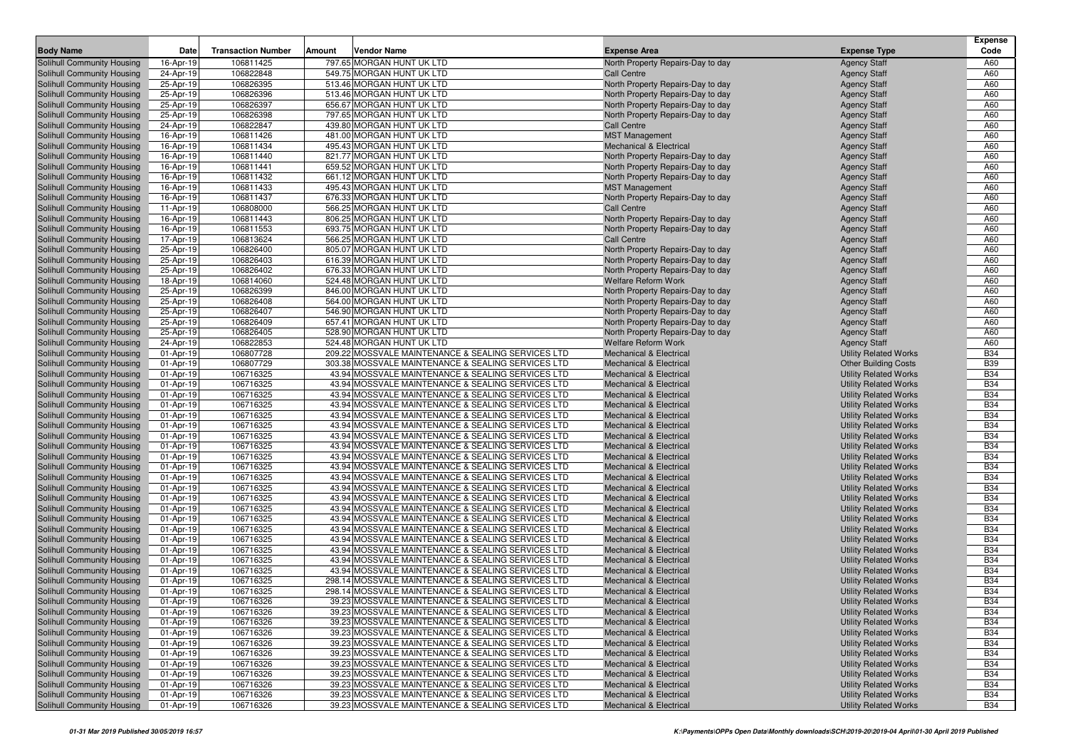|                                                          |                        |                           |                                                                                                        |                                                                          |                                                              | <b>Expense</b>           |
|----------------------------------------------------------|------------------------|---------------------------|--------------------------------------------------------------------------------------------------------|--------------------------------------------------------------------------|--------------------------------------------------------------|--------------------------|
| <b>Body Name</b>                                         | Date                   | <b>Transaction Number</b> | Amount<br>Vendor Name                                                                                  | <b>Expense Area</b>                                                      | <b>Expense Type</b>                                          | Code                     |
| Solihull Community Housing                               | 16-Apr-19              | 106811425                 | 797.65 MORGAN HUNT UK LTD                                                                              | North Property Repairs-Day to day                                        | <b>Agency Staff</b>                                          | A60                      |
| Solihull Community Housing                               | 24-Apr-19              | 106822848                 | 549.75 MORGAN HUNT UK LTD                                                                              | <b>Call Centre</b>                                                       | <b>Agency Staff</b>                                          | A60                      |
| Solihull Community Housing                               | 25-Apr-19              | 106826395                 | 513.46 MORGAN HUNT UK LTD                                                                              | North Property Repairs-Day to day                                        | <b>Agency Staff</b>                                          | A60                      |
| Solihull Community Housing<br>Solihull Community Housing | 25-Apr-19              | 106826396                 | 513.46 MORGAN HUNT UK LTD                                                                              | North Property Repairs-Day to day                                        | <b>Agency Staff</b>                                          | A60<br>A60               |
|                                                          | 25-Apr-19<br>25-Apr-19 | 106826397<br>106826398    | 656.67 MORGAN HUNT UK LTD<br>797.65 MORGAN HUNT UK LTD                                                 | North Property Repairs-Day to day                                        | <b>Agency Staff</b>                                          | A60                      |
| Solihull Community Housing<br>Solihull Community Housing | 24-Apr-19              | 106822847                 | 439.80 MORGAN HUNT UK LTD                                                                              | North Property Repairs-Day to day<br><b>Call Centre</b>                  | <b>Agency Staff</b><br><b>Agency Staff</b>                   | A60                      |
| Solihull Community Housing                               | 16-Apr-19              | 106811426                 | 481.00 MORGAN HUNT UK LTD                                                                              | <b>MST Management</b>                                                    | <b>Agency Staff</b>                                          | A60                      |
| Solihull Community Housing                               | 16-Apr-19              | 106811434                 | 495.43 MORGAN HUNT UK LTD                                                                              | <b>Mechanical &amp; Electrical</b>                                       | <b>Agency Staff</b>                                          | A60                      |
| Solihull Community Housing                               | 16-Apr-19              | 106811440                 | 821.77 MORGAN HUNT UK LTD                                                                              | North Property Repairs-Day to day                                        | <b>Agency Staff</b>                                          | A60                      |
| Solihull Community Housing                               | 16-Apr-19              | 106811441                 | 659.52 MORGAN HUNT UK LTD                                                                              | North Property Repairs-Day to day                                        | <b>Agency Staff</b>                                          | A60                      |
| Solihull Community Housing                               | 16-Apr-19              | 106811432                 | 661.12 MORGAN HUNT UK LTD                                                                              | North Property Repairs-Day to day                                        | <b>Agency Staff</b>                                          | A60                      |
| Solihull Community Housing                               | 16-Apr-19              | 106811433                 | 495.43 MORGAN HUNT UK LTD                                                                              | <b>MST Management</b>                                                    | <b>Agency Staff</b>                                          | A60                      |
| Solihull Community Housing                               | 16-Apr-19              | 106811437                 | 676.33 MORGAN HUNT UK LTD                                                                              | North Property Repairs-Day to day                                        | <b>Agency Staff</b>                                          | A60                      |
| Solihull Community Housing                               | 11-Apr-19              | 106808000                 | 566.25 MORGAN HUNT UK LTD                                                                              | <b>Call Centre</b>                                                       | <b>Agency Staff</b>                                          | A60                      |
| Solihull Community Housing                               | 16-Apr-19              | 106811443                 | 806.25 MORGAN HUNT UK LTD                                                                              | North Property Repairs-Day to day                                        | <b>Agency Staff</b>                                          | A60                      |
| <b>Solihull Community Housing</b>                        | 16-Apr-19              | 106811553                 | 693.75 MORGAN HUNT UK LTD                                                                              | North Property Repairs-Day to day                                        | <b>Agency Staff</b>                                          | A60                      |
| Solihull Community Housing                               | 17-Apr-19              | 106813624                 | 566.25 MORGAN HUNT UK LTD                                                                              | <b>Call Centre</b>                                                       | <b>Agency Staff</b>                                          | A60                      |
| Solihull Community Housing                               | 25-Apr-19              | 106826400                 | 805.07 MORGAN HUNT UK LTD                                                                              | North Property Repairs-Day to day                                        | <b>Agency Staff</b>                                          | A60                      |
| Solihull Community Housing                               | 25-Apr-19              | 106826403                 | 616.39 MORGAN HUNT UK LTD                                                                              | North Property Repairs-Day to day                                        | <b>Agency Staff</b>                                          | A60                      |
| Solihull Community Housing                               | 25-Apr-19              | 106826402                 | 676.33 MORGAN HUNT UK LTD                                                                              | North Property Repairs-Day to day                                        | <b>Agency Staff</b>                                          | A60<br>A60               |
| Solihull Community Housing<br>Solihull Community Housing | 18-Apr-19<br>25-Apr-19 | 106814060<br>106826399    | 524.48 MORGAN HUNT UK LTD<br>846.00 MORGAN HUNT UK LTD                                                 | Welfare Reform Work<br>North Property Repairs-Day to day                 | <b>Agency Staff</b><br><b>Agency Staff</b>                   | A60                      |
| Solihull Community Housing                               | 25-Apr-19              | 106826408                 | 564.00 MORGAN HUNT UK LTD                                                                              | North Property Repairs-Day to day                                        | <b>Agency Staff</b>                                          | A60                      |
| Solihull Community Housing                               | 25-Apr-19              | 106826407                 | 546.90 MORGAN HUNT UK LTD                                                                              | North Property Repairs-Day to day                                        | <b>Agency Staff</b>                                          | A60                      |
| Solihull Community Housing                               | 25-Apr-19              | 106826409                 | 657.41 MORGAN HUNT UK LTD                                                                              | North Property Repairs-Day to day                                        | <b>Agency Staff</b>                                          | A60                      |
| Solihull Community Housing                               | 25-Apr-19              | 106826405                 | 528.90 MORGAN HUNT UK LTD                                                                              | North Property Repairs-Day to day                                        | <b>Agency Staff</b>                                          | A60                      |
| Solihull Community Housing                               | 24-Apr-19              | 106822853                 | 524.48 MORGAN HUNT UK LTD                                                                              | <b>Welfare Reform Work</b>                                               | <b>Agency Staff</b>                                          | A60                      |
| Solihull Community Housing                               | 01-Apr-19              | 106807728                 | 209.22 MOSSVALE MAINTENANCE & SEALING SERVICES LTD                                                     | <b>Mechanical &amp; Electrical</b>                                       | <b>Utility Related Works</b>                                 | <b>B34</b>               |
| Solihull Community Housing                               | 01-Apr-19              | 106807729                 | 303.38 MOSSVALE MAINTENANCE & SEALING SERVICES LTD                                                     | <b>Mechanical &amp; Electrical</b>                                       | <b>Other Building Costs</b>                                  | <b>B39</b>               |
| Solihull Community Housing                               | 01-Apr-19              | 106716325                 | 43.94 MOSSVALE MAINTENANCE & SEALING SERVICES LTD                                                      | <b>Mechanical &amp; Electrical</b>                                       | <b>Utility Related Works</b>                                 | <b>B34</b>               |
| Solihull Community Housing                               | 01-Apr-19              | 106716325                 | 43.94 MOSSVALE MAINTENANCE & SEALING SERVICES LTD                                                      | <b>Mechanical &amp; Electrical</b>                                       | <b>Utility Related Works</b>                                 | <b>B34</b>               |
| Solihull Community Housing                               | 01-Apr-19              | 106716325                 | 43.94 MOSSVALE MAINTENANCE & SEALING SERVICES LTD                                                      | <b>Mechanical &amp; Electrical</b>                                       | <b>Utility Related Works</b>                                 | <b>B34</b>               |
| Solihull Community Housing                               | 01-Apr-19              | 106716325                 | 43.94 MOSSVALE MAINTENANCE & SEALING SERVICES LTD                                                      | <b>Mechanical &amp; Electrical</b>                                       | <b>Utility Related Works</b>                                 | <b>B34</b>               |
| Solihull Community Housing                               | 01-Apr-19              | 106716325                 | 43.94 MOSSVALE MAINTENANCE & SEALING SERVICES LTD                                                      | <b>Mechanical &amp; Electrical</b>                                       | <b>Utility Related Works</b>                                 | <b>B34</b><br><b>B34</b> |
| Solihull Community Housing<br>Solihull Community Housing | 01-Apr-19<br>01-Apr-19 | 106716325<br>106716325    | 43.94 MOSSVALE MAINTENANCE & SEALING SERVICES LTD<br>43.94 MOSSVALE MAINTENANCE & SEALING SERVICES LTD | <b>Mechanical &amp; Electrical</b><br><b>Mechanical &amp; Electrical</b> | <b>Utility Related Works</b><br><b>Utility Related Works</b> | <b>B34</b>               |
| Solihull Community Housing                               | 01-Apr-19              | 106716325                 | 43.94 MOSSVALE MAINTENANCE & SEALING SERVICES LTD                                                      | <b>Mechanical &amp; Electrical</b>                                       | <b>Utility Related Works</b>                                 | <b>B34</b>               |
| Solihull Community Housing                               | 01-Apr-19              | 106716325                 | 43.94 MOSSVALE MAINTENANCE & SEALING SERVICES LTD                                                      | <b>Mechanical &amp; Electrical</b>                                       | <b>Utility Related Works</b>                                 | <b>B34</b>               |
| Solihull Community Housing                               | 01-Apr-19              | 106716325                 | 43.94 MOSSVALE MAINTENANCE & SEALING SERVICES LTD                                                      | <b>Mechanical &amp; Electrical</b>                                       | <b>Utility Related Works</b>                                 | <b>B34</b>               |
| Solihull Community Housing                               | 01-Apr-19              | 106716325                 | 43.94 MOSSVALE MAINTENANCE & SEALING SERVICES LTD                                                      | <b>Mechanical &amp; Electrical</b>                                       | <b>Utility Related Works</b>                                 | <b>B34</b>               |
| Solihull Community Housing                               | 01-Apr-19              | 106716325                 | 43.94 MOSSVALE MAINTENANCE & SEALING SERVICES LTD                                                      | <b>Mechanical &amp; Electrical</b>                                       | <b>Utility Related Works</b>                                 | <b>B34</b>               |
| Solihull Community Housing                               | 01-Apr-19              | 106716325                 | 43.94 MOSSVALE MAINTENANCE & SEALING SERVICES LTD                                                      | <b>Mechanical &amp; Electrical</b>                                       | <b>Utility Related Works</b>                                 | <b>B34</b>               |
| Solihull Community Housing                               | 01-Apr-19              | 106716325                 | 43.94 MOSSVALE MAINTENANCE & SEALING SERVICES LTD                                                      | <b>Mechanical &amp; Electrical</b>                                       | <b>Utility Related Works</b>                                 | <b>B34</b>               |
| Solihull Community Housing                               | 01-Apr-19              | 106716325                 | 43.94 MOSSVALE MAINTENANCE & SEALING SERVICES LTD                                                      | <b>Mechanical &amp; Electrical</b>                                       | <b>Utility Related Works</b>                                 | <b>B34</b>               |
| Solihull Community Housing                               | 01-Apr-19              | 106716325                 | 43.94 MOSSVALE MAINTENANCE & SEALING SERVICES LTD                                                      | <b>Mechanical &amp; Electrical</b>                                       | <b>Utility Related Works</b>                                 | <b>B34</b>               |
| Solihull Community Housing                               | 01-Apr-19              | 106716325                 | 43.94 MOSSVALE MAINTENANCE & SEALING SERVICES LTD                                                      | <b>Mechanical &amp; Electrical</b>                                       | <b>Utility Related Works</b>                                 | <b>B34</b>               |
| Solihull Community Housing<br>Solihull Community Housing | 01-Apr-19<br>01-Apr-19 | 106716325<br>106716325    | 43.94 MOSSVALE MAINTENANCE & SEALING SERVICES LTD<br>43.94 MOSSVALE MAINTENANCE & SEALING SERVICES LTD | <b>Mechanical &amp; Electrical</b><br><b>Mechanical &amp; Electrical</b> | <b>Utility Related Works</b><br><b>Utility Related Works</b> | <b>B34</b><br><b>B34</b> |
| Solihull Community Housing                               | 01-Apr-19              | 106716325                 | 43.94 MOSSVALE MAINTENANCE & SEALING SERVICES LTD                                                      | <b>Mechanical &amp; Electrical</b>                                       | <b>Utility Related Works</b>                                 | <b>B34</b>               |
| Solihull Community Housing                               | 01-Apr-19              | 106716325                 | 298.14 MOSSVALE MAINTENANCE & SEALING SERVICES LTD                                                     | <b>Mechanical &amp; Electrical</b>                                       | <b>Utility Related Works</b>                                 | <b>B34</b>               |
| Solihull Community Housing                               | 01-Apr-19              | 106716325                 | 298.14 MOSSVALE MAINTENANCE & SEALING SERVICES LTD                                                     | <b>Mechanical &amp; Electrical</b>                                       | <b>Utility Related Works</b>                                 | <b>B34</b>               |
| Solihull Community Housing                               | 01-Apr-19              | 106716326                 | 39.23 MOSSVALE MAINTENANCE & SEALING SERVICES LTD                                                      | <b>Mechanical &amp; Electrical</b>                                       | <b>Utility Related Works</b>                                 | <b>B34</b>               |
| <b>Solihull Community Housing</b>                        | 01-Apr-19              | 106716326                 | 39.23 MOSSVALE MAINTENANCE & SEALING SERVICES LTD                                                      | <b>Mechanical &amp; Electrical</b>                                       | <b>Utility Related Works</b>                                 | <b>B34</b>               |
| Solihull Community Housing                               | 01-Apr-19              | 106716326                 | 39.23 MOSSVALE MAINTENANCE & SEALING SERVICES LTD                                                      | <b>Mechanical &amp; Electrical</b>                                       | <b>Utility Related Works</b>                                 | <b>B34</b>               |
| Solihull Community Housing                               | 01-Apr-19              | 106716326                 | 39.23 MOSSVALE MAINTENANCE & SEALING SERVICES LTD                                                      | <b>Mechanical &amp; Electrical</b>                                       | <b>Utility Related Works</b>                                 | <b>B34</b>               |
| Solihull Community Housing                               | 01-Apr-19              | 106716326                 | 39.23 MOSSVALE MAINTENANCE & SEALING SERVICES LTD                                                      | <b>Mechanical &amp; Electrical</b>                                       | <b>Utility Related Works</b>                                 | <b>B34</b>               |
| Solihull Community Housing                               | 01-Apr-19              | 106716326                 | 39.23 MOSSVALE MAINTENANCE & SEALING SERVICES LTD                                                      | <b>Mechanical &amp; Electrical</b>                                       | <b>Utility Related Works</b>                                 | <b>B34</b>               |
| Solihull Community Housing                               | 01-Apr-19              | 106716326                 | 39.23 MOSSVALE MAINTENANCE & SEALING SERVICES LTD                                                      | <b>Mechanical &amp; Electrical</b>                                       | <b>Utility Related Works</b>                                 | <b>B34</b>               |
| Solihull Community Housing                               | 01-Apr-19              | 106716326                 | 39.23 MOSSVALE MAINTENANCE & SEALING SERVICES LTD                                                      | <b>Mechanical &amp; Electrical</b>                                       | <b>Utility Related Works</b>                                 | <b>B34</b>               |
| Solihull Community Housing                               | 01-Apr-19              | 106716326                 | 39.23 MOSSVALE MAINTENANCE & SEALING SERVICES LTD                                                      | <b>Mechanical &amp; Electrical</b>                                       | <b>Utility Related Works</b>                                 | <b>B34</b>               |
| Solihull Community Housing<br>Solihull Community Housing | 01-Apr-19              | 106716326                 | 39.23 MOSSVALE MAINTENANCE & SEALING SERVICES LTD<br>39.23 MOSSVALE MAINTENANCE & SEALING SERVICES LTD | <b>Mechanical &amp; Electrical</b><br><b>Mechanical &amp; Electrical</b> | <b>Utility Related Works</b><br><b>Utility Related Works</b> | <b>B34</b><br><b>B34</b> |
|                                                          | 01-Apr-19              | 106716326                 |                                                                                                        |                                                                          |                                                              |                          |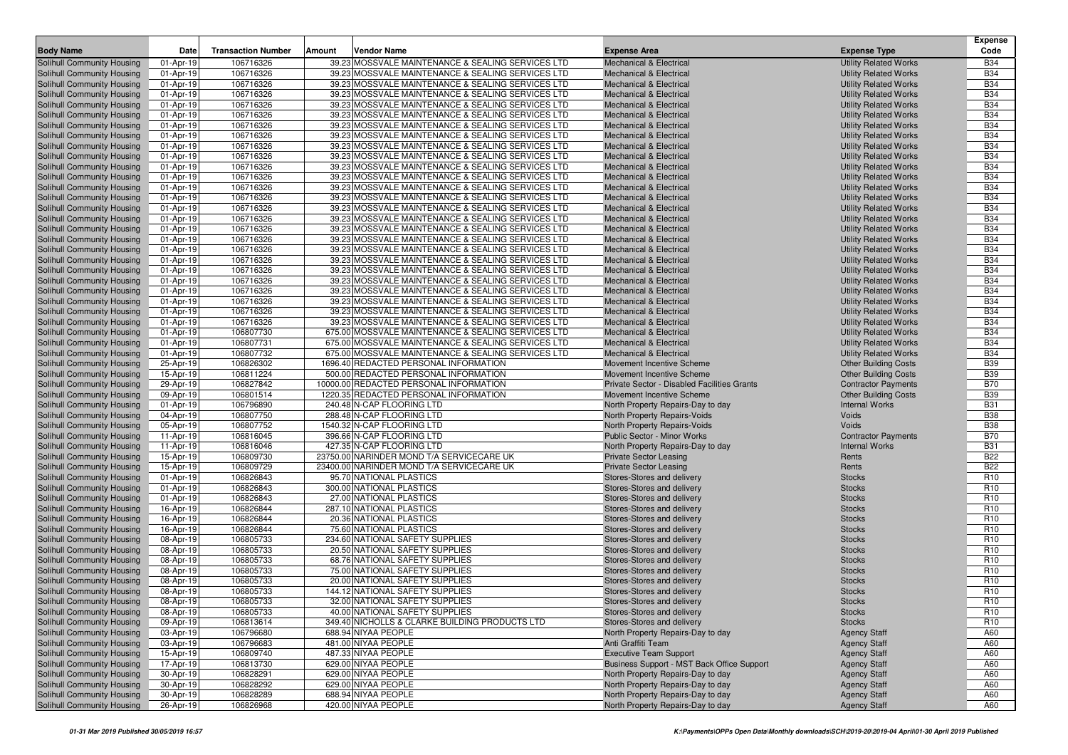|                                                                 |                        |                           |        |                                                                                                        |                                                                          |                                                              | <b>Expense</b>                     |
|-----------------------------------------------------------------|------------------------|---------------------------|--------|--------------------------------------------------------------------------------------------------------|--------------------------------------------------------------------------|--------------------------------------------------------------|------------------------------------|
| <b>Body Name</b>                                                | Date                   | <b>Transaction Number</b> | Amount | <b>Vendor Name</b>                                                                                     | <b>Expense Area</b>                                                      | <b>Expense Type</b>                                          | Code                               |
| Solihull Community Housing                                      | 01-Apr-19              | 106716326                 |        | 39.23 MOSSVALE MAINTENANCE & SEALING SERVICES LTD                                                      | <b>Mechanical &amp; Electrical</b>                                       | <b>Utility Related Works</b>                                 | <b>B34</b>                         |
| Solihull Community Housing                                      | 01-Apr-19              | 106716326                 |        | 39.23 MOSSVALE MAINTENANCE & SEALING SERVICES LTD                                                      | <b>Mechanical &amp; Electrical</b>                                       | <b>Utility Related Works</b>                                 | <b>B34</b>                         |
| Solihull Community Housing                                      | 01-Apr-19              | 106716326                 |        | 39.23 MOSSVALE MAINTENANCE & SEALING SERVICES LTD                                                      | <b>Mechanical &amp; Electrical</b>                                       | <b>Utility Related Works</b>                                 | <b>B34</b>                         |
| Solihull Community Housing                                      | 01-Apr-19              | 106716326                 |        | 39.23 MOSSVALE MAINTENANCE & SEALING SERVICES LTD                                                      | <b>Mechanical &amp; Electrical</b>                                       | <b>Utility Related Works</b>                                 | <b>B34</b>                         |
| Solihull Community Housing                                      | 01-Apr-19              | 106716326                 |        | 39.23 MOSSVALE MAINTENANCE & SEALING SERVICES LTD                                                      | <b>Mechanical &amp; Electrical</b>                                       | <b>Utility Related Works</b>                                 | <b>B34</b>                         |
| Solihull Community Housing                                      | 01-Apr-19              | 106716326                 |        | 39.23 MOSSVALE MAINTENANCE & SEALING SERVICES LTD                                                      | <b>Mechanical &amp; Electrical</b>                                       | <b>Utility Related Works</b>                                 | <b>B34</b>                         |
| Solihull Community Housing                                      | 01-Apr-19              | 106716326                 |        | 39.23 MOSSVALE MAINTENANCE & SEALING SERVICES LTD                                                      | <b>Mechanical &amp; Electrical</b>                                       | <b>Utility Related Works</b>                                 | <b>B34</b>                         |
| Solihull Community Housing                                      | 01-Apr-19              | 106716326                 |        | 39.23 MOSSVALE MAINTENANCE & SEALING SERVICES LTD                                                      | <b>Mechanical &amp; Electrical</b>                                       | <b>Utility Related Works</b>                                 | <b>B34</b>                         |
| Solihull Community Housing                                      | 01-Apr-19              | 106716326                 |        | 39.23 MOSSVALE MAINTENANCE & SEALING SERVICES LTD                                                      | <b>Mechanical &amp; Electrical</b>                                       | <b>Utility Related Works</b>                                 | <b>B34</b>                         |
| Solihull Community Housing                                      | 01-Apr-19              | 106716326                 |        | 39.23 MOSSVALE MAINTENANCE & SEALING SERVICES LTD                                                      | <b>Mechanical &amp; Electrical</b>                                       | <b>Utility Related Works</b>                                 | <b>B34</b>                         |
| Solihull Community Housing                                      | 01-Apr-19              | 106716326                 |        | 39.23 MOSSVALE MAINTENANCE & SEALING SERVICES LTD<br>39.23 MOSSVALE MAINTENANCE & SEALING SERVICES LTD | <b>Mechanical &amp; Electrical</b>                                       | <b>Utility Related Works</b>                                 | <b>B34</b>                         |
| Solihull Community Housing                                      | 01-Apr-19              | 106716326                 |        |                                                                                                        | <b>Mechanical &amp; Electrical</b><br><b>Mechanical &amp; Electrical</b> | <b>Utility Related Works</b>                                 | <b>B34</b><br><b>B34</b>           |
| Solihull Community Housing                                      | 01-Apr-19              | 106716326<br>106716326    |        | 39.23 MOSSVALE MAINTENANCE & SEALING SERVICES LTD<br>39.23 MOSSVALE MAINTENANCE & SEALING SERVICES LTD |                                                                          | <b>Utility Related Works</b>                                 | <b>B34</b>                         |
| Solihull Community Housing<br>Solihull Community Housing        | 01-Apr-19<br>01-Apr-19 | 106716326                 |        | 39.23 MOSSVALE MAINTENANCE & SEALING SERVICES LTD                                                      | <b>Mechanical &amp; Electrical</b><br><b>Mechanical &amp; Electrical</b> | <b>Utility Related Works</b><br><b>Utility Related Works</b> | <b>B34</b>                         |
| Solihull Community Housing                                      | 01-Apr-19              | 106716326                 |        | 39.23 MOSSVALE MAINTENANCE & SEALING SERVICES LTD                                                      | <b>Mechanical &amp; Electrical</b>                                       | <b>Utility Related Works</b>                                 | <b>B34</b>                         |
| Solihull Community Housing                                      | 01-Apr-19              | 106716326                 |        | 39.23 MOSSVALE MAINTENANCE & SEALING SERVICES LTD                                                      | <b>Mechanical &amp; Electrical</b>                                       | <b>Utility Related Works</b>                                 | <b>B34</b>                         |
| Solihull Community Housing                                      | 01-Apr-19              | 106716326                 |        | 39.23 MOSSVALE MAINTENANCE & SEALING SERVICES LTD                                                      | <b>Mechanical &amp; Electrical</b>                                       | <b>Utility Related Works</b>                                 | <b>B34</b>                         |
| Solihull Community Housing                                      | 01-Apr-19              | 106716326                 |        | 39.23 MOSSVALE MAINTENANCE & SEALING SERVICES LTD                                                      | <b>Mechanical &amp; Electrical</b>                                       | <b>Utility Related Works</b>                                 | <b>B34</b>                         |
| Solihull Community Housing                                      | 01-Apr-19              | 106716326                 |        | 39.23 MOSSVALE MAINTENANCE & SEALING SERVICES LTD                                                      | <b>Mechanical &amp; Electrical</b>                                       | <b>Utility Related Works</b>                                 | <b>B34</b>                         |
| Solihull Community Housing                                      | 01-Apr-19              | 106716326                 |        | 39.23 MOSSVALE MAINTENANCE & SEALING SERVICES LTD                                                      | <b>Mechanical &amp; Electrical</b>                                       | <b>Utility Related Works</b>                                 | <b>B34</b>                         |
| Solihull Community Housing                                      | 01-Apr-19              | 106716326                 |        | 39.23 MOSSVALE MAINTENANCE & SEALING SERVICES LTD                                                      | <b>Mechanical &amp; Electrical</b>                                       | <b>Utility Related Works</b>                                 | <b>B34</b>                         |
| Solihull Community Housing                                      | 01-Apr-19              | 106716326                 |        | 39.23 MOSSVALE MAINTENANCE & SEALING SERVICES LTD                                                      | <b>Mechanical &amp; Electrical</b>                                       | <b>Utility Related Works</b>                                 | <b>B34</b>                         |
| Solihull Community Housing                                      | 01-Apr-19              | 106716326                 |        | 39.23 MOSSVALE MAINTENANCE & SEALING SERVICES LTD                                                      | <b>Mechanical &amp; Electrical</b>                                       | <b>Utility Related Works</b>                                 | <b>B34</b>                         |
| Solihull Community Housing                                      | 01-Apr-19              | 106716326                 |        | 39.23 MOSSVALE MAINTENANCE & SEALING SERVICES LTD                                                      | <b>Mechanical &amp; Electrical</b>                                       | <b>Utility Related Works</b>                                 | <b>B34</b>                         |
| Solihull Community Housing                                      | 01-Apr-19              | 106716326                 |        | 39.23 MOSSVALE MAINTENANCE & SEALING SERVICES LTD                                                      | <b>Mechanical &amp; Electrical</b>                                       | <b>Utility Related Works</b>                                 | <b>B34</b>                         |
| Solihull Community Housing                                      | 01-Apr-19              | 106807730                 |        | 675.00 MOSSVALE MAINTENANCE & SEALING SERVICES LTD                                                     | <b>Mechanical &amp; Electrical</b>                                       | <b>Utility Related Works</b>                                 | <b>B34</b>                         |
| Solihull Community Housing                                      | 01-Apr-19              | 106807731                 |        | 675.00 MOSSVALE MAINTENANCE & SEALING SERVICES LTD                                                     | <b>Mechanical &amp; Electrical</b>                                       | <b>Utility Related Works</b>                                 | <b>B34</b>                         |
| Solihull Community Housing                                      | 01-Apr-19              | 106807732                 |        | 675.00 MOSSVALE MAINTENANCE & SEALING SERVICES LTD                                                     | <b>Mechanical &amp; Electrical</b>                                       | <b>Utility Related Works</b>                                 | <b>B34</b>                         |
| Solihull Community Housing                                      | 25-Apr-19              | 106826302                 |        | 1696.40 REDACTED PERSONAL INFORMATION                                                                  | Movement Incentive Scheme                                                | <b>Other Building Costs</b>                                  | <b>B39</b>                         |
| Solihull Community Housing                                      | 15-Apr-19              | 106811224                 |        | 500.00 REDACTED PERSONAL INFORMATION                                                                   | Movement Incentive Scheme                                                | <b>Other Building Costs</b>                                  | <b>B39</b>                         |
| Solihull Community Housing                                      | 29-Apr-19              | 106827842                 |        | 10000.00 REDACTED PERSONAL INFORMATION                                                                 | Private Sector - Disabled Facilities Grants                              | <b>Contractor Payments</b>                                   | <b>B70</b>                         |
| Solihull Community Housing                                      | 09-Apr-19              | 106801514                 |        | 1220.35 REDACTED PERSONAL INFORMATION                                                                  | Movement Incentive Scheme                                                | <b>Other Building Costs</b>                                  | <b>B39</b>                         |
| Solihull Community Housing                                      | 01-Apr-19              | 106796890                 |        | 240.48 N-CAP FLOORING LTD                                                                              | North Property Repairs-Day to day                                        | <b>Internal Works</b>                                        | <b>B31</b>                         |
| Solihull Community Housing                                      | 04-Apr-19              | 106807750                 |        | 288.48 N-CAP FLOORING LTD                                                                              | North Property Repairs-Voids                                             | Voids                                                        | <b>B38</b>                         |
| Solihull Community Housing                                      | 05-Apr-19              | 106807752                 |        | 1540.32 N-CAP FLOORING LTD                                                                             | North Property Repairs-Voids                                             | Voids                                                        | <b>B38</b>                         |
| Solihull Community Housing                                      | 11-Apr-19              | 106816045                 |        | 396.66 N-CAP FLOORING LTD                                                                              | Public Sector - Minor Works                                              | <b>Contractor Payments</b>                                   | <b>B70</b>                         |
| Solihull Community Housing                                      | 11-Apr-19              | 106816046                 |        | 427.35 N-CAP FLOORING LTD                                                                              | North Property Repairs-Day to day                                        | <b>Internal Works</b>                                        | <b>B31</b>                         |
| Solihull Community Housing                                      | 15-Apr-19              | 106809730                 |        | 23750.00 NARINDER MOND T/A SERVICECARE UK                                                              | <b>Private Sector Leasing</b>                                            | Rents                                                        | <b>B22</b>                         |
| Solihull Community Housing                                      | 15-Apr-19              | 106809729                 |        | 23400.00 NARINDER MOND T/A SERVICECARE UK                                                              | <b>Private Sector Leasing</b>                                            | Rents                                                        | <b>B22</b>                         |
| Solihull Community Housing                                      | 01-Apr-19              | 106826843                 |        | 95.70 NATIONAL PLASTICS                                                                                | Stores-Stores and delivery                                               | <b>Stocks</b>                                                | R <sub>10</sub>                    |
| Solihull Community Housing                                      | 01-Apr-19              | 106826843                 |        | 300.00 NATIONAL PLASTICS                                                                               | Stores-Stores and delivery                                               | <b>Stocks</b>                                                | R <sub>10</sub>                    |
| Solihull Community Housing                                      | 01-Apr-19              | 106826843                 |        | 27.00 NATIONAL PLASTICS                                                                                | Stores-Stores and delivery                                               | <b>Stocks</b>                                                | R <sub>10</sub>                    |
| Solihull Community Housing                                      | 16-Apr-19              | 106826844                 |        | 287.10 NATIONAL PLASTICS                                                                               | Stores-Stores and delivery                                               | <b>Stocks</b>                                                | R <sub>10</sub>                    |
| Solihull Community Housing                                      | 16-Apr-19              | 106826844                 |        | 20.36 NATIONAL PLASTICS                                                                                | Stores-Stores and delivery                                               | <b>Stocks</b>                                                | R <sub>10</sub>                    |
| Solihull Community Housing                                      | 16-Apr-19              | 106826844                 |        | 75.60 NATIONAL PLASTICS                                                                                | Stores-Stores and delivery                                               | <b>Stocks</b>                                                | R <sub>10</sub>                    |
| Solihull Community Housing                                      | 08-Apr-19              | 106805733                 |        | 234.60 NATIONAL SAFETY SUPPLIES                                                                        | Stores-Stores and delivery                                               | <b>Stocks</b>                                                | R <sub>10</sub>                    |
| Solihull Community Housing                                      | 08-Apr-19              | 106805733                 |        | 20.50 NATIONAL SAFETY SUPPLIES                                                                         | Stores-Stores and delivery                                               | <b>Stocks</b>                                                | R <sub>10</sub>                    |
| Solihull Community Housing                                      | 08-Apr-19              | 106805733                 |        | 68.76 NATIONAL SAFETY SUPPLIES                                                                         | Stores-Stores and delivery                                               | <b>Stocks</b>                                                | R <sub>10</sub>                    |
| Solihull Community Housing                                      | 08-Apr-19              | 106805733                 |        | 75.00 NATIONAL SAFETY SUPPLIES                                                                         | Stores-Stores and delivery                                               | <b>Stocks</b>                                                | R <sub>10</sub>                    |
| Solihull Community Housing                                      | 08-Apr-19              | 106805733<br>106805733    |        | 20.00 NATIONAL SAFETY SUPPLIES                                                                         | Stores-Stores and delivery                                               | <b>Stocks</b>                                                | R <sub>10</sub><br>R <sub>10</sub> |
| Solihull Community Housing                                      | 08-Apr-19              | 106805733                 |        | 144.12 NATIONAL SAFETY SUPPLIES<br>32.00 NATIONAL SAFETY SUPPLIES                                      | Stores-Stores and delivery                                               | <b>Stocks</b>                                                | R <sub>10</sub>                    |
| Solihull Community Housing                                      | 08-Apr-19              |                           |        |                                                                                                        | Stores-Stores and delivery                                               | <b>Stocks</b>                                                |                                    |
| <b>Solihull Community Housing</b><br>Solihull Community Housing | 08-Apr-19<br>09-Apr-19 | 106805733<br>106813614    |        | 40.00 NATIONAL SAFETY SUPPLIES<br>349.40 NICHOLLS & CLARKE BUILDING PRODUCTS LTD                       | Stores-Stores and delivery<br>Stores-Stores and delivery                 | <b>Stocks</b><br><b>Stocks</b>                               | R <sub>10</sub><br>R <sub>10</sub> |
| Solihull Community Housing                                      | 03-Apr-19              | 106796680                 |        | 688.94 NIYAA PEOPLE                                                                                    |                                                                          |                                                              | A60                                |
| Solihull Community Housing                                      | 03-Apr-19              | 106796683                 |        | 481.00 NIYAA PEOPLE                                                                                    | North Property Repairs-Day to day<br>Anti Graffiti Team                  | <b>Agency Staff</b><br><b>Agency Staff</b>                   | A60                                |
| Solihull Community Housing                                      | 15-Apr-19              | 106809740                 |        | 487.33 NIYAA PEOPLE                                                                                    | <b>Executive Team Support</b>                                            | <b>Agency Staff</b>                                          | A60                                |
| Solihull Community Housing                                      | 17-Apr-19              | 106813730                 |        | 629.00 NIYAA PEOPLE                                                                                    | Business Support - MST Back Office Support                               | <b>Agency Staff</b>                                          | A60                                |
| Solihull Community Housing                                      | 30-Apr-19              | 106828291                 |        | 629.00 NIYAA PEOPLE                                                                                    | North Property Repairs-Day to day                                        | <b>Agency Staff</b>                                          | A60                                |
| Solihull Community Housing                                      | 30-Apr-19              | 106828292                 |        | 629.00 NIYAA PEOPLE                                                                                    | North Property Repairs-Day to day                                        | <b>Agency Staff</b>                                          | A60                                |
| Solihull Community Housing                                      | 30-Apr-19              | 106828289                 |        | 688.94 NIYAA PEOPLE                                                                                    | North Property Repairs-Day to day                                        | <b>Agency Staff</b>                                          | A60                                |
| Solihull Community Housing                                      | 26-Apr-19              | 106826968                 |        | 420.00 NIYAA PEOPLE                                                                                    | North Property Repairs-Day to day                                        | <b>Agency Staff</b>                                          | A60                                |
|                                                                 |                        |                           |        |                                                                                                        |                                                                          |                                                              |                                    |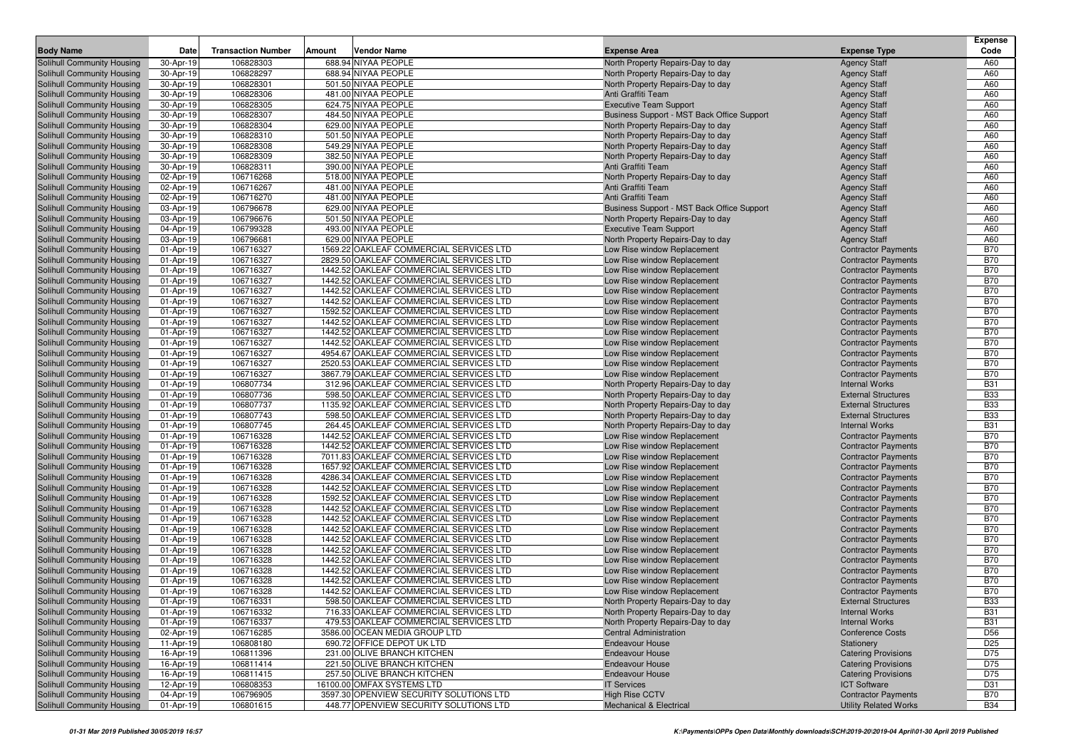|                                                          |                        |                           |        |                                                                                    |                                                            |                                                          | <b>Expense</b>           |
|----------------------------------------------------------|------------------------|---------------------------|--------|------------------------------------------------------------------------------------|------------------------------------------------------------|----------------------------------------------------------|--------------------------|
| <b>Body Name</b>                                         | Date                   | <b>Transaction Number</b> | Amount | Vendor Name                                                                        | <b>Expense Area</b>                                        | <b>Expense Type</b>                                      | Code                     |
| Solihull Community Housing                               | 30-Apr-19              | 106828303                 |        | 688.94 NIYAA PEOPLE                                                                | North Property Repairs-Day to day                          | <b>Agency Staff</b>                                      | A60                      |
| Solihull Community Housing                               | 30-Apr-19              | 106828297                 |        | 688.94 NIYAA PEOPLE                                                                | North Property Repairs-Day to day                          | <b>Agency Staff</b>                                      | A60                      |
| Solihull Community Housing                               | 30-Apr-19              | 106828301<br>106828306    |        | 501.50 NIYAA PEOPLE<br>481.00 NIYAA PEOPLE                                         | North Property Repairs-Day to day<br>Anti Graffiti Team    | <b>Agency Staff</b>                                      | A60<br>A60               |
| Solihull Community Housing<br>Solihull Community Housing | 30-Apr-19<br>30-Apr-19 | 106828305                 |        | 624.75 NIYAA PEOPLE                                                                | <b>Executive Team Support</b>                              | <b>Agency Staff</b><br><b>Agency Staff</b>               | A60                      |
| Solihull Community Housing                               | 30-Apr-19              | 106828307                 |        | 484.50 NIYAA PEOPLE                                                                | Business Support - MST Back Office Support                 | <b>Agency Staff</b>                                      | A60                      |
| Solihull Community Housing                               | 30-Apr-19              | 106828304                 |        | 629.00 NIYAA PEOPLE                                                                | North Property Repairs-Day to day                          | <b>Agency Staff</b>                                      | A60                      |
| Solihull Community Housing                               | 30-Apr-19              | 106828310                 |        | 501.50 NIYAA PEOPLE                                                                | North Property Repairs-Day to day                          | <b>Agency Staff</b>                                      | A60                      |
| Solihull Community Housing                               | 30-Apr-19              | 106828308                 |        | 549.29 NIYAA PEOPLE                                                                | North Property Repairs-Day to day                          | <b>Agency Staff</b>                                      | A60                      |
| Solihull Community Housing                               | 30-Apr-19              | 106828309                 |        | 382.50 NIYAA PEOPLE                                                                | North Property Repairs-Day to day                          | <b>Agency Staff</b>                                      | A60                      |
| Solihull Community Housing                               | 30-Apr-19              | 106828311                 |        | 390.00 NIYAA PEOPLE                                                                | Anti Graffiti Team                                         | <b>Agency Staff</b>                                      | A60                      |
| Solihull Community Housing                               | 02-Apr-19              | 106716268                 |        | 518.00 NIYAA PEOPLE                                                                | North Property Repairs-Day to day                          | <b>Agency Staff</b>                                      | A60                      |
| Solihull Community Housing                               | 02-Apr-19              | 106716267                 |        | 481.00 NIYAA PEOPLE                                                                | Anti Graffiti Team                                         | <b>Agency Staff</b>                                      | A60                      |
| Solihull Community Housing                               | 02-Apr-19              | 106716270                 |        | 481.00 NIYAA PEOPLE                                                                | Anti Graffiti Team                                         | <b>Agency Staff</b>                                      | A60                      |
| Solihull Community Housing                               | 03-Apr-19              | 106796678                 |        | 629.00 NIYAA PEOPLE                                                                | Business Support - MST Back Office Support                 | <b>Agency Staff</b>                                      | A60                      |
| Solihull Community Housing                               | 03-Apr-19              | 106796676                 |        | 501.50 NIYAA PEOPLE                                                                | North Property Repairs-Day to day                          | <b>Agency Staff</b>                                      | A60                      |
| Solihull Community Housing                               | 04-Apr-19              | 106799328                 |        | 493.00 NIYAA PEOPLE                                                                | <b>Executive Team Support</b>                              | <b>Agency Staff</b>                                      | A60                      |
| Solihull Community Housing                               | 03-Apr-19              | 106796681                 |        | 629.00 NIYAA PEOPLE                                                                | North Property Repairs-Day to day                          | <b>Agency Staff</b>                                      | A60                      |
| Solihull Community Housing                               | 01-Apr-19              | 106716327                 |        | 1569.22 OAKLEAF COMMERCIAL SERVICES LTD                                            | Low Rise window Replacement                                | <b>Contractor Payments</b>                               | <b>B70</b>               |
| Solihull Community Housing                               | 01-Apr-19              | 106716327                 |        | 2829.50 OAKLEAF COMMERCIAL SERVICES LTD                                            | Low Rise window Replacement                                | <b>Contractor Payments</b>                               | <b>B70</b>               |
| Solihull Community Housing                               | 01-Apr-19              | 106716327                 |        | 1442.52 OAKLEAF COMMERCIAL SERVICES LTD                                            | Low Rise window Replacement                                | <b>Contractor Payments</b>                               | <b>B70</b>               |
| Solihull Community Housing                               | 01-Apr-19              | 106716327                 |        | 1442.52 OAKLEAF COMMERCIAL SERVICES LTD                                            | Low Rise window Replacement                                | <b>Contractor Payments</b>                               | <b>B70</b>               |
| Solihull Community Housing                               | 01-Apr-19              | 106716327                 |        | 1442.52 OAKLEAF COMMERCIAL SERVICES LTD                                            | Low Rise window Replacement                                | <b>Contractor Payments</b>                               | <b>B70</b>               |
| Solihull Community Housing                               | 01-Apr-19              | 106716327                 |        | 1442.52 OAKLEAF COMMERCIAL SERVICES LTD                                            | Low Rise window Replacement                                | <b>Contractor Payments</b>                               | <b>B70</b>               |
| Solihull Community Housing                               | 01-Apr-19              | 106716327                 |        | 1592.52 OAKLEAF COMMERCIAL SERVICES LTD                                            | Low Rise window Replacement                                | <b>Contractor Payments</b>                               | <b>B70</b>               |
| Solihull Community Housing                               | 01-Apr-19              | 106716327                 |        | 1442.52 OAKLEAF COMMERCIAL SERVICES LTD                                            | Low Rise window Replacement                                | <b>Contractor Payments</b>                               | <b>B70</b>               |
| Solihull Community Housing                               | 01-Apr-19              | 106716327                 |        | 1442.52 OAKLEAF COMMERCIAL SERVICES LTD                                            | Low Rise window Replacement                                | <b>Contractor Payments</b>                               | <b>B70</b>               |
| Solihull Community Housing                               | 01-Apr-19              | 106716327                 |        | 1442.52 OAKLEAF COMMERCIAL SERVICES LTD                                            | Low Rise window Replacement                                | <b>Contractor Payments</b>                               | <b>B70</b>               |
| Solihull Community Housing                               | 01-Apr-19              | 106716327                 |        | 4954.67 OAKLEAF COMMERCIAL SERVICES LTD                                            | Low Rise window Replacement                                | <b>Contractor Payments</b>                               | <b>B70</b>               |
| Solihull Community Housing                               | 01-Apr-19              | 106716327                 |        | 2520.53 OAKLEAF COMMERCIAL SERVICES LTD                                            | Low Rise window Replacement                                | <b>Contractor Payments</b>                               | <b>B70</b>               |
| Solihull Community Housing                               | 01-Apr-19              | 106716327                 |        | 3867.79 OAKLEAF COMMERCIAL SERVICES LTD                                            | Low Rise window Replacement                                | <b>Contractor Payments</b>                               | <b>B70</b>               |
| Solihull Community Housing                               | 01-Apr-19              | 106807734                 |        | 312.96 OAKLEAF COMMERCIAL SERVICES LTD                                             | North Property Repairs-Day to day                          | <b>Internal Works</b>                                    | <b>B31</b>               |
| Solihull Community Housing                               | 01-Apr-19              | 106807736                 |        | 598.50 OAKLEAF COMMERCIAL SERVICES LTD                                             | North Property Repairs-Day to day                          | <b>External Structures</b>                               | <b>B33</b>               |
| Solihull Community Housing                               | 01-Apr-19              | 106807737                 |        | 1135.92 OAKLEAF COMMERCIAL SERVICES LTD                                            | North Property Repairs-Day to day                          | <b>External Structures</b>                               | <b>B33</b>               |
| Solihull Community Housing                               | 01-Apr-19              | 106807743                 |        | 598.50 OAKLEAF COMMERCIAL SERVICES LTD                                             | North Property Repairs-Day to day                          | <b>External Structures</b>                               | <b>B33</b>               |
| Solihull Community Housing                               | 01-Apr-19              | 106807745                 |        | 264.45 OAKLEAF COMMERCIAL SERVICES LTD                                             | North Property Repairs-Day to day                          | <b>Internal Works</b>                                    | <b>B31</b><br><b>B70</b> |
| Solihull Community Housing<br>Solihull Community Housing | 01-Apr-19<br>01-Apr-19 | 106716328<br>106716328    |        | 1442.52 OAKLEAF COMMERCIAL SERVICES LTD<br>1442.52 OAKLEAF COMMERCIAL SERVICES LTD | Low Rise window Replacement<br>Low Rise window Replacement | <b>Contractor Payments</b><br><b>Contractor Payments</b> | <b>B70</b>               |
| Solihull Community Housing                               | 01-Apr-19              | 106716328                 |        | 7011.83 OAKLEAF COMMERCIAL SERVICES LTD                                            | Low Rise window Replacement                                | <b>Contractor Payments</b>                               | <b>B70</b>               |
| Solihull Community Housing                               | 01-Apr-19              | 106716328                 |        | 1657.92 OAKLEAF COMMERCIAL SERVICES LTD                                            | Low Rise window Replacement                                | <b>Contractor Payments</b>                               | <b>B70</b>               |
| Solihull Community Housing                               | 01-Apr-19              | 106716328                 |        | 4286.34 OAKLEAF COMMERCIAL SERVICES LTD                                            | Low Rise window Replacement                                | <b>Contractor Payments</b>                               | <b>B70</b>               |
| Solihull Community Housing                               | 01-Apr-19              | 106716328                 |        | 1442.52 OAKLEAF COMMERCIAL SERVICES LTD                                            | Low Rise window Replacement                                | <b>Contractor Payments</b>                               | <b>B70</b>               |
| Solihull Community Housing                               | 01-Apr-19              | 106716328                 |        | 1592.52 OAKLEAF COMMERCIAL SERVICES LTD                                            | Low Rise window Replacement                                | <b>Contractor Payments</b>                               | <b>B70</b>               |
| Solihull Community Housing                               | 01-Apr-19              | 106716328                 |        | 1442.52 OAKLEAF COMMERCIAL SERVICES LTD                                            | Low Rise window Replacement                                | <b>Contractor Payments</b>                               | <b>B70</b>               |
| Solihull Community Housing                               | 01-Apr-19              | 106716328                 |        | 1442.52 OAKLEAF COMMERCIAL SERVICES LTD                                            | Low Rise window Replacement                                | <b>Contractor Payments</b>                               | <b>B70</b>               |
| Solihull Community Housing                               | 01-Apr-19              | 106716328                 |        | 1442.52 OAKLEAF COMMERCIAL SERVICES LTD                                            | Low Rise window Replacement                                | <b>Contractor Payments</b>                               | <b>B70</b>               |
| Solihull Community Housing                               | 01-Apr-19              | 106716328                 |        | 1442.52 OAKLEAF COMMERCIAL SERVICES LTD                                            | Low Rise window Replacement                                | <b>Contractor Payments</b>                               | <b>B70</b>               |
| Solihull Community Housing                               | 01-Apr-19              | 106716328                 |        | 1442.52 OAKLEAF COMMERCIAL SERVICES LTD                                            | Low Rise window Replacement                                | <b>Contractor Payments</b>                               | <b>B70</b>               |
| Solihull Community Housing                               | 01-Apr-19              | 106716328                 |        | 1442.52 OAKLEAF COMMERCIAL SERVICES LTD                                            | Low Rise window Replacement                                | <b>Contractor Payments</b>                               | <b>B70</b>               |
| Solihull Community Housing                               | 01-Apr-19              | 106716328                 |        | 1442.52 OAKLEAF COMMERCIAL SERVICES LTD                                            | Low Rise window Replacement                                | <b>Contractor Payments</b>                               | <b>B70</b>               |
| Solihull Community Housing                               | 01-Apr-19              | 106716328                 |        | 1442.52 OAKLEAF COMMERCIAL SERVICES LTD                                            | Low Rise window Replacement                                | <b>Contractor Payments</b>                               | <b>B70</b>               |
| Solihull Community Housing                               | 01-Apr-19              | 106716328                 |        | 1442.52 OAKLEAF COMMERCIAL SERVICES LTD                                            | Low Rise window Replacement                                | <b>Contractor Payments</b>                               | <b>B70</b>               |
| Solihull Community Housing                               | 01-Apr-19              | 106716331                 |        | 598.50 OAKLEAF COMMERCIAL SERVICES LTD                                             | North Property Repairs-Day to day                          | <b>External Structures</b>                               | <b>B33</b>               |
| Solihull Community Housing                               | 01-Apr-19              | 106716332                 |        | 716.33 OAKLEAF COMMERCIAL SERVICES LTD                                             | North Property Repairs-Day to day                          | <b>Internal Works</b>                                    | <b>B31</b>               |
| Solihull Community Housing                               | 01-Apr-19              | 106716337                 |        | 479.53 OAKLEAF COMMERCIAL SERVICES LTD                                             | North Property Repairs-Day to day                          | <b>Internal Works</b>                                    | <b>B31</b>               |
| Solihull Community Housing                               | 02-Apr-19              | 106716285                 |        | 3586.00 OCEAN MEDIA GROUP LTD                                                      | <b>Central Administration</b>                              | <b>Conference Costs</b>                                  | D <sub>56</sub>          |
| Solihull Community Housing                               | 11-Apr-19              | 106808180                 |        | 690.72 OFFICE DEPOT UK LTD                                                         | <b>Endeavour House</b>                                     | Stationery                                               | D <sub>25</sub>          |
| Solihull Community Housing                               | 16-Apr-19              | 106811396                 |        | 231.00 OLIVE BRANCH KITCHEN                                                        | <b>Endeavour House</b>                                     | <b>Catering Provisions</b>                               | D75                      |
| Solihull Community Housing                               | 16-Apr-19              | 106811414                 |        | 221.50 OLIVE BRANCH KITCHEN                                                        | <b>Endeavour House</b>                                     | <b>Catering Provisions</b>                               | D75                      |
| Solihull Community Housing                               | 16-Apr-19              | 106811415                 |        | 257.50 OLIVE BRANCH KITCHEN                                                        | <b>Endeavour House</b>                                     | <b>Catering Provisions</b>                               | D75                      |
| Solihull Community Housing                               | 12-Apr-19              | 106808353                 |        | 16100.00 OMFAX SYSTEMS LTD                                                         | <b>IT Services</b>                                         | <b>ICT Software</b>                                      | D31                      |
| Solihull Community Housing                               | 04-Apr-19              | 106796905                 |        | 3597.30 OPENVIEW SECURITY SOLUTIONS LTD                                            | <b>High Rise CCTV</b>                                      | <b>Contractor Payments</b>                               | <b>B70</b>               |
| Solihull Community Housing                               | 01-Apr-19              | 106801615                 |        | 448.77 OPENVIEW SECURITY SOLUTIONS LTD                                             | Mechanical & Electrical                                    | <b>Utility Related Works</b>                             | <b>B34</b>               |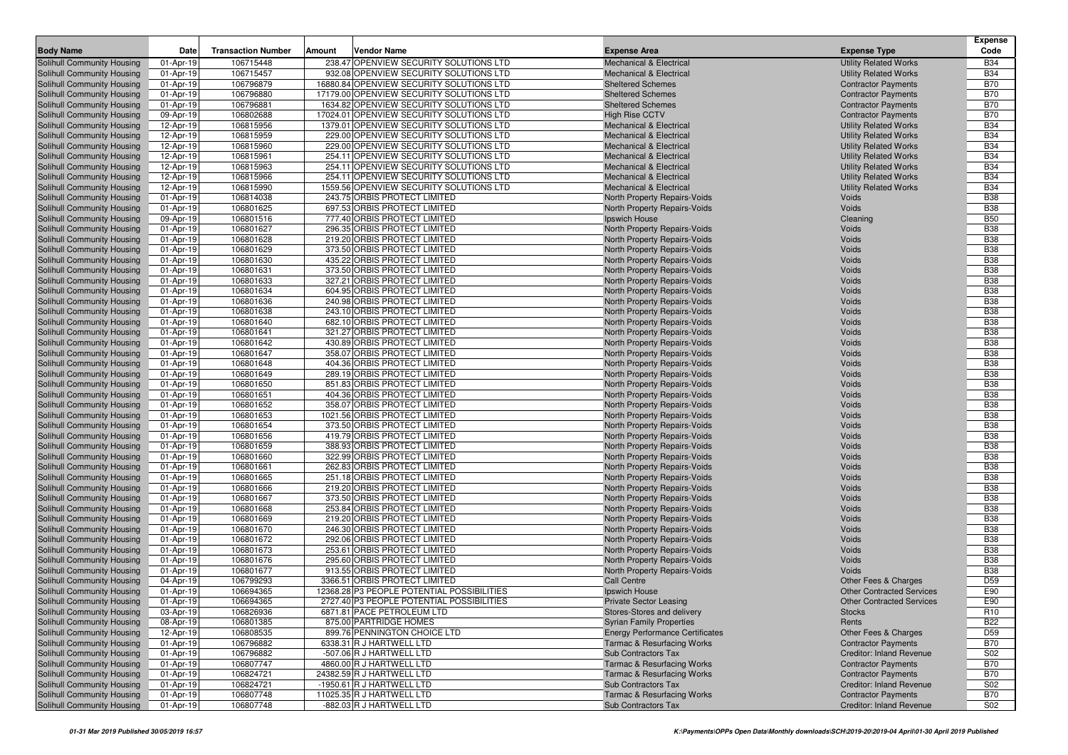|                                                          |                        |                           |                                                              |                                                                                 |                                                    | <b>Expense</b>                |
|----------------------------------------------------------|------------------------|---------------------------|--------------------------------------------------------------|---------------------------------------------------------------------------------|----------------------------------------------------|-------------------------------|
| <b>Body Name</b>                                         | Date                   | <b>Transaction Number</b> | Amount<br>Vendor Name                                        | <b>Expense Area</b>                                                             | <b>Expense Type</b>                                | Code                          |
| Solihull Community Housing                               | 01-Apr-19              | 106715448                 | 238.47 OPENVIEW SECURITY SOLUTIONS LTD                       | <b>Mechanical &amp; Electrical</b>                                              | <b>Utility Related Works</b>                       | <b>B34</b>                    |
| Solihull Community Housing                               | 01-Apr-19              | 106715457                 | 932.08 OPENVIEW SECURITY SOLUTIONS LTD                       | <b>Mechanical &amp; Electrical</b>                                              | <b>Utility Related Works</b>                       | <b>B34</b>                    |
| Solihull Community Housing                               | 01-Apr-19              | 106796879                 | 16880.84 OPENVIEW SECURITY SOLUTIONS LTD                     | <b>Sheltered Schemes</b>                                                        | <b>Contractor Payments</b>                         | <b>B70</b>                    |
| Solihull Community Housing                               | 01-Apr-19              | 106796880                 | 17179.00 OPENVIEW SECURITY SOLUTIONS LTD                     | <b>Sheltered Schemes</b>                                                        | <b>Contractor Payments</b>                         | <b>B70</b>                    |
| Solihull Community Housing                               | 01-Apr-19              | 106796881                 | 1634.82 OPENVIEW SECURITY SOLUTIONS LTD                      | <b>Sheltered Schemes</b>                                                        | <b>Contractor Payments</b>                         | <b>B70</b>                    |
| Solihull Community Housing                               | 09-Apr-19              | 106802688                 | 17024.01 OPENVIEW SECURITY SOLUTIONS LTD                     | <b>High Rise CCTV</b>                                                           | <b>Contractor Payments</b>                         | <b>B70</b>                    |
| Solihull Community Housing                               | 12-Apr-19              | 106815956                 | 1379.01 OPENVIEW SECURITY SOLUTIONS LTD                      | <b>Mechanical &amp; Electrical</b>                                              | <b>Utility Related Works</b>                       | <b>B34</b>                    |
| Solihull Community Housing                               | 12-Apr-19              | 106815959                 | 229.00 OPENVIEW SECURITY SOLUTIONS LTD                       | <b>Mechanical &amp; Electrical</b>                                              | <b>Utility Related Works</b>                       | <b>B34</b>                    |
| Solihull Community Housing                               | 12-Apr-19              | 106815960                 | 229.00 OPENVIEW SECURITY SOLUTIONS LTD                       | Mechanical & Electrical                                                         | <b>Utility Related Works</b>                       | <b>B34</b>                    |
| Solihull Community Housing                               | 12-Apr-19              | 106815961                 | 254.11 OPENVIEW SECURITY SOLUTIONS LTD                       | <b>Mechanical &amp; Electrical</b>                                              | <b>Utility Related Works</b>                       | <b>B34</b>                    |
| Solihull Community Housing                               | 12-Apr-19              | 106815963                 | 254.11 OPENVIEW SECURITY SOLUTIONS LTD                       | <b>Mechanical &amp; Electrical</b>                                              | <b>Utility Related Works</b>                       | <b>B34</b>                    |
| Solihull Community Housing                               | 12-Apr-19              | 106815966                 | 254.11 OPENVIEW SECURITY SOLUTIONS LTD                       | <b>Mechanical &amp; Electrical</b>                                              | <b>Utility Related Works</b>                       | <b>B34</b>                    |
| Solihull Community Housing                               | 12-Apr-19              | 106815990                 | 1559.56 OPENVIEW SECURITY SOLUTIONS LTD                      | <b>Mechanical &amp; Electrical</b>                                              | <b>Utility Related Works</b>                       | <b>B34</b>                    |
| Solihull Community Housing                               | 01-Apr-19              | 106814038                 | 243.75 ORBIS PROTECT LIMITED                                 | North Property Repairs-Voids                                                    | Voids                                              | <b>B38</b>                    |
| Solihull Community Housing                               | 01-Apr-19              | 106801625                 | 697.53 ORBIS PROTECT LIMITED                                 | North Property Repairs-Voids                                                    | Voids                                              | <b>B38</b>                    |
| Solihull Community Housing<br>Solihull Community Housing | 09-Apr-19<br>01-Apr-19 | 106801516<br>106801627    | 777.40 ORBIS PROTECT LIMITED<br>296.35 ORBIS PROTECT LIMITED | Ipswich House                                                                   | Cleaning<br>Voids                                  | <b>B50</b><br><b>B38</b>      |
| Solihull Community Housing                               | 01-Apr-19              | 106801628                 | 219.20 ORBIS PROTECT LIMITED                                 | North Property Repairs-Voids<br>North Property Repairs-Voids                    | Voids                                              | <b>B38</b>                    |
| Solihull Community Housing                               | 01-Apr-19              | 106801629                 | 373.50 ORBIS PROTECT LIMITED                                 | North Property Repairs-Voids                                                    | Voids                                              | <b>B38</b>                    |
| Solihull Community Housing                               | 01-Apr-19              | 106801630                 | 435.22 ORBIS PROTECT LIMITED                                 | North Property Repairs-Voids                                                    | Voids                                              | <b>B38</b>                    |
| Solihull Community Housing                               | 01-Apr-19              | 106801631                 | 373.50 ORBIS PROTECT LIMITED                                 | North Property Repairs-Voids                                                    | Voids                                              | <b>B38</b>                    |
| Solihull Community Housing                               | 01-Apr-19              | 106801633                 | 327.21 ORBIS PROTECT LIMITED                                 | North Property Repairs-Voids                                                    | Voids                                              | <b>B38</b>                    |
| Solihull Community Housing                               | 01-Apr-19              | 106801634                 | 604.95 ORBIS PROTECT LIMITED                                 | North Property Repairs-Voids                                                    | Voids                                              | <b>B38</b>                    |
| Solihull Community Housing                               | 01-Apr-19              | 106801636                 | 240.98 ORBIS PROTECT LIMITED                                 | North Property Repairs-Voids                                                    | Voids                                              | <b>B38</b>                    |
| Solihull Community Housing                               | 01-Apr-19              | 106801638                 | 243.10 ORBIS PROTECT LIMITED                                 | North Property Repairs-Voids                                                    | Voids                                              | <b>B38</b>                    |
| Solihull Community Housing                               | 01-Apr-19              | 106801640                 | 682.10 ORBIS PROTECT LIMITED                                 | North Property Repairs-Voids                                                    | Voids                                              | <b>B38</b>                    |
| Solihull Community Housing                               | 01-Apr-19              | 106801641                 | 321.27 ORBIS PROTECT LIMITED                                 | North Property Repairs-Voids                                                    | Voids                                              | <b>B38</b>                    |
| Solihull Community Housing                               | 01-Apr-19              | 106801642                 | 430.89 ORBIS PROTECT LIMITED                                 | North Property Repairs-Voids                                                    | Voids                                              | <b>B38</b>                    |
| Solihull Community Housing                               | 01-Apr-19              | 106801647                 | 358.07 ORBIS PROTECT LIMITED                                 | North Property Repairs-Voids                                                    | Voids                                              | <b>B38</b>                    |
| Solihull Community Housing                               | 01-Apr-19              | 106801648                 | 404.36 ORBIS PROTECT LIMITED                                 | North Property Repairs-Voids                                                    | Voids                                              | <b>B38</b>                    |
| Solihull Community Housing                               | 01-Apr-19              | 106801649                 | 289.19 ORBIS PROTECT LIMITED                                 | North Property Repairs-Voids                                                    | Voids                                              | <b>B38</b>                    |
| Solihull Community Housing                               | 01-Apr-19              | 106801650                 | 851.83 ORBIS PROTECT LIMITED                                 | North Property Repairs-Voids                                                    | Voids                                              | <b>B38</b>                    |
| Solihull Community Housing                               | 01-Apr-19              | 106801651                 | 404.36 ORBIS PROTECT LIMITED                                 | North Property Repairs-Voids                                                    | Voids                                              | <b>B38</b>                    |
| Solihull Community Housing                               | 01-Apr-19              | 106801652                 | 358.07 ORBIS PROTECT LIMITED                                 | North Property Repairs-Voids                                                    | Voids                                              | <b>B38</b>                    |
| Solihull Community Housing                               | 01-Apr-19              | 106801653                 | 1021.56 ORBIS PROTECT LIMITED                                | North Property Repairs-Voids                                                    | Voids                                              | <b>B38</b>                    |
| Solihull Community Housing                               | 01-Apr-19              | 106801654                 | 373.50 ORBIS PROTECT LIMITED                                 | North Property Repairs-Voids                                                    | Voids                                              | <b>B38</b>                    |
| Solihull Community Housing                               | 01-Apr-19              | 106801656                 | 419.79 ORBIS PROTECT LIMITED                                 | North Property Repairs-Voids                                                    | Voids                                              | <b>B38</b>                    |
| Solihull Community Housing                               | 01-Apr-19              | 106801659                 | 388.93 ORBIS PROTECT LIMITED                                 | North Property Repairs-Voids                                                    | Voids                                              | <b>B38</b>                    |
| Solihull Community Housing                               | 01-Apr-19              | 106801660                 | 322.99 ORBIS PROTECT LIMITED                                 | North Property Repairs-Voids                                                    | Voids                                              | <b>B38</b>                    |
| Solihull Community Housing                               | 01-Apr-19              | 106801661                 | 262.83 ORBIS PROTECT LIMITED                                 | North Property Repairs-Voids                                                    | Voids                                              | <b>B38</b>                    |
| Solihull Community Housing                               | 01-Apr-19              | 106801665                 | 251.18 ORBIS PROTECT LIMITED                                 | North Property Repairs-Voids                                                    | Voids                                              | <b>B38</b>                    |
| Solihull Community Housing                               | 01-Apr-19              | 106801666                 | 219.20 ORBIS PROTECT LIMITED                                 | North Property Repairs-Voids                                                    | Voids                                              | <b>B38</b>                    |
| Solihull Community Housing                               | 01-Apr-19              | 106801667                 | 373.50 ORBIS PROTECT LIMITED                                 | North Property Repairs-Voids                                                    | Voids                                              | <b>B38</b>                    |
| Solihull Community Housing                               | 01-Apr-19              | 106801668                 | 253.84 ORBIS PROTECT LIMITED                                 | North Property Repairs-Voids                                                    | Voids                                              | <b>B38</b>                    |
| Solihull Community Housing                               | 01-Apr-19              | 106801669                 | 219.20 ORBIS PROTECT LIMITED                                 | North Property Repairs-Voids                                                    | Voids                                              | <b>B38</b>                    |
| Solihull Community Housing                               | 01-Apr-19              | 106801670                 | 246.30 ORBIS PROTECT LIMITED                                 | North Property Repairs-Voids                                                    | Voids                                              | <b>B38</b>                    |
| Solihull Community Housing                               | 01-Apr-19              | 106801672                 | 292.06 ORBIS PROTECT LIMITED                                 | North Property Repairs-Voids                                                    | Voids                                              | <b>B38</b>                    |
| Solihull Community Housing                               | 01-Apr-19              | 106801673                 | 253.61 ORBIS PROTECT LIMITED                                 | North Property Repairs-Voids                                                    | Voids                                              | <b>B38</b>                    |
| Solihull Community Housing                               | 01-Apr-19              | 106801676                 | 295.60 ORBIS PROTECT LIMITED                                 | North Property Repairs-Voids                                                    | Voids                                              | <b>B38</b>                    |
| Solihull Community Housing                               | 01-Apr-19              | 106801677                 | 913.55 ORBIS PROTECT LIMITED                                 | North Property Repairs-Voids                                                    | Voids                                              | <b>B38</b>                    |
| Solihull Community Housing                               | 04-Apr-19              | 106799293                 | 3366.51 ORBIS PROTECT LIMITED                                | <b>Call Centre</b>                                                              | Other Fees & Charges                               | D <sub>59</sub>               |
| Solihull Community Housing                               | 01-Apr-19              | 106694365                 | 12368.28 P3 PEOPLE POTENTIAL POSSIBILITIES                   | Ipswich House                                                                   | <b>Other Contracted Services</b>                   | E90                           |
| Solihull Community Housing                               | 01-Apr-19              | 106694365                 | 2727.40 P3 PEOPLE POTENTIAL POSSIBILITIES                    | <b>Private Sector Leasing</b>                                                   | <b>Other Contracted Services</b>                   | E90                           |
| Solihull Community Housing<br>Solihull Community Housing | 03-Apr-19<br>08-Apr-19 | 106826936<br>106801385    | 6871.81 PACE PETROLEUM LTD<br>875.00 PARTRIDGE HOMES         | Stores-Stores and delivery<br><b>Syrian Family Properties</b>                   | <b>Stocks</b><br>Rents                             | R <sub>10</sub><br><b>B22</b> |
|                                                          | 12-Apr-19              | 106808535                 | 899.76 PENNINGTON CHOICE LTD                                 |                                                                                 |                                                    | D <sub>59</sub>               |
| Solihull Community Housing<br>Solihull Community Housing | 01-Apr-19              | 106796882                 | 6338.31 R J HARTWELL LTD                                     | <b>Energy Performance Certificates</b><br><b>Tarmac &amp; Resurfacing Works</b> | Other Fees & Charges<br><b>Contractor Payments</b> | <b>B70</b>                    |
| Solihull Community Housing                               | 01-Apr-19              | 106796882                 | -507.06 R J HARTWELL LTD                                     | Sub Contractors Tax                                                             | Creditor: Inland Revenue                           | S02                           |
| Solihull Community Housing                               | 01-Apr-19              | 106807747                 | 4860.00 R J HARTWELL LTD                                     | <b>Tarmac &amp; Resurfacing Works</b>                                           | <b>Contractor Payments</b>                         | <b>B70</b>                    |
| Solihull Community Housing                               | 01-Apr-19              | 106824721                 | 24382.59 R J HARTWELL LTD                                    | <b>Tarmac &amp; Resurfacing Works</b>                                           | <b>Contractor Payments</b>                         | <b>B70</b>                    |
| Solihull Community Housing                               | 01-Apr-19              | 106824721                 | -1950.61 R J HARTWELL LTD                                    | Sub Contractors Tax                                                             | Creditor: Inland Revenue                           | S02                           |
| Solihull Community Housing                               | 01-Apr-19              | 106807748                 | 11025.35 R J HARTWELL LTD                                    | <b>Tarmac &amp; Resurfacing Works</b>                                           | <b>Contractor Payments</b>                         | <b>B70</b>                    |
| Solihull Community Housing                               | 01-Apr-19              | 106807748                 | -882.03 R J HARTWELL LTD                                     | Sub Contractors Tax                                                             | Creditor: Inland Revenue                           | S02                           |
|                                                          |                        |                           |                                                              |                                                                                 |                                                    |                               |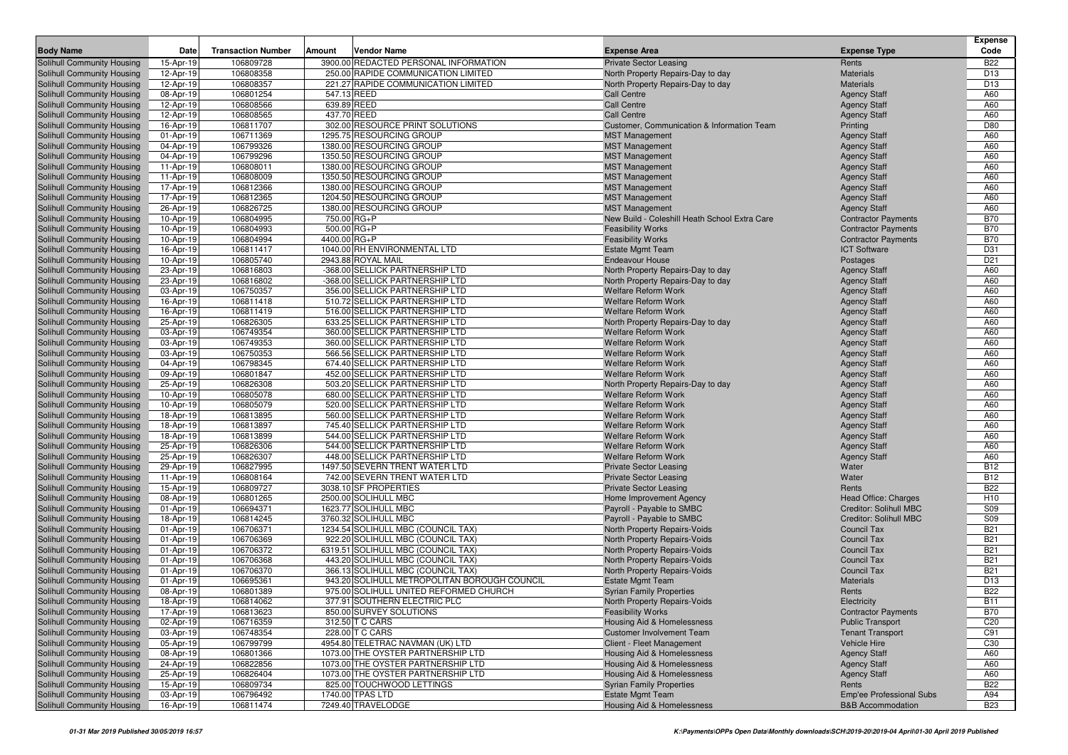| <b>Body Name</b>                                         | Date                   | <b>Transaction Number</b> | Amount       | Vendor Name                                                                            | <b>Expense Area</b>                                      | <b>Expense Type</b>                        | <b>Expense</b><br>Code        |
|----------------------------------------------------------|------------------------|---------------------------|--------------|----------------------------------------------------------------------------------------|----------------------------------------------------------|--------------------------------------------|-------------------------------|
| Solihull Community Housing                               | 15-Apr-19              | 106809728                 |              | 3900.00 REDACTED PERSONAL INFORMATION                                                  | <b>Private Sector Leasing</b>                            | Rents                                      | <b>B22</b>                    |
| Solihull Community Housing                               | 12-Apr-19              | 106808358                 |              | 250.00 RAPIDE COMMUNICATION LIMITED                                                    | North Property Repairs-Day to day                        | <b>Materials</b>                           | D <sub>13</sub>               |
| Solihull Community Housing                               | 12-Apr-19              | 106808357                 |              | 221.27 RAPIDE COMMUNICATION LIMITED                                                    | North Property Repairs-Day to day                        | <b>Materials</b>                           | D <sub>13</sub>               |
| Solihull Community Housing                               | 08-Apr-19              | 106801254                 | 547.13 REED  |                                                                                        | <b>Call Centre</b>                                       | <b>Agency Staff</b>                        | A60                           |
| Solihull Community Housing                               | 12-Apr-19              | 106808566                 | 639.89 REED  |                                                                                        | <b>Call Centre</b>                                       | <b>Agency Staff</b>                        | A60                           |
| Solihull Community Housing                               | 12-Apr-19              | 106808565                 | 437.70 REED  |                                                                                        | <b>Call Centre</b>                                       | <b>Agency Staff</b>                        | A60                           |
| Solihull Community Housing                               | 16-Apr-19              | 106811707                 |              | 302.00 RESOURCE PRINT SOLUTIONS                                                        | Customer, Communication & Information Team               | Printing                                   | D80                           |
| Solihull Community Housing                               | 01-Apr-19              | 106711369                 |              | 1295.75 RESOURCING GROUP                                                               | <b>MST Management</b>                                    | <b>Agency Staff</b>                        | A60                           |
| Solihull Community Housing                               | 04-Apr-19              | 106799326                 |              | 1380.00 RESOURCING GROUP                                                               | <b>MST Management</b>                                    | <b>Agency Staff</b>                        | A60                           |
| Solihull Community Housing                               | 04-Apr-19              | 106799296                 |              | 1350.50 RESOURCING GROUP                                                               | <b>MST Management</b>                                    | <b>Agency Staff</b>                        | A60                           |
| Solihull Community Housing                               | 11-Apr-19              | 106808011                 |              | 1380.00 RESOURCING GROUP                                                               | <b>MST Management</b>                                    | <b>Agency Staff</b>                        | A60                           |
| Solihull Community Housing                               | 11-Apr-19              | 106808009                 |              | 1350.50 RESOURCING GROUP                                                               | <b>MST Management</b>                                    | <b>Agency Staff</b>                        | A60                           |
| Solihull Community Housing                               | 17-Apr-19              | 106812366                 |              | 1380.00 RESOURCING GROUP                                                               | <b>MST Management</b>                                    | <b>Agency Staff</b>                        | A60                           |
| Solihull Community Housing                               | 17-Apr-19              | 106812365                 |              | 1204.50 RESOURCING GROUP                                                               | <b>MST Management</b>                                    | <b>Agency Staff</b>                        | A60                           |
| Solihull Community Housing                               | 26-Apr-19              | 106826725                 |              | 1380.00 RESOURCING GROUP                                                               | <b>MST Management</b>                                    | <b>Agency Staff</b>                        | A60                           |
| Solihull Community Housing                               | 10-Apr-19              | 106804995                 | 750.00 RG+P  |                                                                                        | New Build - Coleshill Heath School Extra Care            | <b>Contractor Payments</b>                 | <b>B70</b>                    |
| Solihull Community Housing                               | 10-Apr-19              | 106804993                 | 500.00 RG+P  |                                                                                        | <b>Feasibility Works</b>                                 | <b>Contractor Payments</b>                 | <b>B70</b>                    |
| Solihull Community Housing                               | 10-Apr-19              | 106804994                 | 4400.00 RG+P |                                                                                        | <b>Feasibility Works</b>                                 | <b>Contractor Payments</b>                 | <b>B70</b>                    |
| <b>Solihull Community Housing</b>                        | 16-Apr-19              | 106811417                 |              | 1040.00 RH ENVIRONMENTAL LTD                                                           | <b>Estate Mgmt Team</b>                                  | <b>ICT Software</b>                        | D31                           |
| Solihull Community Housing                               | 10-Apr-19              | 106805740                 |              | 2943.88 ROYAL MAIL                                                                     | <b>Endeavour House</b>                                   | Postages                                   | D <sub>21</sub>               |
| Solihull Community Housing                               | 23-Apr-19              | 106816803                 |              | -368.00 SELLICK PARTNERSHIP LTD                                                        | North Property Repairs-Day to day                        | <b>Agency Staff</b>                        | A60                           |
| Solihull Community Housing                               | 23-Apr-19              | 106816802                 |              | -368.00 SELLICK PARTNERSHIP LTD                                                        | North Property Repairs-Day to day                        | <b>Agency Staff</b>                        | A60                           |
| Solihull Community Housing                               | 03-Apr-19              | 106750357                 |              | 356.00 SELLICK PARTNERSHIP LTD                                                         | <b>Welfare Reform Work</b>                               | <b>Agency Staff</b>                        | A60                           |
| Solihull Community Housing                               | 16-Apr-19              | 106811418                 |              | 510.72 SELLICK PARTNERSHIP LTD                                                         | <b>Welfare Reform Work</b>                               | <b>Agency Staff</b>                        | A60                           |
| <b>Solihull Community Housing</b>                        | 16-Apr-19              | 106811419                 |              | 516.00 SELLICK PARTNERSHIP LTD                                                         | <b>Welfare Reform Work</b>                               | <b>Agency Staff</b>                        | A60                           |
| Solihull Community Housing                               | 25-Apr-19              | 106826305                 |              | 633.25 SELLICK PARTNERSHIP LTD<br>360.00 SELLICK PARTNERSHIP LTD                       | North Property Repairs-Day to day                        | <b>Agency Staff</b>                        | A60                           |
| Solihull Community Housing                               | 03-Apr-19              | 106749354                 |              |                                                                                        | <b>Welfare Reform Work</b><br><b>Welfare Reform Work</b> | <b>Agency Staff</b>                        | A60                           |
| Solihull Community Housing<br>Solihull Community Housing | 03-Apr-19              | 106749353<br>106750353    |              | 360.00 SELLICK PARTNERSHIP LTD<br>566.56 SELLICK PARTNERSHIP LTD                       | <b>Welfare Reform Work</b>                               | <b>Agency Staff</b>                        | A60<br>A60                    |
| Solihull Community Housing                               | 03-Apr-19<br>04-Apr-19 | 106798345                 |              | 674.40 SELLICK PARTNERSHIP LTD                                                         | <b>Welfare Reform Work</b>                               | <b>Agency Staff</b><br><b>Agency Staff</b> | A60                           |
| Solihull Community Housing                               | 09-Apr-19              | 106801847                 |              | 452.00 SELLICK PARTNERSHIP LTD                                                         | <b>Welfare Reform Work</b>                               | <b>Agency Staff</b>                        | A60                           |
| Solihull Community Housing                               | 25-Apr-19              | 106826308                 |              | 503.20 SELLICK PARTNERSHIP LTD                                                         | North Property Repairs-Day to day                        | <b>Agency Staff</b>                        | A60                           |
| Solihull Community Housing                               | 10-Apr-19              | 106805078                 |              | 680.00 SELLICK PARTNERSHIP LTD                                                         | <b>Welfare Reform Work</b>                               | <b>Agency Staff</b>                        | A60                           |
| Solihull Community Housing                               | 10-Apr-19              | 106805079                 |              | 520.00 SELLICK PARTNERSHIP LTD                                                         | <b>Welfare Reform Work</b>                               | <b>Agency Staff</b>                        | A60                           |
| Solihull Community Housing                               | 18-Apr-19              | 106813895                 |              | 560.00 SELLICK PARTNERSHIP LTD                                                         | <b>Welfare Reform Work</b>                               | <b>Agency Staff</b>                        | A60                           |
| Solihull Community Housing                               | 18-Apr-19              | 106813897                 |              | 745.40 SELLICK PARTNERSHIP LTD                                                         | <b>Welfare Reform Work</b>                               | <b>Agency Staff</b>                        | A60                           |
| Solihull Community Housing                               | 18-Apr-19              | 106813899                 |              | 544.00 SELLICK PARTNERSHIP LTD                                                         | <b>Welfare Reform Work</b>                               | <b>Agency Staff</b>                        | A60                           |
| Solihull Community Housing                               | 25-Apr-19              | 106826306                 |              | 544.00 SELLICK PARTNERSHIP LTD                                                         | <b>Welfare Reform Work</b>                               | <b>Agency Staff</b>                        | A60                           |
| Solihull Community Housing                               | 25-Apr-19              | 106826307                 |              | 448.00 SELLICK PARTNERSHIP LTD                                                         | <b>Welfare Reform Work</b>                               | <b>Agency Staff</b>                        | A60                           |
| Solihull Community Housing                               | 29-Apr-19              | 106827995                 |              | 1497.50 SEVERN TRENT WATER LTD                                                         | <b>Private Sector Leasing</b>                            | Water                                      | <b>B12</b>                    |
| Solihull Community Housing                               | 11-Apr-19              | 106808164                 |              | 742.00 SEVERN TRENT WATER LTD                                                          | <b>Private Sector Leasing</b>                            | Water                                      | <b>B12</b>                    |
| Solihull Community Housing                               | 15-Apr-19              | 106809727                 |              | 3038.10 SF PROPERTIES                                                                  | <b>Private Sector Leasing</b>                            | Rents                                      | <b>B22</b>                    |
| Solihull Community Housing                               | 08-Apr-19              | 106801265                 |              | 2500.00 SOLIHULL MBC                                                                   | Home Improvement Agency                                  | Head Office: Charges                       | H <sub>10</sub>               |
| Solihull Community Housing                               | 01-Apr-19              | 106694371                 |              | 1623.77 SOLIHULL MBC                                                                   | Payroll - Payable to SMBC                                | Creditor: Solihull MBC                     | <b>S09</b>                    |
| Solihull Community Housing                               | 18-Apr-19              | 106814245                 |              | 3760.32 SOLIHULL MBC                                                                   | Payroll - Payable to SMBC                                | Creditor: Solihull MBC                     | S <sub>09</sub>               |
| Solihull Community Housing                               | 01-Apr-19              | 106706371                 |              | 1234.54 SOLIHULL MBC (COUNCIL TAX)                                                     | <b>North Property Repairs-Voids</b>                      | <b>Council Tax</b>                         | <b>B21</b>                    |
| Solihull Community Housing                               | 01-Apr-19              | 106706369                 |              | 922.20 SOLIHULL MBC (COUNCIL TAX)                                                      | <b>North Property Repairs-Voids</b>                      | <b>Council Tax</b>                         | <b>B21</b>                    |
| Solihull Community Housing                               | 01-Apr-19              | 106706372                 |              | 6319.51 SOLIHULL MBC (COUNCIL TAX)                                                     | North Property Repairs-Voids                             | <b>Council Tax</b>                         | <b>B21</b>                    |
| Solihull Community Housing                               | 01-Apr-19              | 106706368                 |              | 443.20 SOLIHULL MBC (COUNCIL TAX)                                                      | <b>North Property Repairs-Voids</b>                      | <b>Council Tax</b>                         | <b>B21</b>                    |
| Solihull Community Housing                               | 01-Apr-19              | 106706370                 |              | 366.13 SOLIHULL MBC (COUNCIL TAX)                                                      | <b>North Property Repairs-Voids</b>                      | <b>Council Tax</b>                         | <b>B21</b>                    |
| Solihull Community Housing<br>Solihull Community Housing | 01-Apr-19<br>08-Apr-19 | 106695361<br>106801389    |              | 943.20 SOLIHULL METROPOLITAN BOROUGH COUNCIL<br>975.00 SOLIHULL UNITED REFORMED CHURCH | <b>Estate Mgmt Team</b>                                  | <b>Materials</b><br>Rents                  | D <sub>13</sub><br><b>B22</b> |
| Solihull Community Housing                               | 18-Apr-19              | 106814062                 |              | 377.91 SOUTHERN ELECTRIC PLC                                                           | <b>Syrian Family Properties</b>                          |                                            | <b>B11</b>                    |
| Solihull Community Housing                               | 17-Apr-19              | 106813623                 |              | 850.00 SURVEY SOLUTIONS                                                                | North Property Repairs-Voids<br><b>Feasibility Works</b> | Electricity<br><b>Contractor Payments</b>  | <b>B70</b>                    |
| Solihull Community Housing                               | 02-Apr-19              | 106716359                 |              | 312.50 T C CARS                                                                        | Housing Aid & Homelessness                               | <b>Public Transport</b>                    | C <sub>20</sub>               |
| Solihull Community Housing                               | 03-Apr-19              | 106748354                 |              | 228.00 T C CARS                                                                        | <b>Customer Involvement Team</b>                         | <b>Tenant Transport</b>                    | C91                           |
| Solihull Community Housing                               | 05-Apr-19              | 106799799                 |              | 4954.80 TELETRAC NAVMAN (UK) LTD                                                       | Client - Fleet Management                                | Vehicle Hire                               | C30                           |
| Solihull Community Housing                               | 08-Apr-19              | 106801366                 |              | 1073.00 THE OYSTER PARTNERSHIP LTD                                                     | <b>Housing Aid &amp; Homelessness</b>                    | <b>Agency Staff</b>                        | A60                           |
| Solihull Community Housing                               | 24-Apr-19              | 106822856                 |              | 1073.00 THE OYSTER PARTNERSHIP LTD                                                     | <b>Housing Aid &amp; Homelessness</b>                    | <b>Agency Staff</b>                        | A60                           |
| Solihull Community Housing                               | 25-Apr-19              | 106826404                 |              | 1073.00 THE OYSTER PARTNERSHIP LTD                                                     | Housing Aid & Homelessness                               | <b>Agency Staff</b>                        | A60                           |
| Solihull Community Housing                               | 15-Apr-19              | 106809734                 |              | 825.00 TOUCHWOOD LETTINGS                                                              | <b>Syrian Family Properties</b>                          | Rents                                      | <b>B22</b>                    |
| Solihull Community Housing                               | 03-Apr-19              | 106796492                 |              | 1740.00 TPAS LTD                                                                       | <b>Estate Mgmt Team</b>                                  | Emp'ee Professional Subs                   | A94                           |
| Solihull Community Housing                               | 16-Apr-19              | 106811474                 |              | 7249.40 TRAVELODGE                                                                     | <b>Housing Aid &amp; Homelessness</b>                    | <b>B&amp;B Accommodation</b>               | <b>B23</b>                    |